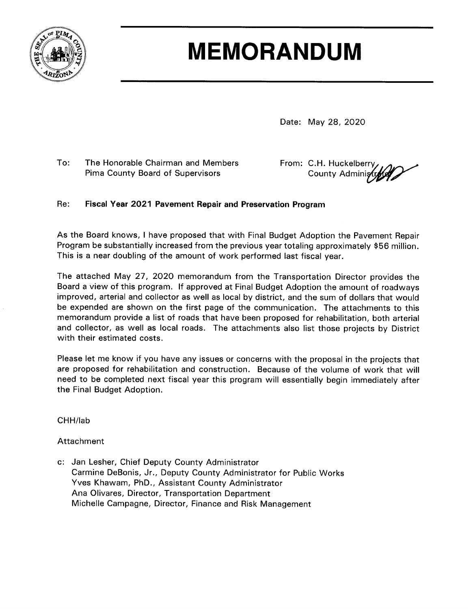

# **MEMORANDUM**

Date: May 28, 2020

 $To:$ The Honorable Chairman and Members Pima County Board of Supervisors

From: C.H. Huckelberry County Administ

#### Fiscal Year 2021 Pavement Repair and Preservation Program Re:

As the Board knows, I have proposed that with Final Budget Adoption the Pavement Repair Program be substantially increased from the previous year totaling approximately \$56 million. This is a near doubling of the amount of work performed last fiscal year.

The attached May 27, 2020 memorandum from the Transportation Director provides the Board a view of this program. If approved at Final Budget Adoption the amount of roadways improved, arterial and collector as well as local by district, and the sum of dollars that would be expended are shown on the first page of the communication. The attachments to this memorandum provide a list of roads that have been proposed for rehabilitation, both arterial and collector, as well as local roads. The attachments also list those projects by District with their estimated costs.

Please let me know if you have any issues or concerns with the proposal in the projects that are proposed for rehabilitation and construction. Because of the volume of work that will need to be completed next fiscal year this program will essentially begin immediately after the Final Budget Adoption.

CHH/lab

#### Attachment

c: Jan Lesher, Chief Deputy County Administrator Carmine DeBonis, Jr., Deputy County Administrator for Public Works Yves Khawam, PhD., Assistant County Administrator Ana Olivares, Director, Transportation Department Michelle Campagne, Director, Finance and Risk Management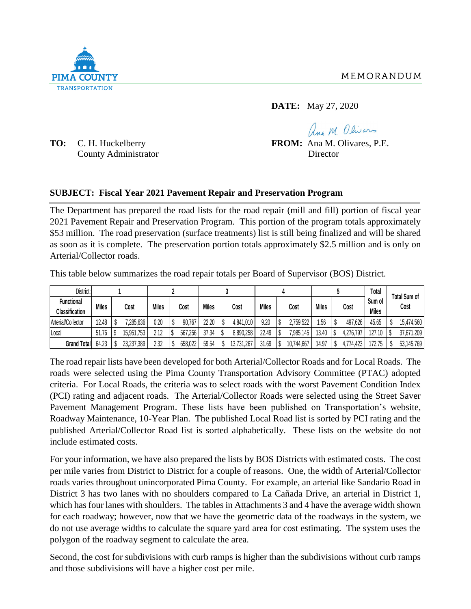**DATE:** May 27, 2020

County Administrator Director

Ang M Olivars **TO:** C. H. Huckelberry **FROM:** Ana M. Olivares, P.E.

#### **SUBJECT: Fiscal Year 2021 Pavement Repair and Preservation Program**

The Department has prepared the road lists for the road repair (mill and fill) portion of fiscal year 2021 Pavement Repair and Preservation Program. This portion of the program totals approximately \$53 million. The road preservation (surface treatments) list is still being finalized and will be shared as soon as it is complete. The preservation portion totals approximately \$2.5 million and is only on Arterial/Collector roads.

This table below summarizes the road repair totals per Board of Supervisor (BOS) District.

| District:                                  |              |            |              |         |              |            |              |            |              |           | Total                  |                             |
|--------------------------------------------|--------------|------------|--------------|---------|--------------|------------|--------------|------------|--------------|-----------|------------------------|-----------------------------|
| <b>Functional</b><br><b>Classification</b> | <b>Miles</b> | Cost       | <b>Miles</b> | Cost    | <b>Miles</b> | Cost       | <b>Miles</b> | Cost       | <b>Miles</b> | Cost      | Sum of<br><b>Miles</b> | <b>Total Sum of</b><br>Cost |
| Arterial/Collector                         | 12.48        | ,285,636   | 0.20         | 90,767  | 22.20        | 4,841,010  | 9.20         | 2,759,522  | . 56         | 497,626   | 45.65                  | 15,474,560                  |
| Local                                      | 51.76        | 15,951,753 | 2.12         | 567,256 | 37.34        | 8,890,258  | 22.49        | ,985,145   | 13.40        | 4,276,797 | 127.10                 | 37,671,209                  |
| <b>Grand Total</b>                         | 64.23        | 23,237,389 | 2.32         | 658,022 | 59.54        | 13,731,267 | 31.69        | 10,744,667 | 14.97        | 4,774,423 | 172.75                 | 53,145,769                  |
|                                            |              |            |              |         |              |            |              |            |              |           |                        |                             |

The road repair lists have been developed for both Arterial/Collector Roads and for Local Roads. The roads were selected using the Pima County Transportation Advisory Committee (PTAC) adopted criteria. For Local Roads, the criteria was to select roads with the worst Pavement Condition Index (PCI) rating and adjacent roads. The Arterial/Collector Roads were selected using the Street Saver Pavement Management Program. These lists have been published on Transportation's website, Roadway Maintenance, 10-Year Plan. The published Local Road list is sorted by PCI rating and the published Arterial/Collector Road list is sorted alphabetically. These lists on the website do not include estimated costs.

For your information, we have also prepared the lists by BOS Districts with estimated costs. The cost per mile varies from District to District for a couple of reasons. One, the width of Arterial/Collector roads varies throughout unincorporated Pima County. For example, an arterial like Sandario Road in District 3 has two lanes with no shoulders compared to La Cañada Drive, an arterial in District 1, which has four lanes with shoulders. The tables in Attachments 3 and 4 have the average width shown for each roadway; however, now that we have the geometric data of the roadways in the system, we do not use average widths to calculate the square yard area for cost estimating. The system uses the polygon of the roadway segment to calculate the area.

Second, the cost for subdivisions with curb ramps is higher than the subdivisions without curb ramps and those subdivisions will have a higher cost per mile.

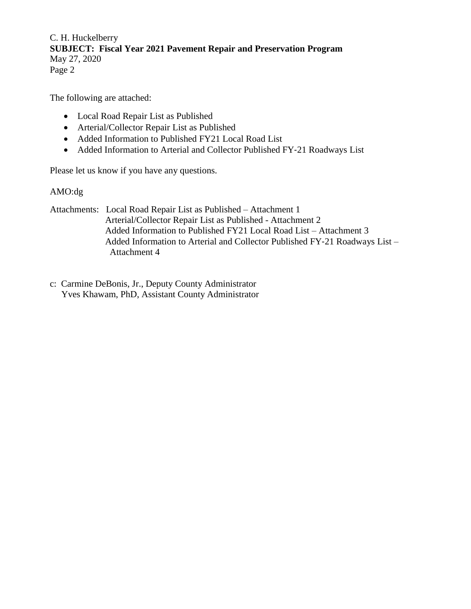C. H. Huckelberry **SUBJECT: Fiscal Year 2021 Pavement Repair and Preservation Program** May 27, 2020 Page 2

The following are attached:

- Local Road Repair List as Published
- Arterial/Collector Repair List as Published
- Added Information to Published FY21 Local Road List
- Added Information to Arterial and Collector Published FY-21 Roadways List

Please let us know if you have any questions.

#### AMO:dg

Attachments: Local Road Repair List as Published – Attachment 1 Arterial/Collector Repair List as Published - Attachment 2 Added Information to Published FY21 Local Road List – Attachment 3 Added Information to Arterial and Collector Published FY‐21 Roadways List – Attachment 4

c: Carmine DeBonis, Jr., Deputy County Administrator Yves Khawam, PhD, Assistant County Administrator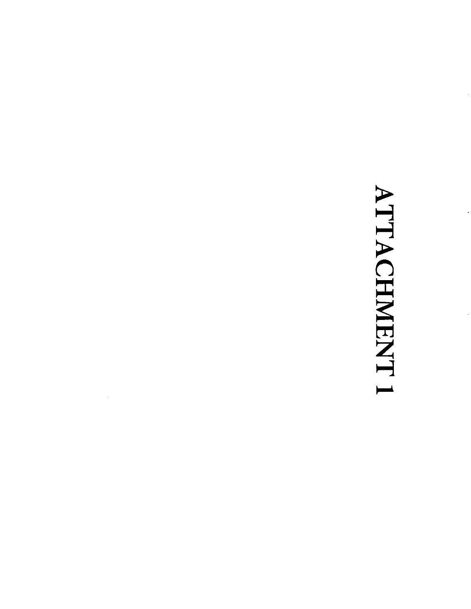# ATTACHMENT 1

 $\mathcal{A}$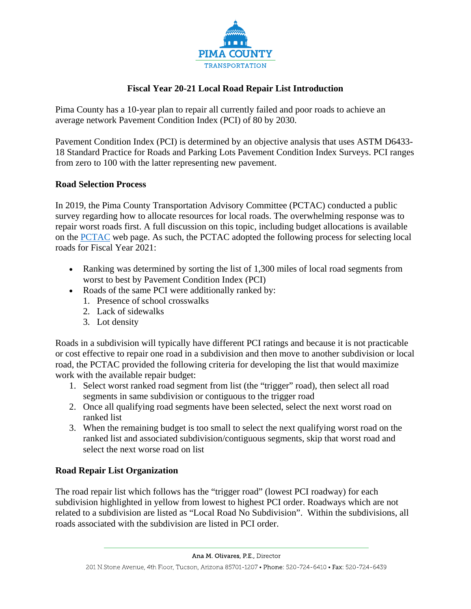

#### **Fiscal Year 20-21 Local Road Repair List Introduction**

Pima County has a 10-year plan to repair all currently failed and poor roads to achieve an average network Pavement Condition Index (PCI) of 80 by 2030.

Pavement Condition Index (PCI) is determined by an objective analysis that uses ASTM D6433- 18 Standard Practice for Roads and Parking Lots Pavement Condition Index Surveys. PCI ranges from zero to 100 with the latter representing new pavement.

#### **Road Selection Process**

In 2019, the Pima County Transportation Advisory Committee (PCTAC) conducted a public survey regarding how to allocate resources for local roads. The overwhelming response was to repair worst roads first. A full discussion on this topic, including budget allocations is available on the [PCTAC](https://webcms.pima.gov/cms/One.aspx?portalId=169&pageId=355530) web page. As such, the PCTAC adopted the following process for selecting local roads for Fiscal Year 2021:

- Ranking was determined by sorting the list of 1,300 miles of local road segments from worst to best by Pavement Condition Index (PCI)
- Roads of the same PCI were additionally ranked by:
	- 1. Presence of school crosswalks
	- 2. Lack of sidewalks
	- 3. Lot density

Roads in a subdivision will typically have different PCI ratings and because it is not practicable or cost effective to repair one road in a subdivision and then move to another subdivision or local road, the PCTAC provided the following criteria for developing the list that would maximize work with the available repair budget:

- 1. Select worst ranked road segment from list (the "trigger" road), then select all road segments in same subdivision or contiguous to the trigger road
- 2. Once all qualifying road segments have been selected, select the next worst road on ranked list
- 3. When the remaining budget is too small to select the next qualifying worst road on the ranked list and associated subdivision/contiguous segments, skip that worst road and select the next worse road on list

#### **Road Repair List Organization**

The road repair list which follows has the "trigger road" (lowest PCI roadway) for each subdivision highlighted in yellow from lowest to highest PCI order. Roadways which are not related to a subdivision are listed as "Local Road No Subdivision". Within the subdivisions, all roads associated with the subdivision are listed in PCI order.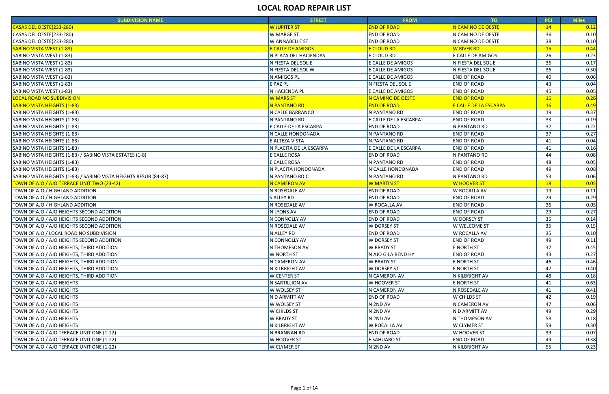| <b>SUBDIVISION NAME</b>                                          | <b>STREET</b>             | <b>FROM</b>              | TO                           | <b>PCI</b> | <b>Miles</b> |
|------------------------------------------------------------------|---------------------------|--------------------------|------------------------------|------------|--------------|
| CASAS DEL OESTE(233-280)                                         | <b>W JUPITER ST</b>       | <b>END OF ROAD</b>       | N CAMINO DE OESTE            | 14         | 0.12         |
| <b>CASAS DEL OESTE(233-280)</b>                                  | W MARGE ST                | <b>END OF ROAD</b>       | N CAMINO DE OESTE            | 36         | 0.10         |
| CASAS DEL OESTE(233-280)                                         | W ANNABELLE ST            | <b>END OF ROAD</b>       | N CAMINO DE OESTE            | 38         | 0.10         |
| <b>SABINO VISTA WEST (1-83)</b>                                  | <b>E CALLE DE AMIGOS</b>  | <mark>E CLOUD RD</mark>  | <b>W RIVER RD</b>            | 15         | 0.44         |
| SABINO VISTA WEST (1-83)                                         | N PLAZA DEL HACIENDAS     | E CLOUD RD               | E CALLE DE AMIGOS            | 26         | 0.23         |
| SABINO VISTA WEST (1-83)                                         | N FIESTA DEL SOL E        | E CALLE DE AMIGOS        | N FIESTA DEL SOL E           | 36         | 0.17         |
| SABINO VISTA WEST (1-83)                                         | N FIESTA DEL SOL W        | E CALLE DE AMIGOS        | N FIESTA DEL SOL E           | 36         | 0.30         |
| SABINO VISTA WEST (1-83)                                         | N AMIGOS PL               | E CALLE DE AMIGOS        | <b>END OF ROAD</b>           | 40         | 0.06         |
| SABINO VISTA WEST (1-83)                                         | E PAZ PL                  | N FIESTA DEL SOL E       | <b>END OF ROAD</b>           | 43         | 0.04         |
| SABINO VISTA WEST (1-83)                                         | N HACIENDA PL             | E CALLE DE AMIGOS        | <b>END OF ROAD</b>           | 45         | 0.05         |
| <b>LOCAL ROAD NO SUBDIVISION</b>                                 | <b>W MARS ST</b>          | <b>N CAMINO DE OESTE</b> | <b>END OF ROAD</b>           | 16         | 0.26         |
| <b>SABINO VISTA HEIGHTS (1-83)</b>                               | <mark>N PANTANO RD</mark> | <b>END OF ROAD</b>       | <b>E CALLE DE LA ESCARPA</b> | 16         | 0.49         |
| SABINO VISTA HEIGHTS (1-83)                                      | N CALLE BARRANCO          | N PANTANO RD             | <b>END OF ROAD</b>           | 19         | 0.37         |
| SABINO VISTA HEIGHTS (1-83)                                      | N PANTANO RD              | E CALLE DE LA ESCARPA    | <b>END OF ROAD</b>           | 33         | 0.19         |
| SABINO VISTA HEIGHTS (1-83)                                      | E CALLE DE LA ESCARPA     | <b>END OF ROAD</b>       | N PANTANO RD                 | 37         | 0.22         |
| SABINO VISTA HEIGHTS (1-83)                                      | N CALLE HONDONADA         | N PANTANO RD             | <b>END OF ROAD</b>           | 37         | 0.27         |
| SABINO VISTA HEIGHTS (1-83)                                      | E ALTEZA VISTA            | N PANTANO RD             | <b>END OF ROAD</b>           | 41         | 0.04         |
| SABINO VISTA HEIGHTS (1-83)                                      | N PLACITA DE LA ESCARPA   | E CALLE DE LA ESCARPA    | <b>END OF ROAD</b>           | 41         | 0.16         |
| SABINO VISTA HEIGHTS (1-83) / SABINO VISTA ESTATES (1-8)         | E CALLE ROSA              | <b>END OF ROAD</b>       | N PANTANO RD                 | 44         | 0.08         |
| SABINO VISTA HEIGHTS (1-83)                                      | E CALLE ROSA              | N PANTANO RD             | <b>END OF ROAD</b>           | 48         | 0.05         |
| SABINO VISTA HEIGHTS (1-83)                                      | N PLACITA HONDONADA       | N CALLE HONDONADA        | <b>END OF ROAD</b>           | 49         | 0.08         |
| SABINO VISTA HEIGHTS (1-83) / SABINO VISTA HEIGHTS RESUB (84-87) | N PANTANO RD C            | N PANTANO RD             | N PANTANO RD                 | 53         | 0.06         |
| TOWN OF AJO / AJO TERRACE UNIT TWO (23-42)                       | N CAMERON AV              | <mark>W MARTIN ST</mark> | W HOOVER ST                  | 18         | 0.05         |
| TOWN OF AJO / HIGHLAND ADDITION                                  | N ROSEDALE AV             | <b>END OF ROAD</b>       | W ROCALLA AV                 | 19         | 0.11         |
| TOWN OF AJO / HIGHLAND ADDITION                                  | S ALLEY RD                | <b>END OF ROAD</b>       | <b>END OF ROAD</b>           | 29         | 0.29         |
| TOWN OF AJO / HIGHLAND ADDITION                                  | N ROSEDALE AV             | <b>W ROCALLA AV</b>      | <b>END OF ROAD</b>           | 36         | 0.05         |
| TOWN OF AJO / AJO HEIGHTS SECOND ADDITION                        | N LYONS AV                | <b>END OF ROAD</b>       | <b>END OF ROAD</b>           | 29         | 0.27         |
| TOWN OF AJO / AJO HEIGHTS SECOND ADDITION                        | N CONNOLLY AV             | <b>END OF ROAD</b>       | <b>W DORSEY ST</b>           | 35         | 0.14         |
| TOWN OF AJO / AJO HEIGHTS SECOND ADDITION                        | N ROSEDALE AV             | <b>W DORSEY ST</b>       | <b>W WELCOME ST</b>          | 35         | 0.15         |
| TOWN OF AJO / LOCAL ROAD NO SUBDIVISION                          | N ALLEY RD                | <b>END OF ROAD</b>       | W ROCALLA AV                 | 35         | 0.10         |
| TOWN OF AJO / AJO HEIGHTS SECOND ADDITION                        | N CONNOLLY AV             | <b>W DORSEY ST</b>       | <b>END OF ROAD</b>           | 49         | 0.11         |
| TOWN OF AJO / AJO HEIGHTS, THIRD ADDITION                        | N THOMPSON AV             | <b>W BRADY ST</b>        | E NORTH ST                   | 37         | 0.45         |
| TOWN OF AJO / AJO HEIGHTS, THIRD ADDITION                        | W NORTH ST                | N AJO GILA BEND HY       | <b>END OF ROAD</b>           | 43         | 0.27         |
| TOWN OF AJO / AJO HEIGHTS, THIRD ADDITION                        | N CAMERON AV              | <b>W BRADY ST</b>        | E NORTH ST                   | 46         | 0.46         |
| TOWN OF AJO / AJO HEIGHTS, THIRD ADDITION                        | N KILBRIGHT AV            | <b>W DORSEY ST</b>       | E NORTH ST                   | 47         | 0.40         |
| TOWN OF AJO / AJO HEIGHTS, THIRD ADDITION                        | W CENTER ST               | N CAMERON AV             | N KILBRIGHT AV               | 48         | 0.18         |
| TOWN OF AJO / AJO HEIGHTS                                        | N SARTILLION AV           | W HOOVER ST              | E NORTH ST                   | 41         | 0.63         |
| TOWN OF AJO / AJO HEIGHTS                                        | W WOLSEY ST               | N CAMERON AV             | N ROSEDALE AV                | 41         | 0.41         |
| TOWN OF AJO / AJO HEIGHTS                                        | N D ARMITT AV             | <b>END OF ROAD</b>       | <b>W CHILDS ST</b>           | 42         | 0.19         |
| TOWN OF AJO / AJO HEIGHTS                                        | W WOLSEY ST               | N 2ND AV                 | N CAMERON AV                 | 47         | 0.06         |
| TOWN OF AJO / AJO HEIGHTS                                        | W CHILDS ST               | N 2ND AV                 | N D ARMITT AV                | 49         | 0.29         |
| TOWN OF AJO / AJO HEIGHTS                                        | W BRADY ST                | N 2ND AV                 | N THOMPSON AV                | 58         | 0.18         |
| TOWN OF AJO / AJO HEIGHTS                                        | N KILBRIGHT AV            | W ROCALLA AV             | <b>W CLYMER ST</b>           | 59         | 0.30         |
| TOWN OF AJO / AJO TERRACE UNIT ONE (1-22)                        | N BRANNAN RD              | <b>END OF ROAD</b>       | W HOOVER ST                  | 39         | 0.07         |
| TOWN OF AJO / AJO TERRACE UNIT ONE (1-22)                        | W HOOVER ST               | E SAHUARO ST             | <b>END OF ROAD</b>           | 49         | 0.38         |
| TOWN OF AJO / AJO TERRACE UNIT ONE (1-22)                        | <b>W CLYMER ST</b>        | N 2ND AV                 | N KILBRIGHT AV               | 55         | 0.23         |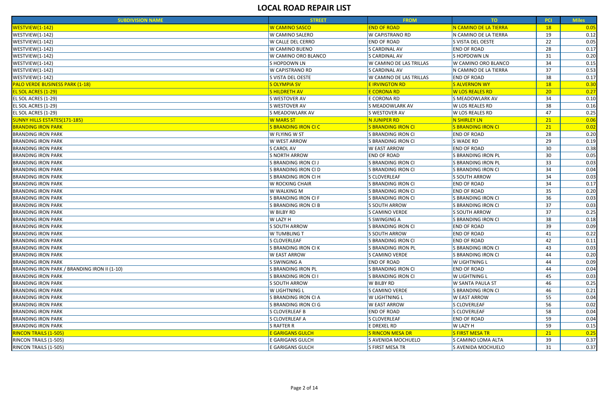| <b>SUBDIVISION NAME</b>                      | <b>STREET</b>               | <b>FROM</b>               | TO:                       | <b>PCI</b>      | <b>Miles</b> |
|----------------------------------------------|-----------------------------|---------------------------|---------------------------|-----------------|--------------|
| WESTVIEW(1-142)                              | <b>W CAMINO SASCO</b>       | <b>END OF ROAD</b>        | N CAMINO DE LA TIERRA     | 18 <sup>°</sup> | 0.05         |
| WESTVIEW(1-142)                              | W CAMINO SALERO             | <b>W CAPISTRANO RD</b>    | N CAMINO DE LA TIERRA     | 19              | 0.12         |
| WESTVIEW(1-142)                              | <b>W CALLE DEL CERRO</b>    | <b>END OF ROAD</b>        | S VISTA DEL OESTE         | 22              | 0.05         |
| WESTVIEW(1-142)                              | W CAMINO BUENO              | <b>S CARDINAL AV</b>      | <b>END OF ROAD</b>        | 28              | 0.17         |
| WESTVIEW(1-142)                              | W CAMINO ORO BLANCO         | <b>S CARDINAL AV</b>      | S HOPDOWN LN              | 31              | 0.20         |
| WESTVIEW(1-142)                              | S HOPDOWN LN                | W CAMINO DE LAS TRILLAS   | W CAMINO ORO BLANCO       | 34              | 0.15         |
| WESTVIEW(1-142)                              | <b>W CAPISTRANO RD</b>      | S CARDINAL AV             | N CAMINO DE LA TIERRA     | 37              | 0.53         |
| WESTVIEW(1-142)                              | S VISTA DEL OESTE           | W CAMINO DE LAS TRILLAS   | <b>END OF ROAD</b>        | 38              | 0.17         |
| <b>PALO VERDE BUSINESS PARK (1-18)</b>       | <b>S OLYMPIA SV</b>         | <b>E IRVINGTON RD</b>     | <b>S ALVERNON WY</b>      | 18              | 0.30         |
| <b>EL SOL ACRES (1-29)</b>                   | <b>SHILDRETH AV</b>         | <mark>E CORONA RD</mark>  | <b>W LOS REALES RD</b>    | 20              | 0.27         |
| EL SOL ACRES (1-29)                          | S WESTOVER AV               | E CORONA RD               | S MEADOWLARK AV           | 34              | 0.10         |
| EL SOL ACRES (1-29)                          | S WESTOVER AV               | S MEADOWLARK AV           | <b>W LOS REALES RD</b>    | 38              | 0.16         |
| EL SOL ACRES (1-29)                          | S MEADOWLARK AV             | S WESTOVER AV             | W LOS REALES RD           | 47              | 0.25         |
| <b>SUNNY HILLS ESTATES(171-185)</b>          | <b>W MARS ST</b>            | N JUNIPER RD              | N SHIRLEY LN              | 21              | 0.06         |
| <b>BRANDING IRON PARK</b>                    | <b>S BRANDING IRON CI C</b> | <b>S BRANDING IRON CI</b> | <b>S BRANDING IRON CI</b> | 21              | 0.02         |
| <b>BRANDING IRON PARK</b>                    | W FLYING W ST               | S BRANDING IRON CI        | <b>END OF ROAD</b>        | 28              | 0.20         |
| <b>BRANDING IRON PARK</b>                    | W WEST ARROW                | S BRANDING IRON CI        | S WADE RD                 | 29              | 0.19         |
| <b>BRANDING IRON PARK</b>                    | <b>S CAROL AV</b>           | <b>W EAST ARROW</b>       | <b>END OF ROAD</b>        | 30              | 0.38         |
| <b>BRANDING IRON PARK</b>                    | <b>S NORTH ARROW</b>        | <b>END OF ROAD</b>        | S BRANDING IRON PL        | 30              | 0.05         |
| <b>BRANDING IRON PARK</b>                    | S BRANDING IRON CI J        | S BRANDING IRON CI        | <b>S BRANDING IRON PL</b> | 33              | 0.03         |
| <b>BRANDING IRON PARK</b>                    | S BRANDING IRON CI D        | <b>S BRANDING IRON CI</b> | S BRANDING IRON CI        | 34              | 0.04         |
| <b>BRANDING IRON PARK</b>                    | S BRANDING IRON CI H        | S CLOVERLEAF              | S SOUTH ARROW             | 34              | 0.03         |
| <b>BRANDING IRON PARK</b>                    | <b>W ROCKING CHAIR</b>      | S BRANDING IRON CI        | <b>END OF ROAD</b>        | 34              | 0.17         |
| <b>BRANDING IRON PARK</b>                    | <b>W WALKING M</b>          | S BRANDING IRON CI        | <b>END OF ROAD</b>        | 35              | 0.20         |
| <b>BRANDING IRON PARK</b>                    | S BRANDING IRON CI F        | S BRANDING IRON CI        | S BRANDING IRON CI        | 36              | 0.03         |
| <b>BRANDING IRON PARK</b>                    | S BRANDING IRON CI B        | S SOUTH ARROW             | S BRANDING IRON CI        | 37              | 0.03         |
| <b>BRANDING IRON PARK</b>                    | W BILBY RD                  | S CAMINO VERDE            | S SOUTH ARROW             | 37              | 0.25         |
| <b>BRANDING IRON PARK</b>                    | <b>W LAZY H</b>             | S SWINGING A              | S BRANDING IRON CI        | 38              | 0.18         |
| <b>BRANDING IRON PARK</b>                    | <b>S SOUTH ARROW</b>        | S BRANDING IRON CI        | <b>END OF ROAD</b>        | 39              | 0.09         |
| <b>BRANDING IRON PARK</b>                    | <b>W TUMBLING T</b>         | S SOUTH ARROW             | <b>END OF ROAD</b>        | 41              | 0.22         |
| <b>BRANDING IRON PARK</b>                    | S CLOVERLEAF                | <b>S BRANDING IRON CI</b> | <b>END OF ROAD</b>        | 42              | 0.11         |
| <b>BRANDING IRON PARK</b>                    | S BRANDING IRON CI K        | <b>S BRANDING IRON PL</b> | S BRANDING IRON CI        | 43              | 0.03         |
| <b>BRANDING IRON PARK</b>                    | <b>W EAST ARROW</b>         | S CAMINO VERDE            | S BRANDING IRON CI        | 44              | 0.20         |
| <b>BRANDING IRON PARK</b>                    | <b>S SWINGING A</b>         | <b>END OF ROAD</b>        | <b>W LIGHTNING L</b>      | 44              | 0.09         |
| BRANDING IRON PARK / BRANDING IRON II (1-10) | S BRANDING IRON PL          | S BRANDING IRON CI        | <b>END OF ROAD</b>        | 44              | 0.04         |
| <b>BRANDING IRON PARK</b>                    | S BRANDING IRON CI I        | S BRANDING IRON CI        | <b>W LIGHTNING L</b>      | 45              | 0.03         |
| <b>BRANDING IRON PARK</b>                    | <b>S SOUTH ARROW</b>        | W BILBY RD                | <b>W SANTA PAULA ST</b>   | 46              | 0.25         |
| <b>BRANDING IRON PARK</b>                    | <b>W LIGHTNING L</b>        | S CAMINO VERDE            | S BRANDING IRON CI        | 46              | 0.21         |
| <b>BRANDING IRON PARK</b>                    | S BRANDING IRON CI A        | W LIGHTNING L             | <b>W EAST ARROW</b>       | 55              | 0.04         |
| <b>BRANDING IRON PARK</b>                    | S BRANDING IRON CI G        | <b>W EAST ARROW</b>       | S CLOVERLEAF              | 56              | 0.02         |
| <b>BRANDING IRON PARK</b>                    | S CLOVERLEAF B              | <b>END OF ROAD</b>        | S CLOVERLEAF              | 58              | 0.04         |
| <b>BRANDING IRON PARK</b>                    | S CLOVERLEAF A              | S CLOVERLEAF              | <b>END OF ROAD</b>        | 59              | 0.04         |
| <b>BRANDING IRON PARK</b>                    | S RAFTER R                  | E DREXEL RD               | <b>W LAZY H</b>           | 59              | 0.15         |
| <b>RINCON TRAILS (1-505)</b>                 | <b>E GARIGANS GULCH</b>     | <b>S RINCON MESA DR</b>   | <b>S FIRST MESA TR</b>    | 21              | 0.25         |
| RINCON TRAILS (1-505)                        | E GARIGANS GULCH            | S AVENIDA MOCHUELO        | S CAMINO LOMA ALTA        | 39              | 0.37         |
| RINCON TRAILS (1-505)                        | <b>E GARIGANS GULCH</b>     | S FIRST MESA TR           | S AVENIDA MOCHUELO        | 31              | 0.37         |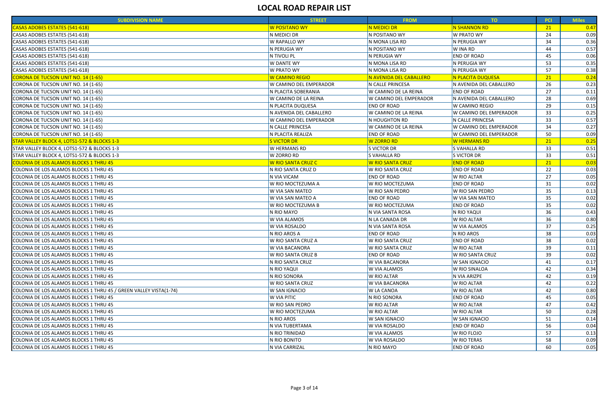| <b>SUBDIVISION NAME</b>                                           | <b>STREET</b>                   | <b>FROM</b>                   | TO                      | <b>PCI</b> | <b>Miles</b> |
|-------------------------------------------------------------------|---------------------------------|-------------------------------|-------------------------|------------|--------------|
| CASAS ADOBES ESTATES (541-618)                                    | W POSITANO WY                   | N MEDICI DR                   | N SHANNON RD            | 21         | 0.47         |
| CASAS ADOBES ESTATES (541-618)                                    | N MEDICI DR                     | N POSITANO WY                 | <b>W PRATO WY</b>       | 24         | 0.09         |
| CASAS ADOBES ESTATES (541-618)                                    | W RAPALLO WY                    | N MONA LISA RD                | N PERUGIA WY            | 34         | 0.36         |
| CASAS ADOBES ESTATES (541-618)                                    | N PERUGIA WY                    | N POSITANO WY                 | W INA RD                | 44         | 0.57         |
| CASAS ADOBES ESTATES (541-618)                                    | N TIVOLI PL                     | N PERUGIA WY                  | <b>END OF ROAD</b>      | 45         | 0.06         |
| CASAS ADOBES ESTATES (541-618)                                    | <b>W DANTE WY</b>               | N MONA LISA RD                | N PERUGIA WY            | 53         | 0.35         |
| CASAS ADOBES ESTATES (541-618)                                    | W PRATO WY                      | N MONA LISA RD                | N PERUGIA WY            | 57         | 0.38         |
| <b>CORONA DE TUCSON UNIT NO. 14 (1-65)</b>                        | W CAMINO REGIO                  | N AVENIDA DEL CABALLERO       | N PLACITA DUQUESA       | 21         | 0.24         |
| CORONA DE TUCSON UNIT NO. 14 (1-65)                               | W CAMINO DEL EMPERADOR          | N CALLE PRINCESA              | N AVENIDA DEL CABALLERO | 26         | 0.23         |
| CORONA DE TUCSON UNIT NO. 14 (1-65)                               | N PLACITA SOBERANIA             | W CAMINO DE LA REINA          | <b>END OF ROAD</b>      | 27         | 0.11         |
| CORONA DE TUCSON UNIT NO. 14 (1-65)                               | W CAMINO DE LA REINA            | W CAMINO DEL EMPERADOR        | N AVENIDA DEL CABALLERO | 28         | 0.69         |
| CORONA DE TUCSON UNIT NO. 14 (1-65)                               | N PLACITA DUQUESA               | <b>END OF ROAD</b>            | <b>W CAMINO REGIO</b>   | 29         | 0.15         |
| CORONA DE TUCSON UNIT NO. 14 (1-65)                               | N AVENIDA DEL CABALLERO         | W CAMINO DE LA REINA          | W CAMINO DEL EMPERADOR  | 33         | 0.25         |
| CORONA DE TUCSON UNIT NO. 14 (1-65)                               | W CAMINO DEL EMPERADOR          | N HOUGHTON RD                 | N CALLE PRINCESA        | 33         | 0.57         |
| CORONA DE TUCSON UNIT NO. 14 (1-65)                               | N CALLE PRINCESA                | W CAMINO DE LA REINA          | W CAMINO DEL EMPERADOR  | 34         | 0.27         |
| CORONA DE TUCSON UNIT NO. 14 (1-65)                               | N PLACITA REALIZA               | <b>END OF ROAD</b>            | W CAMINO DEL EMPERADOR  | 50         | 0.09         |
| STAR VALLEY BLOCK 4, LOTS1-572 & BLOCKS 1-3                       | <b>S VICTOR DR</b>              | W ZORRO RD                    | W HERMANS RD            | 21         | 0.25         |
| STAR VALLEY BLOCK 4, LOTS1-572 & BLOCKS 1-3                       | W HERMANS RD                    | S VICTOR DR                   | S VAHALLA RD            | 33         | 0.51         |
| STAR VALLEY BLOCK 4, LOTS1-572 & BLOCKS 1-3                       | W ZORRO RD                      | S VAHALLA RD                  | S VICTOR DR             | 33         | 0.51         |
| <b>COLONIA DE LOS ALAMOS BLOCKS 1 THRU 45</b>                     | <mark>W RIO SANTA CRUZ C</mark> | <mark>W RIO SANTA CRUZ</mark> | <b>END OF ROAD</b>      | 21         | 0.03         |
| COLONIA DE LOS ALAMOS BLOCKS 1 THRU 45                            | N RIO SANTA CRUZ D              | W RIO SANTA CRUZ              | <b>END OF ROAD</b>      | 22         | 0.03         |
| COLONIA DE LOS ALAMOS BLOCKS 1 THRU 45                            | N VIA VICAM                     | <b>END OF ROAD</b>            | W RIO ALTAR             | 27         | 0.05         |
| COLONIA DE LOS ALAMOS BLOCKS 1 THRU 45                            | W RIO MOCTEZUMA A               | W RIO MOCTEZUMA               | <b>END OF ROAD</b>      | 31         | 0.02         |
| COLONIA DE LOS ALAMOS BLOCKS 1 THRU 45                            | W VIA SAN MATEO                 | W RIO SAN PEDRO               | W RIO SAN PEDRO         | 35         | 0.13         |
| COLONIA DE LOS ALAMOS BLOCKS 1 THRU 45                            | W VIA SAN MATEO A               | <b>END OF ROAD</b>            | W VIA SAN MATEO         | 35         | 0.02         |
| COLONIA DE LOS ALAMOS BLOCKS 1 THRU 45                            | W RIO MOCTEZUMA B               | W RIO MOCTEZUMA               | <b>END OF ROAD</b>      | 35         | 0.02         |
| COLONIA DE LOS ALAMOS BLOCKS 1 THRU 45                            | N RIO MAYO                      | N VIA SANTA ROSA              | N RIO YAQUI             | 36         | 0.43         |
| COLONIA DE LOS ALAMOS BLOCKS 1 THRU 45                            | W VIA ALAMOS                    | N LA CANADA DR                | <b>W RIO ALTAR</b>      | 36         | 0.80         |
| COLONIA DE LOS ALAMOS BLOCKS 1 THRU 45                            | W VIA ROSALDO                   | N VIA SANTA ROSA              | W VIA ALAMOS            | 37         | 0.25         |
| COLONIA DE LOS ALAMOS BLOCKS 1 THRU 45                            | N RIO AROS A                    | <b>END OF ROAD</b>            | N RIO AROS              | 38         | 0.03         |
| COLONIA DE LOS ALAMOS BLOCKS 1 THRU 45                            | W RIO SANTA CRUZ A              | <b>W RIO SANTA CRUZ</b>       | <b>END OF ROAD</b>      | 38         | 0.02         |
| COLONIA DE LOS ALAMOS BLOCKS 1 THRU 45                            | W VIA BACANORA                  | W RIO SANTA CRUZ              | <b>W RIO ALTAR</b>      | -39        | 0.11         |
| COLONIA DE LOS ALAMOS BLOCKS 1 THRU 45                            | W RIO SANTA CRUZ B              | <b>END OF ROAD</b>            | W RIO SANTA CRUZ        | 39         | 0.02         |
| COLONIA DE LOS ALAMOS BLOCKS 1 THRU 45                            | N RIO SANTA CRUZ                | <b>W VIA BACANORA</b>         | <b>W SAN IGNACIO</b>    | 41         | 0.17         |
| COLONIA DE LOS ALAMOS BLOCKS 1 THRU 45                            | N RIO YAQUI                     | <b>W VIA ALAMOS</b>           | W RIO SINALOA           | 42         | 0.34         |
| COLONIA DE LOS ALAMOS BLOCKS 1 THRU 45                            | N RIO SONORA                    | <b>W RIO ALTAR</b>            | N VIA ARIZPE            | 42         | 0.19         |
| COLONIA DE LOS ALAMOS BLOCKS 1 THRU 45                            | W RIO SANTA CRUZ                | W VIA BACANORA                | W RIO ALTAR             | 42         | 0.22         |
| COLONIA DE LOS ALAMOS BLOCKS 1 THRU 45 / GREEN VALLEY VISTA(1-74) | W SAN IGNACIO                   | <b>W LA CANOA</b>             | <b>W RIO ALTAR</b>      | 42         | 0.80         |
| COLONIA DE LOS ALAMOS BLOCKS 1 THRU 45                            | W VIA PITIC                     | N RIO SONORA                  | <b>END OF ROAD</b>      | 45         | 0.05         |
| COLONIA DE LOS ALAMOS BLOCKS 1 THRU 45                            | W RIO SAN PEDRO                 | <b>W RIO ALTAR</b>            | W RIO ALTAR             | 47         | 0.42         |
| COLONIA DE LOS ALAMOS BLOCKS 1 THRU 45                            | W RIO MOCTEZUMA                 | <b>W RIO ALTAR</b>            | <b>W RIO ALTAR</b>      | 50         | 0.28         |
| COLONIA DE LOS ALAMOS BLOCKS 1 THRU 45                            | N RIO AROS                      | W SAN IGNACIO                 | <b>W SAN IGNACIO</b>    | 51         | 0.14         |
| COLONIA DE LOS ALAMOS BLOCKS 1 THRU 45                            | N VIA TUBERTAMA                 | W VIA ROSALDO                 | <b>END OF ROAD</b>      | 56         | 0.04         |
| COLONIA DE LOS ALAMOS BLOCKS 1 THRU 45                            | N RIO TRINIDAD                  | W VIA ALAMOS                  | W RIO FLOJO             | -57        | 0.13         |
| COLONIA DE LOS ALAMOS BLOCKS 1 THRU 45                            | N RIO BONITO                    | W VIA ROSALDO                 | W RIO TERAS             | 58         | 0.09         |
| COLONIA DE LOS ALAMOS BLOCKS 1 THRU 45                            | N VIA CARRIZAL                  | N RIO MAYO                    | <b>END OF ROAD</b>      | 60         | 0.05         |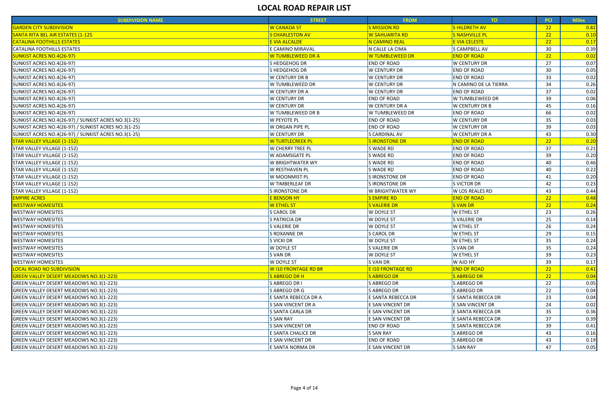| <b>SUBDIVISION NAME</b>                              | <b>STREET</b>           | <b>FROM</b>           | TO                    | <b>PCI</b> | <b>Miles</b> |
|------------------------------------------------------|-------------------------|-----------------------|-----------------------|------------|--------------|
| <b>GARDEN CITY SUBDIVISION</b>                       | <b>W CANADA ST</b>      | <b>S MISSION RD</b>   | <b>SHILDRETH AV</b>   | 22         | 0.82         |
| SANTA RITA BEL AIR ESTATES (1-125                    | <b>S CHARLESTON AV</b>  | W SAHUARITA RD        | <b>S NASHVILLE PL</b> | 22         | 0.10         |
| <b>CATALINA FOOTHILLS ESTATES</b>                    | <b>E VIA ALCALDE</b>    | <b>N CAMINO REAL</b>  | E VIA CELESTE         | 22         | 0.17         |
| <b>CATALINA FOOTHILLS ESTATES</b>                    | E CAMINO MIRAVAL        | N CALLE LA CIMA       | S CAMPBELL AV         | 30         | 0.39         |
| <b>SUNKIST ACRES NO.4(26-97)</b>                     | W TUMBLEWEED DR A       | W TUMBLEWEED DR       | <b>END OF ROAD</b>    | 22         | 0.02         |
| SUNKIST ACRES NO.4(26-97)                            | S HEDGEHOG DR           | <b>END OF ROAD</b>    | <b>W CENTURY DR</b>   | 27         | 0.07         |
| SUNKIST ACRES NO.4(26-97)                            | S HEDGEHOG DR           | <b>W CENTURY DR</b>   | <b>END OF ROAD</b>    | 30         | 0.05         |
| SUNKIST ACRES NO.4(26-97)                            | <b>W CENTURY DR B</b>   | <b>W CENTURY DR</b>   | <b>END OF ROAD</b>    | 33         | 0.02         |
| SUNKIST ACRES NO.4(26-97)                            | W TUMBLEWEED DR         | <b>W CENTURY DR</b>   | N CAMINO DE LA TIERRA | 34         | 0.26         |
| SUNKIST ACRES NO.4(26-97)                            | <b>W CENTURY DR A</b>   | <b>W CENTURY DR</b>   | <b>END OF ROAD</b>    | 37         | 0.02         |
| SUNKIST ACRES NO.4(26-97)                            | <b>W CENTURY DR</b>     | <b>END OF ROAD</b>    | W TUMBLEWEED DR       | 39         | 0.06         |
| SUNKIST ACRES NO.4(26-97)                            | <b>W CENTURY DR</b>     | <b>W CENTURY DR A</b> | <b>W CENTURY DR B</b> | 45         | 0.16         |
| SUNKIST ACRES NO.4(26-97)                            | W TUMBLEWEED DR B       | W TUMBLEWEED DR       | <b>END OF ROAD</b>    | 66         | 0.02         |
| SUNKIST ACRES NO.4(26-97) / SUNKIST ACRES NO.3(1-25) | <b>W PEYOTE PL</b>      | <b>END OF ROAD</b>    | <b>W CENTURY DR</b>   | 35         | 0.03         |
| SUNKIST ACRES NO.4(26-97) / SUNKIST ACRES NO.3(1-25) | W ORGAN PIPE PL         | <b>END OF ROAD</b>    | <b>W CENTURY DR</b>   | 39         | 0.03         |
| SUNKIST ACRES NO.4(26-97) / SUNKIST ACRES NO.3(1-25) | <b>W CENTURY DR</b>     | <b>S CARDINAL AV</b>  | <b>W CENTURY DR A</b> | 43         | 0.30         |
| <b>STAR VALLEY VILLAGE (1-152)</b>                   | <u>W TURTLECREEK PL</u> | <b>SIRONSTONE DR</b>  | <b>END OF ROAD</b>    | 22         | 0.20         |
| STAR VALLEY VILLAGE (1-152)                          | <b>W CHERRY TREE PL</b> | S WADE RD             | <b>END OF ROAD</b>    | 37         | 0.21         |
| STAR VALLEY VILLAGE (1-152)                          | <b>W ADAMSGATE PL</b>   | S WADE RD             | <b>END OF ROAD</b>    | 39         | 0.20         |
| STAR VALLEY VILLAGE (1-152)                          | <b>W BRIGHTWATER WY</b> | S WADE RD             | <b>END OF ROAD</b>    | 40         | 0.46         |
| STAR VALLEY VILLAGE (1-152)                          | <b>W RESTHAVEN PL</b>   | S WADE RD             | <b>END OF ROAD</b>    | 40         | 0.22         |
| STAR VALLEY VILLAGE (1-152)                          | W MOONMIST PL           | S IRONSTONE DR        | <b>END OF ROAD</b>    | 41         | 0.20         |
| STAR VALLEY VILLAGE (1-152)                          | <b>W TIMBERLEAF DR</b>  | S IRONSTONE DR        | S VICTOR DR           | 42         | 0.23         |
| STAR VALLEY VILLAGE (1-152)                          | S IRONSTONE DR          | W BRIGHTWATER WY      | W LOS REALES RD       | 43         | 0.44         |
| <b>EMPIRE ACRES</b>                                  | <b>E BENSON HY</b>      | <b>SEMPIRE RD</b>     | <b>END OF ROAD</b>    | 22         | 0.48         |
| <b>WESTWAY HOMESITES</b>                             | <b>W ETHEL ST</b>       | <b>S VALERIE DR</b>   | <b>SVANDR</b>         | 22         | 0.24         |
| <b>WESTWAY HOMESITES</b>                             | S CAROL DR              | <b>W DOYLE ST</b>     | <b>W ETHEL ST</b>     | 23         | 0.26         |
| <b>WESTWAY HOMESITES</b>                             | S PATRICIA DR           | <b>W DOYLE ST</b>     | S VALERIE DR          | 25         | 0.14         |
| <b>WESTWAY HOMESITES</b>                             | S VALERIE DR            | W DOYLE ST            | <b>W ETHEL ST</b>     | 26         | 0.24         |
| <b>WESTWAY HOMESITES</b>                             | S ROXANNE DR            | <b>S CAROL DR</b>     | <b>W ETHEL ST</b>     | 29         | 0.15         |
| <b>WESTWAY HOMESITES</b>                             | <b>S VICKI DR</b>       | <b>W DOYLE ST</b>     | <b>W ETHEL ST</b>     | 35         | 0.24         |
| <b>WESTWAY HOMESITES</b>                             | <b>W DOYLE ST</b>       | <b>S VALERIE DR</b>   | <b>SVANDR</b>         | 35         | 0.24         |
| <b>WESTWAY HOMESITES</b>                             | S VAN DR                | <b>W DOYLE ST</b>     | <b>W ETHEL ST</b>     | 39         | 0.23         |
| <b>WESTWAY HOMESITES</b>                             | <b>W DOYLE ST</b>       | S VAN DR              | <b>W AJO HY</b>       | 39         | 0.17         |
| <b>LOCAL ROAD NO SUBDIVISION</b>                     | W I10 FRONTAGE RD BR    | E I10 FRONTAGE RD     | <b>END OF ROAD</b>    | 22         | 0.41         |
| <b>GREEN VALLEY DESERT MEADOWS NO.3(1-223)</b>       | <b>SABREGO DR H</b>     | <b>S ABREGO DR</b>    | <b>S ABREGO DR</b>    | 22         | 0.04         |
| GREEN VALLEY DESERT MEADOWS NO.3(1-223)              | S ABREGO DR I           | S ABREGO DR           | S ABREGO DR           | 22         | 0.05         |
| GREEN VALLEY DESERT MEADOWS NO.3(1-223)              | S ABREGO DR G           | S ABREGO DR           | S ABREGO DR           | 22         | 0.04         |
| GREEN VALLEY DESERT MEADOWS NO.3(1-223)              | E SANTA REBECCA DR A    | E SANTA REBECCA DR    | E SANTA REBECCA DR    | 23         | 0.04         |
| GREEN VALLEY DESERT MEADOWS NO.3(1-223)              | S SAN VINCENT DR A      | E SAN VINCENT DR      | E SAN VINCENT DR      | 24         | 0.02         |
| GREEN VALLEY DESERT MEADOWS NO.3(1-223)              | S SANTA CARLA DR        | E SAN VINCENT DR      | E SANTA REBECCA DR    | 35         | 0.36         |
| GREEN VALLEY DESERT MEADOWS NO.3(1-223)              | S SAN RAY               | E SAN VINCENT DR      | E SANTA REBECCA DR    | 37         | 0.39         |
| GREEN VALLEY DESERT MEADOWS NO.3(1-223)              | <b>S SAN VINCENT DR</b> | <b>END OF ROAD</b>    | E SANTA REBECCA DR    | 39         | 0.41         |
| GREEN VALLEY DESERT MEADOWS NO.3(1-223)              | E SANTA CHALICE DR      | S SAN RAY             | S ABREGO DR           | 43         | 0.16         |
| GREEN VALLEY DESERT MEADOWS NO.3(1-223)              | E SAN VINCENT DR        | <b>END OF ROAD</b>    | S ABREGO DR           | 43         | 0.19         |
| GREEN VALLEY DESERT MEADOWS NO.3(1-223)              | E SANTA NORMA DR        | E SAN VINCENT DR      | <b>S SAN RAY</b>      | 47         | 0.05         |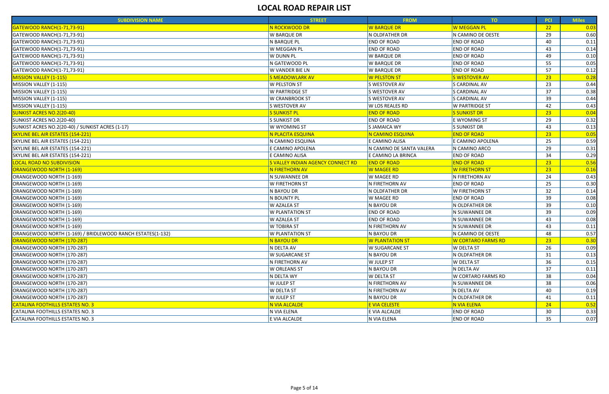| <b>SUBDIVISION NAME</b>                                    | <b>STREET</b>                                  | <b>FROM</b>              | TO <sub>1</sub>           | <b>PCI</b>      | <b>Miles</b>       |
|------------------------------------------------------------|------------------------------------------------|--------------------------|---------------------------|-----------------|--------------------|
| <b>GATEWOOD RANCH(1-71,73-91)</b>                          | N ROCKWOOD DR                                  | <b>W BARQUE DR</b>       | W MEGGAN PL               | 22              | $\vert 0.03 \vert$ |
| GATEWOOD RANCH(1-71,73-91)                                 | W BARQUE DR                                    | N OLDFATHER DR           | N CAMINO DE OESTE         | 29              | 0.60               |
| GATEWOOD RANCH(1-71,73-91)                                 | N BARQUE PL                                    | <b>END OF ROAD</b>       | <b>END OF ROAD</b>        | 40              | 0.11               |
| GATEWOOD RANCH(1-71,73-91)                                 | W MEGGAN PL                                    | <b>END OF ROAD</b>       | <b>END OF ROAD</b>        | 43              | 0.14               |
| GATEWOOD RANCH(1-71,73-91)                                 | W DUNN PL                                      | <b>W BARQUE DR</b>       | <b>END OF ROAD</b>        | 49              | 0.10               |
| GATEWOOD RANCH(1-71,73-91)                                 | N GATEWOOD PL                                  | <b>W BARQUE DR</b>       | <b>END OF ROAD</b>        | 55              | 0.05               |
| GATEWOOD RANCH(1-71,73-91)                                 | W VANDER BIE LN                                | W BARQUE DR              | <b>END OF ROAD</b>        | 57              | 0.12               |
| <b>MISSION VALLEY (1-115)</b>                              | <b>S MEADOWLARK AV</b>                         | <b>W PELSTON ST</b>      | <b>S WESTOVER AV</b>      | 23              | 0.28               |
| MISSION VALLEY (1-115)                                     | W PELSTON ST                                   | S WESTOVER AV            | <b>S CARDINAL AV</b>      | 23              | 0.44               |
| MISSION VALLEY (1-115)                                     | W PARTRIDGE ST                                 | S WESTOVER AV            | S CARDINAL AV             | 37              | 0.38               |
| MISSION VALLEY (1-115)                                     | W CRANBROOK ST                                 | S WESTOVER AV            | S CARDINAL AV             | 39              | 0.44               |
| MISSION VALLEY (1-115)                                     | S WESTOVER AV                                  | W LOS REALES RD          | <b>W PARTRIDGE ST</b>     | 42              | 0.43               |
| <b>SUNKIST ACRES NO.2(20-40)</b>                           | <b>S SUNKIST PL</b>                            | <b>END OF ROAD</b>       | <b>S SUNKIST DR</b>       | 23              | 0.04               |
| SUNKIST ACRES NO.2(20-40)                                  | <b>S SUNKIST DR</b>                            | <b>END OF ROAD</b>       | E WYOMING ST              | 29              | 0.32               |
| SUNKIST ACRES NO.2(20-40) / SUNKIST ACRES (1-17)           | W WYOMING ST                                   | S JAMAICA WY             | S SUNKIST DR              | 43              | 0.13               |
| SKYLINE BEL AIR ESTATES (154-221)                          | N PLACITA ESQUINA                              | N CAMINO ESQUINA         | <b>END OF ROAD</b>        | 23              | 0.05               |
| SKYLINE BEL AIR ESTATES (154-221)                          | N CAMINO ESQUINA                               | E CAMINO ALISA           | E CAMINO APOLENA          | 25              | 0.59               |
| SKYLINE BEL AIR ESTATES (154-221)                          | E CAMINO APOLENA                               | N CAMINO DE SANTA VALERA | N CAMINO ARCO             | 29              | 0.31               |
| SKYLINE BEL AIR ESTATES (154-221)                          | E CAMINO ALISA                                 | E CAMINO LA BRINCA       | <b>END OF ROAD</b>        | 34              | 0.29               |
| <b>LOCAL ROAD NO SUBDIVISION</b>                           | <mark>S VALLEY INDIAN AGENCY CONNECT RD</mark> | <b>END OF ROAD</b>       | <b>END OF ROAD</b>        | 23              | 0.56               |
| ORANGEWOOD NORTH (1-169)                                   | N FIRETHORN AV                                 | <mark>W MAGEE RD</mark>  | W FIRETHORN ST            | 23              | 0.16               |
| ORANGEWOOD NORTH (1-169)                                   | N SUWANNEE DR                                  | W MAGEE RD               | N FIRETHORN AV            | 24              | 0.43               |
| ORANGEWOOD NORTH (1-169)                                   | W FIRETHORN ST                                 | N FIRETHORN AV           | <b>END OF ROAD</b>        | 25              | 0.30               |
| ORANGEWOOD NORTH (1-169)                                   | N BAYOU DR                                     | N OLDFATHER DR           | <b>W FIRETHORN ST</b>     | 32              | 0.14               |
| ORANGEWOOD NORTH (1-169)                                   | N BOUNTY PL                                    | W MAGEE RD               | <b>END OF ROAD</b>        | 39              | 0.08               |
| ORANGEWOOD NORTH (1-169)                                   | W AZALEA ST                                    | N BAYOU DR               | N OLDFATHER DR            | 39              | 0.10               |
| ORANGEWOOD NORTH (1-169)                                   | W PLANTATION ST                                | <b>END OF ROAD</b>       | N SUWANNEE DR             | 39              | 0.09               |
| ORANGEWOOD NORTH (1-169)                                   | W AZALEA ST                                    | <b>END OF ROAD</b>       | N SUWANNEE DR             | 43              | 0.08               |
| ORANGEWOOD NORTH (1-169)                                   | W TOBIRA ST                                    | N FIRETHORN AV           | N SUWANNEE DR             | 43              | 0.11               |
| ORANGEWOOD NORTH (1-169) / BRIDLEWOOD RANCH ESTATES(1-132) | W PLANTATION ST                                | N BAYOU DR               | N CAMINO DE OESTE         | 48              | 0.57               |
| <b>ORANGEWOOD NORTH (170-287)</b>                          | <b>N BAYOU DR</b>                              | <b>W PLANTATION ST</b>   | <b>W CORTARO FARMS RD</b> | 23 <sub>2</sub> | 0.30               |
| ORANGEWOOD NORTH (170-287)                                 | N DELTA AV                                     | <b>W SUGARCANE ST</b>    | <b>W DELTA ST</b>         | 26              | 0.09               |
| ORANGEWOOD NORTH (170-287)                                 | W SUGARCANE ST                                 | N BAYOU DR               | N OLDFATHER DR            | 31              | 0.13               |
| ORANGEWOOD NORTH (170-287)                                 | N FIRETHORN AV                                 | W JULEP ST               | <b>W DELTA ST</b>         | 36              | 0.15               |
| ORANGEWOOD NORTH (170-287)                                 | W ORLEANS ST                                   | N BAYOU DR               | N DELTA AV                | 37              | 0.11               |
| ORANGEWOOD NORTH (170-287)                                 | N DELTA WY                                     | <b>W DELTA ST</b>        | <b>W CORTARO FARMS RD</b> | 38              | 0.04               |
| ORANGEWOOD NORTH (170-287)                                 | W JULEP ST                                     | N FIRETHORN AV           | N SUWANNEE DR             | 38              | 0.06               |
| ORANGEWOOD NORTH (170-287)                                 | W DELTA ST                                     | N FIRETHORN AV           | N DELTA AV                | 40              | 0.19               |
| ORANGEWOOD NORTH (170-287)                                 | W JULEP ST                                     | N BAYOU DR               | N OLDFATHER DR            | 41              | 0.11               |
| <b>CATALINA FOOTHILLS ESTATES NO. 3</b>                    | N VIA ALCALDE                                  | <b>E VIA CELESTE</b>     | N VIA ELENA               | 24              | 0.52               |
| CATALINA FOOTHILLS ESTATES NO. 3                           | N VIA ELENA                                    | E VIA ALCALDE            | <b>END OF ROAD</b>        | 30              | 0.33               |
| CATALINA FOOTHILLS ESTATES NO. 3                           | E VIA ALCALDE                                  | N VIA ELENA              | <b>END OF ROAD</b>        | 35              | 0.07               |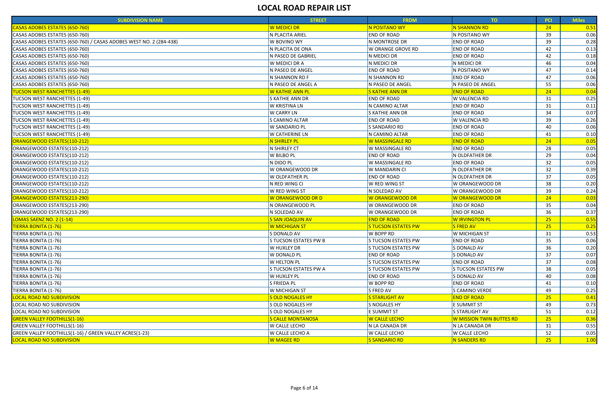| CASAS ADOBES ESTATES (650-760)<br><b>W MEDICI DR</b><br>N POSITANO WY<br>N SHANNON RD<br>24<br>$\vert 0.51 \vert$<br>N POSITANO WY<br>39<br>CASAS ADOBES ESTATES (650-760)<br>N PLACITA ARIEL<br><b>END OF ROAD</b><br>0.06<br>39<br>CASAS ADOBES ESTATES (650-760) / CASAS ADOBES WEST NO. 2 (284-438)<br>W BOVINO WY<br>N MONTROSE DR<br><b>END OF ROAD</b><br>0.28<br>CASAS ADOBES ESTATES (650-760)<br>N PLACITA DE ONA<br>W ORANGE GROVE RD<br><b>END OF ROAD</b><br>42<br>0.13<br><b>END OF ROAD</b><br>42<br>N PASEO DE GABRIEL<br>N MEDICI DR<br>0.18<br>N MEDICI DR<br>46<br>0.04<br>W MEDICI DR A<br>N MEDICI DR<br>47<br>N PASEO DE ANGEL<br><b>END OF ROAD</b><br>N POSITANO WY<br>0.14<br><b>END OF ROAD</b><br>0.06<br>N SHANNON RD F<br>N SHANNON RD<br>47<br>55<br>N PASEO DE ANGEL A<br>N PASEO DE ANGEL<br>N PASEO DE ANGEL<br>0.06<br>24<br>W KATHIE ANN PL<br><b>S KATHIE ANN DR</b><br><b>END OF ROAD</b><br>0.04<br>31<br>S KATHIE ANN DR<br><b>END OF ROAD</b><br><b>W VALENCIA RD</b><br>0.25<br>W KRISTINA LN<br>N CAMINO ALTAR<br><b>END OF ROAD</b><br>31<br>0.11<br>W CARRY LN<br>34<br>0.07<br>S KATHIE ANN DR<br><b>END OF ROAD</b><br>39<br>S CAMINO ALTAR<br><b>END OF ROAD</b><br><b>W VALENCIA RD</b><br>0.26<br><b>END OF ROAD</b><br>40<br>0.06<br>W SANDARIO PL<br>S SANDARIO RD<br>N CAMINO ALTAR<br>W CATHERINE LN<br><b>END OF ROAD</b><br>0.10<br>41<br><mark>N SHIRLEY PL</mark><br>W MASSINGALE RD<br><b>END OF ROAD</b><br>24<br>0.05<br>N SHIRLEY CT<br>W MASSINGALE RD<br><b>END OF ROAD</b><br>28<br>0.05<br>W BILBO PL<br>29<br><b>END OF ROAD</b><br>N OLDFATHER DR<br>0.04<br>32<br>N DIDO PL<br>W MASSINGALE RD<br><b>END OF ROAD</b><br>0.05<br>W ORANGEWOOD DR<br>32<br>0.39<br>W MANDARIN CI<br>N OLDFATHER DR<br>37<br><b>END OF ROAD</b><br>N OLDFATHER DR<br>0.05<br>W OLDFATHER PL<br>38<br>0.20<br>N RED WING CI<br>W RED WING ST<br>W ORANGEWOOD DR<br>39<br>W RED WING ST<br>N SOLEDAD AV<br>W ORANGEWOOD DR<br>0.24<br>24<br><mark>W ORANGEWOOD DR</mark><br>W ORANGEWOOD DR<br>0.03<br><mark>W ORANGEWOOD DR D</mark><br>N ORANGEWOOD PL<br>W ORANGEWOOD DR<br><b>END OF ROAD</b><br>35<br>0.04<br>36<br>0.37<br>N SOLEDAD AV<br>W ORANGEWOOD DR<br><b>END OF ROAD</b><br>25<br><b>S SAN JOAQUIN AV</b><br><b>END OF ROAD</b><br>W IRVINGTON PL<br>0.55<br><b>IERRA BONITA (1-76)</b><br>S TUCSON ESTATES PW<br><b>FRED AV</b><br>25<br>W MICHIGAN ST<br>0.25<br>W BOPP RD<br>W MICHIGAN ST<br>31<br>0.53<br>S DONALD AV<br>S TUCSON ESTATES PW B<br>S TUCSON ESTATES PW<br><b>END OF ROAD</b><br>35<br>0.06<br>36<br>W HUXLEY DR<br><b>S TUCSON ESTATES PW</b><br>S DONALD AV<br>0.20<br>37<br>W DONALD PL<br>S DONALD AV<br>0.07<br><b>END OF ROAD</b><br>W HELTON PL<br><b>S TUCSON ESTATES PW</b><br><b>END OF ROAD</b><br>37<br>0.08<br>S TUCSON ESTATES PW A<br>S TUCSON ESTATES PW<br>38<br>0.05<br>S TUCSON ESTATES PW<br>W HUXLEY PL<br><b>END OF ROAD</b><br>S DONALD AV<br>-40<br>0.08<br>S FRIEDA PL<br><b>END OF ROAD</b><br>W BOPP RD<br>0.10<br>41<br>49<br>W MICHIGAN ST<br>S FRED AV<br>S CAMINO VERDE<br>0.25<br><b>S STARLIGHT AV</b><br><b>END OF ROAD</b><br><b>S OLD NOGALES HY</b><br>25<br>0.41<br>S OLD NOGALES HY<br>S NOGALES HY<br><b>E SUMMIT ST</b><br>-49<br>0.73<br><b>S OLD NOGALES HY</b><br>S STARLIGHT AV<br>51<br>E SUMMIT ST<br>0.12<br><b>S CALLE MONTANOSA</b><br>W MISSION TWIN BUTTES RD<br><b>W CALLE LECHO</b><br>25<br>0.36<br>W CALLE LECHO<br>N LA CANADA DR<br>N LA CANADA DR<br>31<br>0.55 | <b>SUBDIVISION NAME</b>        | <b>STREET</b> | <b>FROM</b> | TO | <b>PCI</b> | <b>Miles</b> |
|------------------------------------------------------------------------------------------------------------------------------------------------------------------------------------------------------------------------------------------------------------------------------------------------------------------------------------------------------------------------------------------------------------------------------------------------------------------------------------------------------------------------------------------------------------------------------------------------------------------------------------------------------------------------------------------------------------------------------------------------------------------------------------------------------------------------------------------------------------------------------------------------------------------------------------------------------------------------------------------------------------------------------------------------------------------------------------------------------------------------------------------------------------------------------------------------------------------------------------------------------------------------------------------------------------------------------------------------------------------------------------------------------------------------------------------------------------------------------------------------------------------------------------------------------------------------------------------------------------------------------------------------------------------------------------------------------------------------------------------------------------------------------------------------------------------------------------------------------------------------------------------------------------------------------------------------------------------------------------------------------------------------------------------------------------------------------------------------------------------------------------------------------------------------------------------------------------------------------------------------------------------------------------------------------------------------------------------------------------------------------------------------------------------------------------------------------------------------------------------------------------------------------------------------------------------------------------------------------------------------------------------------------------------------------------------------------------------------------------------------------------------------------------------------------------------------------------------------------------------------------------------------------------------------------------------------------------------------------------------------------------------------------------------------------------------------------------------------------------------------------------------------------------------------------------------------------------------------------------------------------------------------------------------------------------------------------------------------------------------------------------------------------------------------------------------------------------------------------------------------------------|--------------------------------|---------------|-------------|----|------------|--------------|
|                                                                                                                                                                                                                                                                                                                                                                                                                                                                                                                                                                                                                                                                                                                                                                                                                                                                                                                                                                                                                                                                                                                                                                                                                                                                                                                                                                                                                                                                                                                                                                                                                                                                                                                                                                                                                                                                                                                                                                                                                                                                                                                                                                                                                                                                                                                                                                                                                                                                                                                                                                                                                                                                                                                                                                                                                                                                                                                                                                                                                                                                                                                                                                                                                                                                                                                                                                                                                                                                                                            |                                |               |             |    |            |              |
|                                                                                                                                                                                                                                                                                                                                                                                                                                                                                                                                                                                                                                                                                                                                                                                                                                                                                                                                                                                                                                                                                                                                                                                                                                                                                                                                                                                                                                                                                                                                                                                                                                                                                                                                                                                                                                                                                                                                                                                                                                                                                                                                                                                                                                                                                                                                                                                                                                                                                                                                                                                                                                                                                                                                                                                                                                                                                                                                                                                                                                                                                                                                                                                                                                                                                                                                                                                                                                                                                                            |                                |               |             |    |            |              |
|                                                                                                                                                                                                                                                                                                                                                                                                                                                                                                                                                                                                                                                                                                                                                                                                                                                                                                                                                                                                                                                                                                                                                                                                                                                                                                                                                                                                                                                                                                                                                                                                                                                                                                                                                                                                                                                                                                                                                                                                                                                                                                                                                                                                                                                                                                                                                                                                                                                                                                                                                                                                                                                                                                                                                                                                                                                                                                                                                                                                                                                                                                                                                                                                                                                                                                                                                                                                                                                                                                            |                                |               |             |    |            |              |
|                                                                                                                                                                                                                                                                                                                                                                                                                                                                                                                                                                                                                                                                                                                                                                                                                                                                                                                                                                                                                                                                                                                                                                                                                                                                                                                                                                                                                                                                                                                                                                                                                                                                                                                                                                                                                                                                                                                                                                                                                                                                                                                                                                                                                                                                                                                                                                                                                                                                                                                                                                                                                                                                                                                                                                                                                                                                                                                                                                                                                                                                                                                                                                                                                                                                                                                                                                                                                                                                                                            |                                |               |             |    |            |              |
| CASAS ADOBES ESTATES (650-760)<br>CASAS ADOBES ESTATES (650-760)<br>CASAS ADOBES ESTATES (650-760)<br>CASAS ADOBES ESTATES (650-760)<br><b>TUCSON WEST RANCHETTES (1-49)</b><br>TUCSON WEST RANCHETTES (1-49)<br>TUCSON WEST RANCHETTES (1-49)<br>TUCSON WEST RANCHETTES (1-49)<br><b>TUCSON WEST RANCHETTES (1-49)</b><br>TUCSON WEST RANCHETTES (1-49)<br>TUCSON WEST RANCHETTES (1-49)<br>ORANGEWOOD ESTATES(110-212)<br>ORANGEWOOD ESTATES(110-212)<br>ORANGEWOOD ESTATES(110-212)<br>ORANGEWOOD ESTATES(110-212)                                                                                                                                                                                                                                                                                                                                                                                                                                                                                                                                                                                                                                                                                                                                                                                                                                                                                                                                                                                                                                                                                                                                                                                                                                                                                                                                                                                                                                                                                                                                                                                                                                                                                                                                                                                                                                                                                                                                                                                                                                                                                                                                                                                                                                                                                                                                                                                                                                                                                                                                                                                                                                                                                                                                                                                                                                                                                                                                                                                      | CASAS ADOBES ESTATES (650-760) |               |             |    |            |              |
|                                                                                                                                                                                                                                                                                                                                                                                                                                                                                                                                                                                                                                                                                                                                                                                                                                                                                                                                                                                                                                                                                                                                                                                                                                                                                                                                                                                                                                                                                                                                                                                                                                                                                                                                                                                                                                                                                                                                                                                                                                                                                                                                                                                                                                                                                                                                                                                                                                                                                                                                                                                                                                                                                                                                                                                                                                                                                                                                                                                                                                                                                                                                                                                                                                                                                                                                                                                                                                                                                                            |                                |               |             |    |            |              |
|                                                                                                                                                                                                                                                                                                                                                                                                                                                                                                                                                                                                                                                                                                                                                                                                                                                                                                                                                                                                                                                                                                                                                                                                                                                                                                                                                                                                                                                                                                                                                                                                                                                                                                                                                                                                                                                                                                                                                                                                                                                                                                                                                                                                                                                                                                                                                                                                                                                                                                                                                                                                                                                                                                                                                                                                                                                                                                                                                                                                                                                                                                                                                                                                                                                                                                                                                                                                                                                                                                            |                                |               |             |    |            |              |
|                                                                                                                                                                                                                                                                                                                                                                                                                                                                                                                                                                                                                                                                                                                                                                                                                                                                                                                                                                                                                                                                                                                                                                                                                                                                                                                                                                                                                                                                                                                                                                                                                                                                                                                                                                                                                                                                                                                                                                                                                                                                                                                                                                                                                                                                                                                                                                                                                                                                                                                                                                                                                                                                                                                                                                                                                                                                                                                                                                                                                                                                                                                                                                                                                                                                                                                                                                                                                                                                                                            |                                |               |             |    |            |              |
|                                                                                                                                                                                                                                                                                                                                                                                                                                                                                                                                                                                                                                                                                                                                                                                                                                                                                                                                                                                                                                                                                                                                                                                                                                                                                                                                                                                                                                                                                                                                                                                                                                                                                                                                                                                                                                                                                                                                                                                                                                                                                                                                                                                                                                                                                                                                                                                                                                                                                                                                                                                                                                                                                                                                                                                                                                                                                                                                                                                                                                                                                                                                                                                                                                                                                                                                                                                                                                                                                                            |                                |               |             |    |            |              |
|                                                                                                                                                                                                                                                                                                                                                                                                                                                                                                                                                                                                                                                                                                                                                                                                                                                                                                                                                                                                                                                                                                                                                                                                                                                                                                                                                                                                                                                                                                                                                                                                                                                                                                                                                                                                                                                                                                                                                                                                                                                                                                                                                                                                                                                                                                                                                                                                                                                                                                                                                                                                                                                                                                                                                                                                                                                                                                                                                                                                                                                                                                                                                                                                                                                                                                                                                                                                                                                                                                            |                                |               |             |    |            |              |
|                                                                                                                                                                                                                                                                                                                                                                                                                                                                                                                                                                                                                                                                                                                                                                                                                                                                                                                                                                                                                                                                                                                                                                                                                                                                                                                                                                                                                                                                                                                                                                                                                                                                                                                                                                                                                                                                                                                                                                                                                                                                                                                                                                                                                                                                                                                                                                                                                                                                                                                                                                                                                                                                                                                                                                                                                                                                                                                                                                                                                                                                                                                                                                                                                                                                                                                                                                                                                                                                                                            |                                |               |             |    |            |              |
|                                                                                                                                                                                                                                                                                                                                                                                                                                                                                                                                                                                                                                                                                                                                                                                                                                                                                                                                                                                                                                                                                                                                                                                                                                                                                                                                                                                                                                                                                                                                                                                                                                                                                                                                                                                                                                                                                                                                                                                                                                                                                                                                                                                                                                                                                                                                                                                                                                                                                                                                                                                                                                                                                                                                                                                                                                                                                                                                                                                                                                                                                                                                                                                                                                                                                                                                                                                                                                                                                                            |                                |               |             |    |            |              |
|                                                                                                                                                                                                                                                                                                                                                                                                                                                                                                                                                                                                                                                                                                                                                                                                                                                                                                                                                                                                                                                                                                                                                                                                                                                                                                                                                                                                                                                                                                                                                                                                                                                                                                                                                                                                                                                                                                                                                                                                                                                                                                                                                                                                                                                                                                                                                                                                                                                                                                                                                                                                                                                                                                                                                                                                                                                                                                                                                                                                                                                                                                                                                                                                                                                                                                                                                                                                                                                                                                            |                                |               |             |    |            |              |
|                                                                                                                                                                                                                                                                                                                                                                                                                                                                                                                                                                                                                                                                                                                                                                                                                                                                                                                                                                                                                                                                                                                                                                                                                                                                                                                                                                                                                                                                                                                                                                                                                                                                                                                                                                                                                                                                                                                                                                                                                                                                                                                                                                                                                                                                                                                                                                                                                                                                                                                                                                                                                                                                                                                                                                                                                                                                                                                                                                                                                                                                                                                                                                                                                                                                                                                                                                                                                                                                                                            |                                |               |             |    |            |              |
|                                                                                                                                                                                                                                                                                                                                                                                                                                                                                                                                                                                                                                                                                                                                                                                                                                                                                                                                                                                                                                                                                                                                                                                                                                                                                                                                                                                                                                                                                                                                                                                                                                                                                                                                                                                                                                                                                                                                                                                                                                                                                                                                                                                                                                                                                                                                                                                                                                                                                                                                                                                                                                                                                                                                                                                                                                                                                                                                                                                                                                                                                                                                                                                                                                                                                                                                                                                                                                                                                                            |                                |               |             |    |            |              |
|                                                                                                                                                                                                                                                                                                                                                                                                                                                                                                                                                                                                                                                                                                                                                                                                                                                                                                                                                                                                                                                                                                                                                                                                                                                                                                                                                                                                                                                                                                                                                                                                                                                                                                                                                                                                                                                                                                                                                                                                                                                                                                                                                                                                                                                                                                                                                                                                                                                                                                                                                                                                                                                                                                                                                                                                                                                                                                                                                                                                                                                                                                                                                                                                                                                                                                                                                                                                                                                                                                            |                                |               |             |    |            |              |
|                                                                                                                                                                                                                                                                                                                                                                                                                                                                                                                                                                                                                                                                                                                                                                                                                                                                                                                                                                                                                                                                                                                                                                                                                                                                                                                                                                                                                                                                                                                                                                                                                                                                                                                                                                                                                                                                                                                                                                                                                                                                                                                                                                                                                                                                                                                                                                                                                                                                                                                                                                                                                                                                                                                                                                                                                                                                                                                                                                                                                                                                                                                                                                                                                                                                                                                                                                                                                                                                                                            |                                |               |             |    |            |              |
|                                                                                                                                                                                                                                                                                                                                                                                                                                                                                                                                                                                                                                                                                                                                                                                                                                                                                                                                                                                                                                                                                                                                                                                                                                                                                                                                                                                                                                                                                                                                                                                                                                                                                                                                                                                                                                                                                                                                                                                                                                                                                                                                                                                                                                                                                                                                                                                                                                                                                                                                                                                                                                                                                                                                                                                                                                                                                                                                                                                                                                                                                                                                                                                                                                                                                                                                                                                                                                                                                                            |                                |               |             |    |            |              |
|                                                                                                                                                                                                                                                                                                                                                                                                                                                                                                                                                                                                                                                                                                                                                                                                                                                                                                                                                                                                                                                                                                                                                                                                                                                                                                                                                                                                                                                                                                                                                                                                                                                                                                                                                                                                                                                                                                                                                                                                                                                                                                                                                                                                                                                                                                                                                                                                                                                                                                                                                                                                                                                                                                                                                                                                                                                                                                                                                                                                                                                                                                                                                                                                                                                                                                                                                                                                                                                                                                            |                                |               |             |    |            |              |
| ORANGEWOOD ESTATES(110-212)<br>ORANGEWOOD ESTATES(110-212)<br>ORANGEWOOD ESTATES(110-212)<br>ORANGEWOOD ESTATES(110-212)<br>ORANGEWOOD ESTATES(213-290)<br>ORANGEWOOD ESTATES(213-290)<br>ORANGEWOOD ESTATES(213-290)<br><b>LOMAS SAENZ NO. 2 (1-14)</b><br>TIERRA BONITA (1-76)<br>TIERRA BONITA (1-76)<br>TIERRA BONITA (1-76)<br>TIERRA BONITA (1-76)<br>TIERRA BONITA (1-76)<br>TIERRA BONITA (1-76)<br>TIERRA BONITA (1-76)<br>TIERRA BONITA (1-76)<br>TIERRA BONITA (1-76)<br><b>LOCAL ROAD NO SUBDIVISION</b><br>LOCAL ROAD NO SUBDIVISION<br>LOCAL ROAD NO SUBDIVISION<br><b>GREEN VALLEY FOOTHILLS(1-16)</b>                                                                                                                                                                                                                                                                                                                                                                                                                                                                                                                                                                                                                                                                                                                                                                                                                                                                                                                                                                                                                                                                                                                                                                                                                                                                                                                                                                                                                                                                                                                                                                                                                                                                                                                                                                                                                                                                                                                                                                                                                                                                                                                                                                                                                                                                                                                                                                                                                                                                                                                                                                                                                                                                                                                                                                                                                                                                                      |                                |               |             |    |            |              |
|                                                                                                                                                                                                                                                                                                                                                                                                                                                                                                                                                                                                                                                                                                                                                                                                                                                                                                                                                                                                                                                                                                                                                                                                                                                                                                                                                                                                                                                                                                                                                                                                                                                                                                                                                                                                                                                                                                                                                                                                                                                                                                                                                                                                                                                                                                                                                                                                                                                                                                                                                                                                                                                                                                                                                                                                                                                                                                                                                                                                                                                                                                                                                                                                                                                                                                                                                                                                                                                                                                            |                                |               |             |    |            |              |
|                                                                                                                                                                                                                                                                                                                                                                                                                                                                                                                                                                                                                                                                                                                                                                                                                                                                                                                                                                                                                                                                                                                                                                                                                                                                                                                                                                                                                                                                                                                                                                                                                                                                                                                                                                                                                                                                                                                                                                                                                                                                                                                                                                                                                                                                                                                                                                                                                                                                                                                                                                                                                                                                                                                                                                                                                                                                                                                                                                                                                                                                                                                                                                                                                                                                                                                                                                                                                                                                                                            |                                |               |             |    |            |              |
|                                                                                                                                                                                                                                                                                                                                                                                                                                                                                                                                                                                                                                                                                                                                                                                                                                                                                                                                                                                                                                                                                                                                                                                                                                                                                                                                                                                                                                                                                                                                                                                                                                                                                                                                                                                                                                                                                                                                                                                                                                                                                                                                                                                                                                                                                                                                                                                                                                                                                                                                                                                                                                                                                                                                                                                                                                                                                                                                                                                                                                                                                                                                                                                                                                                                                                                                                                                                                                                                                                            |                                |               |             |    |            |              |
|                                                                                                                                                                                                                                                                                                                                                                                                                                                                                                                                                                                                                                                                                                                                                                                                                                                                                                                                                                                                                                                                                                                                                                                                                                                                                                                                                                                                                                                                                                                                                                                                                                                                                                                                                                                                                                                                                                                                                                                                                                                                                                                                                                                                                                                                                                                                                                                                                                                                                                                                                                                                                                                                                                                                                                                                                                                                                                                                                                                                                                                                                                                                                                                                                                                                                                                                                                                                                                                                                                            |                                |               |             |    |            |              |
|                                                                                                                                                                                                                                                                                                                                                                                                                                                                                                                                                                                                                                                                                                                                                                                                                                                                                                                                                                                                                                                                                                                                                                                                                                                                                                                                                                                                                                                                                                                                                                                                                                                                                                                                                                                                                                                                                                                                                                                                                                                                                                                                                                                                                                                                                                                                                                                                                                                                                                                                                                                                                                                                                                                                                                                                                                                                                                                                                                                                                                                                                                                                                                                                                                                                                                                                                                                                                                                                                                            |                                |               |             |    |            |              |
|                                                                                                                                                                                                                                                                                                                                                                                                                                                                                                                                                                                                                                                                                                                                                                                                                                                                                                                                                                                                                                                                                                                                                                                                                                                                                                                                                                                                                                                                                                                                                                                                                                                                                                                                                                                                                                                                                                                                                                                                                                                                                                                                                                                                                                                                                                                                                                                                                                                                                                                                                                                                                                                                                                                                                                                                                                                                                                                                                                                                                                                                                                                                                                                                                                                                                                                                                                                                                                                                                                            |                                |               |             |    |            |              |
|                                                                                                                                                                                                                                                                                                                                                                                                                                                                                                                                                                                                                                                                                                                                                                                                                                                                                                                                                                                                                                                                                                                                                                                                                                                                                                                                                                                                                                                                                                                                                                                                                                                                                                                                                                                                                                                                                                                                                                                                                                                                                                                                                                                                                                                                                                                                                                                                                                                                                                                                                                                                                                                                                                                                                                                                                                                                                                                                                                                                                                                                                                                                                                                                                                                                                                                                                                                                                                                                                                            |                                |               |             |    |            |              |
|                                                                                                                                                                                                                                                                                                                                                                                                                                                                                                                                                                                                                                                                                                                                                                                                                                                                                                                                                                                                                                                                                                                                                                                                                                                                                                                                                                                                                                                                                                                                                                                                                                                                                                                                                                                                                                                                                                                                                                                                                                                                                                                                                                                                                                                                                                                                                                                                                                                                                                                                                                                                                                                                                                                                                                                                                                                                                                                                                                                                                                                                                                                                                                                                                                                                                                                                                                                                                                                                                                            |                                |               |             |    |            |              |
|                                                                                                                                                                                                                                                                                                                                                                                                                                                                                                                                                                                                                                                                                                                                                                                                                                                                                                                                                                                                                                                                                                                                                                                                                                                                                                                                                                                                                                                                                                                                                                                                                                                                                                                                                                                                                                                                                                                                                                                                                                                                                                                                                                                                                                                                                                                                                                                                                                                                                                                                                                                                                                                                                                                                                                                                                                                                                                                                                                                                                                                                                                                                                                                                                                                                                                                                                                                                                                                                                                            |                                |               |             |    |            |              |
|                                                                                                                                                                                                                                                                                                                                                                                                                                                                                                                                                                                                                                                                                                                                                                                                                                                                                                                                                                                                                                                                                                                                                                                                                                                                                                                                                                                                                                                                                                                                                                                                                                                                                                                                                                                                                                                                                                                                                                                                                                                                                                                                                                                                                                                                                                                                                                                                                                                                                                                                                                                                                                                                                                                                                                                                                                                                                                                                                                                                                                                                                                                                                                                                                                                                                                                                                                                                                                                                                                            |                                |               |             |    |            |              |
|                                                                                                                                                                                                                                                                                                                                                                                                                                                                                                                                                                                                                                                                                                                                                                                                                                                                                                                                                                                                                                                                                                                                                                                                                                                                                                                                                                                                                                                                                                                                                                                                                                                                                                                                                                                                                                                                                                                                                                                                                                                                                                                                                                                                                                                                                                                                                                                                                                                                                                                                                                                                                                                                                                                                                                                                                                                                                                                                                                                                                                                                                                                                                                                                                                                                                                                                                                                                                                                                                                            |                                |               |             |    |            |              |
|                                                                                                                                                                                                                                                                                                                                                                                                                                                                                                                                                                                                                                                                                                                                                                                                                                                                                                                                                                                                                                                                                                                                                                                                                                                                                                                                                                                                                                                                                                                                                                                                                                                                                                                                                                                                                                                                                                                                                                                                                                                                                                                                                                                                                                                                                                                                                                                                                                                                                                                                                                                                                                                                                                                                                                                                                                                                                                                                                                                                                                                                                                                                                                                                                                                                                                                                                                                                                                                                                                            |                                |               |             |    |            |              |
|                                                                                                                                                                                                                                                                                                                                                                                                                                                                                                                                                                                                                                                                                                                                                                                                                                                                                                                                                                                                                                                                                                                                                                                                                                                                                                                                                                                                                                                                                                                                                                                                                                                                                                                                                                                                                                                                                                                                                                                                                                                                                                                                                                                                                                                                                                                                                                                                                                                                                                                                                                                                                                                                                                                                                                                                                                                                                                                                                                                                                                                                                                                                                                                                                                                                                                                                                                                                                                                                                                            |                                |               |             |    |            |              |
|                                                                                                                                                                                                                                                                                                                                                                                                                                                                                                                                                                                                                                                                                                                                                                                                                                                                                                                                                                                                                                                                                                                                                                                                                                                                                                                                                                                                                                                                                                                                                                                                                                                                                                                                                                                                                                                                                                                                                                                                                                                                                                                                                                                                                                                                                                                                                                                                                                                                                                                                                                                                                                                                                                                                                                                                                                                                                                                                                                                                                                                                                                                                                                                                                                                                                                                                                                                                                                                                                                            |                                |               |             |    |            |              |
|                                                                                                                                                                                                                                                                                                                                                                                                                                                                                                                                                                                                                                                                                                                                                                                                                                                                                                                                                                                                                                                                                                                                                                                                                                                                                                                                                                                                                                                                                                                                                                                                                                                                                                                                                                                                                                                                                                                                                                                                                                                                                                                                                                                                                                                                                                                                                                                                                                                                                                                                                                                                                                                                                                                                                                                                                                                                                                                                                                                                                                                                                                                                                                                                                                                                                                                                                                                                                                                                                                            |                                |               |             |    |            |              |
|                                                                                                                                                                                                                                                                                                                                                                                                                                                                                                                                                                                                                                                                                                                                                                                                                                                                                                                                                                                                                                                                                                                                                                                                                                                                                                                                                                                                                                                                                                                                                                                                                                                                                                                                                                                                                                                                                                                                                                                                                                                                                                                                                                                                                                                                                                                                                                                                                                                                                                                                                                                                                                                                                                                                                                                                                                                                                                                                                                                                                                                                                                                                                                                                                                                                                                                                                                                                                                                                                                            |                                |               |             |    |            |              |
|                                                                                                                                                                                                                                                                                                                                                                                                                                                                                                                                                                                                                                                                                                                                                                                                                                                                                                                                                                                                                                                                                                                                                                                                                                                                                                                                                                                                                                                                                                                                                                                                                                                                                                                                                                                                                                                                                                                                                                                                                                                                                                                                                                                                                                                                                                                                                                                                                                                                                                                                                                                                                                                                                                                                                                                                                                                                                                                                                                                                                                                                                                                                                                                                                                                                                                                                                                                                                                                                                                            |                                |               |             |    |            |              |
|                                                                                                                                                                                                                                                                                                                                                                                                                                                                                                                                                                                                                                                                                                                                                                                                                                                                                                                                                                                                                                                                                                                                                                                                                                                                                                                                                                                                                                                                                                                                                                                                                                                                                                                                                                                                                                                                                                                                                                                                                                                                                                                                                                                                                                                                                                                                                                                                                                                                                                                                                                                                                                                                                                                                                                                                                                                                                                                                                                                                                                                                                                                                                                                                                                                                                                                                                                                                                                                                                                            |                                |               |             |    |            |              |
|                                                                                                                                                                                                                                                                                                                                                                                                                                                                                                                                                                                                                                                                                                                                                                                                                                                                                                                                                                                                                                                                                                                                                                                                                                                                                                                                                                                                                                                                                                                                                                                                                                                                                                                                                                                                                                                                                                                                                                                                                                                                                                                                                                                                                                                                                                                                                                                                                                                                                                                                                                                                                                                                                                                                                                                                                                                                                                                                                                                                                                                                                                                                                                                                                                                                                                                                                                                                                                                                                                            |                                |               |             |    |            |              |
|                                                                                                                                                                                                                                                                                                                                                                                                                                                                                                                                                                                                                                                                                                                                                                                                                                                                                                                                                                                                                                                                                                                                                                                                                                                                                                                                                                                                                                                                                                                                                                                                                                                                                                                                                                                                                                                                                                                                                                                                                                                                                                                                                                                                                                                                                                                                                                                                                                                                                                                                                                                                                                                                                                                                                                                                                                                                                                                                                                                                                                                                                                                                                                                                                                                                                                                                                                                                                                                                                                            |                                |               |             |    |            |              |
|                                                                                                                                                                                                                                                                                                                                                                                                                                                                                                                                                                                                                                                                                                                                                                                                                                                                                                                                                                                                                                                                                                                                                                                                                                                                                                                                                                                                                                                                                                                                                                                                                                                                                                                                                                                                                                                                                                                                                                                                                                                                                                                                                                                                                                                                                                                                                                                                                                                                                                                                                                                                                                                                                                                                                                                                                                                                                                                                                                                                                                                                                                                                                                                                                                                                                                                                                                                                                                                                                                            |                                |               |             |    |            |              |
| <b>GREEN VALLEY FOOTHILLS(1-16)</b>                                                                                                                                                                                                                                                                                                                                                                                                                                                                                                                                                                                                                                                                                                                                                                                                                                                                                                                                                                                                                                                                                                                                                                                                                                                                                                                                                                                                                                                                                                                                                                                                                                                                                                                                                                                                                                                                                                                                                                                                                                                                                                                                                                                                                                                                                                                                                                                                                                                                                                                                                                                                                                                                                                                                                                                                                                                                                                                                                                                                                                                                                                                                                                                                                                                                                                                                                                                                                                                                        |                                |               |             |    |            |              |
|                                                                                                                                                                                                                                                                                                                                                                                                                                                                                                                                                                                                                                                                                                                                                                                                                                                                                                                                                                                                                                                                                                                                                                                                                                                                                                                                                                                                                                                                                                                                                                                                                                                                                                                                                                                                                                                                                                                                                                                                                                                                                                                                                                                                                                                                                                                                                                                                                                                                                                                                                                                                                                                                                                                                                                                                                                                                                                                                                                                                                                                                                                                                                                                                                                                                                                                                                                                                                                                                                                            |                                |               |             |    |            |              |
| W CALLE LECHO<br>GREEN VALLEY FOOTHILLS(1-16) / GREEN VALLEY ACRES(1-23)<br>W CALLE LECHO A<br><b>W CALLE LECHO</b><br>52<br>0.05                                                                                                                                                                                                                                                                                                                                                                                                                                                                                                                                                                                                                                                                                                                                                                                                                                                                                                                                                                                                                                                                                                                                                                                                                                                                                                                                                                                                                                                                                                                                                                                                                                                                                                                                                                                                                                                                                                                                                                                                                                                                                                                                                                                                                                                                                                                                                                                                                                                                                                                                                                                                                                                                                                                                                                                                                                                                                                                                                                                                                                                                                                                                                                                                                                                                                                                                                                          |                                |               |             |    |            |              |
| LOCAL ROAD NO SUBDIVISION<br><b>W MAGEE RD</b><br><b>S SANDARIO RD</b><br>N SANDERS RD<br>25<br>1.00                                                                                                                                                                                                                                                                                                                                                                                                                                                                                                                                                                                                                                                                                                                                                                                                                                                                                                                                                                                                                                                                                                                                                                                                                                                                                                                                                                                                                                                                                                                                                                                                                                                                                                                                                                                                                                                                                                                                                                                                                                                                                                                                                                                                                                                                                                                                                                                                                                                                                                                                                                                                                                                                                                                                                                                                                                                                                                                                                                                                                                                                                                                                                                                                                                                                                                                                                                                                       |                                |               |             |    |            |              |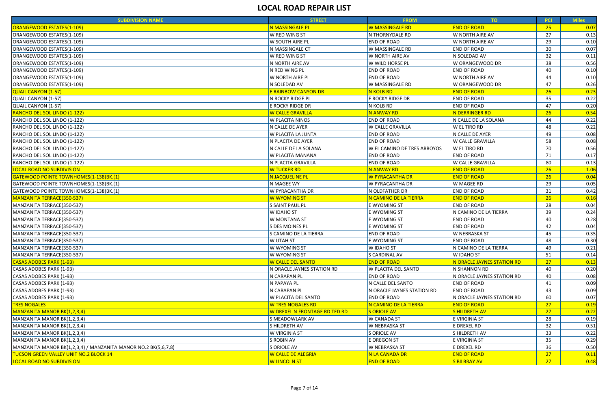| <b>SUBDIVISION NAME</b>                                              | <b>STREET</b>                        | <b>FROM</b>                        | TO                         | <b>PCI</b> | <b>Miles</b> |
|----------------------------------------------------------------------|--------------------------------------|------------------------------------|----------------------------|------------|--------------|
| ORANGEWOOD ESTATES(1-109)                                            | <b>N MASSINGALE PL</b>               | W MASSINGALE RD                    | <b>END OF ROAD</b>         | 25         | 0.07         |
| ORANGEWOOD ESTATES(1-109)                                            | W RED WING ST                        | N THORNYDALE RD                    | W NORTH AIRE AV            | 27         | 0.13         |
| ORANGEWOOD ESTATES(1-109)                                            | W SOUTH AIRE PL                      | <b>END OF ROAD</b>                 | W NORTH AIRE AV            | 29         | 0.10         |
| ORANGEWOOD ESTATES(1-109)                                            | N MASSINGALE CT                      | W MASSINGALE RD                    | <b>END OF ROAD</b>         | 30         | 0.07         |
| ORANGEWOOD ESTATES(1-109)                                            | W RED WING ST                        | W NORTH AIRE AV                    | N SOLEDAD AV               | 32         | 0.11         |
| ORANGEWOOD ESTATES(1-109)                                            | N NORTH AIRE AV                      | W WILD HORSE PL                    | W ORANGEWOOD DR            | 38         | 0.56         |
| ORANGEWOOD ESTATES(1-109)                                            | N RED WING PL                        | <b>END OF ROAD</b>                 | <b>END OF ROAD</b>         | 40         | 0.10         |
| ORANGEWOOD ESTATES(1-109)                                            | W NORTH AIRE PL                      | <b>END OF ROAD</b>                 | W NORTH AIRE AV            | 44         | 0.10         |
| ORANGEWOOD ESTATES(1-109)                                            | N SOLEDAD AV                         | W MASSINGALE RD                    | W ORANGEWOOD DR            | 47         | 0.26         |
| <b>QUAIL CANYON (1-57)</b>                                           | E RAINBOW CANYON DR                  | <mark>N KOLB RD</mark>             | <b>END OF ROAD</b>         | 26         | 0.23         |
| <b>QUAIL CANYON (1-57)</b>                                           | N ROCKY RIDGE PL                     | E ROCKY RIDGE DR                   | <b>END OF ROAD</b>         | 35         | 0.22         |
| <b>QUAIL CANYON (1-57)</b>                                           | E ROCKY RIDGE DR                     | N KOLB RD                          | <b>END OF ROAD</b>         | 47         | 0.20         |
| RANCHO DEL SOL LINDO (1-122)                                         | <b>W CALLE GRAVILLA</b>              | N ANWAY RD                         | N DERRINGER RD             | 26         | 0.54         |
| RANCHO DEL SOL LINDO (1-122)                                         | W PLACITA NINOS                      | <b>END OF ROAD</b>                 | N CALLE DE LA SOLANA       | 44         | 0.22         |
| RANCHO DEL SOL LINDO (1-122)                                         | N CALLE DE AYER                      | W CALLE GRAVILLA                   | W EL TIRO RD               | 48         | 0.22         |
| RANCHO DEL SOL LINDO (1-122)                                         | W PLACITA LA JUNTA                   | <b>END OF ROAD</b>                 | N CALLE DE AYER            | 49         | 0.08         |
| RANCHO DEL SOL LINDO (1-122)                                         | N PLACITA DE AYER                    | <b>END OF ROAD</b>                 | <b>W CALLE GRAVILLA</b>    | 58         | 0.08         |
| RANCHO DEL SOL LINDO (1-122)                                         | N CALLE DE LA SOLANA                 | W EL CAMINO DE TRES ARROYOS        | W EL TIRO RD               | 70         | 0.56         |
| RANCHO DEL SOL LINDO (1-122)                                         | W PLACITA MANANA                     | <b>END OF ROAD</b>                 | <b>END OF ROAD</b>         | 71         | 0.17         |
| RANCHO DEL SOL LINDO (1-122)                                         | N PLACITA GRAVILLA                   | <b>END OF ROAD</b>                 | <b>W CALLE GRAVILLA</b>    | 80         | 0.13         |
| <b>LOCAL ROAD NO SUBDIVISION</b>                                     | <b>W TUCKER RD</b>                   | N ANWAY RD                         | <b>END OF ROAD</b>         | 26         | 1.06         |
| GATEWOOD POINTE TOWNHOMES(1-138)BK.(1)                               | N JACQUELINE PL                      | W PYRACANTHA DR                    | <b>END OF ROAD</b>         | 26         | 0.04         |
| GATEWOOD POINTE TOWNHOMES(1-138)BK.(1)                               | N MAGEE WY                           | W PYRACANTHA DR                    | W MAGEE RD                 | 29         | 0.05         |
| GATEWOOD POINTE TOWNHOMES(1-138)BK.(1)                               | W PYRACANTHA DR                      | N OLDFATHER DR                     | <b>END OF ROAD</b>         | 31         | 0.42         |
| MANZANITA TERRACE(350-537)                                           | W WYOMING ST                         | <mark>N CAMINO DE LA TIERRA</mark> | <b>END OF ROAD</b>         | 26         | 0.16         |
| MANZANITA TERRACE(350-537)                                           | S SAINT PAUL PL                      | E WYOMING ST                       | <b>END OF ROAD</b>         | 28         | 0.04         |
| MANZANITA TERRACE(350-537)                                           | W IDAHO ST                           | E WYOMING ST                       | N CAMINO DE LA TIERRA      | 39         | 0.24         |
| MANZANITA TERRACE(350-537)                                           | W MONTANA ST                         | E WYOMING ST                       | <b>END OF ROAD</b>         | 40         | 0.28         |
| MANZANITA TERRACE(350-537)                                           | S DES MOINES PL                      | E WYOMING ST                       | <b>END OF ROAD</b>         | 42         | 0.04         |
| MANZANITA TERRACE(350-537)                                           | S CAMINO DE LA TIERRA                | <b>END OF ROAD</b>                 | <b>W NEBRASKA ST</b>       | 45         | 0.35         |
| MANZANITA TERRACE(350-537)                                           | W UTAH ST                            | <b>E WYOMING ST</b>                | <b>END OF ROAD</b>         | 48         | 0.30         |
| MANZANITA TERRACE(350-537)                                           | W WYOMING ST                         | <b>W IDAHO ST</b>                  | N CAMINO DE LA TIERRA      | 49         | 0.21         |
| MANZANITA TERRACE(350-537)                                           | W WYOMING ST                         | S CARDINAL AV                      | <b>W IDAHO ST</b>          | 51         | 0.14         |
| <b>CASAS ADOBES PARK (1-93)</b>                                      | <b>W CALLE DEL SANTO</b>             | <b>END OF ROAD</b>                 | N ORACLE JAYNES STATION RD | 27         | 0.13         |
| CASAS ADOBES PARK (1-93)                                             | N ORACLE JAYNES STATION RD           | <b>W PLACITA DEL SANTO</b>         | N SHANNON RD               | -40        | 0.20         |
| CASAS ADOBES PARK (1-93)                                             | N CARAPAN PL                         | <b>END OF ROAD</b>                 | N ORACLE JAYNES STATION RD | -40        | 0.08         |
| CASAS ADOBES PARK (1-93)                                             | N PAPAYA PL                          | N CALLE DEL SANTO                  | <b>END OF ROAD</b>         | 41         | 0.09         |
| CASAS ADOBES PARK (1-93)                                             | N CARAPAN PL                         | N ORACLE JAYNES STATION RD         | <b>END OF ROAD</b>         | 43         | 0.09         |
| CASAS ADOBES PARK (1-93)                                             | W PLACITA DEL SANTO                  | <b>END OF ROAD</b>                 | N ORACLE JAYNES STATION RD | 60         | 0.07         |
| <b>TRES NOGALES</b>                                                  | <b>W TRES NOGALES RD</b>             | N CAMINO DE LA TIERRA              | <b>END OF ROAD</b>         | 27         | 0.19         |
| MANZANITA MANOR BK(1,2,3,4)                                          | <u>W DREXEL N FRONTAGE RD TED RD</u> | <b>SORIOLE AV</b>                  | <b>SHILDRETH AV</b>        | 27         | 0.22         |
| MANZANITA MANOR BK(1,2,3,4)                                          | S MEADOWLARK AV                      | <b>W CANADA ST</b>                 | E VIRGINIA ST              | 28         | 0.19         |
| MANZANITA MANOR BK(1,2,3,4)                                          | S HILDRETH AV                        | <b>W NEBRASKA ST</b>               | E DREXEL RD                | 32         | 0.51         |
| MANZANITA MANOR BK(1,2,3,4)                                          | W VIRGINIA ST                        | S ORIOLE AV                        | S HILDRETH AV              | 33         | 0.22         |
| MANZANITA MANOR BK(1,2,3,4)                                          | <b>S ROBIN AV</b>                    | E OREGON ST                        | E VIRGINIA ST              | 35         | 0.29         |
| MANZANITA MANOR BK $(1,2,3,4)$ / MANZANITA MANOR NO.2 BK $(5,6,7,8)$ | S ORIOLE AV                          | <b>W NEBRASKA ST</b>               | E DREXEL RD                | 36         | 0.50         |
| <b>TUCSON GREEN VALLEY UNIT NO.2 BLOCK 14</b>                        | <b>W CALLE DE ALEGRIA</b>            | N LA CANADA DR                     | <b>END OF ROAD</b>         | 27         | 0.11         |
| <b>LOCAL ROAD NO SUBDIVISION</b>                                     | <b>W LINCOLN ST</b>                  | <b>END OF ROAD</b>                 | <b>S BILBRAY AV</b>        | 27         | 0.48         |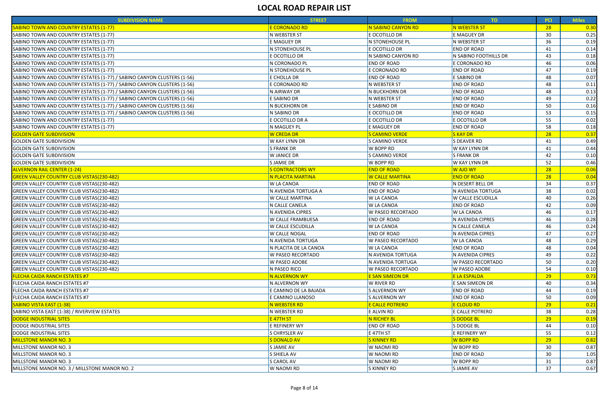| <b>E CORONADO RD</b><br><b>N SABINO CANYON RD</b><br>N WEBSTER ST<br><b>SABINO TOWN AND COUNTRY ESTATES (1-77)</b><br>28<br>N WEBSTER ST<br>E OCOTILLO DR<br>E MAGUEY DR<br>30<br>36<br>E MAGUEY DR<br>N WEBSTER ST<br>N STONEHOUSE PL<br><b>END OF ROAD</b><br>N STONEHOUSE PL<br>E OCOTILLO DR<br>41<br>E OCOTILLO DR<br>N SABINO CANYON RD<br>N SABINO FOOTHILLS DR<br>43<br>46<br>N CORONADO PL<br><b>END OF ROAD</b><br>E CORONADO RD<br><b>END OF ROAD</b><br>47<br>N STONEHOUSE PL<br>E CORONADO RD<br>E CHOLLA DR<br><b>END OF ROAD</b><br>E SABINO DR<br>48<br><b>END OF ROAD</b><br>E CORONADO RD<br>N WEBSTER ST<br>48<br>N AIRWAY DR<br>N BUCKHORN DR<br><b>END OF ROAD</b><br>48<br>E SABINO DR<br><b>END OF ROAD</b><br>N WEBSTER ST<br>49<br>50<br>N BUCKHORN DR<br>E SABINO DR<br><b>END OF ROAD</b><br>N SABINO DR<br>E OCOTILLO DR<br><b>END OF ROAD</b><br>53<br>55<br>E OCOTILLO DR A<br>E OCOTILLO DR<br>E OCOTILLO DR<br>58<br>N MAGUEY PL<br>E MAGUEY DR<br><b>END OF ROAD</b><br><b>W CREDA DR</b><br><b>S CAMINO VERDE</b><br>28<br><b>S KAY DR</b><br>S CAMINO VERDE<br><b>S DEAVER RD</b><br><b>W KAY LYNN DR</b><br>41<br>W BOPP RD<br><b>W KAY LYNN DR</b><br><b>S FRANK DR</b><br>41<br>42<br>W JANICE DR<br>S CAMINO VERDE<br><b>S FRANK DR</b><br>52<br>S JAMIE DR<br>W BOPP RD<br>W KAY LYNN DR<br><b>ALVERNON RAIL CENTER (1-24)</b><br><b>S CONTRACTORS WY</b><br><b>END OF ROAD</b><br>W AJO WY<br>28<br><b>GREEN VALLEY COUNTRY CLUB VISTAS(230-482)</b><br>N PLACITA MARTINA<br><b>W CALLE MARTINA</b><br><b>END OF ROAD</b><br>28<br>GREEN VALLEY COUNTRY CLUB VISTAS(230-482)<br><b>W LA CANOA</b><br><b>END OF ROAD</b><br>N DESERT BELL DR<br>34<br>38<br><b>GREEN VALLEY COUNTRY CLUB VISTAS(230-482)</b><br>0.02<br>N AVENIDA TORTUGA A<br><b>END OF ROAD</b><br>N AVENIDA TORTUGA<br><b>W CALLE MARTINA</b><br><b>W CALLE ESCUDILLA</b><br>GREEN VALLEY COUNTRY CLUB VISTAS(230-482)<br><b>W LA CANOA</b><br>40<br>0.26<br>GREEN VALLEY COUNTRY CLUB VISTAS(230-482)<br>N CALLE CANELA<br><b>W LA CANOA</b><br><b>END OF ROAD</b><br>42<br>0.09<br>GREEN VALLEY COUNTRY CLUB VISTAS(230-482)<br>N AVENIDA CIPRES<br><b>W PASEO RECORTADO</b><br><b>W LA CANOA</b><br>46<br>0.17<br>GREEN VALLEY COUNTRY CLUB VISTAS(230-482)<br><b>W CALLE FRAMBUESA</b><br>46<br>0.28<br><b>END OF ROAD</b><br>N AVENIDA CIPRES<br><b>GREEN VALLEY COUNTRY CLUB VISTAS(230-482)</b><br><b>W CALLE ESCUDILLA</b><br><b>W LA CANOA</b><br>N CALLE CANELA<br>46<br>0.24<br>47<br>0.27<br>GREEN VALLEY COUNTRY CLUB VISTAS(230-482)<br><b>W CALLE NOGAL</b><br><b>END OF ROAD</b><br>N AVENIDA CIPRES<br>GREEN VALLEY COUNTRY CLUB VISTAS(230-482)<br>N AVENIDA TORTUGA<br><b>W PASEO RECORTADO</b><br><b>W LA CANOA</b><br>48<br>0.29<br><b>W LA CANOA</b><br><b>END OF ROAD</b><br>48<br>0.04<br>N PLACITA DE LA CANOA<br>W PASEO RECORTADO<br>N AVENIDA TORTUGA<br>N AVENIDA CIPRES<br>GREEN VALLEY COUNTRY CLUB VISTAS(230-482)<br>49<br>0.22<br>GREEN VALLEY COUNTRY CLUB VISTAS(230-482)<br><b>W PASEO ADOBE</b><br>N AVENIDA TORTUGA<br><b>W PASEO RECORTADO</b><br>50<br>0.20<br>N PASEO RICO<br>54<br>GREEN VALLEY COUNTRY CLUB VISTAS(230-482)<br><b>W PASEO RECORTADO</b><br><b>W PASEO ADOBE</b><br>0.10<br><b>FLECHA CAIDA RANCH ESTATES #7</b><br>N ALVERNON WY<br>E SAN SIMEON DR<br><b>E LA ESPALDA</b><br>29<br>0.73<br>FLECHA CAIDA RANCH ESTATES #7<br>N ALVERNON WY<br>W RIVER RD<br>E SAN SIMEON DR<br>40<br>0.34<br><b>END OF ROAD</b><br>0.19<br><b>FLECHA CAIDA RANCH ESTATES #7</b><br>E CAMINO DE LA BAJADA<br><b>S ALVERNON WY</b><br>44<br>E CAMINO LLANOSO<br>S ALVERNON WY<br><b>END OF ROAD</b><br>0.09<br><b>FLECHA CAIDA RANCH ESTATES #7</b><br>50<br>N WEBSTER RD<br>E CALLE POTRERO<br><mark>E CLOUD RD</mark><br>29<br><b>SABINO VISTA EAST (1-38)</b><br>0.21<br>E CALLE POTRERO<br>SABINO VISTA EAST (1-38) / RIVERVIEW ESTATES<br>N WEBSTER RD<br>E ALVIN RD<br>38<br>0.28<br>DODGE INDUSTRIAL SITES<br>E 47TH ST<br>N RICHEY BL<br>S DODGE BL<br>29<br>0.19<br>S DODGE BL<br>DODGE INDUSTRIAL SITES<br>E REFINERY WY<br><b>END OF ROAD</b><br>44<br>0.10<br>E REFINERY WY<br>55<br><b>S CHRYSLER AV</b><br>E 47TH ST<br>0.12<br><b>S DONALD AV</b><br>W BOPP RD<br><b>S KINNEY RD</b><br>29<br>W BOPP RD<br>30<br>MILLSTONE MANOR NO. 3<br>S JAMIE AV<br>W NAOMI RD<br>W NAOMI RD<br><b>END OF ROAD</b><br>S SHIELA AV<br>30<br>1.05<br>MILLSTONE MANOR NO. 3<br>S CAROL AV<br>W NAOMI RD<br>W BOPP RD<br>31<br>W NAOMI RD<br>37<br>MILLSTONE MANOR NO. 3 / MILLSTONE MANOR NO. 2<br>S KINNEY RD<br>S JAMIE AV<br>0.67 | <b>SUBDIVISION NAME</b>                                                | <b>STREET</b> | <b>FROM</b> | TO <sub>1</sub> | <b>PCI</b> | <b>Miles</b> |
|-------------------------------------------------------------------------------------------------------------------------------------------------------------------------------------------------------------------------------------------------------------------------------------------------------------------------------------------------------------------------------------------------------------------------------------------------------------------------------------------------------------------------------------------------------------------------------------------------------------------------------------------------------------------------------------------------------------------------------------------------------------------------------------------------------------------------------------------------------------------------------------------------------------------------------------------------------------------------------------------------------------------------------------------------------------------------------------------------------------------------------------------------------------------------------------------------------------------------------------------------------------------------------------------------------------------------------------------------------------------------------------------------------------------------------------------------------------------------------------------------------------------------------------------------------------------------------------------------------------------------------------------------------------------------------------------------------------------------------------------------------------------------------------------------------------------------------------------------------------------------------------------------------------------------------------------------------------------------------------------------------------------------------------------------------------------------------------------------------------------------------------------------------------------------------------------------------------------------------------------------------------------------------------------------------------------------------------------------------------------------------------------------------------------------------------------------------------------------------------------------------------------------------------------------------------------------------------------------------------------------------------------------------------------------------------------------------------------------------------------------------------------------------------------------------------------------------------------------------------------------------------------------------------------------------------------------------------------------------------------------------------------------------------------------------------------------------------------------------------------------------------------------------------------------------------------------------------------------------------------------------------------------------------------------------------------------------------------------------------------------------------------------------------------------------------------------------------------------------------------------------------------------------------------------------------------------------------------------------------------------------------------------------------------------------------------------------------------------------------------------------------------------------------------------------------------------------------------------------------------------------------------------------------------------------------------------------------------------------------------------------------------------------------------------------------------------------------------------------------------------------------------------------------------------------------------------------------------------------------------------------------------------------------------------------------------------------------------------------------------------------------------------------------------------------------------------------------------------------------------------------------------------------------------------------------------------------------------|------------------------------------------------------------------------|---------------|-------------|-----------------|------------|--------------|
|                                                                                                                                                                                                                                                                                                                                                                                                                                                                                                                                                                                                                                                                                                                                                                                                                                                                                                                                                                                                                                                                                                                                                                                                                                                                                                                                                                                                                                                                                                                                                                                                                                                                                                                                                                                                                                                                                                                                                                                                                                                                                                                                                                                                                                                                                                                                                                                                                                                                                                                                                                                                                                                                                                                                                                                                                                                                                                                                                                                                                                                                                                                                                                                                                                                                                                                                                                                                                                                                                                                                                                                                                                                                                                                                                                                                                                                                                                                                                                                                                                                                                                                                                                                                                                                                                                                                                                                                                                                                                                                                                                                           |                                                                        |               |             |                 |            | 0.30         |
|                                                                                                                                                                                                                                                                                                                                                                                                                                                                                                                                                                                                                                                                                                                                                                                                                                                                                                                                                                                                                                                                                                                                                                                                                                                                                                                                                                                                                                                                                                                                                                                                                                                                                                                                                                                                                                                                                                                                                                                                                                                                                                                                                                                                                                                                                                                                                                                                                                                                                                                                                                                                                                                                                                                                                                                                                                                                                                                                                                                                                                                                                                                                                                                                                                                                                                                                                                                                                                                                                                                                                                                                                                                                                                                                                                                                                                                                                                                                                                                                                                                                                                                                                                                                                                                                                                                                                                                                                                                                                                                                                                                           | SABINO TOWN AND COUNTRY ESTATES (1-77)                                 |               |             |                 |            | 0.25         |
|                                                                                                                                                                                                                                                                                                                                                                                                                                                                                                                                                                                                                                                                                                                                                                                                                                                                                                                                                                                                                                                                                                                                                                                                                                                                                                                                                                                                                                                                                                                                                                                                                                                                                                                                                                                                                                                                                                                                                                                                                                                                                                                                                                                                                                                                                                                                                                                                                                                                                                                                                                                                                                                                                                                                                                                                                                                                                                                                                                                                                                                                                                                                                                                                                                                                                                                                                                                                                                                                                                                                                                                                                                                                                                                                                                                                                                                                                                                                                                                                                                                                                                                                                                                                                                                                                                                                                                                                                                                                                                                                                                                           | SABINO TOWN AND COUNTRY ESTATES (1-77)                                 |               |             |                 |            | 0.19         |
|                                                                                                                                                                                                                                                                                                                                                                                                                                                                                                                                                                                                                                                                                                                                                                                                                                                                                                                                                                                                                                                                                                                                                                                                                                                                                                                                                                                                                                                                                                                                                                                                                                                                                                                                                                                                                                                                                                                                                                                                                                                                                                                                                                                                                                                                                                                                                                                                                                                                                                                                                                                                                                                                                                                                                                                                                                                                                                                                                                                                                                                                                                                                                                                                                                                                                                                                                                                                                                                                                                                                                                                                                                                                                                                                                                                                                                                                                                                                                                                                                                                                                                                                                                                                                                                                                                                                                                                                                                                                                                                                                                                           | SABINO TOWN AND COUNTRY ESTATES (1-77)                                 |               |             |                 |            | 0.14         |
|                                                                                                                                                                                                                                                                                                                                                                                                                                                                                                                                                                                                                                                                                                                                                                                                                                                                                                                                                                                                                                                                                                                                                                                                                                                                                                                                                                                                                                                                                                                                                                                                                                                                                                                                                                                                                                                                                                                                                                                                                                                                                                                                                                                                                                                                                                                                                                                                                                                                                                                                                                                                                                                                                                                                                                                                                                                                                                                                                                                                                                                                                                                                                                                                                                                                                                                                                                                                                                                                                                                                                                                                                                                                                                                                                                                                                                                                                                                                                                                                                                                                                                                                                                                                                                                                                                                                                                                                                                                                                                                                                                                           | SABINO TOWN AND COUNTRY ESTATES (1-77)                                 |               |             |                 |            | 0.18         |
|                                                                                                                                                                                                                                                                                                                                                                                                                                                                                                                                                                                                                                                                                                                                                                                                                                                                                                                                                                                                                                                                                                                                                                                                                                                                                                                                                                                                                                                                                                                                                                                                                                                                                                                                                                                                                                                                                                                                                                                                                                                                                                                                                                                                                                                                                                                                                                                                                                                                                                                                                                                                                                                                                                                                                                                                                                                                                                                                                                                                                                                                                                                                                                                                                                                                                                                                                                                                                                                                                                                                                                                                                                                                                                                                                                                                                                                                                                                                                                                                                                                                                                                                                                                                                                                                                                                                                                                                                                                                                                                                                                                           | SABINO TOWN AND COUNTRY ESTATES (1-77)                                 |               |             |                 |            | 0.06         |
|                                                                                                                                                                                                                                                                                                                                                                                                                                                                                                                                                                                                                                                                                                                                                                                                                                                                                                                                                                                                                                                                                                                                                                                                                                                                                                                                                                                                                                                                                                                                                                                                                                                                                                                                                                                                                                                                                                                                                                                                                                                                                                                                                                                                                                                                                                                                                                                                                                                                                                                                                                                                                                                                                                                                                                                                                                                                                                                                                                                                                                                                                                                                                                                                                                                                                                                                                                                                                                                                                                                                                                                                                                                                                                                                                                                                                                                                                                                                                                                                                                                                                                                                                                                                                                                                                                                                                                                                                                                                                                                                                                                           | SABINO TOWN AND COUNTRY ESTATES (1-77)                                 |               |             |                 |            | 0.19         |
|                                                                                                                                                                                                                                                                                                                                                                                                                                                                                                                                                                                                                                                                                                                                                                                                                                                                                                                                                                                                                                                                                                                                                                                                                                                                                                                                                                                                                                                                                                                                                                                                                                                                                                                                                                                                                                                                                                                                                                                                                                                                                                                                                                                                                                                                                                                                                                                                                                                                                                                                                                                                                                                                                                                                                                                                                                                                                                                                                                                                                                                                                                                                                                                                                                                                                                                                                                                                                                                                                                                                                                                                                                                                                                                                                                                                                                                                                                                                                                                                                                                                                                                                                                                                                                                                                                                                                                                                                                                                                                                                                                                           | SABINO TOWN AND COUNTRY ESTATES (1-77) / SABINO CANYON CLUSTERS (1-56) |               |             |                 |            | 0.07         |
|                                                                                                                                                                                                                                                                                                                                                                                                                                                                                                                                                                                                                                                                                                                                                                                                                                                                                                                                                                                                                                                                                                                                                                                                                                                                                                                                                                                                                                                                                                                                                                                                                                                                                                                                                                                                                                                                                                                                                                                                                                                                                                                                                                                                                                                                                                                                                                                                                                                                                                                                                                                                                                                                                                                                                                                                                                                                                                                                                                                                                                                                                                                                                                                                                                                                                                                                                                                                                                                                                                                                                                                                                                                                                                                                                                                                                                                                                                                                                                                                                                                                                                                                                                                                                                                                                                                                                                                                                                                                                                                                                                                           | SABINO TOWN AND COUNTRY ESTATES (1-77) / SABINO CANYON CLUSTERS (1-56) |               |             |                 |            | 0.11         |
|                                                                                                                                                                                                                                                                                                                                                                                                                                                                                                                                                                                                                                                                                                                                                                                                                                                                                                                                                                                                                                                                                                                                                                                                                                                                                                                                                                                                                                                                                                                                                                                                                                                                                                                                                                                                                                                                                                                                                                                                                                                                                                                                                                                                                                                                                                                                                                                                                                                                                                                                                                                                                                                                                                                                                                                                                                                                                                                                                                                                                                                                                                                                                                                                                                                                                                                                                                                                                                                                                                                                                                                                                                                                                                                                                                                                                                                                                                                                                                                                                                                                                                                                                                                                                                                                                                                                                                                                                                                                                                                                                                                           | SABINO TOWN AND COUNTRY ESTATES (1-77) / SABINO CANYON CLUSTERS (1-56) |               |             |                 |            | 0.13         |
|                                                                                                                                                                                                                                                                                                                                                                                                                                                                                                                                                                                                                                                                                                                                                                                                                                                                                                                                                                                                                                                                                                                                                                                                                                                                                                                                                                                                                                                                                                                                                                                                                                                                                                                                                                                                                                                                                                                                                                                                                                                                                                                                                                                                                                                                                                                                                                                                                                                                                                                                                                                                                                                                                                                                                                                                                                                                                                                                                                                                                                                                                                                                                                                                                                                                                                                                                                                                                                                                                                                                                                                                                                                                                                                                                                                                                                                                                                                                                                                                                                                                                                                                                                                                                                                                                                                                                                                                                                                                                                                                                                                           | SABINO TOWN AND COUNTRY ESTATES (1-77) / SABINO CANYON CLUSTERS (1-56) |               |             |                 |            | 0.22         |
|                                                                                                                                                                                                                                                                                                                                                                                                                                                                                                                                                                                                                                                                                                                                                                                                                                                                                                                                                                                                                                                                                                                                                                                                                                                                                                                                                                                                                                                                                                                                                                                                                                                                                                                                                                                                                                                                                                                                                                                                                                                                                                                                                                                                                                                                                                                                                                                                                                                                                                                                                                                                                                                                                                                                                                                                                                                                                                                                                                                                                                                                                                                                                                                                                                                                                                                                                                                                                                                                                                                                                                                                                                                                                                                                                                                                                                                                                                                                                                                                                                                                                                                                                                                                                                                                                                                                                                                                                                                                                                                                                                                           | SABINO TOWN AND COUNTRY ESTATES (1-77) / SABINO CANYON CLUSTERS (1-56) |               |             |                 |            | 0.16         |
|                                                                                                                                                                                                                                                                                                                                                                                                                                                                                                                                                                                                                                                                                                                                                                                                                                                                                                                                                                                                                                                                                                                                                                                                                                                                                                                                                                                                                                                                                                                                                                                                                                                                                                                                                                                                                                                                                                                                                                                                                                                                                                                                                                                                                                                                                                                                                                                                                                                                                                                                                                                                                                                                                                                                                                                                                                                                                                                                                                                                                                                                                                                                                                                                                                                                                                                                                                                                                                                                                                                                                                                                                                                                                                                                                                                                                                                                                                                                                                                                                                                                                                                                                                                                                                                                                                                                                                                                                                                                                                                                                                                           | SABINO TOWN AND COUNTRY ESTATES (1-77) / SABINO CANYON CLUSTERS (1-56) |               |             |                 |            | 0.15         |
|                                                                                                                                                                                                                                                                                                                                                                                                                                                                                                                                                                                                                                                                                                                                                                                                                                                                                                                                                                                                                                                                                                                                                                                                                                                                                                                                                                                                                                                                                                                                                                                                                                                                                                                                                                                                                                                                                                                                                                                                                                                                                                                                                                                                                                                                                                                                                                                                                                                                                                                                                                                                                                                                                                                                                                                                                                                                                                                                                                                                                                                                                                                                                                                                                                                                                                                                                                                                                                                                                                                                                                                                                                                                                                                                                                                                                                                                                                                                                                                                                                                                                                                                                                                                                                                                                                                                                                                                                                                                                                                                                                                           | SABINO TOWN AND COUNTRY ESTATES (1-77)                                 |               |             |                 |            | 0.02         |
|                                                                                                                                                                                                                                                                                                                                                                                                                                                                                                                                                                                                                                                                                                                                                                                                                                                                                                                                                                                                                                                                                                                                                                                                                                                                                                                                                                                                                                                                                                                                                                                                                                                                                                                                                                                                                                                                                                                                                                                                                                                                                                                                                                                                                                                                                                                                                                                                                                                                                                                                                                                                                                                                                                                                                                                                                                                                                                                                                                                                                                                                                                                                                                                                                                                                                                                                                                                                                                                                                                                                                                                                                                                                                                                                                                                                                                                                                                                                                                                                                                                                                                                                                                                                                                                                                                                                                                                                                                                                                                                                                                                           | SABINO TOWN AND COUNTRY ESTATES (1-77)                                 |               |             |                 |            | 0.18         |
|                                                                                                                                                                                                                                                                                                                                                                                                                                                                                                                                                                                                                                                                                                                                                                                                                                                                                                                                                                                                                                                                                                                                                                                                                                                                                                                                                                                                                                                                                                                                                                                                                                                                                                                                                                                                                                                                                                                                                                                                                                                                                                                                                                                                                                                                                                                                                                                                                                                                                                                                                                                                                                                                                                                                                                                                                                                                                                                                                                                                                                                                                                                                                                                                                                                                                                                                                                                                                                                                                                                                                                                                                                                                                                                                                                                                                                                                                                                                                                                                                                                                                                                                                                                                                                                                                                                                                                                                                                                                                                                                                                                           | <b>GOLDEN GATE SUBDIVISION</b>                                         |               |             |                 |            | 0.37         |
|                                                                                                                                                                                                                                                                                                                                                                                                                                                                                                                                                                                                                                                                                                                                                                                                                                                                                                                                                                                                                                                                                                                                                                                                                                                                                                                                                                                                                                                                                                                                                                                                                                                                                                                                                                                                                                                                                                                                                                                                                                                                                                                                                                                                                                                                                                                                                                                                                                                                                                                                                                                                                                                                                                                                                                                                                                                                                                                                                                                                                                                                                                                                                                                                                                                                                                                                                                                                                                                                                                                                                                                                                                                                                                                                                                                                                                                                                                                                                                                                                                                                                                                                                                                                                                                                                                                                                                                                                                                                                                                                                                                           | <b>GOLDEN GATE SUBDIVISION</b>                                         |               |             |                 |            | 0.49         |
|                                                                                                                                                                                                                                                                                                                                                                                                                                                                                                                                                                                                                                                                                                                                                                                                                                                                                                                                                                                                                                                                                                                                                                                                                                                                                                                                                                                                                                                                                                                                                                                                                                                                                                                                                                                                                                                                                                                                                                                                                                                                                                                                                                                                                                                                                                                                                                                                                                                                                                                                                                                                                                                                                                                                                                                                                                                                                                                                                                                                                                                                                                                                                                                                                                                                                                                                                                                                                                                                                                                                                                                                                                                                                                                                                                                                                                                                                                                                                                                                                                                                                                                                                                                                                                                                                                                                                                                                                                                                                                                                                                                           | <b>GOLDEN GATE SUBDIVISION</b>                                         |               |             |                 |            | 0.44         |
|                                                                                                                                                                                                                                                                                                                                                                                                                                                                                                                                                                                                                                                                                                                                                                                                                                                                                                                                                                                                                                                                                                                                                                                                                                                                                                                                                                                                                                                                                                                                                                                                                                                                                                                                                                                                                                                                                                                                                                                                                                                                                                                                                                                                                                                                                                                                                                                                                                                                                                                                                                                                                                                                                                                                                                                                                                                                                                                                                                                                                                                                                                                                                                                                                                                                                                                                                                                                                                                                                                                                                                                                                                                                                                                                                                                                                                                                                                                                                                                                                                                                                                                                                                                                                                                                                                                                                                                                                                                                                                                                                                                           | <b>GOLDEN GATE SUBDIVISION</b>                                         |               |             |                 |            | 0.10         |
|                                                                                                                                                                                                                                                                                                                                                                                                                                                                                                                                                                                                                                                                                                                                                                                                                                                                                                                                                                                                                                                                                                                                                                                                                                                                                                                                                                                                                                                                                                                                                                                                                                                                                                                                                                                                                                                                                                                                                                                                                                                                                                                                                                                                                                                                                                                                                                                                                                                                                                                                                                                                                                                                                                                                                                                                                                                                                                                                                                                                                                                                                                                                                                                                                                                                                                                                                                                                                                                                                                                                                                                                                                                                                                                                                                                                                                                                                                                                                                                                                                                                                                                                                                                                                                                                                                                                                                                                                                                                                                                                                                                           | <b>GOLDEN GATE SUBDIVISION</b>                                         |               |             |                 |            | 0.46         |
|                                                                                                                                                                                                                                                                                                                                                                                                                                                                                                                                                                                                                                                                                                                                                                                                                                                                                                                                                                                                                                                                                                                                                                                                                                                                                                                                                                                                                                                                                                                                                                                                                                                                                                                                                                                                                                                                                                                                                                                                                                                                                                                                                                                                                                                                                                                                                                                                                                                                                                                                                                                                                                                                                                                                                                                                                                                                                                                                                                                                                                                                                                                                                                                                                                                                                                                                                                                                                                                                                                                                                                                                                                                                                                                                                                                                                                                                                                                                                                                                                                                                                                                                                                                                                                                                                                                                                                                                                                                                                                                                                                                           |                                                                        |               |             |                 |            | 0.06         |
|                                                                                                                                                                                                                                                                                                                                                                                                                                                                                                                                                                                                                                                                                                                                                                                                                                                                                                                                                                                                                                                                                                                                                                                                                                                                                                                                                                                                                                                                                                                                                                                                                                                                                                                                                                                                                                                                                                                                                                                                                                                                                                                                                                                                                                                                                                                                                                                                                                                                                                                                                                                                                                                                                                                                                                                                                                                                                                                                                                                                                                                                                                                                                                                                                                                                                                                                                                                                                                                                                                                                                                                                                                                                                                                                                                                                                                                                                                                                                                                                                                                                                                                                                                                                                                                                                                                                                                                                                                                                                                                                                                                           |                                                                        |               |             |                 |            | 0.04         |
|                                                                                                                                                                                                                                                                                                                                                                                                                                                                                                                                                                                                                                                                                                                                                                                                                                                                                                                                                                                                                                                                                                                                                                                                                                                                                                                                                                                                                                                                                                                                                                                                                                                                                                                                                                                                                                                                                                                                                                                                                                                                                                                                                                                                                                                                                                                                                                                                                                                                                                                                                                                                                                                                                                                                                                                                                                                                                                                                                                                                                                                                                                                                                                                                                                                                                                                                                                                                                                                                                                                                                                                                                                                                                                                                                                                                                                                                                                                                                                                                                                                                                                                                                                                                                                                                                                                                                                                                                                                                                                                                                                                           |                                                                        |               |             |                 |            | 0.37         |
|                                                                                                                                                                                                                                                                                                                                                                                                                                                                                                                                                                                                                                                                                                                                                                                                                                                                                                                                                                                                                                                                                                                                                                                                                                                                                                                                                                                                                                                                                                                                                                                                                                                                                                                                                                                                                                                                                                                                                                                                                                                                                                                                                                                                                                                                                                                                                                                                                                                                                                                                                                                                                                                                                                                                                                                                                                                                                                                                                                                                                                                                                                                                                                                                                                                                                                                                                                                                                                                                                                                                                                                                                                                                                                                                                                                                                                                                                                                                                                                                                                                                                                                                                                                                                                                                                                                                                                                                                                                                                                                                                                                           |                                                                        |               |             |                 |            |              |
|                                                                                                                                                                                                                                                                                                                                                                                                                                                                                                                                                                                                                                                                                                                                                                                                                                                                                                                                                                                                                                                                                                                                                                                                                                                                                                                                                                                                                                                                                                                                                                                                                                                                                                                                                                                                                                                                                                                                                                                                                                                                                                                                                                                                                                                                                                                                                                                                                                                                                                                                                                                                                                                                                                                                                                                                                                                                                                                                                                                                                                                                                                                                                                                                                                                                                                                                                                                                                                                                                                                                                                                                                                                                                                                                                                                                                                                                                                                                                                                                                                                                                                                                                                                                                                                                                                                                                                                                                                                                                                                                                                                           |                                                                        |               |             |                 |            |              |
|                                                                                                                                                                                                                                                                                                                                                                                                                                                                                                                                                                                                                                                                                                                                                                                                                                                                                                                                                                                                                                                                                                                                                                                                                                                                                                                                                                                                                                                                                                                                                                                                                                                                                                                                                                                                                                                                                                                                                                                                                                                                                                                                                                                                                                                                                                                                                                                                                                                                                                                                                                                                                                                                                                                                                                                                                                                                                                                                                                                                                                                                                                                                                                                                                                                                                                                                                                                                                                                                                                                                                                                                                                                                                                                                                                                                                                                                                                                                                                                                                                                                                                                                                                                                                                                                                                                                                                                                                                                                                                                                                                                           |                                                                        |               |             |                 |            |              |
|                                                                                                                                                                                                                                                                                                                                                                                                                                                                                                                                                                                                                                                                                                                                                                                                                                                                                                                                                                                                                                                                                                                                                                                                                                                                                                                                                                                                                                                                                                                                                                                                                                                                                                                                                                                                                                                                                                                                                                                                                                                                                                                                                                                                                                                                                                                                                                                                                                                                                                                                                                                                                                                                                                                                                                                                                                                                                                                                                                                                                                                                                                                                                                                                                                                                                                                                                                                                                                                                                                                                                                                                                                                                                                                                                                                                                                                                                                                                                                                                                                                                                                                                                                                                                                                                                                                                                                                                                                                                                                                                                                                           |                                                                        |               |             |                 |            |              |
|                                                                                                                                                                                                                                                                                                                                                                                                                                                                                                                                                                                                                                                                                                                                                                                                                                                                                                                                                                                                                                                                                                                                                                                                                                                                                                                                                                                                                                                                                                                                                                                                                                                                                                                                                                                                                                                                                                                                                                                                                                                                                                                                                                                                                                                                                                                                                                                                                                                                                                                                                                                                                                                                                                                                                                                                                                                                                                                                                                                                                                                                                                                                                                                                                                                                                                                                                                                                                                                                                                                                                                                                                                                                                                                                                                                                                                                                                                                                                                                                                                                                                                                                                                                                                                                                                                                                                                                                                                                                                                                                                                                           |                                                                        |               |             |                 |            |              |
|                                                                                                                                                                                                                                                                                                                                                                                                                                                                                                                                                                                                                                                                                                                                                                                                                                                                                                                                                                                                                                                                                                                                                                                                                                                                                                                                                                                                                                                                                                                                                                                                                                                                                                                                                                                                                                                                                                                                                                                                                                                                                                                                                                                                                                                                                                                                                                                                                                                                                                                                                                                                                                                                                                                                                                                                                                                                                                                                                                                                                                                                                                                                                                                                                                                                                                                                                                                                                                                                                                                                                                                                                                                                                                                                                                                                                                                                                                                                                                                                                                                                                                                                                                                                                                                                                                                                                                                                                                                                                                                                                                                           |                                                                        |               |             |                 |            |              |
|                                                                                                                                                                                                                                                                                                                                                                                                                                                                                                                                                                                                                                                                                                                                                                                                                                                                                                                                                                                                                                                                                                                                                                                                                                                                                                                                                                                                                                                                                                                                                                                                                                                                                                                                                                                                                                                                                                                                                                                                                                                                                                                                                                                                                                                                                                                                                                                                                                                                                                                                                                                                                                                                                                                                                                                                                                                                                                                                                                                                                                                                                                                                                                                                                                                                                                                                                                                                                                                                                                                                                                                                                                                                                                                                                                                                                                                                                                                                                                                                                                                                                                                                                                                                                                                                                                                                                                                                                                                                                                                                                                                           |                                                                        |               |             |                 |            |              |
|                                                                                                                                                                                                                                                                                                                                                                                                                                                                                                                                                                                                                                                                                                                                                                                                                                                                                                                                                                                                                                                                                                                                                                                                                                                                                                                                                                                                                                                                                                                                                                                                                                                                                                                                                                                                                                                                                                                                                                                                                                                                                                                                                                                                                                                                                                                                                                                                                                                                                                                                                                                                                                                                                                                                                                                                                                                                                                                                                                                                                                                                                                                                                                                                                                                                                                                                                                                                                                                                                                                                                                                                                                                                                                                                                                                                                                                                                                                                                                                                                                                                                                                                                                                                                                                                                                                                                                                                                                                                                                                                                                                           |                                                                        |               |             |                 |            |              |
|                                                                                                                                                                                                                                                                                                                                                                                                                                                                                                                                                                                                                                                                                                                                                                                                                                                                                                                                                                                                                                                                                                                                                                                                                                                                                                                                                                                                                                                                                                                                                                                                                                                                                                                                                                                                                                                                                                                                                                                                                                                                                                                                                                                                                                                                                                                                                                                                                                                                                                                                                                                                                                                                                                                                                                                                                                                                                                                                                                                                                                                                                                                                                                                                                                                                                                                                                                                                                                                                                                                                                                                                                                                                                                                                                                                                                                                                                                                                                                                                                                                                                                                                                                                                                                                                                                                                                                                                                                                                                                                                                                                           | <b>GREEN VALLEY COUNTRY CLUB VISTAS(230-482)</b>                       |               |             |                 |            |              |
|                                                                                                                                                                                                                                                                                                                                                                                                                                                                                                                                                                                                                                                                                                                                                                                                                                                                                                                                                                                                                                                                                                                                                                                                                                                                                                                                                                                                                                                                                                                                                                                                                                                                                                                                                                                                                                                                                                                                                                                                                                                                                                                                                                                                                                                                                                                                                                                                                                                                                                                                                                                                                                                                                                                                                                                                                                                                                                                                                                                                                                                                                                                                                                                                                                                                                                                                                                                                                                                                                                                                                                                                                                                                                                                                                                                                                                                                                                                                                                                                                                                                                                                                                                                                                                                                                                                                                                                                                                                                                                                                                                                           |                                                                        |               |             |                 |            |              |
|                                                                                                                                                                                                                                                                                                                                                                                                                                                                                                                                                                                                                                                                                                                                                                                                                                                                                                                                                                                                                                                                                                                                                                                                                                                                                                                                                                                                                                                                                                                                                                                                                                                                                                                                                                                                                                                                                                                                                                                                                                                                                                                                                                                                                                                                                                                                                                                                                                                                                                                                                                                                                                                                                                                                                                                                                                                                                                                                                                                                                                                                                                                                                                                                                                                                                                                                                                                                                                                                                                                                                                                                                                                                                                                                                                                                                                                                                                                                                                                                                                                                                                                                                                                                                                                                                                                                                                                                                                                                                                                                                                                           |                                                                        |               |             |                 |            |              |
|                                                                                                                                                                                                                                                                                                                                                                                                                                                                                                                                                                                                                                                                                                                                                                                                                                                                                                                                                                                                                                                                                                                                                                                                                                                                                                                                                                                                                                                                                                                                                                                                                                                                                                                                                                                                                                                                                                                                                                                                                                                                                                                                                                                                                                                                                                                                                                                                                                                                                                                                                                                                                                                                                                                                                                                                                                                                                                                                                                                                                                                                                                                                                                                                                                                                                                                                                                                                                                                                                                                                                                                                                                                                                                                                                                                                                                                                                                                                                                                                                                                                                                                                                                                                                                                                                                                                                                                                                                                                                                                                                                                           |                                                                        |               |             |                 |            |              |
|                                                                                                                                                                                                                                                                                                                                                                                                                                                                                                                                                                                                                                                                                                                                                                                                                                                                                                                                                                                                                                                                                                                                                                                                                                                                                                                                                                                                                                                                                                                                                                                                                                                                                                                                                                                                                                                                                                                                                                                                                                                                                                                                                                                                                                                                                                                                                                                                                                                                                                                                                                                                                                                                                                                                                                                                                                                                                                                                                                                                                                                                                                                                                                                                                                                                                                                                                                                                                                                                                                                                                                                                                                                                                                                                                                                                                                                                                                                                                                                                                                                                                                                                                                                                                                                                                                                                                                                                                                                                                                                                                                                           |                                                                        |               |             |                 |            |              |
|                                                                                                                                                                                                                                                                                                                                                                                                                                                                                                                                                                                                                                                                                                                                                                                                                                                                                                                                                                                                                                                                                                                                                                                                                                                                                                                                                                                                                                                                                                                                                                                                                                                                                                                                                                                                                                                                                                                                                                                                                                                                                                                                                                                                                                                                                                                                                                                                                                                                                                                                                                                                                                                                                                                                                                                                                                                                                                                                                                                                                                                                                                                                                                                                                                                                                                                                                                                                                                                                                                                                                                                                                                                                                                                                                                                                                                                                                                                                                                                                                                                                                                                                                                                                                                                                                                                                                                                                                                                                                                                                                                                           |                                                                        |               |             |                 |            |              |
|                                                                                                                                                                                                                                                                                                                                                                                                                                                                                                                                                                                                                                                                                                                                                                                                                                                                                                                                                                                                                                                                                                                                                                                                                                                                                                                                                                                                                                                                                                                                                                                                                                                                                                                                                                                                                                                                                                                                                                                                                                                                                                                                                                                                                                                                                                                                                                                                                                                                                                                                                                                                                                                                                                                                                                                                                                                                                                                                                                                                                                                                                                                                                                                                                                                                                                                                                                                                                                                                                                                                                                                                                                                                                                                                                                                                                                                                                                                                                                                                                                                                                                                                                                                                                                                                                                                                                                                                                                                                                                                                                                                           |                                                                        |               |             |                 |            |              |
|                                                                                                                                                                                                                                                                                                                                                                                                                                                                                                                                                                                                                                                                                                                                                                                                                                                                                                                                                                                                                                                                                                                                                                                                                                                                                                                                                                                                                                                                                                                                                                                                                                                                                                                                                                                                                                                                                                                                                                                                                                                                                                                                                                                                                                                                                                                                                                                                                                                                                                                                                                                                                                                                                                                                                                                                                                                                                                                                                                                                                                                                                                                                                                                                                                                                                                                                                                                                                                                                                                                                                                                                                                                                                                                                                                                                                                                                                                                                                                                                                                                                                                                                                                                                                                                                                                                                                                                                                                                                                                                                                                                           |                                                                        |               |             |                 |            |              |
|                                                                                                                                                                                                                                                                                                                                                                                                                                                                                                                                                                                                                                                                                                                                                                                                                                                                                                                                                                                                                                                                                                                                                                                                                                                                                                                                                                                                                                                                                                                                                                                                                                                                                                                                                                                                                                                                                                                                                                                                                                                                                                                                                                                                                                                                                                                                                                                                                                                                                                                                                                                                                                                                                                                                                                                                                                                                                                                                                                                                                                                                                                                                                                                                                                                                                                                                                                                                                                                                                                                                                                                                                                                                                                                                                                                                                                                                                                                                                                                                                                                                                                                                                                                                                                                                                                                                                                                                                                                                                                                                                                                           |                                                                        |               |             |                 |            |              |
|                                                                                                                                                                                                                                                                                                                                                                                                                                                                                                                                                                                                                                                                                                                                                                                                                                                                                                                                                                                                                                                                                                                                                                                                                                                                                                                                                                                                                                                                                                                                                                                                                                                                                                                                                                                                                                                                                                                                                                                                                                                                                                                                                                                                                                                                                                                                                                                                                                                                                                                                                                                                                                                                                                                                                                                                                                                                                                                                                                                                                                                                                                                                                                                                                                                                                                                                                                                                                                                                                                                                                                                                                                                                                                                                                                                                                                                                                                                                                                                                                                                                                                                                                                                                                                                                                                                                                                                                                                                                                                                                                                                           |                                                                        |               |             |                 |            |              |
|                                                                                                                                                                                                                                                                                                                                                                                                                                                                                                                                                                                                                                                                                                                                                                                                                                                                                                                                                                                                                                                                                                                                                                                                                                                                                                                                                                                                                                                                                                                                                                                                                                                                                                                                                                                                                                                                                                                                                                                                                                                                                                                                                                                                                                                                                                                                                                                                                                                                                                                                                                                                                                                                                                                                                                                                                                                                                                                                                                                                                                                                                                                                                                                                                                                                                                                                                                                                                                                                                                                                                                                                                                                                                                                                                                                                                                                                                                                                                                                                                                                                                                                                                                                                                                                                                                                                                                                                                                                                                                                                                                                           |                                                                        |               |             |                 |            |              |
|                                                                                                                                                                                                                                                                                                                                                                                                                                                                                                                                                                                                                                                                                                                                                                                                                                                                                                                                                                                                                                                                                                                                                                                                                                                                                                                                                                                                                                                                                                                                                                                                                                                                                                                                                                                                                                                                                                                                                                                                                                                                                                                                                                                                                                                                                                                                                                                                                                                                                                                                                                                                                                                                                                                                                                                                                                                                                                                                                                                                                                                                                                                                                                                                                                                                                                                                                                                                                                                                                                                                                                                                                                                                                                                                                                                                                                                                                                                                                                                                                                                                                                                                                                                                                                                                                                                                                                                                                                                                                                                                                                                           |                                                                        |               |             |                 |            |              |
|                                                                                                                                                                                                                                                                                                                                                                                                                                                                                                                                                                                                                                                                                                                                                                                                                                                                                                                                                                                                                                                                                                                                                                                                                                                                                                                                                                                                                                                                                                                                                                                                                                                                                                                                                                                                                                                                                                                                                                                                                                                                                                                                                                                                                                                                                                                                                                                                                                                                                                                                                                                                                                                                                                                                                                                                                                                                                                                                                                                                                                                                                                                                                                                                                                                                                                                                                                                                                                                                                                                                                                                                                                                                                                                                                                                                                                                                                                                                                                                                                                                                                                                                                                                                                                                                                                                                                                                                                                                                                                                                                                                           | DODGE INDUSTRIAL SITES                                                 |               |             |                 |            |              |
|                                                                                                                                                                                                                                                                                                                                                                                                                                                                                                                                                                                                                                                                                                                                                                                                                                                                                                                                                                                                                                                                                                                                                                                                                                                                                                                                                                                                                                                                                                                                                                                                                                                                                                                                                                                                                                                                                                                                                                                                                                                                                                                                                                                                                                                                                                                                                                                                                                                                                                                                                                                                                                                                                                                                                                                                                                                                                                                                                                                                                                                                                                                                                                                                                                                                                                                                                                                                                                                                                                                                                                                                                                                                                                                                                                                                                                                                                                                                                                                                                                                                                                                                                                                                                                                                                                                                                                                                                                                                                                                                                                                           | <b>MILLSTONE MANOR NO. 3</b>                                           |               |             |                 |            | 0.82         |
|                                                                                                                                                                                                                                                                                                                                                                                                                                                                                                                                                                                                                                                                                                                                                                                                                                                                                                                                                                                                                                                                                                                                                                                                                                                                                                                                                                                                                                                                                                                                                                                                                                                                                                                                                                                                                                                                                                                                                                                                                                                                                                                                                                                                                                                                                                                                                                                                                                                                                                                                                                                                                                                                                                                                                                                                                                                                                                                                                                                                                                                                                                                                                                                                                                                                                                                                                                                                                                                                                                                                                                                                                                                                                                                                                                                                                                                                                                                                                                                                                                                                                                                                                                                                                                                                                                                                                                                                                                                                                                                                                                                           |                                                                        |               |             |                 |            | 0.87         |
|                                                                                                                                                                                                                                                                                                                                                                                                                                                                                                                                                                                                                                                                                                                                                                                                                                                                                                                                                                                                                                                                                                                                                                                                                                                                                                                                                                                                                                                                                                                                                                                                                                                                                                                                                                                                                                                                                                                                                                                                                                                                                                                                                                                                                                                                                                                                                                                                                                                                                                                                                                                                                                                                                                                                                                                                                                                                                                                                                                                                                                                                                                                                                                                                                                                                                                                                                                                                                                                                                                                                                                                                                                                                                                                                                                                                                                                                                                                                                                                                                                                                                                                                                                                                                                                                                                                                                                                                                                                                                                                                                                                           | MILLSTONE MANOR NO. 3                                                  |               |             |                 |            |              |
|                                                                                                                                                                                                                                                                                                                                                                                                                                                                                                                                                                                                                                                                                                                                                                                                                                                                                                                                                                                                                                                                                                                                                                                                                                                                                                                                                                                                                                                                                                                                                                                                                                                                                                                                                                                                                                                                                                                                                                                                                                                                                                                                                                                                                                                                                                                                                                                                                                                                                                                                                                                                                                                                                                                                                                                                                                                                                                                                                                                                                                                                                                                                                                                                                                                                                                                                                                                                                                                                                                                                                                                                                                                                                                                                                                                                                                                                                                                                                                                                                                                                                                                                                                                                                                                                                                                                                                                                                                                                                                                                                                                           |                                                                        |               |             |                 |            | 0.87         |
|                                                                                                                                                                                                                                                                                                                                                                                                                                                                                                                                                                                                                                                                                                                                                                                                                                                                                                                                                                                                                                                                                                                                                                                                                                                                                                                                                                                                                                                                                                                                                                                                                                                                                                                                                                                                                                                                                                                                                                                                                                                                                                                                                                                                                                                                                                                                                                                                                                                                                                                                                                                                                                                                                                                                                                                                                                                                                                                                                                                                                                                                                                                                                                                                                                                                                                                                                                                                                                                                                                                                                                                                                                                                                                                                                                                                                                                                                                                                                                                                                                                                                                                                                                                                                                                                                                                                                                                                                                                                                                                                                                                           |                                                                        |               |             |                 |            |              |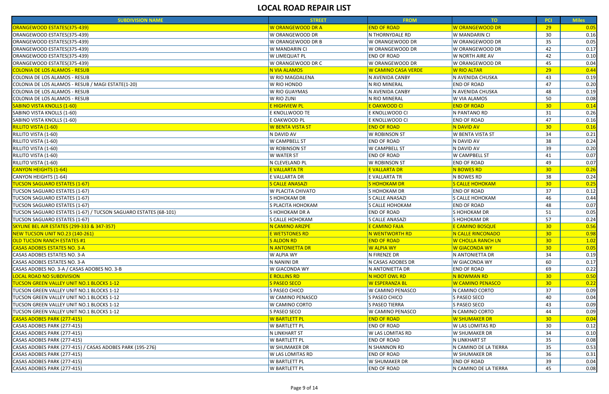| W ORANGEWOOD DR A<br><b>END OF ROAD</b><br>W ORANGEWOOD DR<br>ORANGEWOOD ESTATES(375-439)<br>29<br>0.05<br>ORANGEWOOD ESTATES(375-439)<br>W ORANGEWOOD DR<br>N THORNYDALE RD<br>W MANDARIN CI<br>30<br>0.16<br>35<br>W ORANGEWOOD DR B<br>W ORANGEWOOD DR<br>W ORANGEWOOD DR<br>0.05<br>ORANGEWOOD ESTATES(375-439)<br>42<br>ORANGEWOOD ESTATES(375-439)<br>W MANDARIN CI<br>W ORANGEWOOD DR<br>W ORANGEWOOD DR<br>0.17<br>W LIMEQUAT PL<br><b>END OF ROAD</b><br>W NORTH AIRE AV<br>42<br>0.10<br>45<br>W ORANGEWOOD DR C<br>W ORANGEWOOD DR<br>W ORANGEWOOD DR<br>0.04<br>29<br>0.44<br><b>N VIA ALAMOS</b><br>W CAMINO CASA VERDE<br><b>W RIO ALTAR</b><br>W RIO MAGDALENA<br>N AVENIDA CANBY<br>N AVENIDA CHUSKA<br>43<br>0.19<br>47<br>0.20<br>W RIO HONDO<br>N RIO MINERAL<br><b>END OF ROAD</b><br>W RIO GUAYMAS<br>N AVENIDA CANBY<br>N AVENIDA CHUSKA<br>48<br>0.19<br>W RIO ZUNI<br><b>W VIA ALAMOS</b><br>50<br>0.08<br>N RIO MINERAL<br>30<br><mark>E HIGHVIEW PL</mark><br><mark>E OAKWOOD CI</mark><br><b>END OF ROAD</b><br>0.14<br>SABINO VISTA KNOLLS (1-60)<br>E KNOLLWOOD TE<br>E KNOLLWOOD CI<br>N PANTANO RD<br>31<br>0.26<br>47<br>E OAKWOOD PL<br>E KNOLLWOOD CI<br><b>END OF ROAD</b><br>0.16<br>SABINO VISTA KNOLLS (1-60)<br>30<br><b>W BENTA VISTA ST</b><br><b>END OF ROAD</b><br>N DAVID AV<br>0.16<br>RILLITO VISTA (1-60)<br>W BENTA VISTA ST<br>34<br>N DAVID AV<br><b>W ROBINSON ST</b><br>0.21<br>38<br>0.24<br>W CAMPBELL ST<br>N DAVID AV<br>RILLITO VISTA (1-60)<br><b>END OF ROAD</b><br>39<br>RILLITO VISTA (1-60)<br>W ROBINSON ST<br>N DAVID AV<br>0.20<br><b>W CAMPBELL ST</b><br>RILLITO VISTA (1-60)<br><b>W WATER ST</b><br>0.07<br><b>END OF ROAD</b><br><b>W CAMPBELL ST</b><br>41<br>49<br>RILLITO VISTA (1-60)<br>N CLEVELAND PL<br><b>W ROBINSON ST</b><br><b>END OF ROAD</b><br>0.07<br>30 <sub>2</sub><br><b>CANYON HEIGHTS (1-64)</b><br>E VALLARTA TR<br><b>E VALLARTA DR</b><br><b>N BOWES RD</b><br>0.26<br>N BOWES RD<br>38<br>0.24<br>CANYON HEIGHTS (1-64)<br>E VALLARTA DR<br>E VALLARTA TR<br><b>TUCSON SAGUARO ESTATES (1-67)</b><br>30<br>S CALLE ANASAZI<br><b>SHOHOKAMDR</b><br><mark>S CALLE HOHOKAM</mark><br>0.25<br><b>END OF ROAD</b><br>37<br>TUCSON SAGUARO ESTATES (1-67)<br>W PLACITA CHIVATO<br>S HOHOKAM DR<br>0.12<br>TUCSON SAGUARO ESTATES (1-67)<br>S HOHOKAM DR<br><b>S CALLE ANASAZI</b><br><b>S CALLE HOHOKAM</b><br>46<br>0.44<br><b>END OF ROAD</b><br>0.07<br>TUCSON SAGUARO ESTATES (1-67)<br>S PLACITA HOHOKAM<br>S CALLE HOHOKAM<br>48<br><b>END OF ROAD</b><br>S HOHOKAM DR<br>51<br>0.05<br>TUCSON SAGUARO ESTATES (1-67) / TUCSON SAGUARO ESTATES (68-101)<br>S HOHOKAM DR A<br>57<br>TUCSON SAGUARO ESTATES (1-67)<br>0.24<br>S CALLE HOHOKAM<br>S CALLE ANASAZI<br>S HOHOKAM DR<br>E CAMINO FAJA<br>30 <sub>2</sub><br>N CAMINO ARIZPE<br><b>E CAMINO BOSQUE</b><br>0.56<br><b>NEW TUCSON UNIT NO.23 (140-261)</b><br>30 <sub>o</sub><br>E WETSTONES RD<br><mark>N WENTWORTH RD</mark><br><b>N CALLE RINCONADO</b><br>0.98<br><b>S ALDON RD</b><br><b>END OF ROAD</b><br><b>W CHOLLA RANCH LN</b><br>30 <sub>o</sub><br>1.02<br><b>N ANTONIETTA DR</b><br>W ALPIA WY<br>W GIACONDA WY<br>30 <sub>o</sub><br>0.05<br>W ALPIA WY<br>34<br>N FIRENZE DR<br>N ANTONIETTA DR<br>0.19<br>N NANINI DR<br>N CASAS ADOBES DR<br>W GIACONDA WY<br>0.17<br>60<br>69<br>0.22<br>W GIACONDA WY<br>N ANTONIETTA DR<br><b>END OF ROAD</b><br><b>E ROLLINS RD</b><br>N BOWMAN RD<br>30<br>N HOOT OWL RD<br>0.50<br><b>S PASEO SECO</b><br><mark>W ESPERANZA BL</mark><br><b>TUCSON GREEN VALLEY UNIT NO.1 BLOCKS 1-12</b><br><b>W CAMINO PENASCO</b><br>30 <sub>o</sub><br>0.22<br>37<br>0.09<br>S PASEO CHICO<br><b>W CAMINO PENASCO</b><br>N CAMINO CORTO<br>W CAMINO PENASCO<br>S PASEO CHICO<br>S PASEO SECO<br>0.04<br>40<br><b>S PASEO TIERRA</b><br>S PASEO SECO<br>43<br>0.09<br>W CAMINO CORTO<br>0.09<br>S PASEO SECO<br><b>W CAMINO PENASCO</b><br>N CAMINO CORTO<br>44<br><b>END OF ROAD</b><br>CASAS ADOBES PARK (277-415)<br>W BARTLETT PL<br><b>W SHUMAKER DR</b><br>30 <sub>o</sub><br>0.04<br>30<br>W BARTLETT PL<br><b>END OF ROAD</b><br><b>W LAS LOMITAS RD</b><br>0.12<br>CASAS ADOBES PARK (277-415)<br><b>N LINKHART ST</b><br><b>W LAS LOMITAS RD</b><br><b>W SHUMAKER DR</b><br>34<br>0.10<br>CASAS ADOBES PARK (277-415) | <b>SUBDIVISION NAME</b>                                   | <b>STREET</b> | <b>FROM</b>        | TO            | <b>PCI</b> | <b>Miles</b> |
|----------------------------------------------------------------------------------------------------------------------------------------------------------------------------------------------------------------------------------------------------------------------------------------------------------------------------------------------------------------------------------------------------------------------------------------------------------------------------------------------------------------------------------------------------------------------------------------------------------------------------------------------------------------------------------------------------------------------------------------------------------------------------------------------------------------------------------------------------------------------------------------------------------------------------------------------------------------------------------------------------------------------------------------------------------------------------------------------------------------------------------------------------------------------------------------------------------------------------------------------------------------------------------------------------------------------------------------------------------------------------------------------------------------------------------------------------------------------------------------------------------------------------------------------------------------------------------------------------------------------------------------------------------------------------------------------------------------------------------------------------------------------------------------------------------------------------------------------------------------------------------------------------------------------------------------------------------------------------------------------------------------------------------------------------------------------------------------------------------------------------------------------------------------------------------------------------------------------------------------------------------------------------------------------------------------------------------------------------------------------------------------------------------------------------------------------------------------------------------------------------------------------------------------------------------------------------------------------------------------------------------------------------------------------------------------------------------------------------------------------------------------------------------------------------------------------------------------------------------------------------------------------------------------------------------------------------------------------------------------------------------------------------------------------------------------------------------------------------------------------------------------------------------------------------------------------------------------------------------------------------------------------------------------------------------------------------------------------------------------------------------------------------------------------------------------------------------------------------------------------------------------------------------------------------------------------------------------------------------------------------------------------------------------------------------------------------------------------------------------------------------------------------------------------------------------------------------------------------------------------------------------------------------------------------------------------------------------------------------------------------------------------------------------------------------------------------------------------------------------------------------------------------------------------------------------------------------------------------------------------------------------------------------------------------------------------------------|-----------------------------------------------------------|---------------|--------------------|---------------|------------|--------------|
|                                                                                                                                                                                                                                                                                                                                                                                                                                                                                                                                                                                                                                                                                                                                                                                                                                                                                                                                                                                                                                                                                                                                                                                                                                                                                                                                                                                                                                                                                                                                                                                                                                                                                                                                                                                                                                                                                                                                                                                                                                                                                                                                                                                                                                                                                                                                                                                                                                                                                                                                                                                                                                                                                                                                                                                                                                                                                                                                                                                                                                                                                                                                                                                                                                                                                                                                                                                                                                                                                                                                                                                                                                                                                                                                                                                                                                                                                                                                                                                                                                                                                                                                                                                                                                                                                                                                  |                                                           |               |                    |               |            |              |
|                                                                                                                                                                                                                                                                                                                                                                                                                                                                                                                                                                                                                                                                                                                                                                                                                                                                                                                                                                                                                                                                                                                                                                                                                                                                                                                                                                                                                                                                                                                                                                                                                                                                                                                                                                                                                                                                                                                                                                                                                                                                                                                                                                                                                                                                                                                                                                                                                                                                                                                                                                                                                                                                                                                                                                                                                                                                                                                                                                                                                                                                                                                                                                                                                                                                                                                                                                                                                                                                                                                                                                                                                                                                                                                                                                                                                                                                                                                                                                                                                                                                                                                                                                                                                                                                                                                                  |                                                           |               |                    |               |            |              |
|                                                                                                                                                                                                                                                                                                                                                                                                                                                                                                                                                                                                                                                                                                                                                                                                                                                                                                                                                                                                                                                                                                                                                                                                                                                                                                                                                                                                                                                                                                                                                                                                                                                                                                                                                                                                                                                                                                                                                                                                                                                                                                                                                                                                                                                                                                                                                                                                                                                                                                                                                                                                                                                                                                                                                                                                                                                                                                                                                                                                                                                                                                                                                                                                                                                                                                                                                                                                                                                                                                                                                                                                                                                                                                                                                                                                                                                                                                                                                                                                                                                                                                                                                                                                                                                                                                                                  |                                                           |               |                    |               |            |              |
|                                                                                                                                                                                                                                                                                                                                                                                                                                                                                                                                                                                                                                                                                                                                                                                                                                                                                                                                                                                                                                                                                                                                                                                                                                                                                                                                                                                                                                                                                                                                                                                                                                                                                                                                                                                                                                                                                                                                                                                                                                                                                                                                                                                                                                                                                                                                                                                                                                                                                                                                                                                                                                                                                                                                                                                                                                                                                                                                                                                                                                                                                                                                                                                                                                                                                                                                                                                                                                                                                                                                                                                                                                                                                                                                                                                                                                                                                                                                                                                                                                                                                                                                                                                                                                                                                                                                  |                                                           |               |                    |               |            |              |
|                                                                                                                                                                                                                                                                                                                                                                                                                                                                                                                                                                                                                                                                                                                                                                                                                                                                                                                                                                                                                                                                                                                                                                                                                                                                                                                                                                                                                                                                                                                                                                                                                                                                                                                                                                                                                                                                                                                                                                                                                                                                                                                                                                                                                                                                                                                                                                                                                                                                                                                                                                                                                                                                                                                                                                                                                                                                                                                                                                                                                                                                                                                                                                                                                                                                                                                                                                                                                                                                                                                                                                                                                                                                                                                                                                                                                                                                                                                                                                                                                                                                                                                                                                                                                                                                                                                                  | ORANGEWOOD ESTATES(375-439)                               |               |                    |               |            |              |
|                                                                                                                                                                                                                                                                                                                                                                                                                                                                                                                                                                                                                                                                                                                                                                                                                                                                                                                                                                                                                                                                                                                                                                                                                                                                                                                                                                                                                                                                                                                                                                                                                                                                                                                                                                                                                                                                                                                                                                                                                                                                                                                                                                                                                                                                                                                                                                                                                                                                                                                                                                                                                                                                                                                                                                                                                                                                                                                                                                                                                                                                                                                                                                                                                                                                                                                                                                                                                                                                                                                                                                                                                                                                                                                                                                                                                                                                                                                                                                                                                                                                                                                                                                                                                                                                                                                                  | ORANGEWOOD ESTATES(375-439)                               |               |                    |               |            |              |
|                                                                                                                                                                                                                                                                                                                                                                                                                                                                                                                                                                                                                                                                                                                                                                                                                                                                                                                                                                                                                                                                                                                                                                                                                                                                                                                                                                                                                                                                                                                                                                                                                                                                                                                                                                                                                                                                                                                                                                                                                                                                                                                                                                                                                                                                                                                                                                                                                                                                                                                                                                                                                                                                                                                                                                                                                                                                                                                                                                                                                                                                                                                                                                                                                                                                                                                                                                                                                                                                                                                                                                                                                                                                                                                                                                                                                                                                                                                                                                                                                                                                                                                                                                                                                                                                                                                                  | <b>COLONIA DE LOS ALAMOS - RESUB</b>                      |               |                    |               |            |              |
|                                                                                                                                                                                                                                                                                                                                                                                                                                                                                                                                                                                                                                                                                                                                                                                                                                                                                                                                                                                                                                                                                                                                                                                                                                                                                                                                                                                                                                                                                                                                                                                                                                                                                                                                                                                                                                                                                                                                                                                                                                                                                                                                                                                                                                                                                                                                                                                                                                                                                                                                                                                                                                                                                                                                                                                                                                                                                                                                                                                                                                                                                                                                                                                                                                                                                                                                                                                                                                                                                                                                                                                                                                                                                                                                                                                                                                                                                                                                                                                                                                                                                                                                                                                                                                                                                                                                  | COLONIA DE LOS ALAMOS - RESUB                             |               |                    |               |            |              |
|                                                                                                                                                                                                                                                                                                                                                                                                                                                                                                                                                                                                                                                                                                                                                                                                                                                                                                                                                                                                                                                                                                                                                                                                                                                                                                                                                                                                                                                                                                                                                                                                                                                                                                                                                                                                                                                                                                                                                                                                                                                                                                                                                                                                                                                                                                                                                                                                                                                                                                                                                                                                                                                                                                                                                                                                                                                                                                                                                                                                                                                                                                                                                                                                                                                                                                                                                                                                                                                                                                                                                                                                                                                                                                                                                                                                                                                                                                                                                                                                                                                                                                                                                                                                                                                                                                                                  | COLONIA DE LOS ALAMOS - RESUB / MAGI ESTATE(1-20)         |               |                    |               |            |              |
|                                                                                                                                                                                                                                                                                                                                                                                                                                                                                                                                                                                                                                                                                                                                                                                                                                                                                                                                                                                                                                                                                                                                                                                                                                                                                                                                                                                                                                                                                                                                                                                                                                                                                                                                                                                                                                                                                                                                                                                                                                                                                                                                                                                                                                                                                                                                                                                                                                                                                                                                                                                                                                                                                                                                                                                                                                                                                                                                                                                                                                                                                                                                                                                                                                                                                                                                                                                                                                                                                                                                                                                                                                                                                                                                                                                                                                                                                                                                                                                                                                                                                                                                                                                                                                                                                                                                  | COLONIA DE LOS ALAMOS - RESUB                             |               |                    |               |            |              |
|                                                                                                                                                                                                                                                                                                                                                                                                                                                                                                                                                                                                                                                                                                                                                                                                                                                                                                                                                                                                                                                                                                                                                                                                                                                                                                                                                                                                                                                                                                                                                                                                                                                                                                                                                                                                                                                                                                                                                                                                                                                                                                                                                                                                                                                                                                                                                                                                                                                                                                                                                                                                                                                                                                                                                                                                                                                                                                                                                                                                                                                                                                                                                                                                                                                                                                                                                                                                                                                                                                                                                                                                                                                                                                                                                                                                                                                                                                                                                                                                                                                                                                                                                                                                                                                                                                                                  | COLONIA DE LOS ALAMOS - RESUB                             |               |                    |               |            |              |
|                                                                                                                                                                                                                                                                                                                                                                                                                                                                                                                                                                                                                                                                                                                                                                                                                                                                                                                                                                                                                                                                                                                                                                                                                                                                                                                                                                                                                                                                                                                                                                                                                                                                                                                                                                                                                                                                                                                                                                                                                                                                                                                                                                                                                                                                                                                                                                                                                                                                                                                                                                                                                                                                                                                                                                                                                                                                                                                                                                                                                                                                                                                                                                                                                                                                                                                                                                                                                                                                                                                                                                                                                                                                                                                                                                                                                                                                                                                                                                                                                                                                                                                                                                                                                                                                                                                                  | <b>SABINO VISTA KNOLLS (1-60)</b>                         |               |                    |               |            |              |
|                                                                                                                                                                                                                                                                                                                                                                                                                                                                                                                                                                                                                                                                                                                                                                                                                                                                                                                                                                                                                                                                                                                                                                                                                                                                                                                                                                                                                                                                                                                                                                                                                                                                                                                                                                                                                                                                                                                                                                                                                                                                                                                                                                                                                                                                                                                                                                                                                                                                                                                                                                                                                                                                                                                                                                                                                                                                                                                                                                                                                                                                                                                                                                                                                                                                                                                                                                                                                                                                                                                                                                                                                                                                                                                                                                                                                                                                                                                                                                                                                                                                                                                                                                                                                                                                                                                                  |                                                           |               |                    |               |            |              |
|                                                                                                                                                                                                                                                                                                                                                                                                                                                                                                                                                                                                                                                                                                                                                                                                                                                                                                                                                                                                                                                                                                                                                                                                                                                                                                                                                                                                                                                                                                                                                                                                                                                                                                                                                                                                                                                                                                                                                                                                                                                                                                                                                                                                                                                                                                                                                                                                                                                                                                                                                                                                                                                                                                                                                                                                                                                                                                                                                                                                                                                                                                                                                                                                                                                                                                                                                                                                                                                                                                                                                                                                                                                                                                                                                                                                                                                                                                                                                                                                                                                                                                                                                                                                                                                                                                                                  |                                                           |               |                    |               |            |              |
|                                                                                                                                                                                                                                                                                                                                                                                                                                                                                                                                                                                                                                                                                                                                                                                                                                                                                                                                                                                                                                                                                                                                                                                                                                                                                                                                                                                                                                                                                                                                                                                                                                                                                                                                                                                                                                                                                                                                                                                                                                                                                                                                                                                                                                                                                                                                                                                                                                                                                                                                                                                                                                                                                                                                                                                                                                                                                                                                                                                                                                                                                                                                                                                                                                                                                                                                                                                                                                                                                                                                                                                                                                                                                                                                                                                                                                                                                                                                                                                                                                                                                                                                                                                                                                                                                                                                  | <b>RILLITO VISTA (1-60)</b>                               |               |                    |               |            |              |
|                                                                                                                                                                                                                                                                                                                                                                                                                                                                                                                                                                                                                                                                                                                                                                                                                                                                                                                                                                                                                                                                                                                                                                                                                                                                                                                                                                                                                                                                                                                                                                                                                                                                                                                                                                                                                                                                                                                                                                                                                                                                                                                                                                                                                                                                                                                                                                                                                                                                                                                                                                                                                                                                                                                                                                                                                                                                                                                                                                                                                                                                                                                                                                                                                                                                                                                                                                                                                                                                                                                                                                                                                                                                                                                                                                                                                                                                                                                                                                                                                                                                                                                                                                                                                                                                                                                                  |                                                           |               |                    |               |            |              |
|                                                                                                                                                                                                                                                                                                                                                                                                                                                                                                                                                                                                                                                                                                                                                                                                                                                                                                                                                                                                                                                                                                                                                                                                                                                                                                                                                                                                                                                                                                                                                                                                                                                                                                                                                                                                                                                                                                                                                                                                                                                                                                                                                                                                                                                                                                                                                                                                                                                                                                                                                                                                                                                                                                                                                                                                                                                                                                                                                                                                                                                                                                                                                                                                                                                                                                                                                                                                                                                                                                                                                                                                                                                                                                                                                                                                                                                                                                                                                                                                                                                                                                                                                                                                                                                                                                                                  |                                                           |               |                    |               |            |              |
|                                                                                                                                                                                                                                                                                                                                                                                                                                                                                                                                                                                                                                                                                                                                                                                                                                                                                                                                                                                                                                                                                                                                                                                                                                                                                                                                                                                                                                                                                                                                                                                                                                                                                                                                                                                                                                                                                                                                                                                                                                                                                                                                                                                                                                                                                                                                                                                                                                                                                                                                                                                                                                                                                                                                                                                                                                                                                                                                                                                                                                                                                                                                                                                                                                                                                                                                                                                                                                                                                                                                                                                                                                                                                                                                                                                                                                                                                                                                                                                                                                                                                                                                                                                                                                                                                                                                  |                                                           |               |                    |               |            |              |
|                                                                                                                                                                                                                                                                                                                                                                                                                                                                                                                                                                                                                                                                                                                                                                                                                                                                                                                                                                                                                                                                                                                                                                                                                                                                                                                                                                                                                                                                                                                                                                                                                                                                                                                                                                                                                                                                                                                                                                                                                                                                                                                                                                                                                                                                                                                                                                                                                                                                                                                                                                                                                                                                                                                                                                                                                                                                                                                                                                                                                                                                                                                                                                                                                                                                                                                                                                                                                                                                                                                                                                                                                                                                                                                                                                                                                                                                                                                                                                                                                                                                                                                                                                                                                                                                                                                                  |                                                           |               |                    |               |            |              |
|                                                                                                                                                                                                                                                                                                                                                                                                                                                                                                                                                                                                                                                                                                                                                                                                                                                                                                                                                                                                                                                                                                                                                                                                                                                                                                                                                                                                                                                                                                                                                                                                                                                                                                                                                                                                                                                                                                                                                                                                                                                                                                                                                                                                                                                                                                                                                                                                                                                                                                                                                                                                                                                                                                                                                                                                                                                                                                                                                                                                                                                                                                                                                                                                                                                                                                                                                                                                                                                                                                                                                                                                                                                                                                                                                                                                                                                                                                                                                                                                                                                                                                                                                                                                                                                                                                                                  |                                                           |               |                    |               |            |              |
|                                                                                                                                                                                                                                                                                                                                                                                                                                                                                                                                                                                                                                                                                                                                                                                                                                                                                                                                                                                                                                                                                                                                                                                                                                                                                                                                                                                                                                                                                                                                                                                                                                                                                                                                                                                                                                                                                                                                                                                                                                                                                                                                                                                                                                                                                                                                                                                                                                                                                                                                                                                                                                                                                                                                                                                                                                                                                                                                                                                                                                                                                                                                                                                                                                                                                                                                                                                                                                                                                                                                                                                                                                                                                                                                                                                                                                                                                                                                                                                                                                                                                                                                                                                                                                                                                                                                  |                                                           |               |                    |               |            |              |
|                                                                                                                                                                                                                                                                                                                                                                                                                                                                                                                                                                                                                                                                                                                                                                                                                                                                                                                                                                                                                                                                                                                                                                                                                                                                                                                                                                                                                                                                                                                                                                                                                                                                                                                                                                                                                                                                                                                                                                                                                                                                                                                                                                                                                                                                                                                                                                                                                                                                                                                                                                                                                                                                                                                                                                                                                                                                                                                                                                                                                                                                                                                                                                                                                                                                                                                                                                                                                                                                                                                                                                                                                                                                                                                                                                                                                                                                                                                                                                                                                                                                                                                                                                                                                                                                                                                                  |                                                           |               |                    |               |            |              |
|                                                                                                                                                                                                                                                                                                                                                                                                                                                                                                                                                                                                                                                                                                                                                                                                                                                                                                                                                                                                                                                                                                                                                                                                                                                                                                                                                                                                                                                                                                                                                                                                                                                                                                                                                                                                                                                                                                                                                                                                                                                                                                                                                                                                                                                                                                                                                                                                                                                                                                                                                                                                                                                                                                                                                                                                                                                                                                                                                                                                                                                                                                                                                                                                                                                                                                                                                                                                                                                                                                                                                                                                                                                                                                                                                                                                                                                                                                                                                                                                                                                                                                                                                                                                                                                                                                                                  |                                                           |               |                    |               |            |              |
|                                                                                                                                                                                                                                                                                                                                                                                                                                                                                                                                                                                                                                                                                                                                                                                                                                                                                                                                                                                                                                                                                                                                                                                                                                                                                                                                                                                                                                                                                                                                                                                                                                                                                                                                                                                                                                                                                                                                                                                                                                                                                                                                                                                                                                                                                                                                                                                                                                                                                                                                                                                                                                                                                                                                                                                                                                                                                                                                                                                                                                                                                                                                                                                                                                                                                                                                                                                                                                                                                                                                                                                                                                                                                                                                                                                                                                                                                                                                                                                                                                                                                                                                                                                                                                                                                                                                  |                                                           |               |                    |               |            |              |
|                                                                                                                                                                                                                                                                                                                                                                                                                                                                                                                                                                                                                                                                                                                                                                                                                                                                                                                                                                                                                                                                                                                                                                                                                                                                                                                                                                                                                                                                                                                                                                                                                                                                                                                                                                                                                                                                                                                                                                                                                                                                                                                                                                                                                                                                                                                                                                                                                                                                                                                                                                                                                                                                                                                                                                                                                                                                                                                                                                                                                                                                                                                                                                                                                                                                                                                                                                                                                                                                                                                                                                                                                                                                                                                                                                                                                                                                                                                                                                                                                                                                                                                                                                                                                                                                                                                                  |                                                           |               |                    |               |            |              |
|                                                                                                                                                                                                                                                                                                                                                                                                                                                                                                                                                                                                                                                                                                                                                                                                                                                                                                                                                                                                                                                                                                                                                                                                                                                                                                                                                                                                                                                                                                                                                                                                                                                                                                                                                                                                                                                                                                                                                                                                                                                                                                                                                                                                                                                                                                                                                                                                                                                                                                                                                                                                                                                                                                                                                                                                                                                                                                                                                                                                                                                                                                                                                                                                                                                                                                                                                                                                                                                                                                                                                                                                                                                                                                                                                                                                                                                                                                                                                                                                                                                                                                                                                                                                                                                                                                                                  |                                                           |               |                    |               |            |              |
|                                                                                                                                                                                                                                                                                                                                                                                                                                                                                                                                                                                                                                                                                                                                                                                                                                                                                                                                                                                                                                                                                                                                                                                                                                                                                                                                                                                                                                                                                                                                                                                                                                                                                                                                                                                                                                                                                                                                                                                                                                                                                                                                                                                                                                                                                                                                                                                                                                                                                                                                                                                                                                                                                                                                                                                                                                                                                                                                                                                                                                                                                                                                                                                                                                                                                                                                                                                                                                                                                                                                                                                                                                                                                                                                                                                                                                                                                                                                                                                                                                                                                                                                                                                                                                                                                                                                  |                                                           |               |                    |               |            |              |
|                                                                                                                                                                                                                                                                                                                                                                                                                                                                                                                                                                                                                                                                                                                                                                                                                                                                                                                                                                                                                                                                                                                                                                                                                                                                                                                                                                                                                                                                                                                                                                                                                                                                                                                                                                                                                                                                                                                                                                                                                                                                                                                                                                                                                                                                                                                                                                                                                                                                                                                                                                                                                                                                                                                                                                                                                                                                                                                                                                                                                                                                                                                                                                                                                                                                                                                                                                                                                                                                                                                                                                                                                                                                                                                                                                                                                                                                                                                                                                                                                                                                                                                                                                                                                                                                                                                                  |                                                           |               |                    |               |            |              |
|                                                                                                                                                                                                                                                                                                                                                                                                                                                                                                                                                                                                                                                                                                                                                                                                                                                                                                                                                                                                                                                                                                                                                                                                                                                                                                                                                                                                                                                                                                                                                                                                                                                                                                                                                                                                                                                                                                                                                                                                                                                                                                                                                                                                                                                                                                                                                                                                                                                                                                                                                                                                                                                                                                                                                                                                                                                                                                                                                                                                                                                                                                                                                                                                                                                                                                                                                                                                                                                                                                                                                                                                                                                                                                                                                                                                                                                                                                                                                                                                                                                                                                                                                                                                                                                                                                                                  | <b>SKYLINE BEL AIR ESTATES (299-333 &amp; 347-357)</b>    |               |                    |               |            |              |
|                                                                                                                                                                                                                                                                                                                                                                                                                                                                                                                                                                                                                                                                                                                                                                                                                                                                                                                                                                                                                                                                                                                                                                                                                                                                                                                                                                                                                                                                                                                                                                                                                                                                                                                                                                                                                                                                                                                                                                                                                                                                                                                                                                                                                                                                                                                                                                                                                                                                                                                                                                                                                                                                                                                                                                                                                                                                                                                                                                                                                                                                                                                                                                                                                                                                                                                                                                                                                                                                                                                                                                                                                                                                                                                                                                                                                                                                                                                                                                                                                                                                                                                                                                                                                                                                                                                                  |                                                           |               |                    |               |            |              |
|                                                                                                                                                                                                                                                                                                                                                                                                                                                                                                                                                                                                                                                                                                                                                                                                                                                                                                                                                                                                                                                                                                                                                                                                                                                                                                                                                                                                                                                                                                                                                                                                                                                                                                                                                                                                                                                                                                                                                                                                                                                                                                                                                                                                                                                                                                                                                                                                                                                                                                                                                                                                                                                                                                                                                                                                                                                                                                                                                                                                                                                                                                                                                                                                                                                                                                                                                                                                                                                                                                                                                                                                                                                                                                                                                                                                                                                                                                                                                                                                                                                                                                                                                                                                                                                                                                                                  | <b>OLD TUCSON RANCH ESTATES #1</b>                        |               |                    |               |            |              |
|                                                                                                                                                                                                                                                                                                                                                                                                                                                                                                                                                                                                                                                                                                                                                                                                                                                                                                                                                                                                                                                                                                                                                                                                                                                                                                                                                                                                                                                                                                                                                                                                                                                                                                                                                                                                                                                                                                                                                                                                                                                                                                                                                                                                                                                                                                                                                                                                                                                                                                                                                                                                                                                                                                                                                                                                                                                                                                                                                                                                                                                                                                                                                                                                                                                                                                                                                                                                                                                                                                                                                                                                                                                                                                                                                                                                                                                                                                                                                                                                                                                                                                                                                                                                                                                                                                                                  | <b>CASAS ADOBES ESTATES NO. 3-A</b>                       |               |                    |               |            |              |
|                                                                                                                                                                                                                                                                                                                                                                                                                                                                                                                                                                                                                                                                                                                                                                                                                                                                                                                                                                                                                                                                                                                                                                                                                                                                                                                                                                                                                                                                                                                                                                                                                                                                                                                                                                                                                                                                                                                                                                                                                                                                                                                                                                                                                                                                                                                                                                                                                                                                                                                                                                                                                                                                                                                                                                                                                                                                                                                                                                                                                                                                                                                                                                                                                                                                                                                                                                                                                                                                                                                                                                                                                                                                                                                                                                                                                                                                                                                                                                                                                                                                                                                                                                                                                                                                                                                                  | CASAS ADOBES ESTATES NO. 3-A                              |               |                    |               |            |              |
|                                                                                                                                                                                                                                                                                                                                                                                                                                                                                                                                                                                                                                                                                                                                                                                                                                                                                                                                                                                                                                                                                                                                                                                                                                                                                                                                                                                                                                                                                                                                                                                                                                                                                                                                                                                                                                                                                                                                                                                                                                                                                                                                                                                                                                                                                                                                                                                                                                                                                                                                                                                                                                                                                                                                                                                                                                                                                                                                                                                                                                                                                                                                                                                                                                                                                                                                                                                                                                                                                                                                                                                                                                                                                                                                                                                                                                                                                                                                                                                                                                                                                                                                                                                                                                                                                                                                  | CASAS ADOBES ESTATES NO. 3-A                              |               |                    |               |            |              |
|                                                                                                                                                                                                                                                                                                                                                                                                                                                                                                                                                                                                                                                                                                                                                                                                                                                                                                                                                                                                                                                                                                                                                                                                                                                                                                                                                                                                                                                                                                                                                                                                                                                                                                                                                                                                                                                                                                                                                                                                                                                                                                                                                                                                                                                                                                                                                                                                                                                                                                                                                                                                                                                                                                                                                                                                                                                                                                                                                                                                                                                                                                                                                                                                                                                                                                                                                                                                                                                                                                                                                                                                                                                                                                                                                                                                                                                                                                                                                                                                                                                                                                                                                                                                                                                                                                                                  | CASAS ADOBES NO. 3-A / CASAS ADOBES NO. 3-B               |               |                    |               |            |              |
|                                                                                                                                                                                                                                                                                                                                                                                                                                                                                                                                                                                                                                                                                                                                                                                                                                                                                                                                                                                                                                                                                                                                                                                                                                                                                                                                                                                                                                                                                                                                                                                                                                                                                                                                                                                                                                                                                                                                                                                                                                                                                                                                                                                                                                                                                                                                                                                                                                                                                                                                                                                                                                                                                                                                                                                                                                                                                                                                                                                                                                                                                                                                                                                                                                                                                                                                                                                                                                                                                                                                                                                                                                                                                                                                                                                                                                                                                                                                                                                                                                                                                                                                                                                                                                                                                                                                  | <b>LOCAL ROAD NO SUBDIVISION</b>                          |               |                    |               |            |              |
|                                                                                                                                                                                                                                                                                                                                                                                                                                                                                                                                                                                                                                                                                                                                                                                                                                                                                                                                                                                                                                                                                                                                                                                                                                                                                                                                                                                                                                                                                                                                                                                                                                                                                                                                                                                                                                                                                                                                                                                                                                                                                                                                                                                                                                                                                                                                                                                                                                                                                                                                                                                                                                                                                                                                                                                                                                                                                                                                                                                                                                                                                                                                                                                                                                                                                                                                                                                                                                                                                                                                                                                                                                                                                                                                                                                                                                                                                                                                                                                                                                                                                                                                                                                                                                                                                                                                  |                                                           |               |                    |               |            |              |
|                                                                                                                                                                                                                                                                                                                                                                                                                                                                                                                                                                                                                                                                                                                                                                                                                                                                                                                                                                                                                                                                                                                                                                                                                                                                                                                                                                                                                                                                                                                                                                                                                                                                                                                                                                                                                                                                                                                                                                                                                                                                                                                                                                                                                                                                                                                                                                                                                                                                                                                                                                                                                                                                                                                                                                                                                                                                                                                                                                                                                                                                                                                                                                                                                                                                                                                                                                                                                                                                                                                                                                                                                                                                                                                                                                                                                                                                                                                                                                                                                                                                                                                                                                                                                                                                                                                                  | TUCSON GREEN VALLEY UNIT NO.1 BLOCKS 1-12                 |               |                    |               |            |              |
|                                                                                                                                                                                                                                                                                                                                                                                                                                                                                                                                                                                                                                                                                                                                                                                                                                                                                                                                                                                                                                                                                                                                                                                                                                                                                                                                                                                                                                                                                                                                                                                                                                                                                                                                                                                                                                                                                                                                                                                                                                                                                                                                                                                                                                                                                                                                                                                                                                                                                                                                                                                                                                                                                                                                                                                                                                                                                                                                                                                                                                                                                                                                                                                                                                                                                                                                                                                                                                                                                                                                                                                                                                                                                                                                                                                                                                                                                                                                                                                                                                                                                                                                                                                                                                                                                                                                  | TUCSON GREEN VALLEY UNIT NO.1 BLOCKS 1-12                 |               |                    |               |            |              |
|                                                                                                                                                                                                                                                                                                                                                                                                                                                                                                                                                                                                                                                                                                                                                                                                                                                                                                                                                                                                                                                                                                                                                                                                                                                                                                                                                                                                                                                                                                                                                                                                                                                                                                                                                                                                                                                                                                                                                                                                                                                                                                                                                                                                                                                                                                                                                                                                                                                                                                                                                                                                                                                                                                                                                                                                                                                                                                                                                                                                                                                                                                                                                                                                                                                                                                                                                                                                                                                                                                                                                                                                                                                                                                                                                                                                                                                                                                                                                                                                                                                                                                                                                                                                                                                                                                                                  | TUCSON GREEN VALLEY UNIT NO.1 BLOCKS 1-12                 |               |                    |               |            |              |
|                                                                                                                                                                                                                                                                                                                                                                                                                                                                                                                                                                                                                                                                                                                                                                                                                                                                                                                                                                                                                                                                                                                                                                                                                                                                                                                                                                                                                                                                                                                                                                                                                                                                                                                                                                                                                                                                                                                                                                                                                                                                                                                                                                                                                                                                                                                                                                                                                                                                                                                                                                                                                                                                                                                                                                                                                                                                                                                                                                                                                                                                                                                                                                                                                                                                                                                                                                                                                                                                                                                                                                                                                                                                                                                                                                                                                                                                                                                                                                                                                                                                                                                                                                                                                                                                                                                                  | TUCSON GREEN VALLEY UNIT NO.1 BLOCKS 1-12                 |               |                    |               |            |              |
|                                                                                                                                                                                                                                                                                                                                                                                                                                                                                                                                                                                                                                                                                                                                                                                                                                                                                                                                                                                                                                                                                                                                                                                                                                                                                                                                                                                                                                                                                                                                                                                                                                                                                                                                                                                                                                                                                                                                                                                                                                                                                                                                                                                                                                                                                                                                                                                                                                                                                                                                                                                                                                                                                                                                                                                                                                                                                                                                                                                                                                                                                                                                                                                                                                                                                                                                                                                                                                                                                                                                                                                                                                                                                                                                                                                                                                                                                                                                                                                                                                                                                                                                                                                                                                                                                                                                  |                                                           |               |                    |               |            |              |
|                                                                                                                                                                                                                                                                                                                                                                                                                                                                                                                                                                                                                                                                                                                                                                                                                                                                                                                                                                                                                                                                                                                                                                                                                                                                                                                                                                                                                                                                                                                                                                                                                                                                                                                                                                                                                                                                                                                                                                                                                                                                                                                                                                                                                                                                                                                                                                                                                                                                                                                                                                                                                                                                                                                                                                                                                                                                                                                                                                                                                                                                                                                                                                                                                                                                                                                                                                                                                                                                                                                                                                                                                                                                                                                                                                                                                                                                                                                                                                                                                                                                                                                                                                                                                                                                                                                                  |                                                           |               |                    |               |            |              |
|                                                                                                                                                                                                                                                                                                                                                                                                                                                                                                                                                                                                                                                                                                                                                                                                                                                                                                                                                                                                                                                                                                                                                                                                                                                                                                                                                                                                                                                                                                                                                                                                                                                                                                                                                                                                                                                                                                                                                                                                                                                                                                                                                                                                                                                                                                                                                                                                                                                                                                                                                                                                                                                                                                                                                                                                                                                                                                                                                                                                                                                                                                                                                                                                                                                                                                                                                                                                                                                                                                                                                                                                                                                                                                                                                                                                                                                                                                                                                                                                                                                                                                                                                                                                                                                                                                                                  |                                                           |               |                    |               |            |              |
|                                                                                                                                                                                                                                                                                                                                                                                                                                                                                                                                                                                                                                                                                                                                                                                                                                                                                                                                                                                                                                                                                                                                                                                                                                                                                                                                                                                                                                                                                                                                                                                                                                                                                                                                                                                                                                                                                                                                                                                                                                                                                                                                                                                                                                                                                                                                                                                                                                                                                                                                                                                                                                                                                                                                                                                                                                                                                                                                                                                                                                                                                                                                                                                                                                                                                                                                                                                                                                                                                                                                                                                                                                                                                                                                                                                                                                                                                                                                                                                                                                                                                                                                                                                                                                                                                                                                  | CASAS ADOBES PARK (277-415)                               | W BARTLETT PL | <b>END OF ROAD</b> | N LINKHART ST | 35         | 0.08         |
| W SHUMAKER DR<br>35<br>0.53<br>N SHANNON RD<br>N CAMINO DE LA TIERRA                                                                                                                                                                                                                                                                                                                                                                                                                                                                                                                                                                                                                                                                                                                                                                                                                                                                                                                                                                                                                                                                                                                                                                                                                                                                                                                                                                                                                                                                                                                                                                                                                                                                                                                                                                                                                                                                                                                                                                                                                                                                                                                                                                                                                                                                                                                                                                                                                                                                                                                                                                                                                                                                                                                                                                                                                                                                                                                                                                                                                                                                                                                                                                                                                                                                                                                                                                                                                                                                                                                                                                                                                                                                                                                                                                                                                                                                                                                                                                                                                                                                                                                                                                                                                                                             | CASAS ADOBES PARK (277-415) / CASAS ADOBES PARK (195-276) |               |                    |               |            |              |
| <b>END OF ROAD</b><br><b>W SHUMAKER DR</b><br>36<br>0.31<br>W LAS LOMITAS RD                                                                                                                                                                                                                                                                                                                                                                                                                                                                                                                                                                                                                                                                                                                                                                                                                                                                                                                                                                                                                                                                                                                                                                                                                                                                                                                                                                                                                                                                                                                                                                                                                                                                                                                                                                                                                                                                                                                                                                                                                                                                                                                                                                                                                                                                                                                                                                                                                                                                                                                                                                                                                                                                                                                                                                                                                                                                                                                                                                                                                                                                                                                                                                                                                                                                                                                                                                                                                                                                                                                                                                                                                                                                                                                                                                                                                                                                                                                                                                                                                                                                                                                                                                                                                                                     | CASAS ADOBES PARK (277-415)                               |               |                    |               |            |              |
| <b>W BARTLETT PL</b><br><b>END OF ROAD</b><br>39<br>0.04<br><b>W SHUMAKER DR</b>                                                                                                                                                                                                                                                                                                                                                                                                                                                                                                                                                                                                                                                                                                                                                                                                                                                                                                                                                                                                                                                                                                                                                                                                                                                                                                                                                                                                                                                                                                                                                                                                                                                                                                                                                                                                                                                                                                                                                                                                                                                                                                                                                                                                                                                                                                                                                                                                                                                                                                                                                                                                                                                                                                                                                                                                                                                                                                                                                                                                                                                                                                                                                                                                                                                                                                                                                                                                                                                                                                                                                                                                                                                                                                                                                                                                                                                                                                                                                                                                                                                                                                                                                                                                                                                 | CASAS ADOBES PARK (277-415)                               |               |                    |               |            |              |
| W BARTLETT PL<br><b>END OF ROAD</b><br>N CAMINO DE LA TIERRA<br>45<br>0.08                                                                                                                                                                                                                                                                                                                                                                                                                                                                                                                                                                                                                                                                                                                                                                                                                                                                                                                                                                                                                                                                                                                                                                                                                                                                                                                                                                                                                                                                                                                                                                                                                                                                                                                                                                                                                                                                                                                                                                                                                                                                                                                                                                                                                                                                                                                                                                                                                                                                                                                                                                                                                                                                                                                                                                                                                                                                                                                                                                                                                                                                                                                                                                                                                                                                                                                                                                                                                                                                                                                                                                                                                                                                                                                                                                                                                                                                                                                                                                                                                                                                                                                                                                                                                                                       | CASAS ADOBES PARK (277-415)                               |               |                    |               |            |              |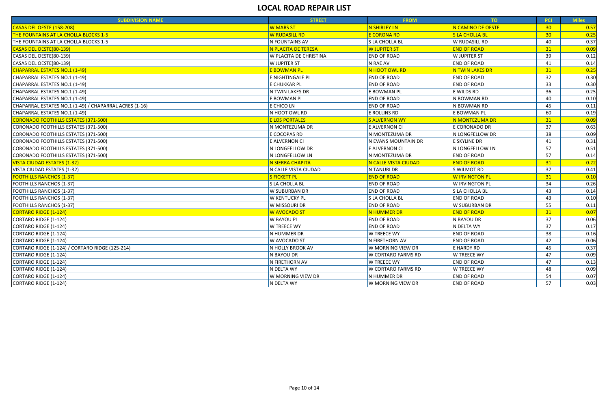| <b>SUBDIVISION NAME</b>                                | <b>STREET</b>           | <b>FROM</b>               | TO                    | <b>PCI</b>      | <b>Miles</b> |
|--------------------------------------------------------|-------------------------|---------------------------|-----------------------|-----------------|--------------|
| CASAS DEL OESTE (158-208)                              | <b>W MARS ST</b>        | <b>N SHIRLEY LN</b>       | N CAMINO DE OESTE     | 30 <sub>o</sub> | 0.57         |
| THE FOUNTAINS AT LA CHOLLA BLOCKS 1-5                  | <b>W RUDASILL RD</b>    | <b>E CORONA RD</b>        | <b>S LA CHOLLA BL</b> | 30 <sub>o</sub> | 0.25         |
| THE FOUNTAINS AT LA CHOLLA BLOCKS 1-5                  | N FOUNTAINS AV          | S LA CHOLLA BL            | <b>W RUDASILL RD</b>  | 40              | 0.37         |
| CASAS DEL OESTE(80-139)                                | N PLACITA DE TERESA     | W JUPITER ST              | <b>END OF ROAD</b>    | 31              | 0.09         |
| CASAS DEL OESTE(80-139)                                | W PLACITA DE CHRISTINA  | <b>END OF ROAD</b>        | <b>W JUPITER ST</b>   | 39              | 0.12         |
| CASAS DEL OESTE(80-139)                                | W JUPITER ST            | N RAE AV                  | <b>END OF ROAD</b>    | 41              | 0.14         |
| CHAPARRAL ESTATES NO.1 (1-49)                          | <b>E BOWMAN PL</b>      | N HOOT OWL RD             | N TWIN LAKES DR       | 31              | 0.25         |
| CHAPARRAL ESTATES NO.1 (1-49)                          | E NIGHTINGALE PL        | <b>END OF ROAD</b>        | <b>END OF ROAD</b>    | 32              | 0.30         |
| CHAPARRAL ESTATES NO.1 (1-49)                          | E CHUKKAR PL            | <b>END OF ROAD</b>        | <b>END OF ROAD</b>    | 33              | 0.30         |
| CHAPARRAL ESTATES NO.1 (1-49)                          | N TWIN LAKES DR         | E BOWMAN PL               | E WILDS RD            | 36              | 0.25         |
| CHAPARRAL ESTATES NO.1 (1-49)                          | E BOWMAN PL             | <b>END OF ROAD</b>        | N BOWMAN RD           | 40              | 0.10         |
| CHAPARRAL ESTATES NO.1 (1-49) / CHAPARRAL ACRES (1-16) | E CHICO LN              | <b>END OF ROAD</b>        | N BOWMAN RD           | 45              | 0.11         |
| CHAPARRAL ESTATES NO.1 (1-49)                          | N HOOT OWL RD           | E ROLLINS RD              | E BOWMAN PL           | 60              | 0.19         |
| <b>CORONADO FOOTHILLS ESTATES (371-500)</b>            | <b>E LOS PORTALES</b>   | <b>S ALVERNON WY</b>      | N MONTEZUMA DR        | 31              | 0.09         |
| CORONADO FOOTHILLS ESTATES (371-500)                   | IN MONTEZUMA DR         | E ALVERNON CI             | E CORONADO DR         | 37              | 0.63         |
| CORONADO FOOTHILLS ESTATES (371-500)                   | E COCOPAS RD            | N MONTEZUMA DR            | N LONGFELLOW DR       | 38              | 0.09         |
| CORONADO FOOTHILLS ESTATES (371-500)                   | E ALVERNON CI           | N EVANS MOUNTAIN DR       | <b>E SKYLINE DR</b>   | 41              | 0.31         |
| CORONADO FOOTHILLS ESTATES (371-500)                   | N LONGFELLOW DR         | E ALVERNON CI             | N LONGFELLOW LN       | 57              | 0.51         |
| CORONADO FOOTHILLS ESTATES (371-500)                   | N LONGFELLOW LN         | N MONTEZUMA DR            | <b>END OF ROAD</b>    | 57              | 0.14         |
| <b>VISTA CIUDAD ESTATES (1-32)</b>                     | N SIERRA CHAPITA        | N CALLE VISTA CIUDAD      | <b>END OF ROAD</b>    | 31              | 0.22         |
| VISTA CIUDAD ESTATES (1-32)                            | N CALLE VISTA CIUDAD    | N TANURI DR               | S WILMOT RD           | 37              | 0.41         |
| <b>FOOTHILLS RANCHOS (1-37)</b>                        | <b>S FICKETT PL</b>     | <b>END OF ROAD</b>        | W IRVINGTON PL        | 31              | 0.10         |
| <b>FOOTHILLS RANCHOS (1-37)</b>                        | S LA CHOLLA BL          | <b>END OF ROAD</b>        | W IRVINGTON PL        | 34              | 0.26         |
| FOOTHILLS RANCHOS (1-37)                               | W SUBURBAN DR           | <b>END OF ROAD</b>        | S LA CHOLLA BL        | 43              | 0.14         |
| <b>FOOTHILLS RANCHOS (1-37)</b>                        | <b>W KENTUCKY PL</b>    | S LA CHOLLA BL            | <b>END OF ROAD</b>    | 43              | 0.10         |
| <b>FOOTHILLS RANCHOS (1-37)</b>                        | W MISSOURI DR           | <b>END OF ROAD</b>        | W SUBURBAN DR         | 55              | 0.11         |
| <b>CORTARO RIDGE (1-124)</b>                           | <b>W AVOCADO ST</b>     | <b>N HUMMER DR</b>        | <b>END OF ROAD</b>    | 31              | 0.07         |
| CORTARO RIDGE (1-124)                                  | <b>W BAYOU PL</b>       | <b>END OF ROAD</b>        | N BAYOU DR            | 37              | 0.06         |
| CORTARO RIDGE (1-124)                                  | W TREECE WY             | <b>END OF ROAD</b>        | N DELTA WY            | 37              | 0.17         |
| CORTARO RIDGE (1-124)                                  | N HUMMER DR             | W TREECE WY               | <b>END OF ROAD</b>    | 38              | 0.16         |
| CORTARO RIDGE (1-124)                                  | <b>W AVOCADO ST</b>     | N FIRETHORN AV            | <b>END OF ROAD</b>    | 42              | 0.06         |
| CORTARO RIDGE (1-124) / CORTARO RIDGE (125-214)        | <b>N HOLLY BROOK AV</b> | W MORNING VIEW DR         | E HARDY RD            | 45              | 0.37         |
| CORTARO RIDGE (1-124)                                  | N BAYOU DR              | W CORTARO FARMS RD        | W TREECE WY           | 47              | 0.09         |
| CORTARO RIDGE (1-124)                                  | N FIRETHORN AV          | W TREECE WY               | <b>END OF ROAD</b>    | 47              | 0.13         |
| CORTARO RIDGE (1-124)                                  | N DELTA WY              | <b>W CORTARO FARMS RD</b> | <b>W TREECE WY</b>    | 48              | 0.09         |
| CORTARO RIDGE (1-124)                                  | W MORNING VIEW DR       | N HUMMER DR               | <b>END OF ROAD</b>    | 54              | 0.07         |
| <b>CORTARO RIDGE (1-124)</b>                           | N DELTA WY              | W MORNING VIEW DR         | <b>END OF ROAD</b>    | 57              | 0.03         |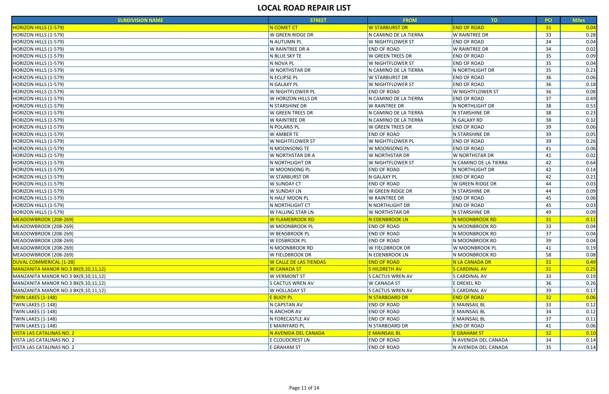| <b>SUBDIVISION NAME</b>             | <b>STREET</b>                 | <b>FROM</b>                 | TO <sub>1</sub>         | <b>PCI</b>      | <b>Miles</b> |
|-------------------------------------|-------------------------------|-----------------------------|-------------------------|-----------------|--------------|
| <b>HORIZON HILLS (1-579)</b>        | N COMET CT                    | <b>W STARBURST DR</b>       | <b>END OF ROAD</b>      | 31              | 0.04         |
| HORIZON HILLS (1-579)               | W GREEN RIDGE DR              | N CAMINO DE LA TIERRA       | <b>W RAINTREE DR</b>    | 33              | 0.28         |
| HORIZON HILLS (1-579)               | N AUTUMN PL                   | <b>W NIGHTFLOWER ST</b>     | <b>END OF ROAD</b>      | 34              | 0.04         |
| HORIZON HILLS (1-579)               | W RAINTREE DR A               | <b>END OF ROAD</b>          | W RAINTREE DR           | 34              | 0.02         |
| HORIZON HILLS (1-579)               | N BLUE SKY TE                 | <b>W GREEN TREES DR</b>     | <b>END OF ROAD</b>      | 35              | 0.09         |
| HORIZON HILLS (1-579)               | N NOVA PL                     | <b>W NIGHTFLOWER ST</b>     | <b>END OF ROAD</b>      | 35              | 0.04         |
| HORIZON HILLS (1-579)               | W NORTHSTAR DR                | N CAMINO DE LA TIERRA       | N NORTHLIGHT DR         | 35              | 0.23         |
| HORIZON HILLS (1-579)               | <b>N ECLIPSE PL</b>           | <b>W STARBURST DR</b>       | <b>END OF ROAD</b>      | 36              | 0.06         |
| HORIZON HILLS (1-579)               | N GALAXY PL                   | <b>W NIGHTFLOWER ST</b>     | <b>END OF ROAD</b>      | 36              | 0.18         |
| HORIZON HILLS (1-579)               | W NIGHTFLOWER PL              | <b>END OF ROAD</b>          | <b>W NIGHTFLOWER ST</b> | 36              | 0.08         |
| HORIZON HILLS (1-579)               | W HORIZON HILLS DR            | N CAMINO DE LA TIERRA       | <b>END OF ROAD</b>      | 37              | 0.49         |
| HORIZON HILLS (1-579)               | N STARSHINE DR                | <b>W RAINTREE DR</b>        | N NORTHLIGHT DR         | 38              | 0.53         |
| HORIZON HILLS (1-579)               | W GREEN TREES DR              | N CAMINO DE LA TIERRA       | N STARSHINE DR          | 38              | 0.23         |
| HORIZON HILLS (1-579)               | W RAINTREE DR                 | N CAMINO DE LA TIERRA       | N GALAXY RD             | 38              | 0.32         |
| HORIZON HILLS (1-579)               | N POLARIS PL                  | W GREEN TREES DR            | <b>END OF ROAD</b>      | 39              | 0.06         |
| HORIZON HILLS (1-579)               | W AMBER TE                    | <b>END OF ROAD</b>          | N STARSHINE DR          | 39              | 0.05         |
| HORIZON HILLS (1-579)               | W NIGHTFLOWER ST              | W NIGHTFLOWER PL            | <b>END OF ROAD</b>      | 39              | 0.26         |
| HORIZON HILLS (1-579)               | N MOONSONG TE                 | W MOONSONG PL               | <b>END OF ROAD</b>      | 41              | 0.06         |
| HORIZON HILLS (1-579)               | W NORTHSTAR DR A              | <b>W NORTHSTAR DR</b>       | <b>W NORTHSTAR DR</b>   | 41              | 0.02         |
| HORIZON HILLS (1-579)               | N NORTHLIGHT DR               | W NIGHTFLOWER ST            | N CAMINO DE LA TIERRA   | 42              | 0.64         |
| HORIZON HILLS (1-579)               | W MOONSONG PL                 | <b>END OF ROAD</b>          | N NORTHLIGHT DR         | 42              | 0.14         |
| HORIZON HILLS (1-579)               | W STARBURST DR                | N GALAXY PL                 | <b>END OF ROAD</b>      | 42              | 0.21         |
| HORIZON HILLS (1-579)               | W SUNDAY CT                   | <b>END OF ROAD</b>          | W GREEN RIDGE DR        | 44              | 0.03         |
| HORIZON HILLS (1-579)               | W SUNDAY LN                   | <b>W GREEN RIDGE DR</b>     | N STARSHINE DR          | 44              | 0.09         |
| HORIZON HILLS (1-579)               | N HALF MOON PL                | W RAINTREE DR               | <b>END OF ROAD</b>      | 45              | 0.06         |
| HORIZON HILLS (1-579)               | N NORTHLIGHT CT               | N NORTHLIGHT DR             | <b>END OF ROAD</b>      | 45              | 0.03         |
| HORIZON HILLS (1-579)               | W FALLING STAR LN             | W NORTHSTAR DR              | N STARSHINE DR          | 49              | 0.09         |
| MEADOWBROOK (208-269)               | W FLAMEBROOK RD               | <mark>N EDENBROOK LN</mark> | N MOONBROOK RD          | 31              | 0.11         |
| MEADOWBROOK (208-269)               | W MOONBROOK PL                | <b>END OF ROAD</b>          | N MOONBROOK RD          | 33              | 0.04         |
| MEADOWBROOK (208-269)               | W BENSBROOK PL                | <b>END OF ROAD</b>          | N MOONBROOK RD          | 37              | 0.04         |
| MEADOWBROOK (208-269)               | W EDSBROOK PL                 | <b>END OF ROAD</b>          | IN MOONBROOK RD         | 39              | 0.04         |
| MEADOWBROOK (208-269)               | N MOONBROOK RD                | <b>W FIELDBROOK DR</b>      | W MOONBROOK PL          | 41              | 0.19         |
| MEADOWBROOK (208-269)               | W FIELDBROOK DR               | N EDENBROOK LN              | N MOONBROOK RD          | 58              | 0.08         |
| DUVAL COMMERICAL (1-28)             | <b>W CALLE DE LAS TIENDAS</b> | <b>END OF ROAD</b>          | N LA CANADA DR          | 31              | 0.49         |
| MANZANITA MANOR NO.3 BK(9,10,11,12) | <b>W CANADA ST</b>            | <b>SHILDRETH AV</b>         | <b>S CARDINAL AV</b>    | 31              | 0.25         |
| MANZANITA MANOR NO.3 BK(9,10,11,12) | W VERMONT ST                  | S CACTUS WREN AV            | S CARDINAL AV           | 33              | 0.19         |
| MANZANITA MANOR NO.3 BK(9,10,11,12) | <b>S CACTUS WREN AV</b>       | <b>W CANADA ST</b>          | E DREXEL RD             | 36              | 0.26         |
| MANZANITA MANOR NO.3 BK(9,10,11,12) | W HOLLADAY ST                 | S CACTUS WREN AV            | S CARDINAL AV           | 39              | 0.17         |
| <b>TWIN LAKES (1-148)</b>           | <b>E BUOY PL</b>              | <b>N STARBOARD DR</b>       | <b>END OF ROAD</b>      | 32 <sub>2</sub> | 0.06         |
| <b>TWIN LAKES (1-148)</b>           | N CAPSTAN AV                  | <b>END OF ROAD</b>          | E MAINSAIL BL           | 33              | 0.12         |
| <b>TWIN LAKES (1-148)</b>           | N ANCHOR AV                   | <b>END OF ROAD</b>          | E MAINSAIL BL           | 34              | 0.12         |
| TWIN LAKES (1-148)                  | N FORECASTLE AV               | <b>END OF ROAD</b>          | E MAINSAIL BL           | 37              | 0.11         |
| TWIN LAKES (1-148)                  | E MAINYARD PL                 | N STARBOARD DR              | <b>END OF ROAD</b>      | 41              | 0.06         |
| <b>VISTA LAS CATALINAS NO. 2</b>    | N AVENIDA DEL CANADA          | <mark>E MAINSAIL BL</mark>  | E GRAHAM ST             | 32 <sub>2</sub> | 0.10         |
| VISTA LAS CATALINAS NO. 2           | E CLOUDCREST LN               | <b>END OF ROAD</b>          | N AVENIDA DEL CANADA    | 34              | 0.14         |
| VISTA LAS CATALINAS NO. 2           | E GRAHAM ST                   | <b>END OF ROAD</b>          | N AVENIDA DEL CANADA    | 35              | 0.14         |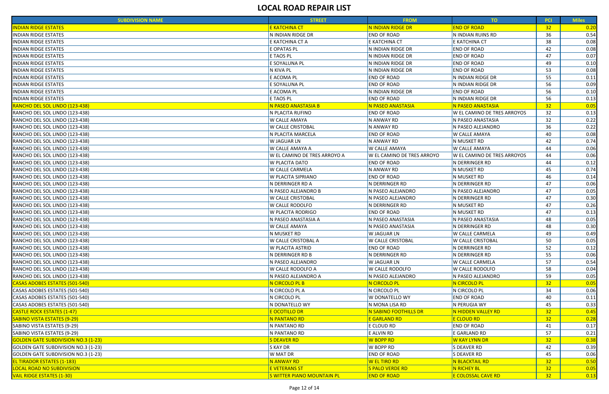| <b>SUBDIVISION NAME</b>                    | <b>STREET</b>                | <b>FROM</b>                    | TO                          | <b>PCI</b>      | <b>Miles</b> |
|--------------------------------------------|------------------------------|--------------------------------|-----------------------------|-----------------|--------------|
| <b>INDIAN RIDGE ESTATES</b>                | <mark>E KATCHINA CT</mark>   | <mark>N INDIAN RIDGE DR</mark> | <b>END OF ROAD</b>          | 32              | 0.20         |
| <b>INDIAN RIDGE ESTATES</b>                | N INDIAN RIDGE DR            | <b>END OF ROAD</b>             | N INDIAN RUINS RD           | 36              | 0.54         |
| <b>INDIAN RIDGE ESTATES</b>                | E KATCHINA CT A              | E KATCHINA CT                  | E KATCHINA CT               | 38              | 0.08         |
| <b>INDIAN RIDGE ESTATES</b>                | E OPATAS PL                  | N INDIAN RIDGE DR              | <b>END OF ROAD</b>          | 42              | 0.08         |
| <b>INDIAN RIDGE ESTATES</b>                | E TAOS PL                    | N INDIAN RIDGE DR              | <b>END OF ROAD</b>          | 47              | 0.07         |
| <b>INDIAN RIDGE ESTATES</b>                | E SOYALUNA PL                | N INDIAN RIDGE DR              | <b>END OF ROAD</b>          | 49              | 0.10         |
| <b>INDIAN RIDGE ESTATES</b>                | N KIVA PL                    | N INDIAN RIDGE DR              | <b>END OF ROAD</b>          | 53              | 0.08         |
| <b>INDIAN RIDGE ESTATES</b>                | E ACOMA PL                   | <b>END OF ROAD</b>             | N INDIAN RIDGE DR           | 55              | 0.11         |
| <b>INDIAN RIDGE ESTATES</b>                | E SOYALUNA PL                | <b>END OF ROAD</b>             | N INDIAN RIDGE DR           | 56              | 0.09         |
| <b>INDIAN RIDGE ESTATES</b>                | E ACOMA PL                   | N INDIAN RIDGE DR              | <b>END OF ROAD</b>          | 56              | 0.10         |
| <b>INDIAN RIDGE ESTATES</b>                | E TAOS PL                    | <b>END OF ROAD</b>             | N INDIAN RIDGE DR           | 56              | 0.13         |
| RANCHO DEL SOL LINDO (123-438)             | N PASEO ANASTASIA B          | N PASEO ANASTASIA              | N PASEO ANASTASIA           | 32              | 0.05         |
| RANCHO DEL SOL LINDO (123-438)             | N PLACITA RUFINO             | <b>END OF ROAD</b>             | W EL CAMINO DE TRES ARROYOS | 32              | 0.13         |
| RANCHO DEL SOL LINDO (123-438)             | W CALLE AMAYA                | N ANWAY RD                     | N PASEO ANASTASIA           | 32              | 0.22         |
| RANCHO DEL SOL LINDO (123-438)             | W CALLE CRISTOBAL            | N ANWAY RD                     | N PASEO ALEJANDRO           | 36              | 0.22         |
| RANCHO DEL SOL LINDO (123-438)             | N PLACITA MARCELA            | <b>END OF ROAD</b>             | <b>W CALLE AMAYA</b>        | 40              | 0.08         |
| RANCHO DEL SOL LINDO (123-438)             | W JAGUAR LN                  | N ANWAY RD                     | N MUSKET RD                 | 42              | 0.74         |
| RANCHO DEL SOL LINDO (123-438)             | W CALLE AMAYA A              | <b>W CALLE AMAYA</b>           | <b>W CALLE AMAYA</b>        | 44              | 0.06         |
| RANCHO DEL SOL LINDO (123-438)             | W EL CAMINO DE TRES ARROYO A | W EL CAMINO DE TRES ARROYO     | W EL CAMINO DE TRES ARROYOS | 44              | 0.06         |
| RANCHO DEL SOL LINDO (123-438)             | W PLACITA DATO               | <b>END OF ROAD</b>             | N DERRINGER RD              | 44              | 0.12         |
| RANCHO DEL SOL LINDO (123-438)             | W CALLE CARMELA              | N ANWAY RD                     | N MUSKET RD                 | 45              | 0.74         |
| RANCHO DEL SOL LINDO (123-438)             | W PLACITA SIPRIANO           | <b>END OF ROAD</b>             | N MUSKET RD                 | 46              | 0.14         |
| RANCHO DEL SOL LINDO (123-438)             | N DERRINGER RD A             | N DERRINGER RD                 | N DERRINGER RD              | 47              | 0.06         |
| RANCHO DEL SOL LINDO (123-438)             | N PASEO ALEJANDRO B          | N PASEO ALEJANDRO              | N PASEO ALEJANDRO           | 47              | 0.05         |
| RANCHO DEL SOL LINDO (123-438)             | W CALLE CRISTOBAL            | N PASEO ALEJANDRO              | N DERRINGER RD              | 47              | 0.30         |
| RANCHO DEL SOL LINDO (123-438)             | W CALLE RODOLFO              | N DERRINGER RD                 | N MUSKET RD                 | 47              | 0.26         |
| RANCHO DEL SOL LINDO (123-438)             | W PLACITA RODRIGO            | <b>END OF ROAD</b>             | N MUSKET RD                 | 47              | 0.13         |
| RANCHO DEL SOL LINDO (123-438)             | N PASEO ANASTASIA A          | N PASEO ANASTASIA              | N PASEO ANASTASIA           | 48              | 0.05         |
| RANCHO DEL SOL LINDO (123-438)             | W CALLE AMAYA                | N PASEO ANASTASIA              | N DERRINGER RD              | 48              | 0.30         |
| RANCHO DEL SOL LINDO (123-438)             | N MUSKET RD                  | W JAGUAR LN                    | <b>W CALLE CARMELA</b>      | 49              | 0.49         |
| RANCHO DEL SOL LINDO (123-438)             | <b>W CALLE CRISTOBAL A</b>   | <b>W CALLE CRISTOBAL</b>       | <b>W CALLE CRISTOBAL</b>    | 50              | 0.05         |
| RANCHO DEL SOL LINDO (123-438)             | W PLACITA ASTRID             | <b>END OF ROAD</b>             | N DERRINGER RD              | 52              | 0.12         |
| RANCHO DEL SOL LINDO (123-438)             | N DERRINGER RD B             | N DERRINGER RD                 | N DERRINGER RD              | 55              | 0.06         |
| RANCHO DEL SOL LINDO (123-438)             | N PASEO ALEJANDRO            | <b>W JAGUAR LN</b>             | <b>W CALLE CARMELA</b>      | 57              | 0.54         |
| RANCHO DEL SOL LINDO (123-438)             | W CALLE RODOLFO A            | W CALLE RODOLFO                | <b>W CALLE RODOLFO</b>      | 58              | 0.04         |
| RANCHO DEL SOL LINDO (123-438)             | N PASEO ALEJANDRO A          | N PASEO ALEJANDRO              | N PASEO ALEJANDRO           | 59              | 0.05         |
| <b>CASAS ADOBES ESTATES (501-540)</b>      | N CIRCOLO PL B               | N CIRCOLO PL                   | N CIRCOLO PL                | 32              | 0.05         |
| CASAS ADOBES ESTATES (501-540)             | N CIRCOLO PL A               | N CIRCOLO PL                   | N CIRCOLO PL                | 34              | 0.06         |
| CASAS ADOBES ESTATES (501-540)             | N CIRCOLO PL                 | W DONATELLO WY                 | <b>END OF ROAD</b>          | 40              | 0.11         |
| CASAS ADOBES ESTATES (501-540)             | N DONATELLO WY               | N MONA LISA RD                 | N PERUGIA WY                | 45              | 0.33         |
| <b>CASTLE ROCK ESTATES (1-47)</b>          | <b>E OCOTILLO DR</b>         | N SABINO FOOTHILLS DR          | N HIDDEN VALLEY RD          | 32 <sub>2</sub> | 0.45         |
| <b>SABINO VISTA ESTATES (9-29)</b>         | N PANTANO RD                 | E GARLAND RD                   | E CLOUD RD                  | 32              | 0.28         |
| SABINO VISTA ESTATES (9-29)                | N PANTANO RD                 | E CLOUD RD                     | <b>END OF ROAD</b>          | 41              | 0.17         |
| SABINO VISTA ESTATES (9-29)                | N PANTANO RD                 | E ALVIN RD                     | E GARLAND RD                | 57              | 0.21         |
| <b>GOLDEN GATE SUBDIVISION NO.3 (1-23)</b> | <b>S DEAVER RD</b>           | W BOPP RD                      | <b>W KAY LYNN DR</b>        | 32              | 0.38         |
| GOLDEN GATE SUBDIVISION NO.3 (1-23)        | S KAY DR                     | W BOPP RD                      | <b>S DEAVER RD</b>          | 42              | 0.39         |
| GOLDEN GATE SUBDIVISION NO.3 (1-23)        | W MAT DR                     | <b>END OF ROAD</b>             | S DEAVER RD                 | 45              | 0.06         |
| <b>EL TIRADOR ESTATES (1-183)</b>          | N ANWAY RD                   | W EL TIRO RD                   | <b>N BLACKTAIL RD</b>       | 32 <sub>2</sub> | 0.50         |
| <b>LOCAL ROAD NO SUBDIVISION</b>           | <b>E VETERANS ST</b>         | <b>S PALO VERDE RD</b>         | N RICHEY BL                 | 32 <sub>2</sub> | 0.05         |
| <b>VAIL RIDGE ESTATES (1-30)</b>           | S WITTER PIANO MOUNTAIN PL   | <b>END OF ROAD</b>             | E COLOSSAL CAVE RD          | 32 <sub>2</sub> | 0.13         |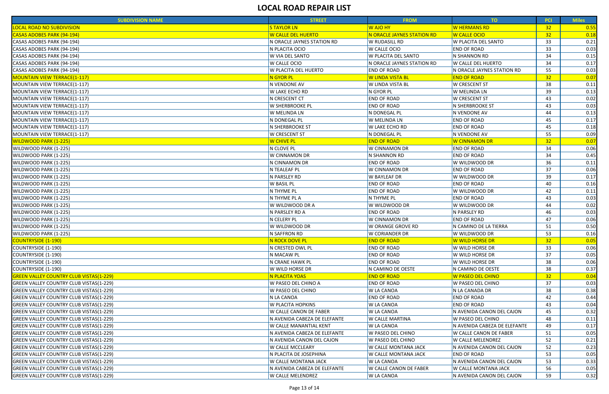| <b>SUBDIVISION NAME</b>                        | <b>STREET</b>                 | <b>FROM</b>                   | TO                            | <b>PCI</b>      | <b>Miles</b> |
|------------------------------------------------|-------------------------------|-------------------------------|-------------------------------|-----------------|--------------|
| <b>LOCAL ROAD NO SUBDIVISION</b>               | <b>STAYLOR LN</b>             | <b>W AJO HY</b>               | <b>W HERMANS RD</b>           | 32              | 0.55         |
| CASAS ADOBES PARK (94-194)                     | <b>W CALLE DEL HUERTO</b>     | N ORACLE JAYNES STATION RD    | W CALLE OCIO                  | 32              | 0.18         |
| CASAS ADOBES PARK (94-194)                     | N ORACLE JAYNES STATION RD    | <b>W RUDASILL RD</b>          | W PLACITA DEL SANTO           | 33              | 0.21         |
| CASAS ADOBES PARK (94-194)                     | N PLACITA OCIO                | W CALLE OCIO                  | <b>END OF ROAD</b>            | 33              | 0.03         |
| CASAS ADOBES PARK (94-194)                     | W VIA DEL SANTO               | W PLACITA DEL SANTO           | N SHANNON RD                  | 34              | 0.15         |
| CASAS ADOBES PARK (94-194)                     | W CALLE OCIO                  | N ORACLE JAYNES STATION RD    | W CALLE DEL HUERTO            | 34              | 0.17         |
| CASAS ADOBES PARK (94-194)                     | <b>W PLACITA DEL HUERTO</b>   | <b>END OF ROAD</b>            | N ORACLE JAYNES STATION RD    | 55              | 0.03         |
| <b>MOUNTAIN VIEW TERRACE(1-117)</b>            | N GYOR PL                     | W LINDA VISTA BL              | <b>END OF ROAD</b>            | 32              | 0.07         |
| MOUNTAIN VIEW TERRACE(1-117)                   | N VENDONE AV                  | <b>W LINDA VISTA BL</b>       | <b>W CRESCENT ST</b>          | 38              | 0.11         |
| MOUNTAIN VIEW TERRACE(1-117)                   | <b>W LAKE ECHO RD</b>         | N GYOR PL                     | W MELINDA LN                  | 39              | 0.13         |
| MOUNTAIN VIEW TERRACE(1-117)                   | N CRESCENT CT                 | <b>END OF ROAD</b>            | <b>W CRESCENT ST</b>          | 43              | 0.02         |
| MOUNTAIN VIEW TERRACE(1-117)                   | <b>W SHERBROOKE PL</b>        | <b>END OF ROAD</b>            | N SHERBROOKE ST               | 43              | 0.03         |
| MOUNTAIN VIEW TERRACE(1-117)                   | W MELINDA LN                  | N DONEGAL PL                  | N VENDONE AV                  | 44              | 0.13         |
| MOUNTAIN VIEW TERRACE(1-117)                   | N DONEGAL PL                  | W MELINDA LN                  | <b>END OF ROAD</b>            | 45              | 0.17         |
| MOUNTAIN VIEW TERRACE(1-117)                   | <b>N SHERBROOKE ST</b>        | <b>W LAKE ECHO RD</b>         | <b>END OF ROAD</b>            | 45              | 0.18         |
| MOUNTAIN VIEW TERRACE(1-117)                   | W CRESCENT ST                 | N DONEGAL PL                  | N VENDONE AV                  | 55              | 0.09         |
| <b>WILDWOOD PARK (1-225)</b>                   | W CHIVE PL                    | <b>END OF ROAD</b>            | W CINNAMON DR                 | 32 <sub>2</sub> | 0.07         |
| WILDWOOD PARK (1-225)                          | N CLOVE PL                    | W CINNAMON DR                 | <b>END OF ROAD</b>            | 34              | 0.06         |
| WILDWOOD PARK (1-225)                          | W CINNAMON DR                 | N SHANNON RD                  | <b>END OF ROAD</b>            | 34              | 0.45         |
| WILDWOOD PARK (1-225)                          | N CINNAMON DR                 | <b>END OF ROAD</b>            | W WILDWOOD DR                 | 36              | 0.11         |
| WILDWOOD PARK (1-225)                          | N TEALEAF PL                  | W CINNAMON DR                 | <b>END OF ROAD</b>            | 37              | 0.06         |
| WILDWOOD PARK (1-225)                          | N PARSLEY RD                  | <b>W BAYLEAF DR</b>           | W WILDWOOD DR                 | 39              | 0.17         |
| WILDWOOD PARK (1-225)                          | <b>W BASIL PL</b>             | <b>END OF ROAD</b>            | <b>END OF ROAD</b>            | 40              | 0.16         |
| WILDWOOD PARK (1-225)                          | N THYME PL                    | <b>END OF ROAD</b>            | W WILDWOOD DR                 | 42              | 0.11         |
| WILDWOOD PARK (1-225)                          | N THYME PL A                  | N THYME PL                    | <b>END OF ROAD</b>            | 43              | 0.03         |
| WILDWOOD PARK (1-225)                          | W WILDWOOD DR A               | W WILDWOOD DR                 | W WILDWOOD DR                 | 44              | 0.02         |
| WILDWOOD PARK (1-225)                          | N PARSLEY RD A                | <b>END OF ROAD</b>            | N PARSLEY RD                  | 46              | 0.03         |
| WILDWOOD PARK (1-225)                          | N CELERY PL                   | W CINNAMON DR                 | <b>END OF ROAD</b>            | 47              | 0.06         |
| WILDWOOD PARK (1-225)                          | W WILDWOOD DR                 | W ORANGE GROVE RD             | N CAMINO DE LA TIERRA         | 51              | 0.50         |
| WILDWOOD PARK (1-225)                          | N SAFFRON RD                  | W CORIANDER DR                | W WILDWOOD DR                 | 53              | 0.16         |
| <b>COUNTRYSIDE (1-190)</b>                     | N ROCK DOVE PL                | <b>END OF ROAD</b>            | W WILD HORSE DR               | 32 <sub>2</sub> | 0.05         |
| <b>COUNTRYSIDE (1-190)</b>                     | N CRESTED OWL PL              | <b>END OF ROAD</b>            | W WILD HORSE DR               | 33              | 0.06         |
| <b>COUNTRYSIDE (1-190)</b>                     | N MACAW PL                    | <b>END OF ROAD</b>            | W WILD HORSE DR               | 37              | 0.05         |
| <b>COUNTRYSIDE (1-190)</b>                     | N CRANE HAWK PL               | <b>END OF ROAD</b>            | W WILD HORSE DR               | 38              | 0.06         |
| <b>COUNTRYSIDE (1-190)</b>                     | W WILD HORSE DR               | N CAMINO DE OESTE             | N CAMINO DE OESTE             | 38              | 0.37         |
| <b>GREEN VALLEY COUNTRY CLUB VISTAS(1-229)</b> | N PLACITA YOAS                | <b>END OF ROAD</b>            | <b>W PASEO DEL CHINO</b>      | 32 <sub>2</sub> | 0.04         |
| <b>GREEN VALLEY COUNTRY CLUB VISTAS(1-229)</b> | <b>W PASEO DEL CHINO A</b>    | <b>END OF ROAD</b>            | W PASEO DEL CHINO             | 37              | 0.03         |
| <b>GREEN VALLEY COUNTRY CLUB VISTAS(1-229)</b> | <b>W PASEO DEL CHINO</b>      | <b>W LA CANOA</b>             | N LA CANADA DR                | 38              | 0.38         |
| <b>GREEN VALLEY COUNTRY CLUB VISTAS(1-229)</b> | N LA CANOA                    | <b>END OF ROAD</b>            | <b>END OF ROAD</b>            | 42              | 0.44         |
| <b>GREEN VALLEY COUNTRY CLUB VISTAS(1-229)</b> | <b>W PLACITA HOPKINS</b>      | <b>W LA CANOA</b>             | <b>END OF ROAD</b>            | 43              | 0.04         |
| <b>GREEN VALLEY COUNTRY CLUB VISTAS(1-229)</b> | <b>W CALLE CANON DE FABER</b> | <b>W LA CANOA</b>             | N AVENIDA CANON DEL CAJON     | 45              | 0.32         |
| <b>GREEN VALLEY COUNTRY CLUB VISTAS(1-229)</b> | N AVENIDA CABEZA DE ELEFANTE  | <b>W CALLE MARTINA</b>        | W PASEO DEL CHINO             | 48              | 0.11         |
| <b>GREEN VALLEY COUNTRY CLUB VISTAS(1-229)</b> | <b>W CALLE MANANTIAL KENT</b> | <b>W LA CANOA</b>             | N AVENIDA CABEZA DE ELEFANTE  | 49              | 0.17         |
| <b>GREEN VALLEY COUNTRY CLUB VISTAS(1-229)</b> | N AVENIDA CABEZA DE ELEFANTE  | W PASEO DEL CHINO             | <b>W CALLE CANON DE FABER</b> | 51              | 0.05         |
| <b>GREEN VALLEY COUNTRY CLUB VISTAS(1-229)</b> | N AVENIDA CANON DEL CAJON     | W PASEO DEL CHINO             | <b>W CALLE MELENDREZ</b>      | 52              | 0.21         |
| <b>GREEN VALLEY COUNTRY CLUB VISTAS(1-229)</b> | <b>W CALLE MCCLEARY</b>       | <b>W CALLE MONTANA JACK</b>   | N AVENIDA CANON DEL CAJON     | 52              | 0.23         |
| <b>GREEN VALLEY COUNTRY CLUB VISTAS(1-229)</b> | N PLACITA DE JOSEPHINA        | <b>W CALLE MONTANA JACK</b>   | <b>END OF ROAD</b>            | 53              | 0.05         |
| <b>GREEN VALLEY COUNTRY CLUB VISTAS(1-229)</b> | <b>W CALLE MONTANA JACK</b>   | <b>W LA CANOA</b>             | N AVENIDA CANON DEL CAJON     | 53              | 0.33         |
| <b>GREEN VALLEY COUNTRY CLUB VISTAS(1-229)</b> | N AVENIDA CABEZA DE ELEFANTE  | <b>W CALLE CANON DE FABER</b> | <b>W CALLE MONTANA JACK</b>   | 56              | 0.05         |
| <b>GREEN VALLEY COUNTRY CLUB VISTAS(1-229)</b> | W CALLE MELENDREZ             | <b>W LA CANOA</b>             | N AVENIDA CANON DEL CAJON     | 59              | 0.32         |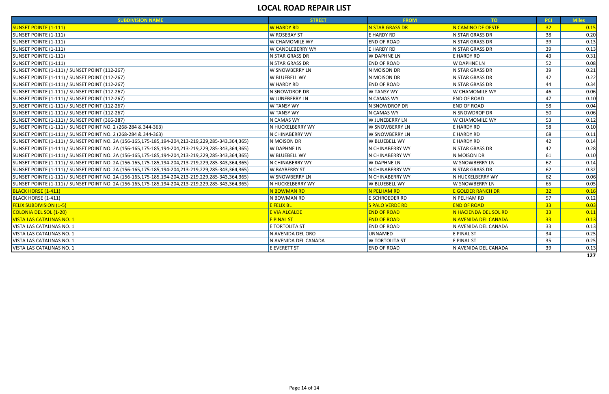| <b>SUBDIVISION NAME</b>                                                                           | <b>STREET</b>           | <b>FROM</b>            | TO:                   | <b>PCI</b>      | <b>Miles</b> |
|---------------------------------------------------------------------------------------------------|-------------------------|------------------------|-----------------------|-----------------|--------------|
| <b>SUNSET POINTE (1-111)</b>                                                                      | <b>W HARDY RD</b>       | <b>N STAR GRASS DR</b> | N CAMINO DE OESTE     | 32              | 0.15         |
| SUNSET POINTE (1-111)                                                                             | <b>W ROSEBAY ST</b>     | E HARDY RD             | N STAR GRASS DR       | 38              | 0.20         |
| <b>SUNSET POINTE (1-111)</b>                                                                      | <b>W CHAMOMILE WY</b>   | <b>END OF ROAD</b>     | N STAR GRASS DR       | 39              | 0.13         |
| SUNSET POINTE (1-111)                                                                             | <b>W CANDLEBERRY WY</b> | E HARDY RD             | N STAR GRASS DR       | 39              | 0.13         |
| <b>SUNSET POINTE (1-111)</b>                                                                      | N STAR GRASS DR         | <b>W DAPHNE LN</b>     | E HARDY RD            | 43              | 0.31         |
| <b>SUNSET POINTE (1-111)</b>                                                                      | N STAR GRASS DR         | <b>END OF ROAD</b>     | <b>W DAPHNE LN</b>    | 52              | 0.08         |
| SUNSET POINTE (1-111) / SUNSET POINT (112-267)                                                    | <b>W SNOWBERRY LN</b>   | N MOISON DR            | N STAR GRASS DR       | 39              | 0.21         |
| SUNSET POINTE (1-111) / SUNSET POINT (112-267)                                                    | W BLUEBELL WY           | N MOISON DR            | N STAR GRASS DR       | 42              | 0.22         |
| SUNSET POINTE (1-111) / SUNSET POINT (112-267)                                                    | W HARDY RD              | <b>END OF ROAD</b>     | N STAR GRASS DR       | 44              | 0.34         |
| <b>SUNSET POINTE (1-111) / SUNSET POINT (112-267)</b>                                             | IN SNOWDROP DR          | <b>W TANSY WY</b>      | W CHAMOMILE WY        | 46              | 0.06         |
| <b>SUNSET POINTE (1-111) / SUNSET POINT (112-267)</b>                                             | W JUNEBERRY LN          | N CAMAS WY             | <b>END OF ROAD</b>    | 47              | 0.10         |
| SUNSET POINTE (1-111) / SUNSET POINT (112-267)                                                    | <b>W TANSY WY</b>       | N SNOWDROP DR          | <b>END OF ROAD</b>    | 58              | 0.04         |
| SUNSET POINTE (1-111) / SUNSET POINT (112-267)                                                    | <b>W TANSY WY</b>       | N CAMAS WY             | N SNOWDROP DR         | 50              | 0.06         |
| <b>SUNSET POINTE (1-111) / SUNSET POINT (366-387)</b>                                             | IN CAMAS WY             | W JUNEBERRY LN         | <b>W CHAMOMILE WY</b> | 53              | 0.12         |
| SUNSET POINTE (1-111) / SUNSET POINT NO. 2 (268-284 & 344-363)                                    | IN HUCKELBERRY WY       | W SNOWBERRY LN         | E HARDY RD            | 58              | 0.10         |
| SUNSET POINTE (1-111) / SUNSET POINT NO. 2 (268-284 & 344-363)                                    | IN CHINABERRY WY        | W SNOWBERRY LN         | E HARDY RD            | 68              | 0.11         |
| SUNSET POINTE (1-111) / SUNSET POINT NO. 2A (156-165,175-185,194-204,213-219,229,285-343,364,365) | N MOISON DR             | <b>W BLUEBELL WY</b>   | E HARDY RD            | 42              | 0.14         |
| SUNSET POINTE (1-111) / SUNSET POINT NO. 2A (156-165,175-185,194-204,213-219,229,285-343,364,365) | <b>W DAPHNE LN</b>      | N CHINABERRY WY        | N STAR GRASS DR       | 42              | 0.28         |
| SUNSET POINTE (1-111) / SUNSET POINT NO. 2A (156-165,175-185,194-204,213-219,229,285-343,364,365) | W BLUEBELL WY           | IN CHINABERRY WY       | N MOISON DR           | 61              | 0.10         |
| SUNSET POINTE (1-111) / SUNSET POINT NO. 2A (156-165,175-185,194-204,213-219,229,285-343,364,365) | IN CHINABERRY WY        | <b>W DAPHNE LN</b>     | W SNOWBERRY LN        | 62              | 0.14         |
| SUNSET POINTE (1-111) / SUNSET POINT NO. 2A (156-165,175-185,194-204,213-219,229,285-343,364,365) | <b>W BAYBERRY ST</b>    | N CHINABERRY WY        | N STAR GRASS DR       | 62              | 0.32         |
| SUNSET POINTE (1-111) / SUNSET POINT NO. 2A (156-165,175-185,194-204,213-219,229,285-343,364,365) | W SNOWBERRY LN          | N CHINABERRY WY        | N HUCKELBERRY WY      | 62              | 0.06         |
| SUNSET POINTE (1-111) / SUNSET POINT NO. 2A (156-165,175-185,194-204,213-219,229,285-343,364,365) | IN HUCKELBERRY WY       | <b>W BLUEBELL WY</b>   | W SNOWBERRY LN        | 65              | 0.05         |
| <b>BLACK HORSE (1-411)</b>                                                                        | N BOWMAN RD             | N PELHAM RD            | E GOLDER RANCH DR     | 32              | 0.16         |
| BLACK HORSE (1-411)                                                                               | N BOWMAN RD             | E SCHROEDER RD         | N PELHAM RD           | 57              | 0.12         |
| <b>FELIX SUBDIVISION (1-5)</b>                                                                    | <b>E FELIX BL</b>       | S PALO VERDE RD        | <b>END OF ROAD</b>    | 33 <sub>o</sub> | 0.03         |
| <b>COLONIA DEL SOL (1-20)</b>                                                                     | E VIA ALCALDE           | <b>END OF ROAD</b>     | N HACIENDA DEL SOL RD | 33 <sub>o</sub> | 0.11         |
| <b>VISTA LAS CATALINAS NO. 1</b>                                                                  | <b>E PINAL ST</b>       | <b>END OF ROAD</b>     | N AVENIDA DEL CANADA  | 33 <sup>°</sup> | 0.13         |
| VISTA LAS CATALINAS NO. 1                                                                         | E TORTOLITA ST          | <b>END OF ROAD</b>     | N AVENIDA DEL CANADA  | 33              | 0.13         |
| VISTA LAS CATALINAS NO. 1                                                                         | N AVENIDA DEL ORO       | UNNAMED                | E PINAL ST            | 34              | 0.25         |
| VISTA LAS CATALINAS NO. 1                                                                         | N AVENIDA DEL CANADA    | <b>W TORTOLITA ST</b>  | E PINAL ST            | 35              | 0.25         |
| VISTA LAS CATALINAS NO. 1                                                                         | E EVERETT ST            | <b>END OF ROAD</b>     | N AVENIDA DEL CANADA  | 39              | 0.13         |
|                                                                                                   |                         |                        |                       |                 | 127          |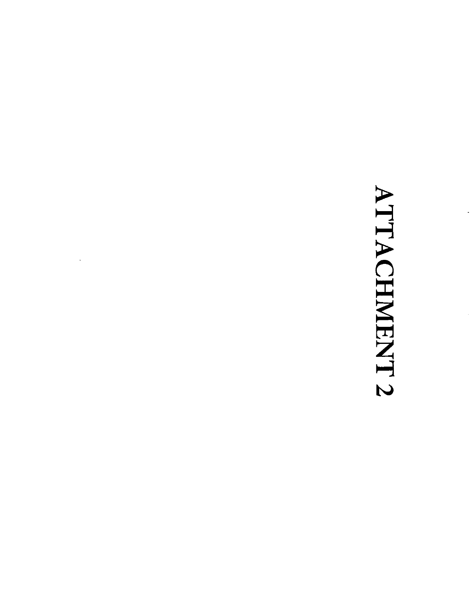# ATTACHMENT 2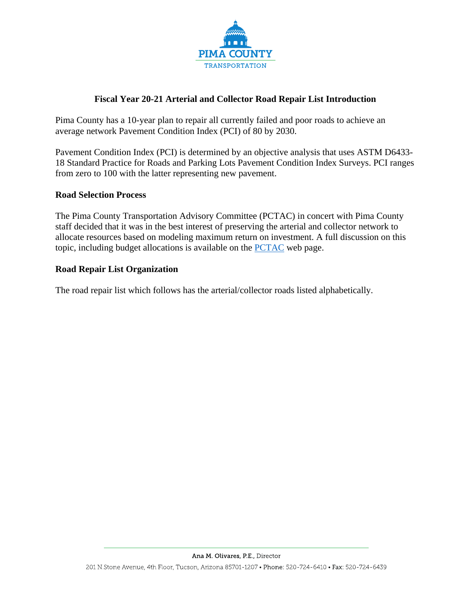

#### **Fiscal Year 20-21 Arterial and Collector Road Repair List Introduction**

Pima County has a 10-year plan to repair all currently failed and poor roads to achieve an average network Pavement Condition Index (PCI) of 80 by 2030.

Pavement Condition Index (PCI) is determined by an objective analysis that uses ASTM D6433- 18 Standard Practice for Roads and Parking Lots Pavement Condition Index Surveys. PCI ranges from zero to 100 with the latter representing new pavement.

#### **Road Selection Process**

The Pima County Transportation Advisory Committee (PCTAC) in concert with Pima County staff decided that it was in the best interest of preserving the arterial and collector network to allocate resources based on modeling maximum return on investment. A full discussion on this topic, including budget allocations is available on the [PCTAC](https://webcms.pima.gov/cms/One.aspx?portalId=169&pageId=355530) web page.

#### **Road Repair List Organization**

The road repair list which follows has the arterial/collector roads listed alphabetically.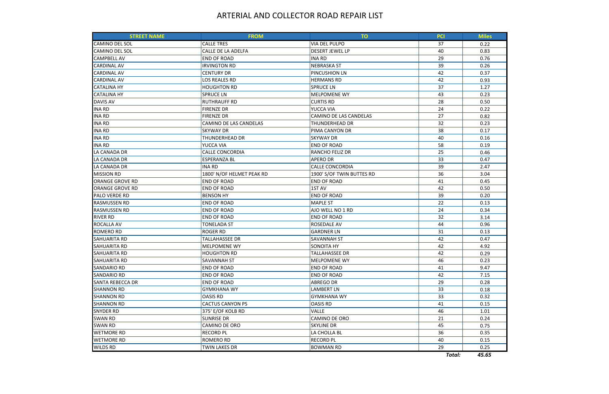# ARTERIAL AND COLLECTOR ROAD REPAIR LIST

| <b>STREET NAME</b>      | <b>FROM</b>               | <b>TO</b>                 | PCI    | <b>Miles</b> |
|-------------------------|---------------------------|---------------------------|--------|--------------|
| <b>CAMINO DEL SOL</b>   | <b>CALLE TRES</b>         | <b>VIA DEL PULPO</b>      | 37     | 0.22         |
| <b>CAMINO DEL SOL</b>   | CALLE DE LA ADELFA        | <b>DESERT JEWEL LP</b>    | 40     | 0.83         |
| <b>CAMPBELL AV</b>      | <b>END OF ROAD</b>        | INA RD                    | 29     | 0.76         |
| <b>CARDINAL AV</b>      | <b>IRVINGTON RD</b>       | <b>NEBRASKA ST</b>        | 39     | 0.26         |
| <b>CARDINAL AV</b>      | <b>CENTURY DR</b>         | <b>PINCUSHION LN</b>      | 42     | 0.37         |
| <b>CARDINAL AV</b>      | <b>LOS REALES RD</b>      | <b>HERMANS RD</b>         | 42     | 0.93         |
| <b>CATALINA HY</b>      | <b>HOUGHTON RD</b>        | <b>SPRUCE LN</b>          | 37     | 1.27         |
| <b>CATALINA HY</b>      | <b>SPRUCE LN</b>          | <b>MELPOMENE WY</b>       | 43     | 0.23         |
| <b>DAVIS AV</b>         | <b>RUTHRAUFF RD</b>       | <b>CURTIS RD</b>          | 28     | 0.50         |
| <b>INA RD</b>           | <b>FIRENZE DR</b>         | YUCCA VIA                 | 24     | 0.22         |
| <b>INA RD</b>           | <b>FIRENZE DR</b>         | CAMINO DE LAS CANDELAS    | 27     | 0.82         |
| <b>INA RD</b>           | CAMINO DE LAS CANDELAS    | <b>THUNDERHEAD DR</b>     | 32     | 0.23         |
| <b>INA RD</b>           | <b>SKYWAY DR</b>          | PIMA CANYON DR            | 38     | 0.17         |
| <b>INA RD</b>           | <b>THUNDERHEAD DR</b>     | <b>SKYWAY DR</b>          | 40     | 0.16         |
| <b>INA RD</b>           | YUCCA VIA                 | <b>END OF ROAD</b>        | 58     | 0.19         |
| LA CANADA DR            | <b>CALLE CONCORDIA</b>    | <b>RANCHO FELIZ DR</b>    | 25     | 0.46         |
| LA CANADA DR            | <b>ESPERANZA BL</b>       | <b>APERO DR</b>           | 33     | 0.47         |
| LA CANADA DR            | <b>INA RD</b>             | <b>CALLE CONCORDIA</b>    | 39     | 2.47         |
| <b>MISSION RD</b>       | 1800' N/OF HELMET PEAK RD | 1900' S/OF TWIN BUTTES RD | 36     | 3.04         |
| <b>ORANGE GROVE RD</b>  | <b>END OF ROAD</b>        | <b>END OF ROAD</b>        | 41     | 0.45         |
| <b>ORANGE GROVE RD</b>  | <b>END OF ROAD</b>        | 1ST AV                    | 42     | 0.50         |
| PALO VERDE RD           | <b>BENSON HY</b>          | <b>END OF ROAD</b>        | 39     | 0.20         |
| <b>RASMUSSEN RD</b>     | <b>END OF ROAD</b>        | <b>MAPLE ST</b>           | 22     | 0.13         |
| <b>RASMUSSEN RD</b>     | <b>END OF ROAD</b>        | AJO WELL NO 1 RD          | 24     | 0.34         |
| <b>RIVER RD</b>         | <b>END OF ROAD</b>        | <b>END OF ROAD</b>        | 32     | 3.14         |
| <b>ROCALLA AV</b>       | <b>TONELADA ST</b>        | <b>ROSEDALE AV</b>        | 44     | 0.96         |
| <b>ROMERO RD</b>        | <b>ROGER RD</b>           | <b>GARDNER LN</b>         | 31     | 0.13         |
| <b>SAHUARITA RD</b>     | <b>TALLAHASSEE DR</b>     | <b>SAVANNAH ST</b>        | 42     | 0.47         |
| <b>SAHUARITA RD</b>     | MELPOMENE WY              | <b>SONOITA HY</b>         | 42     | 4.92         |
| SAHUARITA RD            | <b>HOUGHTON RD</b>        | <b>TALLAHASSEE DR</b>     | 42     | 0.29         |
| <b>SAHUARITA RD</b>     | <b>SAVANNAH ST</b>        | <b>MELPOMENE WY</b>       | 46     | 0.23         |
| <b>SANDARIO RD</b>      | <b>END OF ROAD</b>        | <b>END OF ROAD</b>        | 41     | 9.47         |
| <b>SANDARIO RD</b>      | <b>END OF ROAD</b>        | <b>END OF ROAD</b>        | 42     | 7.15         |
| <b>SANTA REBECCA DR</b> | <b>END OF ROAD</b>        | <b>ABREGO DR</b>          | 29     | 0.28         |
| <b>SHANNON RD</b>       | <b>GYMKHANA WY</b>        | LAMBERT LN                | 33     | 0.18         |
| <b>SHANNON RD</b>       | <b>OASIS RD</b>           | <b>GYMKHANA WY</b>        | 33     | 0.32         |
| <b>SHANNON RD</b>       | <b>CACTUS CANYON PS</b>   | <b>OASIS RD</b>           | 41     | 0.15         |
| <b>SNYDER RD</b>        | 375' E/OF KOLB RD         | <b>VALLE</b>              | 46     | 1.01         |
| <b>SWAN RD</b>          | <b>SUNRISE DR</b>         | CAMINO DE ORO             | 21     | 0.24         |
| <b>SWAN RD</b>          | CAMINO DE ORO             | <b>SKYLINE DR</b>         | 45     | 0.75         |
| <b>WETMORE RD</b>       | <b>RECORD PL</b>          | LA CHOLLA BL              | 36     | 0.35         |
| <b>WETMORE RD</b>       | <b>ROMERO RD</b>          | <b>RECORD PL</b>          | 40     | 0.15         |
| <b>WILDS RD</b>         | <b>TWIN LAKES DR</b>      | <b>BOWMAN RD</b>          | 29     | 0.25         |
|                         |                           |                           | Total: | 45.65        |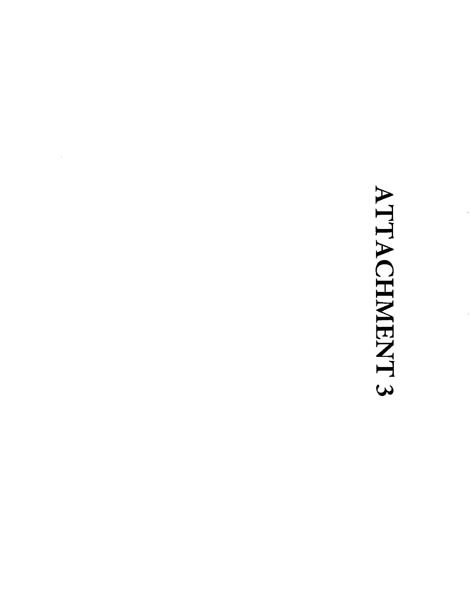# ATTACHMENT 3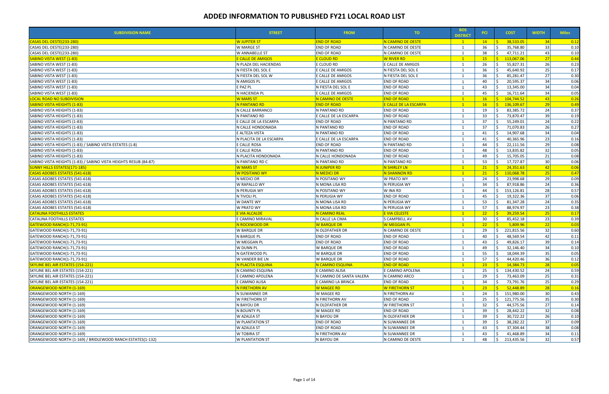| <b>SUBDIVISION NAME</b>                                          | <b>STREET</b>            | <b>FROM</b>              | TO .                         | <b>BOS</b><br><b>DISTRICT</b> | <b>PCI</b>      | <b>COST</b>        | <b>WIDTH</b>    | <b>Miles</b> |
|------------------------------------------------------------------|--------------------------|--------------------------|------------------------------|-------------------------------|-----------------|--------------------|-----------------|--------------|
| CASAS DEL OESTE(233-280)                                         | <b>W JUPITER ST</b>      | <b>END OF ROAD</b>       | N CAMINO DE OESTE            | $\mathbf{1}$                  | 14              | 38,533.05          | 34              | 0.12         |
| CASAS DEL OESTE(233-280)                                         | W MARGE ST               | <b>END OF ROAD</b>       | N CAMINO DE OESTE            |                               | 36              | 35,768.80          | 33              | 0.10         |
| CASAS DEL OESTE(233-280)                                         | W ANNABELLE ST           | <b>END OF ROAD</b>       | N CAMINO DE OESTE            | -1                            | 38              | 47,711.21          | 43              | 0.10         |
| <u>SABINO VISTA WEST (1-83)</u>                                  | <b>E CALLE DE AMIGOS</b> | <b>E CLOUD RD</b>        | <b>W RIVER RD</b>            | $\mathbf{1}$                  | 15 <sub>1</sub> | 113,067.06<br>S.   | 27              | 0.44         |
| SABINO VISTA WEST (1-83)                                         | N PLAZA DEL HACIENDAS    | E CLOUD RD               | E CALLE DE AMIGOS            | $\overline{1}$                | 26              | 55,827.31          | 26              | 0.23         |
| SABINO VISTA WEST (1-83)                                         | N FIESTA DEL SOL E       | E CALLE DE AMIGOS        | N FIESTA DEL SOL E           |                               | 36              | 45,640.92          | 25              | 0.17         |
| SABINO VISTA WEST (1-83)                                         | N FIESTA DEL SOL W       | E CALLE DE AMIGOS        | N FIESTA DEL SOL E           |                               | 36              | 85,281.47          | 27              | 0.30         |
| SABINO VISTA WEST (1-83)                                         | N AMIGOS PL              | E CALLE DE AMIGOS        | <b>END OF ROAD</b>           | $\mathbf 1$                   | 40              | 20,595.37          | 34              | 0.06         |
| SABINO VISTA WEST (1-83)                                         | E PAZ PL                 | N FIESTA DEL SOL E       | <b>END OF ROAD</b>           |                               | 43              | 13,345.00          | 34              | 0.04         |
| SABINO VISTA WEST (1-83)                                         | N HACIENDA PL            | E CALLE DE AMIGOS        | <b>END OF ROAD</b>           |                               | 45              | 16,711.64          | 34              | 0.05         |
| <b>LOCAL ROAD NO SUBDIVISION</b>                                 | <b>W MARS ST</b>         | N CAMINO DE OESTE        | <b>END OF ROAD</b>           | $\blacksquare$ 1              | 16              | S.<br>104,744.52   | 43              | 0.26         |
| <b>SABINO VISTA HEIGHTS (1-83)</b>                               | N PANTANO RD             | <b>END OF ROAD</b>       | <b>E CALLE DE LA ESCARPA</b> | $\mathbf{1}$                  | 16 <sup>2</sup> | 136,109.67<br>- \$ | 29              | 0.49         |
| SABINO VISTA HEIGHTS (1-83)                                      | N CALLE BARRANCO         | N PANTANO RD             | <b>END OF ROAD</b>           | -1                            | 19              | 83,385.72          | 24              | 0.37         |
| SABINO VISTA HEIGHTS (1-83)                                      | N PANTANO RD             | E CALLE DE LA ESCARPA    | <b>END OF ROAD</b>           |                               | 33              | 73,870.47          | 39              | 0.19         |
| SABINO VISTA HEIGHTS (1-83)                                      | E CALLE DE LA ESCARPA    | <b>END OF ROAD</b>       | N PANTANO RD                 |                               | 37              | 55,249.01          | 24              | 0.22         |
| SABINO VISTA HEIGHTS (1-83)                                      | N CALLE HONDONADA        | N PANTANO RD             | <b>END OF ROAD</b>           |                               | 37              | 71,070.83          | 26              | 0.27         |
| SABINO VISTA HEIGHTS (1-83)                                      | E ALTEZA VISTA           | N PANTANO RD             | <b>END OF ROAD</b>           |                               | 41              | 14,907.68          | 34              | 0.04         |
| SABINO VISTA HEIGHTS (1-83)                                      | N PLACITA DE LA ESCARPA  | E CALLE DE LA ESCARPA    | <b>END OF ROAD</b>           |                               | 41              | 40,365.96          | 23              | 0.16         |
| SABINO VISTA HEIGHTS (1-83) / SABINO VISTA ESTATES (1-8)         | E CALLE ROSA             | <b>END OF ROAD</b>       | N PANTANO RD                 |                               | 44              | 22,111.56          | 29              | 0.08         |
| SABINO VISTA HEIGHTS (1-83)                                      | E CALLE ROSA             | N PANTANO RD             | <b>END OF ROAD</b>           | $\mathbf{1}$                  | 48              | 13,835.82          | 32              | 0.05         |
| SABINO VISTA HEIGHTS (1-83)                                      | N PLACITA HONDONADA      | N CALLE HONDONADA        | <b>END OF ROAD</b>           |                               | 49              | 15,705.05          | 21              | 0.08         |
| SABINO VISTA HEIGHTS (1-83) / SABINO VISTA HEIGHTS RESUB (84-87) | N PANTANO RD C           | N PANTANO RD             | N PANTANO RD                 | $\overline{1}$                | 53              | 17,727.87          | 30 <sup>l</sup> | 0.06         |
| <b>SUNNY HILLS ESTATES(171-185)</b>                              | <b>W MARS ST</b>         | N JUNIPER RD             | N SHIRLEY LN                 | $\blacksquare$ 1              | 21              | -\$-<br>24,351.63  | 42              | 0.06         |
| <b>CASAS ADOBES ESTATES (541-618)</b>                            | <b>W POSITANO WY</b>     | N MEDICI DR              | N SHANNON RD                 | $\mathbf{1}$                  | 21              | 110,068.78<br>IS.  | 25              | 0.47         |
| CASAS ADOBES ESTATES (541-618)                                   | N MEDICI DR              | N POSITANO WY            | W PRATO WY                   |                               | 24              | 23,998.68          | 29              | 0.09         |
| CASAS ADOBES ESTATES (541-618)                                   | W RAPALLO WY             | N MONA LISA RD           | N PERUGIA WY                 |                               | 34              | 87,918.86          | 24              | 0.36         |
| CASAS ADOBES ESTATES (541-618)                                   | N PERUGIA WY             | N POSITANO WY            | W INA RD                     |                               | 44              | 153,126.81         | 28              | 0.57         |
| CASAS ADOBES ESTATES (541-618)                                   | N TIVOLI PL              | N PERUGIA WY             | <b>END OF ROAD</b>           |                               | 45              | 19,322.36          | 37              | 0.06         |
| CASAS ADOBES ESTATES (541-618)                                   | W DANTE WY               | N MONA LISA RD           | N PERUGIA WY                 | $\overline{1}$                | 53              | 81,347.28          | 24              | 0.35         |
| CASAS ADOBES ESTATES (541-618)                                   | W PRATO WY               | N MONA LISA RD           | N PERUGIA WY                 | 1                             | 57              | 88,974.97          | 23              | 0.38         |
| <b>CATALINA FOOTHILLS ESTATES</b>                                | E VIA ALCALDE            | <b>N CAMINO REAL</b>     | E VIA CELESTE                | $\overline{1}$                | 22              | 39,259.54          | 25              | 0.17         |
| <b>CATALINA FOOTHILLS ESTATES</b>                                | E CAMINO MIRAVAL         | N CALLE LA CIMA          | S CAMPBELL AV                |                               | 30              | 85,452.18          | 23              | 0.39         |
| <b>GATEWOOD RANCH(1-71,73-91)</b>                                | N ROCKWOOD DR            | <b>W BARQUE DR</b>       | <b>W MEGGAN PL</b>           | $\overline{1}$                | 22 <sub>2</sub> | 5,809.96           | 22              | 0.03         |
| GATEWOOD RANCH(1-71,73-91)                                       | W BARQUE DR              | N OLDFATHER DR           | N CAMINO DE OESTE            | -1                            | 29              | 221,815.56         | 32              | 0.60         |
| GATEWOOD RANCH(1-71,73-91)                                       | N BARQUE PL              | <b>END OF ROAD</b>       | <b>END OF ROAD</b>           | -1                            | 40              | 48,569.54          | 42              | 0.11         |
| GATEWOOD RANCH(1-71,73-91)                                       | W MEGGAN PL              | END OF ROAD              | <b>END OF ROAD</b>           |                               | 43              | 49,826.17          | 39              | 0.14         |
| GATEWOOD RANCH(1-71,73-91)                                       | <b>W DUNN PL</b>         | W BARQUE DR              | <b>END OF ROAD</b>           |                               | 49              | 32,146.40          | 34              | 0.10         |
| GATEWOOD RANCH(1-71,73-91)                                       | N GATEWOOD PL            | <b>W BARQUE DR</b>       | <b>END OF ROAD</b>           |                               | 55              | 18,044.39<br>Ŝ.    | 35              | 0.05         |
| GATEWOOD RANCH(1-71,73-91)                                       | W VANDER BIE LN          | <b>W BARQUE DR</b>       | <b>END OF ROAD</b>           |                               | 57              | 44,420.46          | 36              | 0.12         |
| <b>SKYLINE BEL AIR ESTATES (154-221)</b>                         | N PLACITA ESQUINA        | N CAMINO ESQUINA         | <b>END OF ROAD</b>           |                               | 23 <sup>2</sup> | 14,384.73          | 28              | 0.05         |
| SKYLINE BEL AIR ESTATES (154-221)                                | N CAMINO ESQUINA         | E CAMINO ALISA           | E CAMINO APOLENA             |                               | 25              | 134,430.52<br>Ŝ.   | 24              | 0.59         |
| SKYLINE BEL AIR ESTATES (154-221)                                | E CAMINO APOLENA         | N CAMINO DE SANTA VALERA | N CAMINO ARCO                |                               | 29              | 73,463.09          | 25              | 0.31         |
| SKYLINE BEL AIR ESTATES (154-221)                                | E CAMINO ALISA           | E CAMINO LA BRINCA       | <b>END OF ROAD</b>           |                               | 34              | 73,791.76          | 25              | 0.29         |
| ORANGEWOOD NORTH (1-169)                                         | N FIRETHORN AV           | <b>W MAGEE RD</b>        | <b>W FIRETHORN ST</b>        |                               | 23 <sup>2</sup> | 52,448.89          | 28              | 0.16         |
| ORANGEWOOD NORTH (1-169)                                         | N SUWANNEE DR            | W MAGEE RD               | N FIRETHORN AV               |                               | 24              | Ŝ.<br>151,980.00   | 30              | 0.43         |
| ORANGEWOOD NORTH (1-169)                                         | W FIRETHORN ST           | N FIRETHORN AV           | <b>END OF ROAD</b>           |                               | 25              | 121,775.56         | 35              | 0.30         |
| ORANGEWOOD NORTH (1-169)                                         | N BAYOU DR               | N OLDFATHER DR           | W FIRETHORN ST               | -1                            | 32              | 44,575.56          | 27              | 0.14         |
| ORANGEWOOD NORTH (1-169)                                         | N BOUNTY PL              | W MAGEE RD               | <b>END OF ROAD</b>           |                               | 39              | 28,442.22          | 32              | 0.08         |
| ORANGEWOOD NORTH (1-169)                                         | <b>W AZALEA ST</b>       | N BAYOU DR               | N OLDFATHER DR               |                               | 39              | 30,722.22          | 26              | 0.10         |
| ORANGEWOOD NORTH (1-169)                                         | W PLANTATION ST          | END OF ROAD              | N SUWANNEE DR                |                               | 39              | 38,282.22          | 37              | 0.09         |
| ORANGEWOOD NORTH (1-169)                                         | W AZALEA ST              | <b>END OF ROAD</b>       | N SUWANNEE DR                |                               | 43              | 37,304.44          | 38              | 0.08         |
| ORANGEWOOD NORTH (1-169)                                         | W TOBIRA ST              | N FIRETHORN AV           | N SUWANNEE DR                |                               | 43              | 41,468.89          | 34              | 0.11         |
|                                                                  |                          |                          | N CAMINO DE OESTE            |                               |                 | Ŝ.                 | 32              |              |
| ORANGEWOOD NORTH (1-169) / BRIDLEWOOD RANCH ESTATES(1-132)       | <b>W PLANTATION ST</b>   | N BAYOU DR               |                              |                               | 48              | 213,435.56         |                 | 0.57         |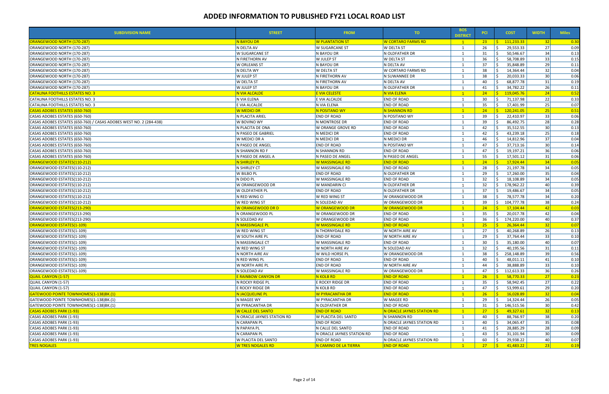| <b>SUBDIVISION NAME</b>                                            | <b>STREET</b>              | <b>FROM</b>                | TO.                        | <b>BOS</b><br><b>DISTRICT</b> | <b>PCI</b>      | <b>COST</b>                | <b>WIDTH</b>    | <b>Miles</b>       |
|--------------------------------------------------------------------|----------------------------|----------------------------|----------------------------|-------------------------------|-----------------|----------------------------|-----------------|--------------------|
| ORANGEWOOD NORTH (170-287)                                         | N BAYOU DR                 | <b>W PLANTATION ST</b>     | <b>W CORTARO FARMS RD</b>  | $\mathbf{1}$                  | $23 -$          | 111,233.33<br>- \$         | 32 <sup>2</sup> | $\vert 0.30 \vert$ |
| ORANGEWOOD NORTH (170-287)                                         | N DELTA AV                 | <b>W SUGARCANE ST</b>      | <b>W DELTA ST</b>          |                               | 26              | -Ś<br>29,553.33            | 27              | 0.09               |
| ORANGEWOOD NORTH (170-287)                                         | W SUGARCANE ST             | N BAYOU DR                 | N OLDFATHER DR             |                               | 31              | 50,546.67                  | 34              | 0.13               |
| ORANGEWOOD NORTH (170-287)                                         | N FIRETHORN AV             | W JULEP ST                 | <b>W DELTA ST</b>          |                               | 36              | 58,708.89                  | 33              | 0.15               |
| ORANGEWOOD NORTH (170-287)                                         | W ORLEANS ST               | N BAYOU DR                 | N DELTA AV                 |                               | 37              | 35,848.89                  | 29              | 0.11               |
| ORANGEWOOD NORTH (170-287)                                         | N DELTA WY                 | W DELTA ST                 | W CORTARO FARMS RD         |                               | 38              | 14,364.44                  | 32              | 0.04               |
| ORANGEWOOD NORTH (170-287)                                         | W JULEP ST                 | N FIRETHORN AV             | N SUWANNEE DR              |                               | 38              | 20,033.33                  | 30              | 0.06               |
| ORANGEWOOD NORTH (170-287)                                         | W DELTA ST                 | N FIRETHORN AV             | N DELTA AV                 |                               | 40              | 68,877.78                  | 31              | 0.19               |
| ORANGEWOOD NORTH (170-287)                                         | W JULEP ST                 | N BAYOU DR                 | N OLDFATHER DR             |                               | 41              | 34,782.22                  | 26              | 0.11               |
| <b>CATALINA FOOTHILLS ESTATES NO. 3</b>                            | N VIA ALCALDE              | <b>E VIA CELESTE</b>       | N VIA ELENA                | $\mathbf{1}$                  | 24              | $\leq$<br>119,045.76       | 24              | 0.52               |
| CATALINA FOOTHILLS ESTATES NO. 3                                   | N VIA ELENA                | E VIA ALCALDE              | <b>END OF ROAD</b>         | -1                            | 30              | 71,137.98                  | 22              | 0.33               |
| CATALINA FOOTHILLS ESTATES NO. 3                                   | E VIA ALCALDE              | N VIA ELENA                | <b>END OF ROAD</b>         |                               | 35              | 17,401.99                  | 25              | 0.07               |
| CASAS ADOBES ESTATES (650-760)                                     | W MEDICI DR                | N POSITANO WY              | N SHANNON RD               | $\mathbf{1}$                  | 24              | S.<br>120,241.05           | 25              | $\boxed{0.51}$     |
| CASAS ADOBES ESTATES (650-760)                                     | N PLACITA ARIEL            | <b>END OF ROAD</b>         | N POSITANO WY              |                               | 39              | 22,410.97                  | 33              | 0.06               |
| CASAS ADOBES ESTATES (650-760) / CASAS ADOBES WEST NO. 2 (284-438) | W BOVINO WY                | N MONTROSE DR              | <b>END OF ROAD</b>         |                               | 39              | 86,492.75                  | 28              | 0.28               |
| CASAS ADOBES ESTATES (650-760)                                     | N PLACITA DE ONA           | W ORANGE GROVE RD          | <b>END OF ROAD</b>         |                               | 42              | 35,512.55                  | 30 <sup>l</sup> | 0.13               |
| CASAS ADOBES ESTATES (650-760)                                     | N PASEO DE GABRIEL         | N MEDICI DR                | <b>END OF ROAD</b>         |                               | 42              | 43,239.18                  | 25              | 0.18               |
| CASAS ADOBES ESTATES (650-760)                                     | W MEDICI DR A              | N MEDICI DR                | N MEDICI DR                | $\mathbf{1}$                  | 46              | 14,812.96                  | 37              | 0.04               |
| CASAS ADOBES ESTATES (650-760)                                     | N PASEO DE ANGEL           | <b>END OF ROAD</b>         | N POSITANO WY              |                               | 47              | 37,713.16                  | 30              | 0.14               |
| CASAS ADOBES ESTATES (650-760)                                     | N SHANNON RD F             | N SHANNON RD               | <b>END OF ROAD</b>         |                               | 47              | 19,197.21                  | 36              | 0.06               |
| CASAS ADOBES ESTATES (650-760)                                     | N PASEO DE ANGEL A         | N PASEO DE ANGEL           | N PASEO DE ANGEL           |                               | 55              | 17,501.12                  | 31              | 0.06               |
| ORANGEWOOD ESTATES(110-212)                                        | N SHIRLEY PL               | <b>W MASSINGALE RD</b>     | <b>END OF ROAD</b>         | $\overline{1}$                | 24              | 17,924.44                  | 34              | 0.05               |
| ORANGEWOOD ESTATES(110-212)                                        | N SHIRLEY CT               | W MASSINGALE RD            | <b>END OF ROAD</b>         |                               | 28              | 21,197.78                  | 34              | 0.05               |
| ORANGEWOOD ESTATES(110-212)                                        | <b>W BILBO PL</b>          | <b>END OF ROAD</b>         | N OLDFATHER DR             | 1                             | 29              | 17,260.00                  | 35              | 0.04               |
| ORANGEWOOD ESTATES(110-212)                                        | N DIDO PL                  | W MASSINGALE RD            | <b>END OF ROAD</b>         |                               | 32              | 18,108.89                  | 34              | 0.05               |
| ORANGEWOOD ESTATES(110-212)                                        | W ORANGEWOOD DR            | W MANDARIN CI              | N OLDFATHER DR             |                               | 32              | 178,962.22                 | 40              | 0.39               |
| ORANGEWOOD ESTATES(110-212)                                        | <b>W OLDFATHER PL</b>      | <b>END OF ROAD</b>         | N OLDFATHER DR             |                               | 37              | 19,486.67                  | 34              | 0.05               |
| ORANGEWOOD ESTATES(110-212)                                        | N RED WING CI              | W RED WING ST              | W ORANGEWOOD DR            |                               | 38              | 78,577.78                  | 34              | 0.20               |
| ORANGEWOOD ESTATES(110-212)                                        | W RED WING ST              | N SOLEDAD AV               | W ORANGEWOOD DR            | -1                            | 39              | 104,777.78                 | 38              | 0.24               |
| DRANGEWOOD ESTATES(213-290)                                        | W ORANGEWOOD DR D          | W ORANGEWOOD DR            | W ORANGEWOOD DR            | $\mathbf{1}$                  | 24              | -\$-<br>17,104.44          | 42              | 0.03               |
| ORANGEWOOD ESTATES(213-290)                                        | N ORANGEWOOD PL            | W ORANGEWOOD DR            | <b>END OF ROAD</b>         | 1                             | 35              | Ŝ.<br>20,017.78            | 42              | 0.04               |
| ORANGEWOOD ESTATES(213-290)                                        | N SOLEDAD AV               | W ORANGEWOOD DR            | <b>END OF ROAD</b>         |                               | 36              | 174,220.00<br><sup>S</sup> | 40              | 0.37               |
| ORANGEWOOD ESTATES(1-109)                                          | N MASSINGALE PL            | <b>W MASSINGALE RD</b>     | <b>END OF ROAD</b>         |                               | 25 <sub>2</sub> | 26,364.44                  | 32              | 0.07               |
| ORANGEWOOD ESTATES(1-109)                                          | W RED WING ST              | N THORNYDALE RD            | W NORTH AIRE AV            |                               | 27              | 40,268.89                  | 26              | 0.13               |
| ORANGEWOOD ESTATES(1-109)                                          | W SOUTH AIRE PL            | <b>END OF ROAD</b>         | W NORTH AIRE AV            |                               | 29              | 37,764.44                  | 33              | 0.10               |
| ORANGEWOOD ESTATES(1-109)                                          | N MASSINGALE CT            | W MASSINGALE RD            | <b>END OF ROAD</b>         |                               | 30              | 35,180.00                  | 40              | 0.07               |
| ORANGEWOOD ESTATES(1-109)                                          | W RED WING ST              | W NORTH AIRE AV            | N SOLEDAD AV               |                               | 32              | 40,195.56                  | 31              | 0.11               |
| ORANGEWOOD ESTATES(1-109)                                          | N NORTH AIRE AV            | W WILD HORSE PL            | W ORANGEWOOD DR            |                               | 38              | 258,148.89<br>-S           | 39              | 0.56               |
| ORANGEWOOD ESTATES(1-109)                                          | N RED WING PL              | <b>END OF ROAD</b>         | <b>END OF ROAD</b>         |                               | 40              | 48,011.11                  | 41              | 0.10               |
| ORANGEWOOD ESTATES(1-109)                                          | W NORTH AIRE PL            | <b>END OF ROAD</b>         | W NORTH AIRE AV            |                               | 44              | 38,888.89                  | 33              | 0.10               |
| ORANGEWOOD ESTATES(1-109)                                          | N SOLEDAD AV               | W MASSINGALE RD            | W ORANGEWOOD DR            |                               | 47              | 112,613.33<br>-S           | 36              | 0.26               |
| <b>QUAIL CANYON (1-57)</b>                                         | <b>E RAINBOW CANYON DR</b> | N KOLB RD                  | <b>END OF ROAD</b>         | $\overline{1}$                | 26              | 58,770.33                  | 27              | 0.23               |
| QUAIL CANYON (1-57)                                                | N ROCKY RIDGE PL           | E ROCKY RIDGE DR           | <b>END OF ROAD</b>         | -1                            | 35              | 58,942.45<br>Ŝ.            | 27              | 0.22               |
| QUAIL CANYON (1-57)                                                | E ROCKY RIDGE DR           | N KOLB RD                  | <b>END OF ROAD</b>         |                               | 47              | 53,999.61                  | 29              | 0.20               |
| GATEWOOD POINTE TOWNHOMES(1-138)BK.(1)                             | N JACQUELINE PL            | <b>W PYRACANTHA DR</b>     | <b>END OF ROAD</b>         |                               | 26              | 16,028.89<br>$\leq$        | 32              | 0.04               |
| GATEWOOD POINTE TOWNHOMES(1-138)BK.(1)                             | N MAGEE WY                 | W PYRACANTHA DR            | W MAGEE RD                 |                               | 29              | Ŝ.<br>14,324.44            | 26              | 0.05               |
| GATEWOOD POINTE TOWNHOMES(1-138)BK.(1)                             | <b>W PYRACANTHA DR</b>     | N OLDFATHER DR             | <b>END OF ROAD</b>         |                               | 31              | Ŝ.<br>146,515.56           | 30 <sup>l</sup> | 0.42               |
| <b>CASAS ADOBES PARK (1-93)</b>                                    | <b>W CALLE DEL SANTO</b>   | <b>END OF ROAD</b>         | N ORACLE JAYNES STATION RD | $\overline{1}$                | 27 <sub>2</sub> | 49,327.61                  | 32              | 0.13               |
| CASAS ADOBES PARK (1-93)                                           | N ORACLE JAYNES STATION RD | W PLACITA DEL SANTO        | N SHANNON RD               |                               | 40              | 88,766.97                  | 38              | 0.20               |
| CASAS ADOBES PARK (1-93)                                           | N CARAPAN PL               | <b>END OF ROAD</b>         | N ORACLE JAYNES STATION RD |                               | 40              | 34,065.47                  | 35              | 0.08               |
| CASAS ADOBES PARK (1-93)                                           | N PAPAYA PL                | N CALLE DEL SANTO          | <b>END OF ROAD</b>         |                               | 41              | 28,885.29                  | 28              | 0.09               |
| CASAS ADOBES PARK (1-93)                                           | N CARAPAN PL               | N ORACLE JAYNES STATION RD | <b>END OF ROAD</b>         |                               | 43              | 31,101.94                  | 30 <sup>1</sup> | 0.09               |
| CASAS ADOBES PARK (1-93)                                           | W PLACITA DEL SANTO        | <b>END OF ROAD</b>         | N ORACLE JAYNES STATION RD |                               | 60              | 29,938.22                  | 40              | 0.07               |
| <b>TRES NOGALES</b>                                                | <b>W TRES NOGALES RD</b>   | N CAMINO DE LA TIERRA      | <b>END OF ROAD</b>         | $\mathbf{1}$                  | 27 <sub>2</sub> | $\mathsf{S}$<br>41,483.22  | 23              | 0.19               |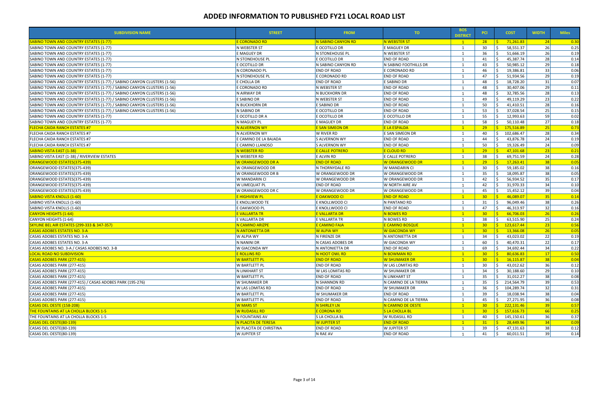| 28<br>E CORONADO RD<br>N SABINO CANYON RD<br>N WEBSTER ST<br>71,261.83<br>24<br><u>SABINO TOWN AND COUNTRY ESTATES (1-77)</u><br>$\mathbf{1}$<br>26<br>30<br>N WEBSTER ST<br>E OCOTILLO DR<br>E MAGUEY DR<br>58,551.37<br>SABINO TOWN AND COUNTRY ESTATES (1-77)<br>26<br>36<br>E MAGUEY DR<br>N WEBSTER ST<br>51,666.19<br>N STONEHOUSE PL<br>SABINO TOWN AND COUNTRY ESTATES (1-77)<br>28<br><b>END OF ROAD</b><br>45,387.74<br>N STONEHOUSE PL<br>E OCOTILLO DR<br>41<br>SABINO TOWN AND COUNTRY ESTATES (1-77)<br>29<br>50,985.12<br>E OCOTILLO DR<br>N SABINO FOOTHILLS DR<br>43<br>N SABINO CANYON RD<br>SABINO TOWN AND COUNTRY ESTATES (1-77)<br>33<br>N CORONADO PL<br><b>END OF ROAD</b><br>E CORONADO RD<br>46<br>19,386.81<br>SABINO TOWN AND COUNTRY ESTATES (1-77)<br>29<br>N STONEHOUSE PL<br>E CORONADO RD<br>SABINO TOWN AND COUNTRY ESTATES (1-77)<br><b>END OF ROAD</b><br>47<br>51,934.56<br>31<br>SABINO TOWN AND COUNTRY ESTATES (1-77) / SABINO CANYON CLUSTERS (1-56)<br>E CHOLLA DR<br><b>END OF ROAD</b><br>E SABINO DR<br>48<br>0.07<br>18,728.20<br>29<br><b>END OF ROAD</b><br>48<br>SABINO TOWN AND COUNTRY ESTATES (1-77) / SABINO CANYON CLUSTERS (1-56)<br>E CORONADO RD<br>N WEBSTER ST<br>30,407.06<br>28<br>N AIRWAY DR<br>N BUCKHORN DR<br><b>END OF ROAD</b><br>48<br>32,785.56<br>0.13<br>SABINO TOWN AND COUNTRY ESTATES (1-77) / SABINO CANYON CLUSTERS (1-56)<br>23<br>E SABINO DR<br>N WEBSTER ST<br><b>END OF ROAD</b><br>49,119.29<br>0.22<br>SABINO TOWN AND COUNTRY ESTATES (1-77) / SABINO CANYON CLUSTERS (1-56)<br>49<br>28<br>N BUCKHORN DR<br>E SABINO DR<br><b>END OF ROAD</b><br>50<br>0.16<br>SABINO TOWN AND COUNTRY ESTATES (1-77) / SABINO CANYON CLUSTERS (1-56)<br>41,410.51<br>25<br>53<br>37,028.54<br>0.15<br>SABINO TOWN AND COUNTRY ESTATES (1-77) / SABINO CANYON CLUSTERS (1-56)<br>N SABINO DR<br>e ocotillo dr<br><b>END OF ROAD</b><br>59<br>55<br>12,993.63<br>0.02<br>E OCOTILLO DR A<br>e ocotillo dr<br>E OCOTILLO DR<br>SABINO TOWN AND COUNTRY ESTATES (1-77)<br>27<br>58<br>N MAGUEY PL<br>E MAGUEY DR<br><b>END OF ROAD</b><br>50,110.48<br>0.18<br>SABINO TOWN AND COUNTRY ESTATES (1-77)<br>-1<br>25<br>29<br><b>E SAN SIMEON DR</b><br><b>E LA ESPALDA</b><br>175,516.89<br>0.73<br><b>ELECHA CAIDA RANCH ESTATES #7</b><br>N ALVERNON WY<br>28<br>W RIVER RD<br>E SAN SIMEON DR<br>102,686.47<br>0.34<br>FLECHA CAIDA RANCH ESTATES #7<br>N ALVERNON WY<br>40<br>24<br>E CAMINO DE LA BAJADA<br>S ALVERNON WY<br><b>END OF ROAD</b><br>43,876.78<br>0.19<br>FLECHA CAIDA RANCH ESTATES #7<br>44<br>$\overline{1}$<br>24<br>50<br>E CAMINO LLANOSO<br>S ALVERNON WY<br><b>END OF ROAD</b><br>19,326.49<br>0.09<br>FLECHA CAIDA RANCH ESTATES #7<br>23<br><b>E CLOUD RD</b><br>29<br>47,101.68<br><u>SABINO VISTA EAST (1-38)</u><br>N WEBSTER RD<br><b>E CALLE POTRERO</b><br>0.21<br>$\overline{1}$<br>24<br>N WEBSTER RD<br>E ALVIN RD<br>E CALLE POTRERO<br>38<br>69,751.59<br>SABINO VISTA EAST (1-38) / RIVERVIEW ESTATES<br>0.28<br> 38 <br><b>W ORANGEWOOD DR A</b><br><b>END OF ROAD</b><br><b>W ORANGEWOOD DR</b><br>29<br>17,263.41<br>ORANGEWOOD ESTATES(375-439)<br>$\overline{1}$<br>0.05<br>38<br>W ORANGEWOOD DR<br>N THORNYDALE RD<br>W MANDARIN CI<br>59,185.02<br>ORANGEWOOD ESTATES(375-439)<br>30<br>0.16<br>38<br>W ORANGEWOOD DR B<br>W ORANGEWOOD DR<br>W ORANGEWOOD DR<br>35<br>18,095.87<br>0.05<br>ORANGEWOOD ESTATES(375-439)<br>$\overline{1}$<br>35<br>ORANGEWOOD ESTATES(375-439)<br>W MANDARIN CI<br>W ORANGEWOOD DR<br>W ORANGEWOOD DR<br>42<br>56,934.52<br>0.17<br>34<br>31,970.33<br><b>W LIMEQUAT PL</b><br><b>END OF ROAD</b><br><b>W NORTH AIRE AV</b><br>42<br>0.10<br>ORANGEWOOD ESTATES(375-439)<br>39<br>45<br>15,452.12<br>W ORANGEWOOD DR C<br>W ORANGEWOOD DR<br>W ORANGEWOOD DR<br>0.04<br>ORANGEWOOD ESTATES(375-439)<br>30 <sub>2</sub><br>35<br>46,089.07<br><b>E HIGHVIEW PL</b><br>E OAKWOOD CI<br><b>END OF ROAD</b><br>$\overline{1}$<br>0.14<br><u> SABINO VISTA KNOLLS (1-60)</u><br>38<br>E KNOLLWOOD TE<br>31<br>96,049.46<br>E KNOLLWOOD CI<br>N PANTANO RD<br>0.26<br>SABINO VISTA KNOLLS (1-60)<br>-1<br>32<br>E OAKWOOD PL<br><b>END OF ROAD</b><br>47<br>46,313.97<br>E KNOLLWOOD CI<br>0.16<br>SABINO VISTA KNOLLS (1-60)<br>-1<br>26<br><b>E VALLARTA TR</b><br><b>E VALLARTA DR</b><br>N BOWES RD<br>30 <sub>o</sub><br>66,706.03<br><b>CANYON HEIGHTS (1-64)</b><br><b>R</b><br>0.26<br>$\overline{1}$<br>25<br>N BOWES RD<br>38<br>E VALLARTA DR<br>E VALLARTA TR<br>63,515.90<br>0.24<br>CANYON HEIGHTS (1-64)<br>-1<br> 23 <br><b>SKYLINE BEL AIR ESTATES (299-333 &amp; 347-357)</b><br>N CAMINO ARIZPE<br><b>E CAMINO BOSQUE</b><br>30 <sub>2</sub><br>123,617.44<br><b>E CAMINO FAJA</b><br>$\mathbf{1}$<br>S.<br>0.56<br>30 <sup>°</sup><br>26<br>N ANTONIETTA DR<br><b>W ALPIA WY</b><br><b>W GIACONDA WY</b><br>13,366.08<br><b>CASAS ADOBES ESTATES NO. 3-A</b><br>$\overline{1}$<br>0.05<br>22<br>CASAS ADOBES ESTATES NO. 3-A<br><b>W ALPIA WY</b><br>N FIRENZE DR<br>N ANTONIETTA DR<br>34<br>0.19<br>43,023.02<br>22<br>CASAS ADOBES ESTATES NO. 3-A<br>N NANINI DR<br>N CASAS ADOBES DR<br>W GIACONDA WY<br>40,470.31<br>60<br>34<br>W GIACONDA WY<br><b>END OF ROAD</b><br>69<br>34,692.44<br>CASAS ADOBES NO. 3-A / CASAS ADOBES NO. 3-B<br>N ANTONIETTA DR<br>17<br><b>LOCAL ROAD NO SUBDIVISION</b><br><b>E ROLLINS RD</b><br>N HOOT OWL RD<br>N BOWMAN RD<br>-Ś.<br>80,636.83<br>$30 -$<br>$\blacksquare$ 1<br>16,115.87<br><b>CASAS ADOBES PARK (277-415)</b><br><b>W BARTLETT PL</b><br><b>END OF ROAD</b><br><b>W SHUMAKER DR</b><br>30 <sub>1</sub><br><b>R</b><br> 38 <br>36<br><b>W BARTLETT PL</b><br><b>END OF ROAD</b><br>30<br>43,012.62<br>CASAS ADOBES PARK (277-415)<br><b>W LAS LOMITAS RD</b><br>-Ś<br>29<br>34<br>30,188.60<br>CASAS ADOBES PARK (277-415)<br>N LINKHART ST<br>W LAS LOMITAS RD<br>W SHUMAKER DR<br>38<br>35<br><b>W BARTLETT PL</b><br><b>END OF ROAD</b><br>N LINKHART ST<br>31,012.27<br>CASAS ADOBES PARK (277-415)<br>39<br><b>W SHUMAKER DR</b><br>N SHANNON RD<br>N CAMINO DE LA TIERRA<br>35<br>CASAS ADOBES PARK (277-415) / CASAS ADOBES PARK (195-276)<br>214,564.79<br>32<br>36<br><b>W LAS LOMITAS RD</b><br><b>END OF ROAD</b><br>W SHUMAKER DR<br>CASAS ADOBES PARK (277-415)<br>104,289.74<br>-S<br>38<br>39<br><b>W BARTLETT PL</b><br>W SHUMAKER DR<br><b>END OF ROAD</b><br>CASAS ADOBES PARK (277-415)<br>18,038.94<br>36<br>CASAS ADOBES PARK (277-415)<br><b>W BARTLETT PL</b><br><b>END OF ROAD</b><br>N CAMINO DE LA TIERRA<br>45<br>27,271.95<br><b>W MARS ST</b><br>N SHIRLEY LN<br>30 <sup>°</sup><br>39<br><b>CASAS DEL OESTE (158-208)</b><br>N CAMINO DE OESTE<br>$\mathbf{1}$<br>ς.<br>222,131.46<br><b>E CORONA RD</b><br>S LA CHOLLA BL<br><b>THE FOUNTAINS AT LA CHOLLA BLOCKS 1-5</b><br><b>W RUDASILL RD</b><br>30 <sub>1</sub><br>S.<br>157,616.73<br>$-66$<br>$\blacksquare$ 1<br>N FOUNTAINS AV<br>S LA CHOLLA BL<br>W RUDASILL RD<br>36<br>THE FOUNTAINS AT LA CHOLLA BLOCKS 1-5<br>40<br>Ŝ.<br>145,150.61<br>-1<br>34<br>CASAS DEL OESTE(80-139)<br>N PLACITA DE TERESA<br><b>W JUPITER ST</b><br><b>END OF ROAD</b><br>31<br>-Ś.<br>28,449.96<br>$\blacksquare$ 1<br>38<br>CASAS DEL OESTE(80-139)<br><b>W PLACITA DE CHRISTINA</b><br>END OF ROAD<br><b>W JUPITER ST</b><br>39<br>47,131.63<br>0.12<br>-S<br>1<br>39<br>Ŝ.<br>CASAS DEL OESTE(80-139)<br><b>W JUPITER ST</b><br>N RAE AV<br><b>END OF ROAD</b><br>41<br>60,011.51 | <b>SUBDIVISION NAME</b> | <b>STREET</b> | <b>FROM</b> | TO. | <b>BOS</b><br><b>DISTRICT</b> | <b>PCI</b> | <b>COST</b> | <b>WIDTH</b> | <b>Miles</b>       |
|-------------------------------------------------------------------------------------------------------------------------------------------------------------------------------------------------------------------------------------------------------------------------------------------------------------------------------------------------------------------------------------------------------------------------------------------------------------------------------------------------------------------------------------------------------------------------------------------------------------------------------------------------------------------------------------------------------------------------------------------------------------------------------------------------------------------------------------------------------------------------------------------------------------------------------------------------------------------------------------------------------------------------------------------------------------------------------------------------------------------------------------------------------------------------------------------------------------------------------------------------------------------------------------------------------------------------------------------------------------------------------------------------------------------------------------------------------------------------------------------------------------------------------------------------------------------------------------------------------------------------------------------------------------------------------------------------------------------------------------------------------------------------------------------------------------------------------------------------------------------------------------------------------------------------------------------------------------------------------------------------------------------------------------------------------------------------------------------------------------------------------------------------------------------------------------------------------------------------------------------------------------------------------------------------------------------------------------------------------------------------------------------------------------------------------------------------------------------------------------------------------------------------------------------------------------------------------------------------------------------------------------------------------------------------------------------------------------------------------------------------------------------------------------------------------------------------------------------------------------------------------------------------------------------------------------------------------------------------------------------------------------------------------------------------------------------------------------------------------------------------------------------------------------------------------------------------------------------------------------------------------------------------------------------------------------------------------------------------------------------------------------------------------------------------------------------------------------------------------------------------------------------------------------------------------------------------------------------------------------------------------------------------------------------------------------------------------------------------------------------------------------------------------------------------------------------------------------------------------------------------------------------------------------------------------------------------------------------------------------------------------------------------------------------------------------------------------------------------------------------------------------------------------------------------------------------------------------------------------------------------------------------------------------------------------------------------------------------------------------------------------------------------------------------------------------------------------------------------------------------------------------------------------------------------------------------------------------------------------------------------------------------------------------------------------------------------------------------------------------------------------------------------------------------------------------------------------------------------------------------------------------------------------------------------------------------------------------------------------------------------------------------------------------------------------------------------------------------------------------------------------------------------------------------------------------------------------------------------------------------------------------------------------------------------------------------------------------------------------------------------------------------------------------------------------------------------------------------------------------------------------------------------------------------------------------------------------------------------------------------------------------------------------------------------------------------------------------------------------------------------------------------------------------------------------------------------------------------------------------------------------------------------------------------------------------------------------------------------------------------------------------------------------------------------------------------------------------------------------------------------------------------------------------------------------------------------------------------------------------------------------------------------------------------------------------------------------------------------------------------------------------------------------------------------------------------------------------------------------------------------------------------------------------------------------------------------------------------------------------------------------------------------------------------------------------------------------------------------------------------------------------------------------------------------------------------------------------------------------------------------------------------------------------------------------------------------------------------------------------------------------------------------------------------------------------------------------------------------------------------------------------------------------------------------------------------------------------------------------------------------------------------------------------------------------------------------------------------------------------------------------------------------------------------------------------------------------------------------------------|-------------------------|---------------|-------------|-----|-------------------------------|------------|-------------|--------------|--------------------|
|                                                                                                                                                                                                                                                                                                                                                                                                                                                                                                                                                                                                                                                                                                                                                                                                                                                                                                                                                                                                                                                                                                                                                                                                                                                                                                                                                                                                                                                                                                                                                                                                                                                                                                                                                                                                                                                                                                                                                                                                                                                                                                                                                                                                                                                                                                                                                                                                                                                                                                                                                                                                                                                                                                                                                                                                                                                                                                                                                                                                                                                                                                                                                                                                                                                                                                                                                                                                                                                                                                                                                                                                                                                                                                                                                                                                                                                                                                                                                                                                                                                                                                                                                                                                                                                                                                                                                                                                                                                                                                                                                                                                                                                                                                                                                                                                                                                                                                                                                                                                                                                                                                                                                                                                                                                                                                                                                                                                                                                                                                                                                                                                                                                                                                                                                                                                                                                                                                                                                                                                                                                                                                                                                                                                                                                                                                                                                                                                                                                                                                                                                                                                                                                                                                                                                                                                                                                                                                                                                                                                                                                                                                                                                                                                                                                                                                                                                                                                                                                                                     |                         |               |             |     |                               |            |             |              | $\vert 0.30 \vert$ |
|                                                                                                                                                                                                                                                                                                                                                                                                                                                                                                                                                                                                                                                                                                                                                                                                                                                                                                                                                                                                                                                                                                                                                                                                                                                                                                                                                                                                                                                                                                                                                                                                                                                                                                                                                                                                                                                                                                                                                                                                                                                                                                                                                                                                                                                                                                                                                                                                                                                                                                                                                                                                                                                                                                                                                                                                                                                                                                                                                                                                                                                                                                                                                                                                                                                                                                                                                                                                                                                                                                                                                                                                                                                                                                                                                                                                                                                                                                                                                                                                                                                                                                                                                                                                                                                                                                                                                                                                                                                                                                                                                                                                                                                                                                                                                                                                                                                                                                                                                                                                                                                                                                                                                                                                                                                                                                                                                                                                                                                                                                                                                                                                                                                                                                                                                                                                                                                                                                                                                                                                                                                                                                                                                                                                                                                                                                                                                                                                                                                                                                                                                                                                                                                                                                                                                                                                                                                                                                                                                                                                                                                                                                                                                                                                                                                                                                                                                                                                                                                                                     |                         |               |             |     |                               |            |             |              | 0.25               |
|                                                                                                                                                                                                                                                                                                                                                                                                                                                                                                                                                                                                                                                                                                                                                                                                                                                                                                                                                                                                                                                                                                                                                                                                                                                                                                                                                                                                                                                                                                                                                                                                                                                                                                                                                                                                                                                                                                                                                                                                                                                                                                                                                                                                                                                                                                                                                                                                                                                                                                                                                                                                                                                                                                                                                                                                                                                                                                                                                                                                                                                                                                                                                                                                                                                                                                                                                                                                                                                                                                                                                                                                                                                                                                                                                                                                                                                                                                                                                                                                                                                                                                                                                                                                                                                                                                                                                                                                                                                                                                                                                                                                                                                                                                                                                                                                                                                                                                                                                                                                                                                                                                                                                                                                                                                                                                                                                                                                                                                                                                                                                                                                                                                                                                                                                                                                                                                                                                                                                                                                                                                                                                                                                                                                                                                                                                                                                                                                                                                                                                                                                                                                                                                                                                                                                                                                                                                                                                                                                                                                                                                                                                                                                                                                                                                                                                                                                                                                                                                                                     |                         |               |             |     |                               |            |             |              | 0.19               |
|                                                                                                                                                                                                                                                                                                                                                                                                                                                                                                                                                                                                                                                                                                                                                                                                                                                                                                                                                                                                                                                                                                                                                                                                                                                                                                                                                                                                                                                                                                                                                                                                                                                                                                                                                                                                                                                                                                                                                                                                                                                                                                                                                                                                                                                                                                                                                                                                                                                                                                                                                                                                                                                                                                                                                                                                                                                                                                                                                                                                                                                                                                                                                                                                                                                                                                                                                                                                                                                                                                                                                                                                                                                                                                                                                                                                                                                                                                                                                                                                                                                                                                                                                                                                                                                                                                                                                                                                                                                                                                                                                                                                                                                                                                                                                                                                                                                                                                                                                                                                                                                                                                                                                                                                                                                                                                                                                                                                                                                                                                                                                                                                                                                                                                                                                                                                                                                                                                                                                                                                                                                                                                                                                                                                                                                                                                                                                                                                                                                                                                                                                                                                                                                                                                                                                                                                                                                                                                                                                                                                                                                                                                                                                                                                                                                                                                                                                                                                                                                                                     |                         |               |             |     |                               |            |             |              | 0.14               |
|                                                                                                                                                                                                                                                                                                                                                                                                                                                                                                                                                                                                                                                                                                                                                                                                                                                                                                                                                                                                                                                                                                                                                                                                                                                                                                                                                                                                                                                                                                                                                                                                                                                                                                                                                                                                                                                                                                                                                                                                                                                                                                                                                                                                                                                                                                                                                                                                                                                                                                                                                                                                                                                                                                                                                                                                                                                                                                                                                                                                                                                                                                                                                                                                                                                                                                                                                                                                                                                                                                                                                                                                                                                                                                                                                                                                                                                                                                                                                                                                                                                                                                                                                                                                                                                                                                                                                                                                                                                                                                                                                                                                                                                                                                                                                                                                                                                                                                                                                                                                                                                                                                                                                                                                                                                                                                                                                                                                                                                                                                                                                                                                                                                                                                                                                                                                                                                                                                                                                                                                                                                                                                                                                                                                                                                                                                                                                                                                                                                                                                                                                                                                                                                                                                                                                                                                                                                                                                                                                                                                                                                                                                                                                                                                                                                                                                                                                                                                                                                                                     |                         |               |             |     |                               |            |             |              | 0.18               |
|                                                                                                                                                                                                                                                                                                                                                                                                                                                                                                                                                                                                                                                                                                                                                                                                                                                                                                                                                                                                                                                                                                                                                                                                                                                                                                                                                                                                                                                                                                                                                                                                                                                                                                                                                                                                                                                                                                                                                                                                                                                                                                                                                                                                                                                                                                                                                                                                                                                                                                                                                                                                                                                                                                                                                                                                                                                                                                                                                                                                                                                                                                                                                                                                                                                                                                                                                                                                                                                                                                                                                                                                                                                                                                                                                                                                                                                                                                                                                                                                                                                                                                                                                                                                                                                                                                                                                                                                                                                                                                                                                                                                                                                                                                                                                                                                                                                                                                                                                                                                                                                                                                                                                                                                                                                                                                                                                                                                                                                                                                                                                                                                                                                                                                                                                                                                                                                                                                                                                                                                                                                                                                                                                                                                                                                                                                                                                                                                                                                                                                                                                                                                                                                                                                                                                                                                                                                                                                                                                                                                                                                                                                                                                                                                                                                                                                                                                                                                                                                                                     |                         |               |             |     |                               |            |             |              | 0.06               |
|                                                                                                                                                                                                                                                                                                                                                                                                                                                                                                                                                                                                                                                                                                                                                                                                                                                                                                                                                                                                                                                                                                                                                                                                                                                                                                                                                                                                                                                                                                                                                                                                                                                                                                                                                                                                                                                                                                                                                                                                                                                                                                                                                                                                                                                                                                                                                                                                                                                                                                                                                                                                                                                                                                                                                                                                                                                                                                                                                                                                                                                                                                                                                                                                                                                                                                                                                                                                                                                                                                                                                                                                                                                                                                                                                                                                                                                                                                                                                                                                                                                                                                                                                                                                                                                                                                                                                                                                                                                                                                                                                                                                                                                                                                                                                                                                                                                                                                                                                                                                                                                                                                                                                                                                                                                                                                                                                                                                                                                                                                                                                                                                                                                                                                                                                                                                                                                                                                                                                                                                                                                                                                                                                                                                                                                                                                                                                                                                                                                                                                                                                                                                                                                                                                                                                                                                                                                                                                                                                                                                                                                                                                                                                                                                                                                                                                                                                                                                                                                                                     |                         |               |             |     |                               |            |             |              | 0.19               |
|                                                                                                                                                                                                                                                                                                                                                                                                                                                                                                                                                                                                                                                                                                                                                                                                                                                                                                                                                                                                                                                                                                                                                                                                                                                                                                                                                                                                                                                                                                                                                                                                                                                                                                                                                                                                                                                                                                                                                                                                                                                                                                                                                                                                                                                                                                                                                                                                                                                                                                                                                                                                                                                                                                                                                                                                                                                                                                                                                                                                                                                                                                                                                                                                                                                                                                                                                                                                                                                                                                                                                                                                                                                                                                                                                                                                                                                                                                                                                                                                                                                                                                                                                                                                                                                                                                                                                                                                                                                                                                                                                                                                                                                                                                                                                                                                                                                                                                                                                                                                                                                                                                                                                                                                                                                                                                                                                                                                                                                                                                                                                                                                                                                                                                                                                                                                                                                                                                                                                                                                                                                                                                                                                                                                                                                                                                                                                                                                                                                                                                                                                                                                                                                                                                                                                                                                                                                                                                                                                                                                                                                                                                                                                                                                                                                                                                                                                                                                                                                                                     |                         |               |             |     |                               |            |             |              |                    |
|                                                                                                                                                                                                                                                                                                                                                                                                                                                                                                                                                                                                                                                                                                                                                                                                                                                                                                                                                                                                                                                                                                                                                                                                                                                                                                                                                                                                                                                                                                                                                                                                                                                                                                                                                                                                                                                                                                                                                                                                                                                                                                                                                                                                                                                                                                                                                                                                                                                                                                                                                                                                                                                                                                                                                                                                                                                                                                                                                                                                                                                                                                                                                                                                                                                                                                                                                                                                                                                                                                                                                                                                                                                                                                                                                                                                                                                                                                                                                                                                                                                                                                                                                                                                                                                                                                                                                                                                                                                                                                                                                                                                                                                                                                                                                                                                                                                                                                                                                                                                                                                                                                                                                                                                                                                                                                                                                                                                                                                                                                                                                                                                                                                                                                                                                                                                                                                                                                                                                                                                                                                                                                                                                                                                                                                                                                                                                                                                                                                                                                                                                                                                                                                                                                                                                                                                                                                                                                                                                                                                                                                                                                                                                                                                                                                                                                                                                                                                                                                                                     |                         |               |             |     |                               |            |             |              | 0.11               |
|                                                                                                                                                                                                                                                                                                                                                                                                                                                                                                                                                                                                                                                                                                                                                                                                                                                                                                                                                                                                                                                                                                                                                                                                                                                                                                                                                                                                                                                                                                                                                                                                                                                                                                                                                                                                                                                                                                                                                                                                                                                                                                                                                                                                                                                                                                                                                                                                                                                                                                                                                                                                                                                                                                                                                                                                                                                                                                                                                                                                                                                                                                                                                                                                                                                                                                                                                                                                                                                                                                                                                                                                                                                                                                                                                                                                                                                                                                                                                                                                                                                                                                                                                                                                                                                                                                                                                                                                                                                                                                                                                                                                                                                                                                                                                                                                                                                                                                                                                                                                                                                                                                                                                                                                                                                                                                                                                                                                                                                                                                                                                                                                                                                                                                                                                                                                                                                                                                                                                                                                                                                                                                                                                                                                                                                                                                                                                                                                                                                                                                                                                                                                                                                                                                                                                                                                                                                                                                                                                                                                                                                                                                                                                                                                                                                                                                                                                                                                                                                                                     |                         |               |             |     |                               |            |             |              |                    |
|                                                                                                                                                                                                                                                                                                                                                                                                                                                                                                                                                                                                                                                                                                                                                                                                                                                                                                                                                                                                                                                                                                                                                                                                                                                                                                                                                                                                                                                                                                                                                                                                                                                                                                                                                                                                                                                                                                                                                                                                                                                                                                                                                                                                                                                                                                                                                                                                                                                                                                                                                                                                                                                                                                                                                                                                                                                                                                                                                                                                                                                                                                                                                                                                                                                                                                                                                                                                                                                                                                                                                                                                                                                                                                                                                                                                                                                                                                                                                                                                                                                                                                                                                                                                                                                                                                                                                                                                                                                                                                                                                                                                                                                                                                                                                                                                                                                                                                                                                                                                                                                                                                                                                                                                                                                                                                                                                                                                                                                                                                                                                                                                                                                                                                                                                                                                                                                                                                                                                                                                                                                                                                                                                                                                                                                                                                                                                                                                                                                                                                                                                                                                                                                                                                                                                                                                                                                                                                                                                                                                                                                                                                                                                                                                                                                                                                                                                                                                                                                                                     |                         |               |             |     |                               |            |             |              |                    |
|                                                                                                                                                                                                                                                                                                                                                                                                                                                                                                                                                                                                                                                                                                                                                                                                                                                                                                                                                                                                                                                                                                                                                                                                                                                                                                                                                                                                                                                                                                                                                                                                                                                                                                                                                                                                                                                                                                                                                                                                                                                                                                                                                                                                                                                                                                                                                                                                                                                                                                                                                                                                                                                                                                                                                                                                                                                                                                                                                                                                                                                                                                                                                                                                                                                                                                                                                                                                                                                                                                                                                                                                                                                                                                                                                                                                                                                                                                                                                                                                                                                                                                                                                                                                                                                                                                                                                                                                                                                                                                                                                                                                                                                                                                                                                                                                                                                                                                                                                                                                                                                                                                                                                                                                                                                                                                                                                                                                                                                                                                                                                                                                                                                                                                                                                                                                                                                                                                                                                                                                                                                                                                                                                                                                                                                                                                                                                                                                                                                                                                                                                                                                                                                                                                                                                                                                                                                                                                                                                                                                                                                                                                                                                                                                                                                                                                                                                                                                                                                                                     |                         |               |             |     |                               |            |             |              |                    |
|                                                                                                                                                                                                                                                                                                                                                                                                                                                                                                                                                                                                                                                                                                                                                                                                                                                                                                                                                                                                                                                                                                                                                                                                                                                                                                                                                                                                                                                                                                                                                                                                                                                                                                                                                                                                                                                                                                                                                                                                                                                                                                                                                                                                                                                                                                                                                                                                                                                                                                                                                                                                                                                                                                                                                                                                                                                                                                                                                                                                                                                                                                                                                                                                                                                                                                                                                                                                                                                                                                                                                                                                                                                                                                                                                                                                                                                                                                                                                                                                                                                                                                                                                                                                                                                                                                                                                                                                                                                                                                                                                                                                                                                                                                                                                                                                                                                                                                                                                                                                                                                                                                                                                                                                                                                                                                                                                                                                                                                                                                                                                                                                                                                                                                                                                                                                                                                                                                                                                                                                                                                                                                                                                                                                                                                                                                                                                                                                                                                                                                                                                                                                                                                                                                                                                                                                                                                                                                                                                                                                                                                                                                                                                                                                                                                                                                                                                                                                                                                                                     |                         |               |             |     |                               |            |             |              |                    |
|                                                                                                                                                                                                                                                                                                                                                                                                                                                                                                                                                                                                                                                                                                                                                                                                                                                                                                                                                                                                                                                                                                                                                                                                                                                                                                                                                                                                                                                                                                                                                                                                                                                                                                                                                                                                                                                                                                                                                                                                                                                                                                                                                                                                                                                                                                                                                                                                                                                                                                                                                                                                                                                                                                                                                                                                                                                                                                                                                                                                                                                                                                                                                                                                                                                                                                                                                                                                                                                                                                                                                                                                                                                                                                                                                                                                                                                                                                                                                                                                                                                                                                                                                                                                                                                                                                                                                                                                                                                                                                                                                                                                                                                                                                                                                                                                                                                                                                                                                                                                                                                                                                                                                                                                                                                                                                                                                                                                                                                                                                                                                                                                                                                                                                                                                                                                                                                                                                                                                                                                                                                                                                                                                                                                                                                                                                                                                                                                                                                                                                                                                                                                                                                                                                                                                                                                                                                                                                                                                                                                                                                                                                                                                                                                                                                                                                                                                                                                                                                                                     |                         |               |             |     |                               |            |             |              |                    |
|                                                                                                                                                                                                                                                                                                                                                                                                                                                                                                                                                                                                                                                                                                                                                                                                                                                                                                                                                                                                                                                                                                                                                                                                                                                                                                                                                                                                                                                                                                                                                                                                                                                                                                                                                                                                                                                                                                                                                                                                                                                                                                                                                                                                                                                                                                                                                                                                                                                                                                                                                                                                                                                                                                                                                                                                                                                                                                                                                                                                                                                                                                                                                                                                                                                                                                                                                                                                                                                                                                                                                                                                                                                                                                                                                                                                                                                                                                                                                                                                                                                                                                                                                                                                                                                                                                                                                                                                                                                                                                                                                                                                                                                                                                                                                                                                                                                                                                                                                                                                                                                                                                                                                                                                                                                                                                                                                                                                                                                                                                                                                                                                                                                                                                                                                                                                                                                                                                                                                                                                                                                                                                                                                                                                                                                                                                                                                                                                                                                                                                                                                                                                                                                                                                                                                                                                                                                                                                                                                                                                                                                                                                                                                                                                                                                                                                                                                                                                                                                                                     |                         |               |             |     |                               |            |             |              |                    |
|                                                                                                                                                                                                                                                                                                                                                                                                                                                                                                                                                                                                                                                                                                                                                                                                                                                                                                                                                                                                                                                                                                                                                                                                                                                                                                                                                                                                                                                                                                                                                                                                                                                                                                                                                                                                                                                                                                                                                                                                                                                                                                                                                                                                                                                                                                                                                                                                                                                                                                                                                                                                                                                                                                                                                                                                                                                                                                                                                                                                                                                                                                                                                                                                                                                                                                                                                                                                                                                                                                                                                                                                                                                                                                                                                                                                                                                                                                                                                                                                                                                                                                                                                                                                                                                                                                                                                                                                                                                                                                                                                                                                                                                                                                                                                                                                                                                                                                                                                                                                                                                                                                                                                                                                                                                                                                                                                                                                                                                                                                                                                                                                                                                                                                                                                                                                                                                                                                                                                                                                                                                                                                                                                                                                                                                                                                                                                                                                                                                                                                                                                                                                                                                                                                                                                                                                                                                                                                                                                                                                                                                                                                                                                                                                                                                                                                                                                                                                                                                                                     |                         |               |             |     |                               |            |             |              |                    |
|                                                                                                                                                                                                                                                                                                                                                                                                                                                                                                                                                                                                                                                                                                                                                                                                                                                                                                                                                                                                                                                                                                                                                                                                                                                                                                                                                                                                                                                                                                                                                                                                                                                                                                                                                                                                                                                                                                                                                                                                                                                                                                                                                                                                                                                                                                                                                                                                                                                                                                                                                                                                                                                                                                                                                                                                                                                                                                                                                                                                                                                                                                                                                                                                                                                                                                                                                                                                                                                                                                                                                                                                                                                                                                                                                                                                                                                                                                                                                                                                                                                                                                                                                                                                                                                                                                                                                                                                                                                                                                                                                                                                                                                                                                                                                                                                                                                                                                                                                                                                                                                                                                                                                                                                                                                                                                                                                                                                                                                                                                                                                                                                                                                                                                                                                                                                                                                                                                                                                                                                                                                                                                                                                                                                                                                                                                                                                                                                                                                                                                                                                                                                                                                                                                                                                                                                                                                                                                                                                                                                                                                                                                                                                                                                                                                                                                                                                                                                                                                                                     |                         |               |             |     |                               |            |             |              |                    |
|                                                                                                                                                                                                                                                                                                                                                                                                                                                                                                                                                                                                                                                                                                                                                                                                                                                                                                                                                                                                                                                                                                                                                                                                                                                                                                                                                                                                                                                                                                                                                                                                                                                                                                                                                                                                                                                                                                                                                                                                                                                                                                                                                                                                                                                                                                                                                                                                                                                                                                                                                                                                                                                                                                                                                                                                                                                                                                                                                                                                                                                                                                                                                                                                                                                                                                                                                                                                                                                                                                                                                                                                                                                                                                                                                                                                                                                                                                                                                                                                                                                                                                                                                                                                                                                                                                                                                                                                                                                                                                                                                                                                                                                                                                                                                                                                                                                                                                                                                                                                                                                                                                                                                                                                                                                                                                                                                                                                                                                                                                                                                                                                                                                                                                                                                                                                                                                                                                                                                                                                                                                                                                                                                                                                                                                                                                                                                                                                                                                                                                                                                                                                                                                                                                                                                                                                                                                                                                                                                                                                                                                                                                                                                                                                                                                                                                                                                                                                                                                                                     |                         |               |             |     |                               |            |             |              |                    |
|                                                                                                                                                                                                                                                                                                                                                                                                                                                                                                                                                                                                                                                                                                                                                                                                                                                                                                                                                                                                                                                                                                                                                                                                                                                                                                                                                                                                                                                                                                                                                                                                                                                                                                                                                                                                                                                                                                                                                                                                                                                                                                                                                                                                                                                                                                                                                                                                                                                                                                                                                                                                                                                                                                                                                                                                                                                                                                                                                                                                                                                                                                                                                                                                                                                                                                                                                                                                                                                                                                                                                                                                                                                                                                                                                                                                                                                                                                                                                                                                                                                                                                                                                                                                                                                                                                                                                                                                                                                                                                                                                                                                                                                                                                                                                                                                                                                                                                                                                                                                                                                                                                                                                                                                                                                                                                                                                                                                                                                                                                                                                                                                                                                                                                                                                                                                                                                                                                                                                                                                                                                                                                                                                                                                                                                                                                                                                                                                                                                                                                                                                                                                                                                                                                                                                                                                                                                                                                                                                                                                                                                                                                                                                                                                                                                                                                                                                                                                                                                                                     |                         |               |             |     |                               |            |             |              |                    |
|                                                                                                                                                                                                                                                                                                                                                                                                                                                                                                                                                                                                                                                                                                                                                                                                                                                                                                                                                                                                                                                                                                                                                                                                                                                                                                                                                                                                                                                                                                                                                                                                                                                                                                                                                                                                                                                                                                                                                                                                                                                                                                                                                                                                                                                                                                                                                                                                                                                                                                                                                                                                                                                                                                                                                                                                                                                                                                                                                                                                                                                                                                                                                                                                                                                                                                                                                                                                                                                                                                                                                                                                                                                                                                                                                                                                                                                                                                                                                                                                                                                                                                                                                                                                                                                                                                                                                                                                                                                                                                                                                                                                                                                                                                                                                                                                                                                                                                                                                                                                                                                                                                                                                                                                                                                                                                                                                                                                                                                                                                                                                                                                                                                                                                                                                                                                                                                                                                                                                                                                                                                                                                                                                                                                                                                                                                                                                                                                                                                                                                                                                                                                                                                                                                                                                                                                                                                                                                                                                                                                                                                                                                                                                                                                                                                                                                                                                                                                                                                                                     |                         |               |             |     |                               |            |             |              |                    |
|                                                                                                                                                                                                                                                                                                                                                                                                                                                                                                                                                                                                                                                                                                                                                                                                                                                                                                                                                                                                                                                                                                                                                                                                                                                                                                                                                                                                                                                                                                                                                                                                                                                                                                                                                                                                                                                                                                                                                                                                                                                                                                                                                                                                                                                                                                                                                                                                                                                                                                                                                                                                                                                                                                                                                                                                                                                                                                                                                                                                                                                                                                                                                                                                                                                                                                                                                                                                                                                                                                                                                                                                                                                                                                                                                                                                                                                                                                                                                                                                                                                                                                                                                                                                                                                                                                                                                                                                                                                                                                                                                                                                                                                                                                                                                                                                                                                                                                                                                                                                                                                                                                                                                                                                                                                                                                                                                                                                                                                                                                                                                                                                                                                                                                                                                                                                                                                                                                                                                                                                                                                                                                                                                                                                                                                                                                                                                                                                                                                                                                                                                                                                                                                                                                                                                                                                                                                                                                                                                                                                                                                                                                                                                                                                                                                                                                                                                                                                                                                                                     |                         |               |             |     |                               |            |             |              |                    |
|                                                                                                                                                                                                                                                                                                                                                                                                                                                                                                                                                                                                                                                                                                                                                                                                                                                                                                                                                                                                                                                                                                                                                                                                                                                                                                                                                                                                                                                                                                                                                                                                                                                                                                                                                                                                                                                                                                                                                                                                                                                                                                                                                                                                                                                                                                                                                                                                                                                                                                                                                                                                                                                                                                                                                                                                                                                                                                                                                                                                                                                                                                                                                                                                                                                                                                                                                                                                                                                                                                                                                                                                                                                                                                                                                                                                                                                                                                                                                                                                                                                                                                                                                                                                                                                                                                                                                                                                                                                                                                                                                                                                                                                                                                                                                                                                                                                                                                                                                                                                                                                                                                                                                                                                                                                                                                                                                                                                                                                                                                                                                                                                                                                                                                                                                                                                                                                                                                                                                                                                                                                                                                                                                                                                                                                                                                                                                                                                                                                                                                                                                                                                                                                                                                                                                                                                                                                                                                                                                                                                                                                                                                                                                                                                                                                                                                                                                                                                                                                                                     |                         |               |             |     |                               |            |             |              |                    |
|                                                                                                                                                                                                                                                                                                                                                                                                                                                                                                                                                                                                                                                                                                                                                                                                                                                                                                                                                                                                                                                                                                                                                                                                                                                                                                                                                                                                                                                                                                                                                                                                                                                                                                                                                                                                                                                                                                                                                                                                                                                                                                                                                                                                                                                                                                                                                                                                                                                                                                                                                                                                                                                                                                                                                                                                                                                                                                                                                                                                                                                                                                                                                                                                                                                                                                                                                                                                                                                                                                                                                                                                                                                                                                                                                                                                                                                                                                                                                                                                                                                                                                                                                                                                                                                                                                                                                                                                                                                                                                                                                                                                                                                                                                                                                                                                                                                                                                                                                                                                                                                                                                                                                                                                                                                                                                                                                                                                                                                                                                                                                                                                                                                                                                                                                                                                                                                                                                                                                                                                                                                                                                                                                                                                                                                                                                                                                                                                                                                                                                                                                                                                                                                                                                                                                                                                                                                                                                                                                                                                                                                                                                                                                                                                                                                                                                                                                                                                                                                                                     |                         |               |             |     |                               |            |             |              |                    |
|                                                                                                                                                                                                                                                                                                                                                                                                                                                                                                                                                                                                                                                                                                                                                                                                                                                                                                                                                                                                                                                                                                                                                                                                                                                                                                                                                                                                                                                                                                                                                                                                                                                                                                                                                                                                                                                                                                                                                                                                                                                                                                                                                                                                                                                                                                                                                                                                                                                                                                                                                                                                                                                                                                                                                                                                                                                                                                                                                                                                                                                                                                                                                                                                                                                                                                                                                                                                                                                                                                                                                                                                                                                                                                                                                                                                                                                                                                                                                                                                                                                                                                                                                                                                                                                                                                                                                                                                                                                                                                                                                                                                                                                                                                                                                                                                                                                                                                                                                                                                                                                                                                                                                                                                                                                                                                                                                                                                                                                                                                                                                                                                                                                                                                                                                                                                                                                                                                                                                                                                                                                                                                                                                                                                                                                                                                                                                                                                                                                                                                                                                                                                                                                                                                                                                                                                                                                                                                                                                                                                                                                                                                                                                                                                                                                                                                                                                                                                                                                                                     |                         |               |             |     |                               |            |             |              |                    |
|                                                                                                                                                                                                                                                                                                                                                                                                                                                                                                                                                                                                                                                                                                                                                                                                                                                                                                                                                                                                                                                                                                                                                                                                                                                                                                                                                                                                                                                                                                                                                                                                                                                                                                                                                                                                                                                                                                                                                                                                                                                                                                                                                                                                                                                                                                                                                                                                                                                                                                                                                                                                                                                                                                                                                                                                                                                                                                                                                                                                                                                                                                                                                                                                                                                                                                                                                                                                                                                                                                                                                                                                                                                                                                                                                                                                                                                                                                                                                                                                                                                                                                                                                                                                                                                                                                                                                                                                                                                                                                                                                                                                                                                                                                                                                                                                                                                                                                                                                                                                                                                                                                                                                                                                                                                                                                                                                                                                                                                                                                                                                                                                                                                                                                                                                                                                                                                                                                                                                                                                                                                                                                                                                                                                                                                                                                                                                                                                                                                                                                                                                                                                                                                                                                                                                                                                                                                                                                                                                                                                                                                                                                                                                                                                                                                                                                                                                                                                                                                                                     |                         |               |             |     |                               |            |             |              |                    |
|                                                                                                                                                                                                                                                                                                                                                                                                                                                                                                                                                                                                                                                                                                                                                                                                                                                                                                                                                                                                                                                                                                                                                                                                                                                                                                                                                                                                                                                                                                                                                                                                                                                                                                                                                                                                                                                                                                                                                                                                                                                                                                                                                                                                                                                                                                                                                                                                                                                                                                                                                                                                                                                                                                                                                                                                                                                                                                                                                                                                                                                                                                                                                                                                                                                                                                                                                                                                                                                                                                                                                                                                                                                                                                                                                                                                                                                                                                                                                                                                                                                                                                                                                                                                                                                                                                                                                                                                                                                                                                                                                                                                                                                                                                                                                                                                                                                                                                                                                                                                                                                                                                                                                                                                                                                                                                                                                                                                                                                                                                                                                                                                                                                                                                                                                                                                                                                                                                                                                                                                                                                                                                                                                                                                                                                                                                                                                                                                                                                                                                                                                                                                                                                                                                                                                                                                                                                                                                                                                                                                                                                                                                                                                                                                                                                                                                                                                                                                                                                                                     |                         |               |             |     |                               |            |             |              |                    |
|                                                                                                                                                                                                                                                                                                                                                                                                                                                                                                                                                                                                                                                                                                                                                                                                                                                                                                                                                                                                                                                                                                                                                                                                                                                                                                                                                                                                                                                                                                                                                                                                                                                                                                                                                                                                                                                                                                                                                                                                                                                                                                                                                                                                                                                                                                                                                                                                                                                                                                                                                                                                                                                                                                                                                                                                                                                                                                                                                                                                                                                                                                                                                                                                                                                                                                                                                                                                                                                                                                                                                                                                                                                                                                                                                                                                                                                                                                                                                                                                                                                                                                                                                                                                                                                                                                                                                                                                                                                                                                                                                                                                                                                                                                                                                                                                                                                                                                                                                                                                                                                                                                                                                                                                                                                                                                                                                                                                                                                                                                                                                                                                                                                                                                                                                                                                                                                                                                                                                                                                                                                                                                                                                                                                                                                                                                                                                                                                                                                                                                                                                                                                                                                                                                                                                                                                                                                                                                                                                                                                                                                                                                                                                                                                                                                                                                                                                                                                                                                                                     |                         |               |             |     |                               |            |             |              |                    |
|                                                                                                                                                                                                                                                                                                                                                                                                                                                                                                                                                                                                                                                                                                                                                                                                                                                                                                                                                                                                                                                                                                                                                                                                                                                                                                                                                                                                                                                                                                                                                                                                                                                                                                                                                                                                                                                                                                                                                                                                                                                                                                                                                                                                                                                                                                                                                                                                                                                                                                                                                                                                                                                                                                                                                                                                                                                                                                                                                                                                                                                                                                                                                                                                                                                                                                                                                                                                                                                                                                                                                                                                                                                                                                                                                                                                                                                                                                                                                                                                                                                                                                                                                                                                                                                                                                                                                                                                                                                                                                                                                                                                                                                                                                                                                                                                                                                                                                                                                                                                                                                                                                                                                                                                                                                                                                                                                                                                                                                                                                                                                                                                                                                                                                                                                                                                                                                                                                                                                                                                                                                                                                                                                                                                                                                                                                                                                                                                                                                                                                                                                                                                                                                                                                                                                                                                                                                                                                                                                                                                                                                                                                                                                                                                                                                                                                                                                                                                                                                                                     |                         |               |             |     |                               |            |             |              |                    |
|                                                                                                                                                                                                                                                                                                                                                                                                                                                                                                                                                                                                                                                                                                                                                                                                                                                                                                                                                                                                                                                                                                                                                                                                                                                                                                                                                                                                                                                                                                                                                                                                                                                                                                                                                                                                                                                                                                                                                                                                                                                                                                                                                                                                                                                                                                                                                                                                                                                                                                                                                                                                                                                                                                                                                                                                                                                                                                                                                                                                                                                                                                                                                                                                                                                                                                                                                                                                                                                                                                                                                                                                                                                                                                                                                                                                                                                                                                                                                                                                                                                                                                                                                                                                                                                                                                                                                                                                                                                                                                                                                                                                                                                                                                                                                                                                                                                                                                                                                                                                                                                                                                                                                                                                                                                                                                                                                                                                                                                                                                                                                                                                                                                                                                                                                                                                                                                                                                                                                                                                                                                                                                                                                                                                                                                                                                                                                                                                                                                                                                                                                                                                                                                                                                                                                                                                                                                                                                                                                                                                                                                                                                                                                                                                                                                                                                                                                                                                                                                                                     |                         |               |             |     |                               |            |             |              |                    |
|                                                                                                                                                                                                                                                                                                                                                                                                                                                                                                                                                                                                                                                                                                                                                                                                                                                                                                                                                                                                                                                                                                                                                                                                                                                                                                                                                                                                                                                                                                                                                                                                                                                                                                                                                                                                                                                                                                                                                                                                                                                                                                                                                                                                                                                                                                                                                                                                                                                                                                                                                                                                                                                                                                                                                                                                                                                                                                                                                                                                                                                                                                                                                                                                                                                                                                                                                                                                                                                                                                                                                                                                                                                                                                                                                                                                                                                                                                                                                                                                                                                                                                                                                                                                                                                                                                                                                                                                                                                                                                                                                                                                                                                                                                                                                                                                                                                                                                                                                                                                                                                                                                                                                                                                                                                                                                                                                                                                                                                                                                                                                                                                                                                                                                                                                                                                                                                                                                                                                                                                                                                                                                                                                                                                                                                                                                                                                                                                                                                                                                                                                                                                                                                                                                                                                                                                                                                                                                                                                                                                                                                                                                                                                                                                                                                                                                                                                                                                                                                                                     |                         |               |             |     |                               |            |             |              |                    |
|                                                                                                                                                                                                                                                                                                                                                                                                                                                                                                                                                                                                                                                                                                                                                                                                                                                                                                                                                                                                                                                                                                                                                                                                                                                                                                                                                                                                                                                                                                                                                                                                                                                                                                                                                                                                                                                                                                                                                                                                                                                                                                                                                                                                                                                                                                                                                                                                                                                                                                                                                                                                                                                                                                                                                                                                                                                                                                                                                                                                                                                                                                                                                                                                                                                                                                                                                                                                                                                                                                                                                                                                                                                                                                                                                                                                                                                                                                                                                                                                                                                                                                                                                                                                                                                                                                                                                                                                                                                                                                                                                                                                                                                                                                                                                                                                                                                                                                                                                                                                                                                                                                                                                                                                                                                                                                                                                                                                                                                                                                                                                                                                                                                                                                                                                                                                                                                                                                                                                                                                                                                                                                                                                                                                                                                                                                                                                                                                                                                                                                                                                                                                                                                                                                                                                                                                                                                                                                                                                                                                                                                                                                                                                                                                                                                                                                                                                                                                                                                                                     |                         |               |             |     |                               |            |             |              |                    |
|                                                                                                                                                                                                                                                                                                                                                                                                                                                                                                                                                                                                                                                                                                                                                                                                                                                                                                                                                                                                                                                                                                                                                                                                                                                                                                                                                                                                                                                                                                                                                                                                                                                                                                                                                                                                                                                                                                                                                                                                                                                                                                                                                                                                                                                                                                                                                                                                                                                                                                                                                                                                                                                                                                                                                                                                                                                                                                                                                                                                                                                                                                                                                                                                                                                                                                                                                                                                                                                                                                                                                                                                                                                                                                                                                                                                                                                                                                                                                                                                                                                                                                                                                                                                                                                                                                                                                                                                                                                                                                                                                                                                                                                                                                                                                                                                                                                                                                                                                                                                                                                                                                                                                                                                                                                                                                                                                                                                                                                                                                                                                                                                                                                                                                                                                                                                                                                                                                                                                                                                                                                                                                                                                                                                                                                                                                                                                                                                                                                                                                                                                                                                                                                                                                                                                                                                                                                                                                                                                                                                                                                                                                                                                                                                                                                                                                                                                                                                                                                                                     |                         |               |             |     |                               |            |             |              |                    |
|                                                                                                                                                                                                                                                                                                                                                                                                                                                                                                                                                                                                                                                                                                                                                                                                                                                                                                                                                                                                                                                                                                                                                                                                                                                                                                                                                                                                                                                                                                                                                                                                                                                                                                                                                                                                                                                                                                                                                                                                                                                                                                                                                                                                                                                                                                                                                                                                                                                                                                                                                                                                                                                                                                                                                                                                                                                                                                                                                                                                                                                                                                                                                                                                                                                                                                                                                                                                                                                                                                                                                                                                                                                                                                                                                                                                                                                                                                                                                                                                                                                                                                                                                                                                                                                                                                                                                                                                                                                                                                                                                                                                                                                                                                                                                                                                                                                                                                                                                                                                                                                                                                                                                                                                                                                                                                                                                                                                                                                                                                                                                                                                                                                                                                                                                                                                                                                                                                                                                                                                                                                                                                                                                                                                                                                                                                                                                                                                                                                                                                                                                                                                                                                                                                                                                                                                                                                                                                                                                                                                                                                                                                                                                                                                                                                                                                                                                                                                                                                                                     |                         |               |             |     |                               |            |             |              |                    |
|                                                                                                                                                                                                                                                                                                                                                                                                                                                                                                                                                                                                                                                                                                                                                                                                                                                                                                                                                                                                                                                                                                                                                                                                                                                                                                                                                                                                                                                                                                                                                                                                                                                                                                                                                                                                                                                                                                                                                                                                                                                                                                                                                                                                                                                                                                                                                                                                                                                                                                                                                                                                                                                                                                                                                                                                                                                                                                                                                                                                                                                                                                                                                                                                                                                                                                                                                                                                                                                                                                                                                                                                                                                                                                                                                                                                                                                                                                                                                                                                                                                                                                                                                                                                                                                                                                                                                                                                                                                                                                                                                                                                                                                                                                                                                                                                                                                                                                                                                                                                                                                                                                                                                                                                                                                                                                                                                                                                                                                                                                                                                                                                                                                                                                                                                                                                                                                                                                                                                                                                                                                                                                                                                                                                                                                                                                                                                                                                                                                                                                                                                                                                                                                                                                                                                                                                                                                                                                                                                                                                                                                                                                                                                                                                                                                                                                                                                                                                                                                                                     |                         |               |             |     |                               |            |             |              |                    |
|                                                                                                                                                                                                                                                                                                                                                                                                                                                                                                                                                                                                                                                                                                                                                                                                                                                                                                                                                                                                                                                                                                                                                                                                                                                                                                                                                                                                                                                                                                                                                                                                                                                                                                                                                                                                                                                                                                                                                                                                                                                                                                                                                                                                                                                                                                                                                                                                                                                                                                                                                                                                                                                                                                                                                                                                                                                                                                                                                                                                                                                                                                                                                                                                                                                                                                                                                                                                                                                                                                                                                                                                                                                                                                                                                                                                                                                                                                                                                                                                                                                                                                                                                                                                                                                                                                                                                                                                                                                                                                                                                                                                                                                                                                                                                                                                                                                                                                                                                                                                                                                                                                                                                                                                                                                                                                                                                                                                                                                                                                                                                                                                                                                                                                                                                                                                                                                                                                                                                                                                                                                                                                                                                                                                                                                                                                                                                                                                                                                                                                                                                                                                                                                                                                                                                                                                                                                                                                                                                                                                                                                                                                                                                                                                                                                                                                                                                                                                                                                                                     |                         |               |             |     |                               |            |             |              |                    |
|                                                                                                                                                                                                                                                                                                                                                                                                                                                                                                                                                                                                                                                                                                                                                                                                                                                                                                                                                                                                                                                                                                                                                                                                                                                                                                                                                                                                                                                                                                                                                                                                                                                                                                                                                                                                                                                                                                                                                                                                                                                                                                                                                                                                                                                                                                                                                                                                                                                                                                                                                                                                                                                                                                                                                                                                                                                                                                                                                                                                                                                                                                                                                                                                                                                                                                                                                                                                                                                                                                                                                                                                                                                                                                                                                                                                                                                                                                                                                                                                                                                                                                                                                                                                                                                                                                                                                                                                                                                                                                                                                                                                                                                                                                                                                                                                                                                                                                                                                                                                                                                                                                                                                                                                                                                                                                                                                                                                                                                                                                                                                                                                                                                                                                                                                                                                                                                                                                                                                                                                                                                                                                                                                                                                                                                                                                                                                                                                                                                                                                                                                                                                                                                                                                                                                                                                                                                                                                                                                                                                                                                                                                                                                                                                                                                                                                                                                                                                                                                                                     |                         |               |             |     |                               |            |             |              |                    |
|                                                                                                                                                                                                                                                                                                                                                                                                                                                                                                                                                                                                                                                                                                                                                                                                                                                                                                                                                                                                                                                                                                                                                                                                                                                                                                                                                                                                                                                                                                                                                                                                                                                                                                                                                                                                                                                                                                                                                                                                                                                                                                                                                                                                                                                                                                                                                                                                                                                                                                                                                                                                                                                                                                                                                                                                                                                                                                                                                                                                                                                                                                                                                                                                                                                                                                                                                                                                                                                                                                                                                                                                                                                                                                                                                                                                                                                                                                                                                                                                                                                                                                                                                                                                                                                                                                                                                                                                                                                                                                                                                                                                                                                                                                                                                                                                                                                                                                                                                                                                                                                                                                                                                                                                                                                                                                                                                                                                                                                                                                                                                                                                                                                                                                                                                                                                                                                                                                                                                                                                                                                                                                                                                                                                                                                                                                                                                                                                                                                                                                                                                                                                                                                                                                                                                                                                                                                                                                                                                                                                                                                                                                                                                                                                                                                                                                                                                                                                                                                                                     |                         |               |             |     |                               |            |             |              | 0.17               |
|                                                                                                                                                                                                                                                                                                                                                                                                                                                                                                                                                                                                                                                                                                                                                                                                                                                                                                                                                                                                                                                                                                                                                                                                                                                                                                                                                                                                                                                                                                                                                                                                                                                                                                                                                                                                                                                                                                                                                                                                                                                                                                                                                                                                                                                                                                                                                                                                                                                                                                                                                                                                                                                                                                                                                                                                                                                                                                                                                                                                                                                                                                                                                                                                                                                                                                                                                                                                                                                                                                                                                                                                                                                                                                                                                                                                                                                                                                                                                                                                                                                                                                                                                                                                                                                                                                                                                                                                                                                                                                                                                                                                                                                                                                                                                                                                                                                                                                                                                                                                                                                                                                                                                                                                                                                                                                                                                                                                                                                                                                                                                                                                                                                                                                                                                                                                                                                                                                                                                                                                                                                                                                                                                                                                                                                                                                                                                                                                                                                                                                                                                                                                                                                                                                                                                                                                                                                                                                                                                                                                                                                                                                                                                                                                                                                                                                                                                                                                                                                                                     |                         |               |             |     |                               |            |             |              | 0.22               |
|                                                                                                                                                                                                                                                                                                                                                                                                                                                                                                                                                                                                                                                                                                                                                                                                                                                                                                                                                                                                                                                                                                                                                                                                                                                                                                                                                                                                                                                                                                                                                                                                                                                                                                                                                                                                                                                                                                                                                                                                                                                                                                                                                                                                                                                                                                                                                                                                                                                                                                                                                                                                                                                                                                                                                                                                                                                                                                                                                                                                                                                                                                                                                                                                                                                                                                                                                                                                                                                                                                                                                                                                                                                                                                                                                                                                                                                                                                                                                                                                                                                                                                                                                                                                                                                                                                                                                                                                                                                                                                                                                                                                                                                                                                                                                                                                                                                                                                                                                                                                                                                                                                                                                                                                                                                                                                                                                                                                                                                                                                                                                                                                                                                                                                                                                                                                                                                                                                                                                                                                                                                                                                                                                                                                                                                                                                                                                                                                                                                                                                                                                                                                                                                                                                                                                                                                                                                                                                                                                                                                                                                                                                                                                                                                                                                                                                                                                                                                                                                                                     |                         |               |             |     |                               |            |             |              | 0.50               |
|                                                                                                                                                                                                                                                                                                                                                                                                                                                                                                                                                                                                                                                                                                                                                                                                                                                                                                                                                                                                                                                                                                                                                                                                                                                                                                                                                                                                                                                                                                                                                                                                                                                                                                                                                                                                                                                                                                                                                                                                                                                                                                                                                                                                                                                                                                                                                                                                                                                                                                                                                                                                                                                                                                                                                                                                                                                                                                                                                                                                                                                                                                                                                                                                                                                                                                                                                                                                                                                                                                                                                                                                                                                                                                                                                                                                                                                                                                                                                                                                                                                                                                                                                                                                                                                                                                                                                                                                                                                                                                                                                                                                                                                                                                                                                                                                                                                                                                                                                                                                                                                                                                                                                                                                                                                                                                                                                                                                                                                                                                                                                                                                                                                                                                                                                                                                                                                                                                                                                                                                                                                                                                                                                                                                                                                                                                                                                                                                                                                                                                                                                                                                                                                                                                                                                                                                                                                                                                                                                                                                                                                                                                                                                                                                                                                                                                                                                                                                                                                                                     |                         |               |             |     |                               |            |             |              | $\vert 0.04 \vert$ |
|                                                                                                                                                                                                                                                                                                                                                                                                                                                                                                                                                                                                                                                                                                                                                                                                                                                                                                                                                                                                                                                                                                                                                                                                                                                                                                                                                                                                                                                                                                                                                                                                                                                                                                                                                                                                                                                                                                                                                                                                                                                                                                                                                                                                                                                                                                                                                                                                                                                                                                                                                                                                                                                                                                                                                                                                                                                                                                                                                                                                                                                                                                                                                                                                                                                                                                                                                                                                                                                                                                                                                                                                                                                                                                                                                                                                                                                                                                                                                                                                                                                                                                                                                                                                                                                                                                                                                                                                                                                                                                                                                                                                                                                                                                                                                                                                                                                                                                                                                                                                                                                                                                                                                                                                                                                                                                                                                                                                                                                                                                                                                                                                                                                                                                                                                                                                                                                                                                                                                                                                                                                                                                                                                                                                                                                                                                                                                                                                                                                                                                                                                                                                                                                                                                                                                                                                                                                                                                                                                                                                                                                                                                                                                                                                                                                                                                                                                                                                                                                                                     |                         |               |             |     |                               |            |             |              | 0.12               |
|                                                                                                                                                                                                                                                                                                                                                                                                                                                                                                                                                                                                                                                                                                                                                                                                                                                                                                                                                                                                                                                                                                                                                                                                                                                                                                                                                                                                                                                                                                                                                                                                                                                                                                                                                                                                                                                                                                                                                                                                                                                                                                                                                                                                                                                                                                                                                                                                                                                                                                                                                                                                                                                                                                                                                                                                                                                                                                                                                                                                                                                                                                                                                                                                                                                                                                                                                                                                                                                                                                                                                                                                                                                                                                                                                                                                                                                                                                                                                                                                                                                                                                                                                                                                                                                                                                                                                                                                                                                                                                                                                                                                                                                                                                                                                                                                                                                                                                                                                                                                                                                                                                                                                                                                                                                                                                                                                                                                                                                                                                                                                                                                                                                                                                                                                                                                                                                                                                                                                                                                                                                                                                                                                                                                                                                                                                                                                                                                                                                                                                                                                                                                                                                                                                                                                                                                                                                                                                                                                                                                                                                                                                                                                                                                                                                                                                                                                                                                                                                                                     |                         |               |             |     |                               |            |             |              | 0.10               |
|                                                                                                                                                                                                                                                                                                                                                                                                                                                                                                                                                                                                                                                                                                                                                                                                                                                                                                                                                                                                                                                                                                                                                                                                                                                                                                                                                                                                                                                                                                                                                                                                                                                                                                                                                                                                                                                                                                                                                                                                                                                                                                                                                                                                                                                                                                                                                                                                                                                                                                                                                                                                                                                                                                                                                                                                                                                                                                                                                                                                                                                                                                                                                                                                                                                                                                                                                                                                                                                                                                                                                                                                                                                                                                                                                                                                                                                                                                                                                                                                                                                                                                                                                                                                                                                                                                                                                                                                                                                                                                                                                                                                                                                                                                                                                                                                                                                                                                                                                                                                                                                                                                                                                                                                                                                                                                                                                                                                                                                                                                                                                                                                                                                                                                                                                                                                                                                                                                                                                                                                                                                                                                                                                                                                                                                                                                                                                                                                                                                                                                                                                                                                                                                                                                                                                                                                                                                                                                                                                                                                                                                                                                                                                                                                                                                                                                                                                                                                                                                                                     |                         |               |             |     |                               |            |             |              | 0.08               |
|                                                                                                                                                                                                                                                                                                                                                                                                                                                                                                                                                                                                                                                                                                                                                                                                                                                                                                                                                                                                                                                                                                                                                                                                                                                                                                                                                                                                                                                                                                                                                                                                                                                                                                                                                                                                                                                                                                                                                                                                                                                                                                                                                                                                                                                                                                                                                                                                                                                                                                                                                                                                                                                                                                                                                                                                                                                                                                                                                                                                                                                                                                                                                                                                                                                                                                                                                                                                                                                                                                                                                                                                                                                                                                                                                                                                                                                                                                                                                                                                                                                                                                                                                                                                                                                                                                                                                                                                                                                                                                                                                                                                                                                                                                                                                                                                                                                                                                                                                                                                                                                                                                                                                                                                                                                                                                                                                                                                                                                                                                                                                                                                                                                                                                                                                                                                                                                                                                                                                                                                                                                                                                                                                                                                                                                                                                                                                                                                                                                                                                                                                                                                                                                                                                                                                                                                                                                                                                                                                                                                                                                                                                                                                                                                                                                                                                                                                                                                                                                                                     |                         |               |             |     |                               |            |             |              | 0.53               |
|                                                                                                                                                                                                                                                                                                                                                                                                                                                                                                                                                                                                                                                                                                                                                                                                                                                                                                                                                                                                                                                                                                                                                                                                                                                                                                                                                                                                                                                                                                                                                                                                                                                                                                                                                                                                                                                                                                                                                                                                                                                                                                                                                                                                                                                                                                                                                                                                                                                                                                                                                                                                                                                                                                                                                                                                                                                                                                                                                                                                                                                                                                                                                                                                                                                                                                                                                                                                                                                                                                                                                                                                                                                                                                                                                                                                                                                                                                                                                                                                                                                                                                                                                                                                                                                                                                                                                                                                                                                                                                                                                                                                                                                                                                                                                                                                                                                                                                                                                                                                                                                                                                                                                                                                                                                                                                                                                                                                                                                                                                                                                                                                                                                                                                                                                                                                                                                                                                                                                                                                                                                                                                                                                                                                                                                                                                                                                                                                                                                                                                                                                                                                                                                                                                                                                                                                                                                                                                                                                                                                                                                                                                                                                                                                                                                                                                                                                                                                                                                                                     |                         |               |             |     |                               |            |             |              | 0.31               |
|                                                                                                                                                                                                                                                                                                                                                                                                                                                                                                                                                                                                                                                                                                                                                                                                                                                                                                                                                                                                                                                                                                                                                                                                                                                                                                                                                                                                                                                                                                                                                                                                                                                                                                                                                                                                                                                                                                                                                                                                                                                                                                                                                                                                                                                                                                                                                                                                                                                                                                                                                                                                                                                                                                                                                                                                                                                                                                                                                                                                                                                                                                                                                                                                                                                                                                                                                                                                                                                                                                                                                                                                                                                                                                                                                                                                                                                                                                                                                                                                                                                                                                                                                                                                                                                                                                                                                                                                                                                                                                                                                                                                                                                                                                                                                                                                                                                                                                                                                                                                                                                                                                                                                                                                                                                                                                                                                                                                                                                                                                                                                                                                                                                                                                                                                                                                                                                                                                                                                                                                                                                                                                                                                                                                                                                                                                                                                                                                                                                                                                                                                                                                                                                                                                                                                                                                                                                                                                                                                                                                                                                                                                                                                                                                                                                                                                                                                                                                                                                                                     |                         |               |             |     |                               |            |             |              | 0.04               |
|                                                                                                                                                                                                                                                                                                                                                                                                                                                                                                                                                                                                                                                                                                                                                                                                                                                                                                                                                                                                                                                                                                                                                                                                                                                                                                                                                                                                                                                                                                                                                                                                                                                                                                                                                                                                                                                                                                                                                                                                                                                                                                                                                                                                                                                                                                                                                                                                                                                                                                                                                                                                                                                                                                                                                                                                                                                                                                                                                                                                                                                                                                                                                                                                                                                                                                                                                                                                                                                                                                                                                                                                                                                                                                                                                                                                                                                                                                                                                                                                                                                                                                                                                                                                                                                                                                                                                                                                                                                                                                                                                                                                                                                                                                                                                                                                                                                                                                                                                                                                                                                                                                                                                                                                                                                                                                                                                                                                                                                                                                                                                                                                                                                                                                                                                                                                                                                                                                                                                                                                                                                                                                                                                                                                                                                                                                                                                                                                                                                                                                                                                                                                                                                                                                                                                                                                                                                                                                                                                                                                                                                                                                                                                                                                                                                                                                                                                                                                                                                                                     |                         |               |             |     |                               |            |             |              | 0.08               |
|                                                                                                                                                                                                                                                                                                                                                                                                                                                                                                                                                                                                                                                                                                                                                                                                                                                                                                                                                                                                                                                                                                                                                                                                                                                                                                                                                                                                                                                                                                                                                                                                                                                                                                                                                                                                                                                                                                                                                                                                                                                                                                                                                                                                                                                                                                                                                                                                                                                                                                                                                                                                                                                                                                                                                                                                                                                                                                                                                                                                                                                                                                                                                                                                                                                                                                                                                                                                                                                                                                                                                                                                                                                                                                                                                                                                                                                                                                                                                                                                                                                                                                                                                                                                                                                                                                                                                                                                                                                                                                                                                                                                                                                                                                                                                                                                                                                                                                                                                                                                                                                                                                                                                                                                                                                                                                                                                                                                                                                                                                                                                                                                                                                                                                                                                                                                                                                                                                                                                                                                                                                                                                                                                                                                                                                                                                                                                                                                                                                                                                                                                                                                                                                                                                                                                                                                                                                                                                                                                                                                                                                                                                                                                                                                                                                                                                                                                                                                                                                                                     |                         |               |             |     |                               |            |             |              | 0.57               |
|                                                                                                                                                                                                                                                                                                                                                                                                                                                                                                                                                                                                                                                                                                                                                                                                                                                                                                                                                                                                                                                                                                                                                                                                                                                                                                                                                                                                                                                                                                                                                                                                                                                                                                                                                                                                                                                                                                                                                                                                                                                                                                                                                                                                                                                                                                                                                                                                                                                                                                                                                                                                                                                                                                                                                                                                                                                                                                                                                                                                                                                                                                                                                                                                                                                                                                                                                                                                                                                                                                                                                                                                                                                                                                                                                                                                                                                                                                                                                                                                                                                                                                                                                                                                                                                                                                                                                                                                                                                                                                                                                                                                                                                                                                                                                                                                                                                                                                                                                                                                                                                                                                                                                                                                                                                                                                                                                                                                                                                                                                                                                                                                                                                                                                                                                                                                                                                                                                                                                                                                                                                                                                                                                                                                                                                                                                                                                                                                                                                                                                                                                                                                                                                                                                                                                                                                                                                                                                                                                                                                                                                                                                                                                                                                                                                                                                                                                                                                                                                                                     |                         |               |             |     |                               |            |             |              | 0.25               |
|                                                                                                                                                                                                                                                                                                                                                                                                                                                                                                                                                                                                                                                                                                                                                                                                                                                                                                                                                                                                                                                                                                                                                                                                                                                                                                                                                                                                                                                                                                                                                                                                                                                                                                                                                                                                                                                                                                                                                                                                                                                                                                                                                                                                                                                                                                                                                                                                                                                                                                                                                                                                                                                                                                                                                                                                                                                                                                                                                                                                                                                                                                                                                                                                                                                                                                                                                                                                                                                                                                                                                                                                                                                                                                                                                                                                                                                                                                                                                                                                                                                                                                                                                                                                                                                                                                                                                                                                                                                                                                                                                                                                                                                                                                                                                                                                                                                                                                                                                                                                                                                                                                                                                                                                                                                                                                                                                                                                                                                                                                                                                                                                                                                                                                                                                                                                                                                                                                                                                                                                                                                                                                                                                                                                                                                                                                                                                                                                                                                                                                                                                                                                                                                                                                                                                                                                                                                                                                                                                                                                                                                                                                                                                                                                                                                                                                                                                                                                                                                                                     |                         |               |             |     |                               |            |             |              | 0.37               |
|                                                                                                                                                                                                                                                                                                                                                                                                                                                                                                                                                                                                                                                                                                                                                                                                                                                                                                                                                                                                                                                                                                                                                                                                                                                                                                                                                                                                                                                                                                                                                                                                                                                                                                                                                                                                                                                                                                                                                                                                                                                                                                                                                                                                                                                                                                                                                                                                                                                                                                                                                                                                                                                                                                                                                                                                                                                                                                                                                                                                                                                                                                                                                                                                                                                                                                                                                                                                                                                                                                                                                                                                                                                                                                                                                                                                                                                                                                                                                                                                                                                                                                                                                                                                                                                                                                                                                                                                                                                                                                                                                                                                                                                                                                                                                                                                                                                                                                                                                                                                                                                                                                                                                                                                                                                                                                                                                                                                                                                                                                                                                                                                                                                                                                                                                                                                                                                                                                                                                                                                                                                                                                                                                                                                                                                                                                                                                                                                                                                                                                                                                                                                                                                                                                                                                                                                                                                                                                                                                                                                                                                                                                                                                                                                                                                                                                                                                                                                                                                                                     |                         |               |             |     |                               |            |             |              | 0.09               |
|                                                                                                                                                                                                                                                                                                                                                                                                                                                                                                                                                                                                                                                                                                                                                                                                                                                                                                                                                                                                                                                                                                                                                                                                                                                                                                                                                                                                                                                                                                                                                                                                                                                                                                                                                                                                                                                                                                                                                                                                                                                                                                                                                                                                                                                                                                                                                                                                                                                                                                                                                                                                                                                                                                                                                                                                                                                                                                                                                                                                                                                                                                                                                                                                                                                                                                                                                                                                                                                                                                                                                                                                                                                                                                                                                                                                                                                                                                                                                                                                                                                                                                                                                                                                                                                                                                                                                                                                                                                                                                                                                                                                                                                                                                                                                                                                                                                                                                                                                                                                                                                                                                                                                                                                                                                                                                                                                                                                                                                                                                                                                                                                                                                                                                                                                                                                                                                                                                                                                                                                                                                                                                                                                                                                                                                                                                                                                                                                                                                                                                                                                                                                                                                                                                                                                                                                                                                                                                                                                                                                                                                                                                                                                                                                                                                                                                                                                                                                                                                                                     |                         |               |             |     |                               |            |             |              |                    |
|                                                                                                                                                                                                                                                                                                                                                                                                                                                                                                                                                                                                                                                                                                                                                                                                                                                                                                                                                                                                                                                                                                                                                                                                                                                                                                                                                                                                                                                                                                                                                                                                                                                                                                                                                                                                                                                                                                                                                                                                                                                                                                                                                                                                                                                                                                                                                                                                                                                                                                                                                                                                                                                                                                                                                                                                                                                                                                                                                                                                                                                                                                                                                                                                                                                                                                                                                                                                                                                                                                                                                                                                                                                                                                                                                                                                                                                                                                                                                                                                                                                                                                                                                                                                                                                                                                                                                                                                                                                                                                                                                                                                                                                                                                                                                                                                                                                                                                                                                                                                                                                                                                                                                                                                                                                                                                                                                                                                                                                                                                                                                                                                                                                                                                                                                                                                                                                                                                                                                                                                                                                                                                                                                                                                                                                                                                                                                                                                                                                                                                                                                                                                                                                                                                                                                                                                                                                                                                                                                                                                                                                                                                                                                                                                                                                                                                                                                                                                                                                                                     |                         |               |             |     |                               |            |             |              | 0.14               |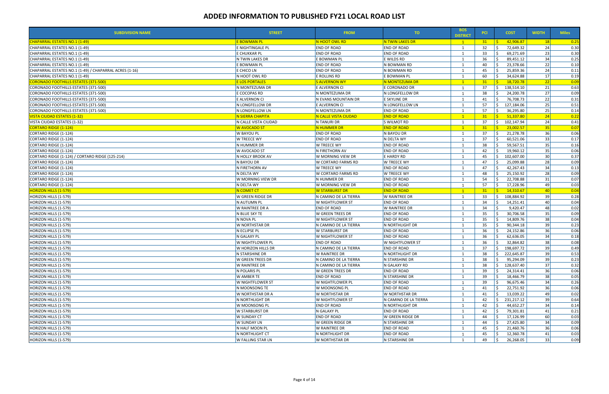| <b>SUBDIVISION NAME</b>                                | <b>STREET</b>           | <b>FROM</b>                       | TO.                   | <b>BOS</b><br><b>DISTRICT</b> | <b>PCI</b> | <b>COST</b>                 | <b>WIDTH</b>    | <b>Miles</b> |
|--------------------------------------------------------|-------------------------|-----------------------------------|-----------------------|-------------------------------|------------|-----------------------------|-----------------|--------------|
| <b>CHAPARRAL ESTATES NO.1 (1-49)</b>                   | <b>E BOWMAN PL</b>      | N HOOT OWL RD                     | N TWIN LAKES DR       | $\mathbf{1}$                  | 31         | 42,906.87                   | 18              | 0.25         |
| CHAPARRAL ESTATES NO.1 (1-49)                          | E NIGHTINGALE PL        | <b>END OF ROAD</b>                | <b>END OF ROAD</b>    | 1                             | 32         | 72,649.32                   | 24              | 0.30         |
| CHAPARRAL ESTATES NO.1 (1-49)                          | E CHUKKAR PL            | END OF ROAD                       | <b>END OF ROAD</b>    |                               | 33         | 69,271.69                   | 23              | 0.30         |
| CHAPARRAL ESTATES NO.1 (1-49)                          | N TWIN LAKES DR         | E BOWMAN PL                       | E WILDS RD            |                               | 36         | 89,451.12                   | 34              | 0.25         |
| CHAPARRAL ESTATES NO.1 (1-49)                          | E BOWMAN PL             | <b>END OF ROAD</b>                | N BOWMAN RD           |                               | 40         | 23,378.66                   | 22              | 0.10         |
| CHAPARRAL ESTATES NO.1 (1-49) / CHAPARRAL ACRES (1-16) | E CHICO LN              | <b>END OF ROAD</b>                | N BOWMAN RD           |                               | 45         | 25,859.36                   | 24              | 0.11         |
| CHAPARRAL ESTATES NO.1 (1-49)                          | N HOOT OWL RD           | E ROLLINS RD                      | E BOWMAN PL           |                               | 60         | 34,624.88                   | 17              | 0.19         |
| <b>CORONADO FOOTHILLS ESTATES (371-500)</b>            | <b>E LOS PORTALES</b>   | <b>S ALVERNON WY</b>              | N MONTEZUMA DR        |                               | 31         | 18,720.78                   | 22              | 0.09         |
| CORONADO FOOTHILLS ESTATES (371-500)                   | N MONTEZUMA DR          | E ALVERNON CI                     | E CORONADO DR         | $\overline{1}$                | 37         | S.<br>138,514.10            | 21              | 0.63         |
| CORONADO FOOTHILLS ESTATES (371-500)                   | E COCOPAS RD            | N MONTEZUMA DR                    | N LONGFELLOW DR       |                               | 38         | 24,200.78                   | 27              | 0.09         |
| CORONADO FOOTHILLS ESTATES (371-500)                   | E ALVERNON CI           | N EVANS MOUNTAIN DR               | E SKYLINE DR          | - 1                           | 41         | 76,708.73                   | 22              | 0.31         |
| CORONADO FOOTHILLS ESTATES (371-500)                   | N LONGFELLOW DR         | E ALVERNON CI                     | N LONGFELLOW LN       |                               | 57         | 127,184.06<br>ς.            | 25              | 0.51         |
| CORONADO FOOTHILLS ESTATES (371-500)                   | N LONGFELLOW LN         | N MONTEZUMA DR                    | <b>END OF ROAD</b>    | 1                             | 57         | 36,295.80                   | 25              | 0.14         |
| <b>VISTA CIUDAD ESTATES (1-32)</b>                     | <b>N SIERRA CHAPITA</b> | <mark>N CALLE VISTA CIUDAD</mark> | <b>END OF ROAD</b>    | $\blacksquare$ 1              | 31         | 51,337.80                   | 24              | 0.22         |
| VISTA CIUDAD ESTATES (1-32)                            | N CALLE VISTA CIUDAD    | N TANURI DR                       | S WILMOT RD           | -1                            | 37         | 102,147.94<br>S.            | 24              | 0.41         |
| <b>CORTARO RIDGE (1-124)</b>                           | W AVOCADO ST            | N HUMMER DR                       | <b>END OF ROAD</b>    |                               | 31         | 23,002.57                   | 35              | 0.07         |
| CORTARO RIDGE (1-124)                                  | W BAYOU PL              | <b>END OF ROAD</b>                | N BAYOU DR            | -1                            | 37         | 21,278.78                   | 36              | 0.06         |
| CORTARO RIDGE (1-124)                                  | <b>W TREECE WY</b>      | <b>END OF ROAD</b>                | N DELTA WY            | 1                             | 37         | 60,521.06                   | 33              | 0.17         |
| CORTARO RIDGE (1-124)                                  | N HUMMER DR             | W TREECE WY                       | <b>END OF ROAD</b>    |                               | 38         | 59,567.51                   | 35              | 0.16         |
| CORTARO RIDGE (1-124)                                  | W AVOCADO ST            | N FIRETHORN AV                    | <b>END OF ROAD</b>    |                               | 42         | 19,960.12                   | 35              | 0.06         |
| CORTARO RIDGE (1-124) / CORTARO RIDGE (125-214)        | N HOLLY BROOK AV        | W MORNING VIEW DR                 | E HARDY RD            |                               | 45         | 102,607.00                  | 30              | 0.37         |
| CORTARO RIDGE (1-124)                                  | N BAYOU DR              | W CORTARO FARMS RD                | W TREECE WY           | $\overline{1}$                | 47         | 25,099.88                   | 28              | 0.09         |
| CORTARO RIDGE (1-124)                                  | N FIRETHORN AV          | W TREECE WY                       | <b>END OF ROAD</b>    |                               | 47         | 42,267.43                   | 34              | 0.13         |
| CORTARO RIDGE (1-124)                                  | N DELTA WY              | W CORTARO FARMS RD                | W TREECE WY           | - 1                           | 48         | 25,150.92                   | 28              | 0.09         |
| CORTARO RIDGE (1-124)                                  | W MORNING VIEW DR       | N HUMMER DR                       | <b>END OF ROAD</b>    | $\overline{1}$                | 54         | 22,708.88                   | 31              | 0.07         |
| CORTARO RIDGE (1-124)                                  | N DELTA WY              | W MORNING VIEW DR                 | <b>END OF ROAD</b>    | -1                            | 57         | 17,228.96                   | 49              | 0.03         |
| <u> HORIZON HILLS (1-579)</u>                          | N COMET CT              | <mark>W STARBURST DR</mark>       | <b>END OF ROAD</b>    |                               | 31         | 14,310.67                   | 40              | 0.04         |
| HORIZON HILLS (1-579)                                  | <b>W GREEN RIDGE DR</b> | N CAMINO DE LA TIERRA             | W RAINTREE DR         |                               | 33         | 108,884.92                  | 39              | 0.28         |
| HORIZON HILLS (1-579)                                  | N AUTUMN PL             | W NIGHTFLOWER ST                  | <b>END OF ROAD</b>    |                               | 34         | 14,251.41                   | 40              | 0.04         |
| HORIZON HILLS (1-579)                                  | W RAINTREE DR A         | <b>END OF ROAD</b>                | W RAINTREE DR         |                               | 34         | 9,420.47                    | 48              | 0.02         |
| HORIZON HILLS (1-579)                                  | N BLUE SKY TE           | W GREEN TREES DR                  | <b>END OF ROAD</b>    |                               | 35         | 30,706.58                   | 35              | 0.09         |
| HORIZON HILLS (1-579)                                  | N NOVA PL               | W NIGHTFLOWER ST                  | <b>END OF ROAD</b>    |                               | 35         | 14,809.76                   | 38              | 0.04         |
| HORIZON HILLS (1-579)                                  | W NORTHSTAR DR          | N CAMINO DE LA TIERRA             | N NORTHLIGHT DR       |                               | 35         | 90,344.18                   | 39              | 0.23         |
| HORIZON HILLS (1-579)                                  | N ECLIPSE PL            | W STARBURST DR                    | <b>END OF ROAD</b>    | $\mathbf{1}$                  | 36         | 24,152.86                   | 36              | 0.06         |
| HORIZON HILLS (1-579)                                  | N GALAXY PL             | W NIGHTFLOWER ST                  | <b>END OF ROAD</b>    |                               | 36         | 62,636.05                   | 34              | 0.18         |
| HORIZON HILLS (1-579)                                  | W NIGHTFLOWER PL        | <b>END OF ROAD</b>                | W NIGHTFLOWER ST      | $\overline{1}$                | 36         | 32,864.82                   | 38              | 0.08         |
| HORIZON HILLS (1-579)                                  | W HORIZON HILLS DR      | N CAMINO DE LA TIERRA             | <b>END OF ROAD</b>    |                               | 37         | $\zeta$<br>198,697.72       | 39 <sup>1</sup> | 0.49         |
| HORIZON HILLS (1-579)                                  | N STARSHINE DR          | W RAINTREE DR                     | N NORTHLIGHT DR       | 1                             | 38         | 222,645.87<br><sup>S</sup>  | 39              | 0.53         |
| HORIZON HILLS (1-579)                                  | W GREEN TREES DR        | N CAMINO DE LA TIERRA             | N STARSHINE DR        |                               | 38         | 95,294.09                   | 39              | 0.23         |
| HORIZON HILLS (1-579)                                  | <b>W RAINTREE DR</b>    | N CAMINO DE LA TIERRA             | N GALAXY RD           |                               | 38         | <sup>\$</sup><br>128,637.40 | 37              | 0.32         |
| HORIZON HILLS (1-579)                                  | N POLARIS PL            | W GREEN TREES DR                  | <b>END OF ROAD</b>    |                               | 39         | 24,314.41                   | 36              | 0.06         |
| HORIZON HILLS (1-579)                                  | W AMBER TE              | <b>END OF ROAD</b>                | N STARSHINE DR        |                               | 39         | 18,466.79                   | 38              | 0.05         |
| HORIZON HILLS (1-579)                                  | W NIGHTFLOWER ST        | W NIGHTFLOWER PL                  | <b>END OF ROAD</b>    |                               | 39         | 96,675.46                   | 34              | 0.26         |
| HORIZON HILLS (1-579)                                  | N MOONSONG TE           | W MOONSONG PL                     | <b>END OF ROAD</b>    |                               | 41         | 22,751.92                   | 36              | 0.06         |
| HORIZON HILLS (1-579)                                  | W NORTHSTAR DR A        | <b>W NORTHSTAR DR</b>             | W NORTHSTAR DR        |                               | 41         | 13,039.22                   | 49              | 0.02         |
| HORIZON HILLS (1-579)                                  | N NORTHLIGHT DR         | W NIGHTFLOWER ST                  | N CAMINO DE LA TIERRA |                               | 42         | Ŝ.<br>231,217.12            | 39              | 0.64         |
| HORIZON HILLS (1-579)                                  | W MOONSONG PL           | <b>END OF ROAD</b>                | N NORTHLIGHT DR       | $\mathbf{1}$                  | 42         | 44,652.27                   | 34              | 0.14         |
| HORIZON HILLS (1-579)                                  | <b>W STARBURST DR</b>   | N GALAXY PL                       | <b>END OF ROAD</b>    |                               | 42         | 79,301.81                   | 41              | 0.21         |
| HORIZON HILLS (1-579)                                  | W SUNDAY CT             | <b>END OF ROAD</b>                | W GREEN RIDGE DR      | - 1                           | 44         | 17,126.99                   | 60              | 0.03         |
|                                                        |                         |                                   |                       |                               |            |                             |                 |              |
| HORIZON HILLS (1-579)                                  | <b>W SUNDAY LN</b>      | W GREEN RIDGE DR                  | N STARSHINE DR        |                               | 44         | 27,425.80                   | 34              | 0.09         |
| HORIZON HILLS (1-579)                                  | N HALF MOON PL          | W RAINTREE DR                     | <b>END OF ROAD</b>    |                               | 45         | 21,460.76                   | 36              | 0.06         |
| HORIZON HILLS (1-579)                                  | N NORTHLIGHT CT         | N NORTHLIGHT DR                   | <b>END OF ROAD</b>    |                               | 45         | 12,360.78                   | 41              | 0.03         |
| HORIZON HILLS (1-579)                                  | W FALLING STAR LN       | W NORTHSTAR DR                    | N STARSHINE DR        |                               | 49         | Ŝ.<br>26,268.05             | 33              | 0.09         |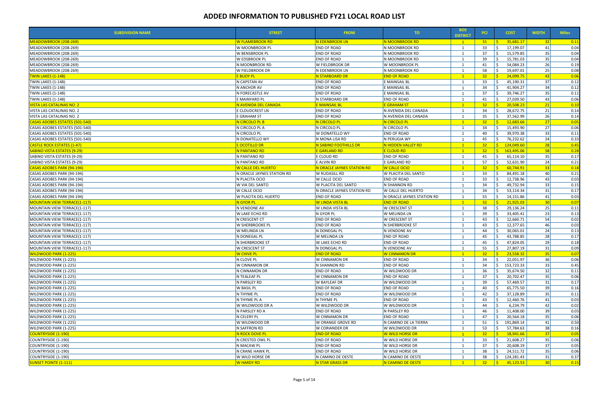| <b>SUBDIVISION NAME</b>              | <b>STREET</b>              | <b>FROM</b>                | TO.                        | <b>BOS</b><br><b>DISTRICT</b>        | <b>PCI</b>           | <b>COST</b>                     | <b>WIDTH</b>    | <b>Miles</b>       |
|--------------------------------------|----------------------------|----------------------------|----------------------------|--------------------------------------|----------------------|---------------------------------|-----------------|--------------------|
| MEADOWBROOK (208-269)                | <b>W FLAMEBROOK RD</b>     | N EDENBROOK LN             | N MOONBROOK RD             | $\clubsuit$                          | $31 \quad \boxed{5}$ | 35,681.17                       | 32              | 0.11               |
| MEADOWBROOK (208-269)                | W MOONBROOK PL             | <b>END OF ROAD</b>         | N MOONBROOK RD             |                                      | 33                   | Ŝ.<br>17,199.07                 | 41              | 0.04               |
| MEADOWBROOK (208-269)                | W BENSBROOK PL             | END OF ROAD                | N MOONBROOK RD             | 1                                    | 37                   | Ŝ.<br>15,579.85                 | 35              | 0.04               |
| MEADOWBROOK (208-269)                | W EDSBROOK PL              | END OF ROAD                | N MOONBROOK RD             |                                      | 39                   | $\dot{\mathsf{S}}$<br>15,781.03 | 35              | 0.04               |
| MEADOWBROOK (208-269)                | N MOONBROOK RD             | W FIELDBROOK DR            | W MOONBROOK PL             |                                      | 41                   | 54,084.23                       | 26              | 0.19               |
| MEADOWBROOK (208-269)                | W FIELDBROOK DR            | N EDENBROOK LN             | N MOONBROOK RD             | -1                                   | 58                   | 19,697.01<br>Ŝ.                 | 25              | 0.08               |
| <b>TWIN LAKES (1-148)</b>            | <b>E BUOY PL</b>           | N STARBOARD DR             | <b>END OF ROAD</b>         | $\mathbf{1}$                         | 32 <sub>2</sub>      | 24,099.75<br>-Ś.                | 43              | 0.06               |
| <b>TWIN LAKES (1-148)</b>            | N CAPSTAN AV               | <b>END OF ROAD</b>         | E MAINSAIL BL              | 1                                    | 33                   | 45,190.31<br>S.                 | 37              | 0.12               |
| <b>TWIN LAKES (1-148)</b>            | N ANCHOR AV                | <b>END OF ROAD</b>         | E MAINSAIL BL              |                                      | 34                   | 41,904.27                       | 34              | 0.12               |
| <b>TWIN LAKES (1-148)</b>            | N FORECASTLE AV            | <b>END OF ROAD</b>         | E MAINSAIL BL              | $\mathbf{1}$                         | 37                   | -Ś<br>39,746.27                 | 35              | 0.11               |
| <b>TWIN LAKES (1-148)</b>            | E MAINYARD PL              | N STARBOARD DR             | <b>END OF ROAD</b>         |                                      | 41                   | 27,039.50                       | 43              | 0.06               |
| VISTA LAS CATALINAS NO. 2            | N AVENIDA DEL CANADA       | <b>E MAINSAIL BL</b>       | <b>E GRAHAM ST</b>         | $\mathbf{1}$                         | 32 <sub>2</sub>      | 20,508.23<br><b>C</b>           | 21              | 0.10               |
| VISTA LAS CATALINAS NO. 2            | E CLOUDCREST LN            | <b>END OF ROAD</b>         | N AVENIDA DEL CANADA       | 1                                    | 34                   | 28,672.75<br>-S                 | 21              | 0.14               |
| VISTA LAS CATALINAS NO. 2            | E GRAHAM ST                | <b>END OF ROAD</b>         | N AVENIDA DEL CANADA       |                                      | 35                   | 37,562.99                       | 26              | 0.14               |
| CASAS ADOBES ESTATES (501-540)       | N CIRCOLO PL B             | N CIRCOLO PL               | N CIRCOLO PL               | $\mathbf{1}$                         | 32 <sub>2</sub>      | 12,683.66                       | 27              | $\boxed{0.05}$     |
| CASAS ADOBES ESTATES (501-540)       | N CIRCOLO PL A             | N CIRCOLO PL               | N CIRCOLO PL               |                                      | 34                   | 15,493.90<br>-Ś                 | 27              | 0.06               |
| CASAS ADOBES ESTATES (501-540)       | N CIRCOLO PL               | W DONATELLO WY             | <b>END OF ROAD</b>         |                                      | 40                   | 39,970.38                       | 33              | 0.11               |
| CASAS ADOBES ESTATES (501-540)       | N DONATELLO WY             | N MONA LISA RD             | N PERUGIA WY               |                                      | 45                   | 76,232.62                       | 24              | 0.33               |
| <b>CASTLE ROCK ESTATES (1-47)</b>    | <b>E OCOTILLO DR</b>       | N SABINO FOOTHILLS DR      | N HIDDEN VALLEY RD         | $\left\langle \bullet \right\rangle$ | $32 -$               | $\frac{1}{2}$ 124,049.60        | 28              | 0.45               |
| <b>SABINO VISTA ESTATES (9-29)</b>   | N PANTANO RD               | E GARLAND RD               | <b>E CLOUD RD</b>          | $\mathbf{1}$                         | 32 <sub>2</sub>      | <u>S </u><br>163,495.06         | 58              | $\vert 0.28 \vert$ |
| SABINO VISTA ESTATES (9-29)          | N PANTANO RD               | E CLOUD RD                 | <b>END OF ROAD</b>         |                                      | 41                   | S.<br>65,114.10                 | 35              | 0.17               |
| SABINO VISTA ESTATES (9-29)          | N PANTANO RD               | E ALVIN RD                 | E GARLAND RD               | $\mathbf{1}$                         | 57                   | Ŝ.<br>52,631.90                 | 24              |                    |
|                                      |                            |                            | <b>W CALLE OCIO</b>        | $\overline{1}$                       | 32 <sup>2</sup>      | 60,744.91                       | 33              | 0.21               |
| CASAS ADOBES PARK (94-194)           | W CALLE DEL HUERTO         | N ORACLE JAYNES STATION RD |                            |                                      |                      |                                 |                 | 0.18               |
| CASAS ADOBES PARK (94-194)           | N ORACLE JAYNES STATION RD | W RUDASILL RD              | W PLACITA DEL SANTO        |                                      | 33                   | 84,491.18                       | 40              | 0.21               |
| CASAS ADOBES PARK (94-194)           | N PLACITA OCIO             | W CALLE OCIO               | <b>END OF ROAD</b>         |                                      | 33                   | 12,738.96                       | 43              | 0.03               |
| CASAS ADOBES PARK (94-194)           | W VIA DEL SANTO            | W PLACITA DEL SANTO        | N SHANNON RD               |                                      | 34                   | 49,732.94<br>-Ś                 | 33              | 0.15               |
| CASAS ADOBES PARK (94-194)           | W CALLE OCIO               | N ORACLE JAYNES STATION RD | W CALLE DEL HUERTO         |                                      | 34                   | Ś,<br>53,114.34                 | 31              | 0.17               |
| CASAS ADOBES PARK (94-194)           | W PLACITA DEL HUERTO       | <b>END OF ROAD</b>         | N ORACLE JAYNES STATION RD | 1                                    | 55                   | Ŝ.<br>14,151.86                 | 41              | 0.03               |
| <u> MOUNTAIN VIEW TERRACE(1-117)</u> | N GYOR PL                  | W LINDA VISTA BL           | <b>END OF ROAD</b>         | $\overline{1}$                       | 32 <sup>2</sup>      | 21,925.03                       | 30 <sup>l</sup> | 0.07               |
| MOUNTAIN VIEW TERRACE(1-117)         | N VENDONE AV               | W LINDA VISTA BL           | W CRESCENT ST              | -1                                   | 38                   | 29,136.24                       | 25              | 0.11               |
| MOUNTAIN VIEW TERRACE(1-117)         | W LAKE ECHO RD             | N GYOR PL                  | W MELINDA LN               |                                      | 39                   | 33,405.41<br>-Ś                 | 23              | 0.13               |
| MOUNTAIN VIEW TERRACE(1-117)         | N CRESCENT CT              | <b>END OF ROAD</b>         | <b>W CRESCENT ST</b>       |                                      | 43                   | 12,660.71<br>Ŝ.                 | 54              | 0.02               |
| MOUNTAIN VIEW TERRACE(1-117)         | <b>W SHERBROOKE PL</b>     | <b>END OF ROAD</b>         | N SHERBROOKE ST            |                                      | 43                   | 12,377.65                       | 46              | 0.03               |
| MOUNTAIN VIEW TERRACE(1-117)         | W MELINDA LN               | N DONEGAL PL               | N VENDONE AV               |                                      | 44                   | 30,065.01                       | 24              | 0.13               |
| MOUNTAIN VIEW TERRACE(1-117)         | N DONEGAL PL               | W MELINDA LN               | <b>END OF ROAD</b>         | $\mathbf{1}$                         | 45                   | 43,788.85                       | 28              | 0.17               |
| MOUNTAIN VIEW TERRACE(1-117)         | N SHERBROOKE ST            | W LAKE ECHO RD             | <b>END OF ROAD</b>         |                                      | 45                   | 47,824.05                       | 29              | 0.18               |
| MOUNTAIN VIEW TERRACE(1-117)         | W CRESCENT ST              | N DONEGAL PL               | N VENDONE AV               |                                      | 55                   | $\zeta$<br>27.807.19            | 31              | 0.09               |
| <b>WILDWOOD PARK (1-225)</b>         | <mark>W Chive Pl</mark>    | <b>END OF ROAD</b>         | <b>W CINNAMON DR</b>       | $\overline{\phantom{0}}$ 1           | $32 \mid 5$          | 23,558.32                       | 35              | 0.07               |
| WILDWOOD PARK (1-225)                | N CLOVE PL                 | W CINNAMON DR              | <b>END OF ROAD</b>         | 1                                    | 34                   | 22,051.97<br>S.                 | 36              | 0.06               |
| WILDWOOD PARK (1-225)                | W CINNAMON DR              | N SHANNON RD               | <b>END OF ROAD</b>         |                                      | 34                   | \$<br>153,723.33                | 33              | 0.45               |
| WILDWOOD PARK (1-225)                | N CINNAMON DR              | END OF ROAD                | W WILDWOOD DR              |                                      | 36                   | Ŝ.<br>35,674.50                 | 32              | 0.11               |
| WILDWOOD PARK (1-225)                | N TEALEAF PL               | W CINNAMON DR              | <b>END OF ROAD</b>         | $\mathbf{1}$                         | 37                   | 20,702.47                       | 35              | 0.06               |
| WILDWOOD PARK (1-225)                | N PARSLEY RD               | W BAYLEAF DR               | W WILDWOOD DR              |                                      | 39                   | 57,469.57                       | 31              | 0.17               |
| WILDWOOD PARK (1-225)                | <b>W BASIL PL</b>          | <b>END OF ROAD</b>         | <b>END OF ROAD</b>         |                                      | 40                   | 65,775.50<br>S.                 | 39              | 0.16               |
| WILDWOOD PARK (1-225)                | N THYME PL                 | <b>END OF ROAD</b>         | W WILDWOOD DR              |                                      | 42                   | 37,128.89                       | 35              | 0.11               |
| WILDWOOD PARK (1-225)                | N THYME PL A               | N THYME PL                 | <b>END OF ROAD</b>         |                                      | 43                   | Ŝ.<br>12,460.76                 | 41              | 0.03               |
| WILDWOOD PARK (1-225)                | W WILDWOOD DR A            | W WILDWOOD DR              | W WILDWOOD DR              |                                      | 44                   | 6,234.79                        | 42              | 0.02               |
| WILDWOOD PARK (1-225)                | N PARSLEY RD A             | <b>END OF ROAD</b>         | N PARSLEY RD               |                                      | 46                   | 11,408.00                       | 39              | 0.03               |
| WILDWOOD PARK (1-225)                | N CELERY PL                | W CINNAMON DR              | <b>END OF ROAD</b>         |                                      | 47                   | 20,564.18<br>S.                 | 35              | 0.06               |
| WILDWOOD PARK (1-225)                | W WILDWOOD DR              | W ORANGE GROVE RD          | N CAMINO DE LA TIERRA      |                                      | 51                   | Ŝ.<br>191,869.14                | 41              | 0.50               |
| WILDWOOD PARK (1-225)                | N SAFFRON RD               | W CORIANDER DR             | W WILDWOOD DR              | 1                                    | 53                   | S.<br>57,784.63                 | 38              | 0.16               |
| <b>COUNTRYSIDE (1-190)</b>           | N ROCK DOVE PL             | <b>END OF ROAD</b>         | W WILD HORSE DR            | $\overline{1}$                       | 32 <sub>2</sub>      | $\leq$<br>18,941.66             | 37              | 0.05               |
| COUNTRYSIDE (1-190)                  | N CRESTED OWL PL           | <b>END OF ROAD</b>         | W WILD HORSE DR            | 1                                    | 33                   | S.<br>21,608.27                 | 35              | 0.06               |
|                                      | N MACAW PL                 | <b>END OF ROAD</b>         | W WILD HORSE DR            |                                      | 37                   | Ŝ.<br>20,608.19                 | 37              | 0.05               |
| COUNTRYSIDE (1-190)                  |                            |                            |                            |                                      |                      |                                 | 35              | 0.06               |
| COUNTRYSIDE (1-190)                  | N CRANE HAWK PL            | END OF ROAD                | W WILD HORSE DR            |                                      | 38                   | 24,511.72                       |                 |                    |
| COUNTRYSIDE (1-190)                  | W WILD HORSE DR            | N CAMINO DE OESTE          | N CAMINO DE OESTE          |                                      | 38                   | S.<br>124,281.43                | 31              | 0.37               |
| <b>SUNSET POINTE (1-111)</b>         | <b>W HARDY RD</b>          | N STAR GRASS DR            | N CAMINO DE OESTE          | $\mathbf{1}$                         | $32 -$               | <u>S</u><br>45,123.53           | 30              | $\boxed{0.15}$     |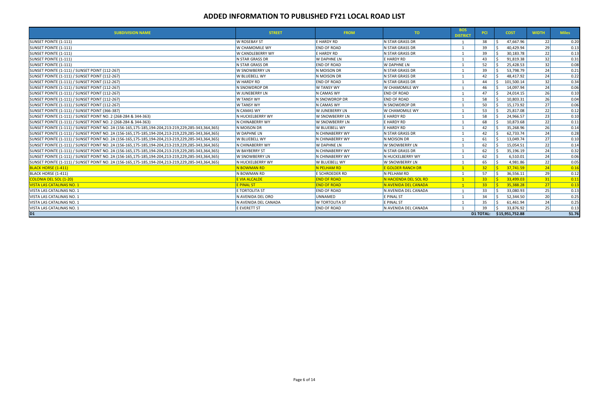| <b>SUBDIVISION NAME</b>                                                                           | <b>STREET</b>           | <b>FROM</b>           | TO                       | <b>BOS</b><br><b>DISTRICT</b> | <b>PCI</b>      | <b>COST</b>               | <b>WIDTH</b>    | <b>Miles</b> |
|---------------------------------------------------------------------------------------------------|-------------------------|-----------------------|--------------------------|-------------------------------|-----------------|---------------------------|-----------------|--------------|
| SUNSET POINTE (1-111)                                                                             | <b>W ROSEBAY ST</b>     | E HARDY RD            | N STAR GRASS DR          |                               | 38              | 47,667.96                 | 22              | 0.20         |
| SUNSET POINTE (1-111)                                                                             | W CHAMOMILE WY          | <b>END OF ROAD</b>    | N STAR GRASS DR          |                               | 39              | 40,429.94                 | 29              | 0.13         |
| SUNSET POINTE (1-111)                                                                             | <b>W CANDLEBERRY WY</b> | E HARDY RD            | N STAR GRASS DR          |                               | 39              | 30,183.78                 | 22              | 0.13         |
| SUNSET POINTE (1-111)                                                                             | N STAR GRASS DR         | W DAPHNE LN           | E HARDY RD               |                               | 43              | 91,819.38                 | 32              | 0.31         |
| SUNSET POINTE (1-111)                                                                             | N STAR GRASS DR         | <b>END OF ROAD</b>    | W DAPHNE LN              |                               | 52              | 25,428.53                 | 32              | 0.08         |
| <b>SUNSET POINTE (1-111) / SUNSET POINT (112-267)</b>                                             | W SNOWBERRY LN          | N MOISON DR           | N STAR GRASS DR          |                               | 39              | 53,798.79                 | 24              | 0.21         |
| SUNSET POINTE (1-111) / SUNSET POINT (112-267)                                                    | W BLUEBELL WY           | N MOISON DR           | N STAR GRASS DR          |                               | 42              | 48,417.92                 | 24              | 0.22         |
| SUNSET POINTE (1-111) / SUNSET POINT (112-267)                                                    | W HARDY RD              | <b>END OF ROAD</b>    | N STAR GRASS DR          |                               | 44              | 101,500.14                | 32              | 0.34         |
| <b>SUNSET POINTE (1-111) / SUNSET POINT (112-267)</b>                                             | N SNOWDROP DR           | W TANSY WY            | W CHAMOMILE WY           |                               | 46              | 14,097.94                 | 24              | 0.06         |
| SUNSET POINTE (1-111) / SUNSET POINT (112-267)                                                    | <b>W JUNEBERRY LN</b>   | N CAMAS WY            | <b>END OF ROAD</b>       |                               | 47              | 24,014.15                 | 26              | 0.10         |
| SUNSET POINTE (1-111) / SUNSET POINT (112-267)                                                    | W TANSY WY              | N SNOWDROP DR         | <b>END OF ROAD</b>       |                               | 58              | 10,803.31                 | 26              | 0.04         |
| SUNSET POINTE (1-111) / SUNSET POINT (112-267)                                                    | <b>W TANSY WY</b>       | N CAMAS WY            | IN SNOWDROP DR           |                               | 50              | 15,173.92                 | 27              | 0.06         |
| SUNSET POINTE (1-111) / SUNSET POINT (366-387)                                                    | N CAMAS WY              | W JUNEBERRY LN        | W CHAMOMILE WY           |                               | 53              | 25,817.08                 | 22              | 0.12         |
| SUNSET POINTE (1-111) / SUNSET POINT NO. 2 (268-284 & 344-363)                                    | N HUCKELBERRY WY        | W SNOWBERRY LN        | E HARDY RD               |                               | 58              | 24.966.57                 | 23              | 0.10         |
| SUNSET POINTE (1-111) / SUNSET POINT NO. 2 (268-284 & 344-363)                                    | N CHINABERRY WY         | W SNOWBERRY LN        | E HARDY RD               |                               | 68              | 10,873.68                 | 22              | 0.11         |
| SUNSET POINTE (1-111) / SUNSET POINT NO. 2A (156-165,175-185,194-204,213-219,229,285-343,364,365) | N MOISON DR             | W BLUEBELL WY         | E HARDY RD               |                               | 42              | 35,268.96                 | 26              | 0.14         |
| SUNSET POINTE (1-111) / SUNSET POINT NO. 2A (156-165,175-185,194-204,213-219,229,285-343,364,365) | W DAPHNE LN             | N CHINABERRY WY       | N STAR GRASS DR          |                               | 42              | 62,733.74                 | 24              | 0.28         |
| SUNSET POINTE (1-111) / SUNSET POINT NO. 2A (156-165,175-185,194-204,213-219,229,285-343,364,365) | W BLUEBELL WY           | N CHINABERRY WY       | N MOISON DR              |                               | 61              | 13,049.74                 | 27              | 0.10         |
| SUNSET POINTE (1-111) / SUNSET POINT NO. 2A (156-165,175-185,194-204,213-219,229,285-343,364,365) | N CHINABERRY WY         | W DAPHNE LN           | W SNOWBERRY LN           |                               | 62              | 15,054.51                 | 22              | 0.14         |
| SUNSET POINTE (1-111) / SUNSET POINT NO. 2A (156-165,175-185,194-204,213-219,229,285-343,364,365) | W BAYBERRY ST           | N CHINABERRY WY       | N STAR GRASS DR          |                               | 62              | 35,196.19                 | 24              | 0.32         |
| SUNSET POINTE (1-111) / SUNSET POINT NO. 2A (156-165,175-185,194-204,213-219,229,285-343,364,365) | W SNOWBERRY LN          | N CHINABERRY WY       | N HUCKELBERRY WY         |                               | 62              | 6,510.01                  | 24              | 0.06         |
| SUNSET POINTE (1-111) / SUNSET POINT NO. 2A (156-165,175-185,194-204,213-219,229,285-343,364,365) | N HUCKELBERRY WY        | W BLUEBELL WY         | <b>W SNOWBERRY LN</b>    |                               | 65              | 4,981.86                  | 22              | 0.05         |
| <b>BLACK HORSE (1-411)</b>                                                                        | N BOWMAN RD             | N PELHAM RD           | <b>E GOLDER RANCH DR</b> |                               | 32 <sub>2</sub> | 37,741.59                 | 24              | 0.16         |
| BLACK HORSE (1-411)                                                                               | N BOWMAN RD             | E SCHROEDER RD        | N PELHAM RD              |                               | 57              | 36,556.11                 | <b>29</b>       | 0.12         |
| <b>COLONIA DEL SOL (1-20)</b>                                                                     | E VIA ALCALDE           | <b>END OF ROAD</b>    | N HACIENDA DEL SOL RD    | $\mathbf{1}$                  | 33 <sup>2</sup> | 33,499.03                 | 31              | 0.11         |
| <b>VISTA LAS CATALINAS NO. 1</b>                                                                  | E PINAL ST              | <b>END OF ROAD</b>    | N AVENIDA DEL CANADA     |                               | 33 <sup>°</sup> | 35,388.28                 | 27              | 0.13         |
| VISTA LAS CATALINAS NO. 1                                                                         | E TORTOLITA ST          | <b>END OF ROAD</b>    | IN AVENIDA DEL CANADA    |                               | 33              | 33,080.93                 | 25              | 0.13         |
| VISTA LAS CATALINAS NO. 1                                                                         | N AVENIDA DEL ORO       | <b>UNNAMED</b>        | E PINAL ST               |                               | 34              | 52,344.50                 | 20 <sup>1</sup> | 0.25         |
| VISTA LAS CATALINAS NO. 1                                                                         | N AVENIDA DEL CANADA    | <b>W TORTOLITA ST</b> | E PINAL ST               |                               | 35              | 61,461.94                 | 24              | 0.25         |
| VISTA LAS CATALINAS NO. 1                                                                         | E EVERETT ST            | <b>END OF ROAD</b>    | N AVENIDA DEL CANADA     |                               | 39              | 33,876.92                 | 25              | 0.13         |
| $\overline{D1}$                                                                                   |                         |                       |                          |                               |                 | D1 TOTAL: \$15,951,752.88 |                 | 51.76        |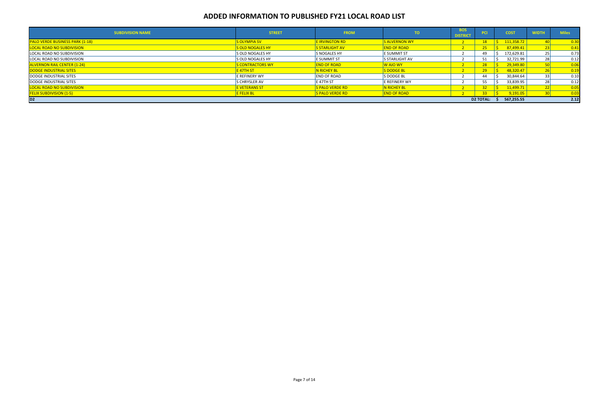| <b>SUBDIVISION NAME</b>                | <b>STREET</b>        | <b>FROM</b>            | TO.                   | <b>BOS</b><br><b>DISTRICT</b> | <b>PCI</b>       | <b>COST</b> | <b>WIDTH</b> | <b>Miles</b> |
|----------------------------------------|----------------------|------------------------|-----------------------|-------------------------------|------------------|-------------|--------------|--------------|
| <b>PALO VERDE BUSINESS PARK (1-18)</b> | S OLYMPIA SV         | <b>E IRVINGTON RD</b>  | <b>S ALVERNON WY</b>  |                               | 18               | 111,358.72  |              | 0.30         |
| <b>LOCAL ROAD NO SUBDIVISION</b>       | S OLD NOGALES HY     | <b>S STARLIGHT AV</b>  | <b>END OF ROAD</b>    |                               | $25 -$           | 87,499.41   |              | 0.41         |
| LOCAL ROAD NO SUBDIVISION              | S OLD NOGALES HY     | <b>S NOGALES HY</b>    | <b>E SUMMIT ST</b>    |                               | 49               | 172,629.81  | <b>25</b>    | 0.73         |
| LOCAL ROAD NO SUBDIVISION              | S OLD NOGALES HY     | <b>E SUMMIT ST</b>     | <b>S STARLIGHT AV</b> |                               |                  | 32,721.99   | <b>28</b>    | 0.12         |
| <b>ALVERNON RAIL CENTER (1-24)</b>     | S CONTRACTORS WY     | <b>END OF ROAD</b>     | W AJO WY              |                               | 28 <sup>2</sup>  | 29,349.80   |              | 0.06         |
| DODGE INDUSTRIAL SITES                 | <u>E 47TH ST </u>    | <b>N RICHEY BL</b>     | <b>S DODGE BL</b>     |                               | 29 <sup>°</sup>  | 48,320.47   |              | 0.19         |
| DODGE INDUSTRIAL SITES                 | E REFINERY WY        | <b>END OF ROAD</b>     | S DODGE BL            |                               | 44               | 30,844.64   | 33           | 0.10         |
| DODGE INDUSTRIAL SITES                 | <b>S CHRYSLER AV</b> | <b>IE 47TH ST</b>      | E REFINERY WY         |                               |                  | 33,839.95   | <b>28</b>    | 0.12         |
| LOCAL ROAD NO SUBDIVISION              | E VETERANS ST        | <b>S PALO VERDE RD</b> | N RICHEY BL           |                               |                  | 11,499.71   |              | 0.05         |
| <b>FELIX SUBDIVISION (1-5)</b>         | <b>FELIX BL</b>      | <b>S PALO VERDE RD</b> | <b>END OF ROAD</b>    |                               | 33 <sup>°</sup>  | 9,191.05    |              | 0.03         |
| D <sub>2</sub>                         |                      |                        |                       |                               | <b>D2 TOTAL:</b> | 567,255.55  |              | 2.12         |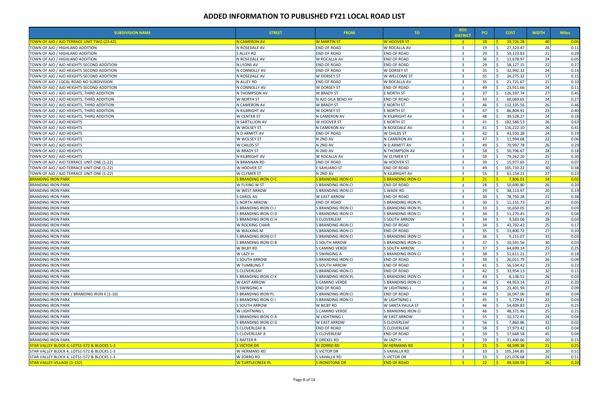| <b>SUBDIVISION NAME</b>                            | <b>STREET</b>             | <b>FROM</b>               | TO.                       | <b>BOS</b><br><b>DISTRICT</b> | <b>PCI</b>      | <b>COST</b>               | <b>WIDTH</b>    | <b>Miles</b>      |
|----------------------------------------------------|---------------------------|---------------------------|---------------------------|-------------------------------|-----------------|---------------------------|-----------------|-------------------|
| <u> FOWN OF AJO / AJO TERRACE UNIT TWO (23-42)</u> | N CAMERON AV              | <b>W MARTIN ST</b>        | <b>W HOOVER ST</b>        | 3 <sup>1</sup>                | 18 <sup>2</sup> | 19,726.28                 | <b>40</b>       | $\overline{0.05}$ |
| TOWN OF AJO / HIGHLAND ADDITION                    | N ROSEDALE AV             | <b>END OF ROAD</b>        | W ROCALLA AV              | $\overline{3}$                | 19              | 27,323.47                 | 26              | 0.11              |
| TOWN OF AJO / HIGHLAND ADDITION                    | S ALLEY RD                | <b>END OF ROAD</b>        | <b>END OF ROAD</b>        | $\overline{3}$                | 29              | 59,123.83                 | 21              | 0.29              |
| TOWN OF AJO / HIGHLAND ADDITION                    | N ROSEDALE AV             | W ROCALLA AV              | <b>END OF ROAD</b>        | $\overline{3}$                | 36              | 13,678.97                 | 24              | 0.05              |
| TOWN OF AJO / AJO HEIGHTS SECOND ADDITION          | N LYONS AV                | <b>END OF ROAD</b>        | <b>END OF ROAD</b>        | $\overline{\mathbf{3}}$       | 29              | 58,127.15                 | 22              | 0.27              |
| TOWN OF AJO / AJO HEIGHTS SECOND ADDITION          | N CONNOLLY AV             | <b>END OF ROAD</b>        | W DORSEY ST               | $\overline{3}$                | 35              | 32,992.32                 | 24              | 0.14              |
| TOWN OF AJO / AJO HEIGHTS SECOND ADDITION          | N ROSEDALE AV             | W DORSEY ST               | W WELCOME ST              | $\overline{3}$                | 35              | 26,275.32                 | 17              | 0.15              |
| TOWN OF AJO / LOCAL ROAD NO SUBDIVISION            | N ALLEY RD                | <b>END OF ROAD</b>        | W ROCALLA AV              | 3                             | 35              | 21,721.67                 | 21              | 0.10              |
| TOWN OF AJO / AJO HEIGHTS SECOND ADDITION          | IN CONNOLLY AV            | <b>W DORSEY ST</b>        | <b>END OF ROAD</b>        | $\overline{3}$                | 49              | 23,911.66                 | 24              | 0.11              |
| TOWN OF AJO / AJO HEIGHTS, THIRD ADDITION          | N THOMPSON AV             | <b>W BRADY ST</b>         | <b>E NORTH ST</b>         | $\overline{3}$                | 37              | 126,597.74                | 27              | 0.45              |
| TOWN OF AJO / AJO HEIGHTS, THIRD ADDITION          | <b>W NORTH ST</b>         | N AJO GILA BEND HY        | <b>END OF ROAD</b>        | $\overline{\mathbf{3}}$       | 43              | 60,069.65                 | 24              | 0.27              |
| TOWN OF AJO / AJO HEIGHTS, THIRD ADDITION          | N CAMERON AV              | <b>W BRADY ST</b>         | <b>E NORTH ST</b>         | $\overline{3}$                | 46              | 112,335.56<br><           | 26              | 0.46              |
| TOWN OF AJO / AJO HEIGHTS, THIRD ADDITION          | N KILBRIGHT AV            | <b>W DORSEY ST</b>        | <b>E NORTH ST</b>         | $\mathbf{B}$                  | 47              | 86,804.91                 | 23              | 0.40              |
| TOWN OF AJO / AJO HEIGHTS, THIRD ADDITION          | <b>W CENTER ST</b>        | N CAMERON AV              | N KILBRIGHT AV            | 3                             | 48              | 39,528.27                 | 24              | 0.18              |
| TOWN OF AJO / AJO HEIGHTS                          | N SARTILLION AV           | W HOOVER ST               | <b>E NORTH ST</b>         | $\overline{3}$                | 41              | 182,586.53                | 26              | 0.63              |
| TOWN OF AJO / AJO HEIGHTS                          | W WOLSEY ST               | N CAMERON AV              | N ROSEDALE AV             | $\overline{3}$                | 41              | 116,222.10                | 26              | 0.41              |
| TOWN OF AJO / AJO HEIGHTS                          | N D ARMITT AV             | END OF ROAD               | W CHILDS ST               | $\overline{3}$                | 42              | 43,550.28                 | 24              | 0.19              |
| TOWN OF AJO / AJO HEIGHTS                          | W WOLSEY ST               | N 2ND AV                  | N CAMERON AV              | $\overline{\mathbf{3}}$       | 47              | 11,994.68                 | 22              | 0.06              |
|                                                    |                           | N 2ND AV                  | N D ARMITT AV             | $\overline{3}$                |                 |                           | 26              |                   |
| TOWN OF AJO / AJO HEIGHTS                          | <b>W CHILDS ST</b>        |                           |                           |                               | 49              | 70,997.78                 |                 | 0.29              |
| TOWN OF AJO / AJO HEIGHTS                          | <b>W BRADY ST</b>         | N 2ND AV                  | N THOMPSON AV             | $\overline{3}$                | 58              | 50,706.67                 | 28              | 0.18              |
| TOWN OF AJO / AJO HEIGHTS                          | N KILBRIGHT AV            | W ROCALLA AV              | <b>W CLYMER ST</b>        | $\overline{3}$                | 59              | 79,262.20                 | 25              | 0.30              |
| TOWN OF AJO / AJO TERRACE UNIT ONE (1-22)          | N BRANNAN RD              | <b>END OF ROAD</b>        | <b>W HOOVER ST</b>        | $\overline{3}$                | 39              | 15,977.65                 | 21              | 0.07              |
| TOWN OF AJO / AJO TERRACE UNIT ONE (1-22)          | <b>W HOOVER ST</b>        | <b>E SAHUARO ST</b>       | <b>END OF ROAD</b>        | $\overline{3}$                | 49              | 105,710.22<br>$\zeta$     | 30              | 0.38              |
| TOWN OF AJO / AJO TERRACE UNIT ONE (1-22)          | <b>W CLYMER ST</b>        | N 2ND AV                  | N KILBRIGHT AV            | $\overline{\mathbf{3}}$       | 55              | 61,154.21                 | 27              | 0.23              |
| <b>BRANDING IRON PARK</b>                          | S BRANDING IRON CI C      | <b>S BRANDING IRON CI</b> | S BRANDING IRON CI        | 3 <sup>1</sup>                | 21              | 7,806.01                  | 34              | $\overline{0.02}$ |
| <b>BRANDING IRON PARK</b>                          | W FLYING W ST             | S BRANDING IRON CI        | <b>END OF ROAD</b>        | $\overline{\mathbf{3}}$       | 28              | 50,690.80                 | <b>26</b>       | 0.20              |
| <b>BRANDING IRON PARK</b>                          | W WEST ARROW              | S BRANDING IRON CI        | S WADE RD                 | $\overline{3}$                | 29              | 38,113.97                 | 20 <sup>1</sup> | 0.19              |
| <b>BRANDING IRON PARK</b>                          | S CAROL AV                | <b>W EAST ARROW</b>       | <b>END OF ROAD</b>        | $\overline{3}$                | 30              | 78,750.28                 | 21              | 0.38              |
| <b>BRANDING IRON PARK</b>                          | <b>S NORTH ARROW</b>      | <b>END OF ROAD</b>        | <b>S BRANDING IRON PL</b> | $\overline{3}$                | 30              | 11,155.73                 | 23              | 0.05              |
| <b>BRANDING IRON PARK</b>                          | S BRANDING IRON CI J      | S BRANDING IRON CI        | S BRANDING IRON PL        | $\overline{\mathbf{3}}$       | 33              | 10,650.05                 | 30              | 0.03              |
| <b>BRANDING IRON PARK</b>                          | S BRANDING IRON CI D      | S BRANDING IRON CI        | S BRANDING IRON CI        | $\overline{3}$                | 34              | 11,270.45                 | 25              | 0.04              |
| <b>BRANDING IRON PARK</b>                          | S BRANDING IRON CI H      | <b>S CLOVERLEAF</b>       | <b>S SOUTH ARROW</b>      | $\overline{3}$                | 34              | 9,583.06                  | 28              | 0.03              |
| <b>BRANDING IRON PARK</b>                          | W ROCKING CHAIR           | S BRANDING IRON CI        | <b>END OF ROAD</b>        | $\overline{3}$                | 34              | 43,702.42                 | 25              | 0.17              |
| <b>BRANDING IRON PARK</b>                          | <b>W WALKING M</b>        | S BRANDING IRON CI        | <b>END OF ROAD</b>        | $\overline{3}$                | 35              | 53,800.72                 | 27              | 0.20              |
| <b>BRANDING IRON PARK</b>                          | S BRANDING IRON CI F      | S BRANDING IRON CI        | S BRANDING IRON CI        | $\overline{3}$                | 36              | 9,215.07                  | 33              | 0.03              |
| <b>BRANDING IRON PARK</b>                          | S BRANDING IRON CI B      | S SOUTH ARROW             | S BRANDING IRON CI        | $\overline{3}$                | 37              | 10,591.56                 | 30 <sup>l</sup> | 0.03              |
| <b>BRANDING IRON PARK</b>                          | W BILBY RD                | S CAMINO VERDE            | S SOUTH ARROW             | ્ર                            | 37              | $\zeta$<br>64,699.14      | 25 <sup>1</sup> | 0.25              |
| <b>BRANDING IRON PARK</b>                          | <b>W LAZY H</b>           | S SWINGING A              | S BRANDING IRON CI        | $\overline{3}$                | 38              | 51,611.21                 | 27              | 0.18              |
| <b>BRANDING IRON PARK</b>                          | S SOUTH ARROW             | S BRANDING IRON CI        | <b>END OF ROAD</b>        | 3                             | 39              | 26,011.79                 | 26              | 0.09              |
| <b>BRANDING IRON PARK</b>                          | <b>W TUMBLING T</b>       | <b>S SOUTH ARROW</b>      | <b>END OF ROAD</b>        | 3                             | 41              | 56,534.42                 | 23              | 0.22              |
| <b>BRANDING IRON PARK</b>                          | <b>S CLOVERLEAF</b>       | S BRANDING IRON CI        | <b>END OF ROAD</b>        | $\overline{3}$                | 42              | 33,954.13                 | 32              | 0.11              |
| <b>BRANDING IRON PARK</b>                          | S BRANDING IRON CI K      | S BRANDING IRON PL        | S BRANDING IRON CI        | $\overline{3}$                | 43              | 8,138.51                  | 26              | 0.03              |
| <b>BRANDING IRON PARK</b>                          | <b>W EAST ARROW</b>       | S CAMINO VERDE            | S BRANDING IRON CI        | -3                            | 44              | 44,953.14                 | 23              | 0.20              |
| <b>BRANDING IRON PARK</b>                          | S SWINGING A              | <b>END OF ROAD</b>        | <b>W LIGHTNING L</b>      | $\overline{3}$                | 44              | 23,401.94                 | 27              | 0.09              |
| BRANDING IRON PARK / BRANDING IRON II (1-10)       | <b>S BRANDING IRON PL</b> | S BRANDING IRON CI        | <b>END OF ROAD</b>        | $\overline{3}$                | 44              | 16,047.00                 | 38              | 0.04              |
| <b>BRANDING IRON PARK</b>                          | S BRANDING IRON CI I      | S BRANDING IRON CI        | <b>W LIGHTNING L</b>      | 3                             | 45              | 5,729.81                  | 22              | 0.03              |
| <b>BRANDING IRON PARK</b>                          | <b>S SOUTH ARROW</b>      | <b>W BILBY RD</b>         | W SANTA PAULA ST          | $\mathbf{R}$                  | 46              | 54,409.83                 | 23              | 0.25              |
| <b>BRANDING IRON PARK</b>                          | <b>W LIGHTNING L</b>      | S CAMINO VERDE            | S BRANDING IRON CI        | 3                             | 46              | 48,371.96                 | 25              | 0.21              |
| <b>BRANDING IRON PARK</b>                          | S BRANDING IRON CI A      | W LIGHTNING L             | <b>W EAST ARROW</b>       | $\overline{3}$                | 55              | 10,372.41                 | 24              | 0.04              |
| <b>BRANDING IRON PARK</b>                          | S BRANDING IRON CI G      | W EAST ARROW              | <b>S CLOVERLEAF</b>       | $\overline{3}$                | 56              | 7,860.86                  | 32              | 0.02              |
| <b>BRANDING IRON PARK</b>                          | <b>S CLOVERLEAF B</b>     | <b>END OF ROAD</b>        | <b>S CLOVERLEAF</b>       | 3                             | 58              | 17,973.42                 | 43              | 0.04              |
| <b>BRANDING IRON PARK</b>                          | S CLOVERLEAF A            | S CLOVERLEAF              | <b>END OF ROAD</b>        | $\overline{3}$                | 59              | 17,668.58                 | 45              | 0.04              |
| <b>BRANDING IRON PARK</b>                          | S RAFTER R                | E DREXEL RD               | W LAZY H                  | $\overline{\mathbf{3}}$       | 59              | 31,400.66                 | 20              | 0.15              |
| STAR VALLEY BLOCK 4, LOTS1-572 & BLOCKS 1-3        | <b>S VICTOR DR</b>        | <b>W ZORRO RD</b>         | <b>W HERMANS RD</b>       | $\overline{3}$                | 21              | 48,599.38                 | 21              | 0.25              |
| STAR VALLEY BLOCK 4, LOTS1-572 & BLOCKS 1-3        | W HERMANS RD              | S VICTOR DR               | S VAHALLA RD              | -3                            | 33              | 105,244.85<br>Ŝ.          | <b>20</b>       | 0.51              |
| STAR VALLEY BLOCK 4, LOTS1-572 & BLOCKS 1-3        | W ZORRO RD                | S VAHALLA RD              | S VICTOR DR               | -3                            | 33              | \$<br>121,076.68          | 24              | 0.51              |
| <b>STAR VALLEY VILLAGE (1-152)</b>                 | <b>W TURTLECREEK PL</b>   | SIRONSTONE DR             | <b>END OF ROAD</b>        | $\overline{\mathbf{3}}$       | 22              | $\mathsf{S}$<br>49,504.59 | 26              | $\boxed{0.20}$    |
|                                                    |                           |                           |                           |                               |                 |                           |                 |                   |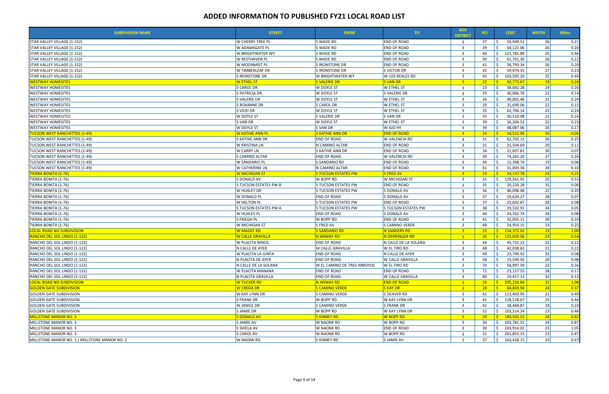| <b>W CHERRY TREE PL</b><br>37<br><b>26</b><br>STAR VALLEY VILLAGE (1-152)<br><b>S WADE RD</b><br><b>END OF ROAD</b><br>56,949.52<br>$\overline{\mathbf{3}}$<br>26<br>S WADE RD<br>END OF ROAD<br>39<br>58,121.06<br>STAR VALLEY VILLAGE (1-152)<br>W ADAMSGATE PL<br>$\overline{\mathbf{3}}$<br>25<br><b>S WADE RD</b><br>40<br>123,781.89<br>W BRIGHTWATER WY<br>END OF ROAD<br>$\overline{\mathbf{3}}$<br>STAR VALLEY VILLAGE (1-152)<br>26<br>W RESTHAVEN PL<br>S WADE RD<br>END OF ROAD<br>$\overline{3}$<br>40<br>61,761.30<br>STAR VALLEY VILLAGE (1-152)<br>26<br>58,793.34<br>W MOONMIST PL<br>S IRONSTONE DR<br>END OF ROAD<br>$\overline{\mathbf{3}}$<br>41<br>STAR VALLEY VILLAGE (1-152)<br>27<br>W TIMBERLEAF DR<br>S IRONSTONE DR<br>S VICTOR DR<br>42<br>59,974.35<br>STAR VALLEY VILLAGE (1-152)<br>$\overline{3}$ |
|------------------------------------------------------------------------------------------------------------------------------------------------------------------------------------------------------------------------------------------------------------------------------------------------------------------------------------------------------------------------------------------------------------------------------------------------------------------------------------------------------------------------------------------------------------------------------------------------------------------------------------------------------------------------------------------------------------------------------------------------------------------------------------------------------------------------------------|
|                                                                                                                                                                                                                                                                                                                                                                                                                                                                                                                                                                                                                                                                                                                                                                                                                                    |
|                                                                                                                                                                                                                                                                                                                                                                                                                                                                                                                                                                                                                                                                                                                                                                                                                                    |
|                                                                                                                                                                                                                                                                                                                                                                                                                                                                                                                                                                                                                                                                                                                                                                                                                                    |
|                                                                                                                                                                                                                                                                                                                                                                                                                                                                                                                                                                                                                                                                                                                                                                                                                                    |
|                                                                                                                                                                                                                                                                                                                                                                                                                                                                                                                                                                                                                                                                                                                                                                                                                                    |
|                                                                                                                                                                                                                                                                                                                                                                                                                                                                                                                                                                                                                                                                                                                                                                                                                                    |
| 25<br>S IRONSTONE DR<br>W LOS REALES RD<br>$\overline{\mathbf{3}}$<br>43<br>103,595.20<br>STAR VALLEY VILLAGE (1-152)<br>W BRIGHTWATER WY<br><b>S</b>                                                                                                                                                                                                                                                                                                                                                                                                                                                                                                                                                                                                                                                                              |
| <b>W ETHEL ST</b><br>S VALERIE DR<br><b>S VAN DR</b><br>$\overline{3}$<br>22<br>42,773.67<br> 19 <br><b>WESTWAY HOMESITES</b><br><b>R</b>                                                                                                                                                                                                                                                                                                                                                                                                                                                                                                                                                                                                                                                                                          |
| 24<br><b>WESTWAY HOMESITES</b><br><b>S CAROL DR</b><br><b>W ETHEL ST</b><br>23<br><b>W DOYLE ST</b><br>58,042.28<br>$\overline{3}$                                                                                                                                                                                                                                                                                                                                                                                                                                                                                                                                                                                                                                                                                                 |
| 22<br>S PATRICIA DR<br>W DOYLE ST<br>S VALERIE DR<br>25<br>30,066.70<br><b>WESTWAY HOMESITES</b><br>3                                                                                                                                                                                                                                                                                                                                                                                                                                                                                                                                                                                                                                                                                                                              |
| 21<br>S VALERIE DR<br>W DOYLE ST<br>W ETHEL ST<br>26<br><b>WESTWAY HOMESITES</b><br>$\overline{3}$<br>49,001.46                                                                                                                                                                                                                                                                                                                                                                                                                                                                                                                                                                                                                                                                                                                    |
| 22<br><b>S ROXANNE DR</b><br>S CAROL DR<br><b>W ETHEL ST</b><br>29<br>31,699.06<br><b>WESTWAY HOMESITES</b><br>$\overline{\mathbf{3}}$                                                                                                                                                                                                                                                                                                                                                                                                                                                                                                                                                                                                                                                                                             |
| 25<br>W DOYLE ST<br>35<br><b>WESTWAY HOMESITES</b><br>S VICKI DR<br><b>W ETHEL ST</b><br>62,706.14<br>3                                                                                                                                                                                                                                                                                                                                                                                                                                                                                                                                                                                                                                                                                                                            |
| 21<br>W DOYLE ST<br>S VALERIE DR<br>S VAN DR<br>$\overline{3}$<br>35<br>50,519.08<br><b>WESTWAY HOMESITES</b>                                                                                                                                                                                                                                                                                                                                                                                                                                                                                                                                                                                                                                                                                                                      |
| 22<br>S VAN DR<br>W DOYLE ST<br>W ETHEL ST<br>$\overline{3}$<br>39<br>56,204.52<br><b>WESTWAY HOMESITES</b>                                                                                                                                                                                                                                                                                                                                                                                                                                                                                                                                                                                                                                                                                                                        |
| 26<br>39<br>48,087.06<br>W DOYLE ST<br>S VAN DR<br>W AJO HY<br>$\overline{3}$<br><b>WESTWAY HOMESITES</b>                                                                                                                                                                                                                                                                                                                                                                                                                                                                                                                                                                                                                                                                                                                          |
| W KATHIE ANN PL<br><b>S KATHIE ANN DR</b><br><b>END OF ROAD</b><br>14,512.96<br>35<br><b>TUCSON WEST RANCHETTES (1-49)</b><br>$-3$<br>24<br>-¢                                                                                                                                                                                                                                                                                                                                                                                                                                                                                                                                                                                                                                                                                     |
| 26<br>TUCSON WEST RANCHETTES (1-49)<br>S KATHIE ANN DR<br><b>END OF ROAD</b><br>W VALENCIA RD<br>62,702.13<br>$\overline{\mathbf{3}}$<br>31                                                                                                                                                                                                                                                                                                                                                                                                                                                                                                                                                                                                                                                                                        |
| 29<br><b>W KRISTINA LN</b><br>N CAMINO ALTAR<br><b>END OF ROAD</b><br>31<br>31,504.69<br>TUCSON WEST RANCHETTES (1-49)<br>$\overline{3}$                                                                                                                                                                                                                                                                                                                                                                                                                                                                                                                                                                                                                                                                                           |
| 30<br>W CARRY LN<br>S KATHIE ANN DR<br><b>END OF ROAD</b><br>34<br>21,697.81<br>TUCSON WEST RANCHETTES (1-49)<br>$\overline{3}$                                                                                                                                                                                                                                                                                                                                                                                                                                                                                                                                                                                                                                                                                                    |
| 27<br>TUCSON WEST RANCHETTES (1-49)<br>S CAMINO ALTAR<br><b>END OF ROAD</b><br>W VALENCIA RD<br>$\overline{3}$<br>39<br>74,265.20                                                                                                                                                                                                                                                                                                                                                                                                                                                                                                                                                                                                                                                                                                  |
| <b>END OF ROAD</b><br>19<br>W SANDARIO PL<br><b>S SANDARIO RD</b><br>40<br>12,398.74<br>TUCSON WEST RANCHETTES (1-49)<br>$\overline{\mathbf{3}}$                                                                                                                                                                                                                                                                                                                                                                                                                                                                                                                                                                                                                                                                                   |
| 28<br>TUCSON WEST RANCHETTES (1-49)<br>W CATHERINE LN<br>N CAMINO ALTAR<br>END OF ROAD<br>31,003.36<br>$\overline{3}$<br>41                                                                                                                                                                                                                                                                                                                                                                                                                                                                                                                                                                                                                                                                                                        |
|                                                                                                                                                                                                                                                                                                                                                                                                                                                                                                                                                                                                                                                                                                                                                                                                                                    |
| TIERRA BONITA (1-76)<br> 23 <br><b>W MICHIGAN ST</b><br><b>S TUCSON ESTATES PW</b><br>S FRED AV<br>$-3$<br>$25 -$<br>54,137.78<br>- \$                                                                                                                                                                                                                                                                                                                                                                                                                                                                                                                                                                                                                                                                                             |
| TIERRA BONITA (1-76)<br>S DONALD AV<br>W BOPP RD<br>W MICHIGAN ST<br>129,561.91<br>25<br>$\overline{\mathbf{3}}$<br>31                                                                                                                                                                                                                                                                                                                                                                                                                                                                                                                                                                                                                                                                                                             |
| 35<br>35<br>20,220.28<br>TIERRA BONITA (1-76)<br>S TUCSON ESTATES PW B<br>S TUCSON ESTATES PW<br><b>END OF ROAD</b><br>$\overline{\mathbf{3}}$                                                                                                                                                                                                                                                                                                                                                                                                                                                                                                                                                                                                                                                                                     |
| 22<br>36<br>46,098.48<br>TIERRA BONITA (1-76)<br>W HUXLEY DR<br><b>S TUCSON ESTATES PW</b><br>S DONALD AV<br>$\overline{3}$                                                                                                                                                                                                                                                                                                                                                                                                                                                                                                                                                                                                                                                                                                        |
| 28<br>37<br>$\overline{3}$<br>19,624.27<br>TIERRA BONITA (1-76)<br>W DONALD PL<br><b>END OF ROAD</b><br>S DONALD AV                                                                                                                                                                                                                                                                                                                                                                                                                                                                                                                                                                                                                                                                                                                |
| 28<br>W HELTON PL<br><b>END OF ROAD</b><br>37<br>23,692.87<br>TIERRA BONITA (1-76)<br><b>S TUCSON ESTATES PW</b><br>$\overline{3}$                                                                                                                                                                                                                                                                                                                                                                                                                                                                                                                                                                                                                                                                                                 |
| 34<br>S TUCSON ESTATES PW A<br>S TUCSON ESTATES PW<br>S TUCSON ESTATES PW<br>$\overline{3}$<br>38<br>19,532.91<br>TIERRA BONITA (1-76)                                                                                                                                                                                                                                                                                                                                                                                                                                                                                                                                                                                                                                                                                             |
| 28<br>W HUXLEY PL<br><b>END OF ROAD</b><br>40<br>24,762.74<br>TIERRA BONITA (1-76)<br>S DONALD AV<br>$\overline{3}$                                                                                                                                                                                                                                                                                                                                                                                                                                                                                                                                                                                                                                                                                                                |
| 29<br>S FRIEDA PL<br>W BOPP RD<br><b>END OF ROAD</b><br>$\overline{3}$<br>32,055.11<br>TIERRA BONITA (1-76)<br>41                                                                                                                                                                                                                                                                                                                                                                                                                                                                                                                                                                                                                                                                                                                  |
| 23<br>49<br>W MICHIGAN ST<br>S FRED AV<br>S CAMINO VERDE<br>$\overline{\mathbf{3}}$<br>54,954.15<br>TIERRA BONITA (1-76)                                                                                                                                                                                                                                                                                                                                                                                                                                                                                                                                                                                                                                                                                                           |
| 23 <br><b>W MAGEE RD</b><br><b>S SANDARIO RD</b><br><b>N SANDERS RD</b><br>$25 -$<br>S.<br>214,372.02<br>LOCAL ROAD NO SUBDIVISION<br>$-3$                                                                                                                                                                                                                                                                                                                                                                                                                                                                                                                                                                                                                                                                                         |
| <b>W CALLE GRAVILLA</b><br>N ANWAY RD<br><b>N DERRINGER RD</b><br>3 <sup>1</sup><br>26 <sup>2</sup><br>S.<br>115,029.56<br>23<br>RANCHO DEL SOL LINDO (1-122)                                                                                                                                                                                                                                                                                                                                                                                                                                                                                                                                                                                                                                                                      |
| W PLACITA NINOS<br><b>END OF ROAD</b><br>N CALLE DE LA SOLANA<br>22<br>RANCHO DEL SOL LINDO (1-122)<br>-3<br>44<br>45,732.23                                                                                                                                                                                                                                                                                                                                                                                                                                                                                                                                                                                                                                                                                                       |
| 21<br>W CALLE GRAVILLA<br>W EL TIRO RD<br>48<br>42,038.63<br>RANCHO DEL SOL LINDO (1-122)<br>N CALLE DE AYER<br>्द<br>$\zeta$                                                                                                                                                                                                                                                                                                                                                                                                                                                                                                                                                                                                                                                                                                      |
| 32<br>23,749.92<br>W PLACITA LA JUNTA<br><b>END OF ROAD</b><br>N CALLE DE AYER<br>49<br>RANCHO DEL SOL LINDO (1-122)<br>-3                                                                                                                                                                                                                                                                                                                                                                                                                                                                                                                                                                                                                                                                                                         |
| 29<br>RANCHO DEL SOL LINDO (1-122)<br>N PLACITA DE AYER<br><b>END OF ROAD</b><br>W CALLE GRAVILLA<br>3<br>58<br>23,549.92                                                                                                                                                                                                                                                                                                                                                                                                                                                                                                                                                                                                                                                                                                          |
| 22<br>70<br>58,997.59<br>RANCHO DEL SOL LINDO (1-122)<br>N CALLE DE LA SOLANA<br>W EL CAMINO DE TRES ARROYOS<br><b>W EL TIRO RD</b><br>3                                                                                                                                                                                                                                                                                                                                                                                                                                                                                                                                                                                                                                                                                           |
| 28<br>W PLACITA MANANA<br><b>END OF ROAD</b><br><b>END OF ROAD</b><br>71<br>23,157.55<br>RANCHO DEL SOL LINDO (1-122)<br>3                                                                                                                                                                                                                                                                                                                                                                                                                                                                                                                                                                                                                                                                                                         |
| 32<br>N PLACITA GRAVILLA<br><b>END OF ROAD</b><br>W CALLE GRAVILLA<br>19,417.13<br>RANCHO DEL SOL LINDO (1-122)<br>-3<br>80<br>- \$                                                                                                                                                                                                                                                                                                                                                                                                                                                                                                                                                                                                                                                                                                |
| <b>W TUCKER RD</b><br>N ANWAY RD<br><b>END OF ROAD</b><br>$\frac{1}{2}$ 205,224.84<br><b>LOCAL ROAD NO SUBDIVISION</b><br>$\overline{\mathbf{3}}$<br>26<br> 21 <br>1.06                                                                                                                                                                                                                                                                                                                                                                                                                                                                                                                                                                                                                                                            |
| <b>GOLDEN GATE SUBDIVISION</b><br><b>W CREDA DR</b><br>S CAMINO VERDE<br><b>S KAY DR</b><br>$-3$<br>28<br>$\frac{1}{5}$ 84,859.94<br>24<br>0.37                                                                                                                                                                                                                                                                                                                                                                                                                                                                                                                                                                                                                                                                                    |
| 21<br><b>GOLDEN GATE SUBDIVISION</b><br><b>W KAY LYNN DR</b><br>S CAMINO VERDE<br>S DEAVER RD<br>\$<br>113,403.95<br>3<br>41                                                                                                                                                                                                                                                                                                                                                                                                                                                                                                                                                                                                                                                                                                       |
| 25<br>W BOPP RD<br>W KAY LYNN DR<br>S.<br><b>GOLDEN GATE SUBDIVISION</b><br><b>S FRANK DR</b><br>3<br>41<br>118,518.67                                                                                                                                                                                                                                                                                                                                                                                                                                                                                                                                                                                                                                                                                                             |
| 19<br>W JANICE DR<br>$\overline{3}$<br>42<br><b>GOLDEN GATE SUBDIVISION</b><br><b>S CAMINO VERDE</b><br><b>S FRANK DR</b><br>18,468.87                                                                                                                                                                                                                                                                                                                                                                                                                                                                                                                                                                                                                                                                                             |
| 23<br>W BOPP RD<br>52<br>103,514.24<br><b>GOLDEN GATE SUBDIVISION</b><br>S JAMIE DR<br>W KAY LYNN DR<br>$\overline{\mathbf{3}}$<br>S.                                                                                                                                                                                                                                                                                                                                                                                                                                                                                                                                                                                                                                                                                              |
| <b>MILLSTONE MANOR NO. 3</b><br><b>S DONALD AV</b><br><b>S KINNEY RD</b><br><b>W BOPP RD</b><br>29<br>$\frac{1}{5}$ 189,505.52<br>24<br>$-3$                                                                                                                                                                                                                                                                                                                                                                                                                                                                                                                                                                                                                                                                                       |
| 24<br>MILLSTONE MANOR NO. 3<br>S JAMIE AV<br>W NAOMI RD<br><b>W BOPP RD</b><br>$\overline{\mathbf{3}}$<br>30<br>$\frac{1}{2}$ 203,781.52                                                                                                                                                                                                                                                                                                                                                                                                                                                                                                                                                                                                                                                                                           |
| 23<br>S SHIELA AV<br><b>END OF ROAD</b><br>3<br>\$<br>MILLSTONE MANOR NO. 3<br>W NAOMI RD<br>30<br>243,914.02                                                                                                                                                                                                                                                                                                                                                                                                                                                                                                                                                                                                                                                                                                                      |
| 23<br>MILLSTONE MANOR NO. 3<br>S CAROL AV<br>W NAOMI RD<br>W BOPP RD<br>31<br>\$<br>201,855.33<br>3                                                                                                                                                                                                                                                                                                                                                                                                                                                                                                                                                                                                                                                                                                                                |
| 23<br>37<br>\$<br>MILLSTONE MANOR NO. 3 / MILLSTONE MANOR NO. 2<br>W NAOMI RD<br>S KINNEY RD<br>S JAMIE AV<br>$\overline{\mathbf{3}}$<br>163,428.15                                                                                                                                                                                                                                                                                                                                                                                                                                                                                                                                                                                                                                                                                |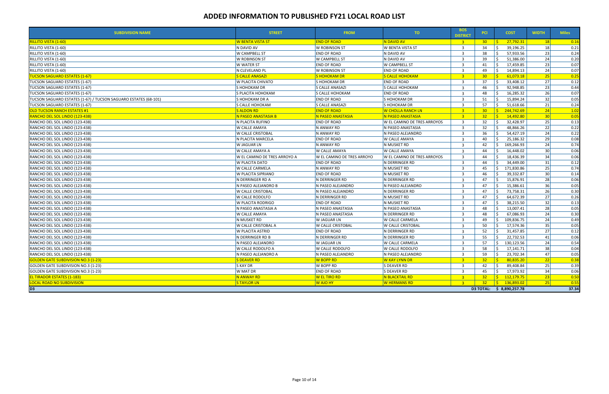| <b>SUBDIVISION NAME</b>                                         | <b>STREET</b>                | <b>FROM</b>                | TO.                         | <b>BOS</b><br><b>DISTRICT</b> | <b>PCI</b>      | <b>COST</b>                 | <b>WIDTH</b>    | <b>Miles</b>   |
|-----------------------------------------------------------------|------------------------------|----------------------------|-----------------------------|-------------------------------|-----------------|-----------------------------|-----------------|----------------|
| <mark>RILLITO VISTA (1-60)</mark>                               | <b>W BENTA VISTA ST</b>      | <b>END OF ROAD</b>         | N DAVID AV                  | $-3$                          | 30 <sub>1</sub> | 27,792.31                   | 18              | 0.16           |
| RILLITO VISTA (1-60)                                            | N DAVID AV                   | W ROBINSON ST              | W BENTA VISTA ST            | $\overline{\mathbf{3}}$       | 34              | 39,196.25                   | 18              | 0.21           |
| RILLITO VISTA (1-60)                                            | W CAMPBELL ST                | END OF ROAD                | N DAVID AV                  | $\overline{3}$                | 38              | 57,933.56                   | 23              | 0.24           |
| RILLITO VISTA (1-60)                                            | <b>W ROBINSON ST</b>         | W CAMPBELL ST              | N DAVID AV                  | $\overline{\mathbf{3}}$       | 39              | 51,386.00                   | 24              | 0.20           |
| RILLITO VISTA (1-60)                                            | <b>W WATER ST</b>            | <b>END OF ROAD</b>         | W CAMPBELL ST               | $\overline{3}$                | 41              | 17,459.85                   | 23              | 0.07           |
| RILLITO VISTA (1-60)                                            | N CLEVELAND PL               | W ROBINSON ST              | <b>END OF ROAD</b>          | $\overline{3}$                | 49              | 14,894.13                   | 24              | 0.07           |
| <b>TUCSON SAGUARO ESTATES (1-67)</b>                            | <b>S CALLE ANASAZI</b>       | <b>S HOHOKAM DR</b>        | <b>S CALLE HOHOKAM</b>      | $-3$                          | 30 <sub>2</sub> | 61,073.18                   | 25              | $\boxed{0.25}$ |
| TUCSON SAGUARO ESTATES (1-67)                                   | <b>W PLACITA CHIVATO</b>     | S HOHOKAM DR               | <b>END OF ROAD</b>          | $\overline{3}$                | 37              | 33,408.12                   | 27              | 0.12           |
| TUCSON SAGUARO ESTATES (1-67)                                   | S HOHOKAM DR                 | <b>S CALLE ANASAZI</b>     | <b>S CALLE HOHOKAM</b>      | $\overline{3}$                | 46              | 92,948.85                   | 23              | 0.44           |
| TUCSON SAGUARO ESTATES (1-67)                                   | S PLACITA HOHOKAM            | S CALLE HOHOKAM            | <b>END OF ROAD</b>          | $\overline{3}$                | 48              | 16,285.32                   | 26              | 0.07           |
| TUCSON SAGUARO ESTATES (1-67) / TUCSON SAGUARO ESTATES (68-101) | S HOHOKAM DR A               | <b>END OF ROAD</b>         | S HOHOKAM DR                | $\overline{3}$                | 51              | 15,894.24                   | 32              | 0.05           |
| TUCSON SAGUARO ESTATES (1-67)                                   | <b>S CALLE HOHOKAM</b>       | S CALLE ANASAZI            | S HOHOKAM DR                | $\overline{3}$                | 57              | 51,618.66                   | 21              | 0.24           |
| <b>OLD TUCSON RANCH ESTATES #1</b>                              | <b>S ALDON RD</b>            | <b>END OF ROAD</b>         | <u>W CHOLLA RANCH LNI</u>   | 3 <sup>1</sup>                | 30 <sub>1</sub> | - \$<br>244,742.69          | 24              | 1.02           |
| RANCHO DEL SOL LINDO (123-438)                                  | N PASEO ANASTASIA B          | N PASEO ANASTASIA          | N PASEO ANASTASIA           | 3 <sup>1</sup>                | 32 <sub>2</sub> | 14,492.80                   | 30              | 0.05           |
| RANCHO DEL SOL LINDO (123-438)                                  | N PLACITA RUFINO             | <b>END OF ROAD</b>         | W EL CAMINO DE TRES ARROYOS | $\overline{3}$                | 32              | 32,428.97                   | 25              | 0.13           |
| RANCHO DEL SOL LINDO (123-438)                                  | W CALLE AMAYA                | N ANWAY RD                 | N PASEO ANASTASIA           | $\overline{\mathbf{3}}$       | 32              | 48,866.26                   | 22              | 0.22           |
| RANCHO DEL SOL LINDO (123-438)                                  | <b>W CALLE CRISTOBAL</b>     | N ANWAY RD                 | N PASEO ALEJANDRO           | $\overline{3}$                | 36              | 54,427.19                   | 24              | 0.22           |
| RANCHO DEL SOL LINDO (123-438)                                  | N PLACITA MARCELA            | <b>END OF ROAD</b>         | W CALLE AMAYA               | 3                             | 40              | 25,186.32                   | 29              | 0.08           |
| RANCHO DEL SOL LINDO (123-438)                                  | W JAGUAR LN                  | N ANWAY RD                 | N MUSKET RD                 | $\overline{3}$                | 42              | 169,266.93                  | 24              | 0.74           |
| RANCHO DEL SOL LINDO (123-438)                                  | <b>W CALLE AMAYA A</b>       | W CALLE AMAYA              | <b>W CALLE AMAYA</b>        | $\overline{3}$                | 44              | 16,448.02                   | 30              | 0.06           |
| RANCHO DEL SOL LINDO (123-438)                                  | W EL CAMINO DE TRES ARROYO A | W EL CAMINO DE TRES ARROYO | W EL CAMINO DE TRES ARROYOS | 3                             | 44              | 18,436.39                   | 34              | 0.06           |
| RANCHO DEL SOL LINDO (123-438)                                  | W PLACITA DATO               | <b>END OF ROAD</b>         | N DERRINGER RD              | $\overline{3}$                | 44              | 34,449.00                   | 31              | 0.12           |
| RANCHO DEL SOL LINDO (123-438)                                  | W CALLE CARMELA              | N ANWAY RD                 | N MUSKET RD                 | $\overline{3}$                | 45              | 171,830.86                  | 25              | 0.74           |
| RANCHO DEL SOL LINDO (123-438)                                  | W PLACITA SIPRIANO           | END OF ROAD                | N MUSKET RD                 | $\overline{3}$                | 46              | 39,332.87                   | 30 <sup>1</sup> | 0.14           |
| RANCHO DEL SOL LINDO (123-438)                                  | N DERRINGER RD A             | N DERRINGER RD             | N DERRINGER RD              | $\overline{3}$                | 47              | 15,876.91                   | 28              | 0.06           |
| RANCHO DEL SOL LINDO (123-438)                                  | N PASEO ALEJANDRO B          | N PASEO ALEJANDRO          | N PASEO ALEJANDRO           | $\overline{3}$                | 47              | 15,386.61                   | 36              | 0.05           |
| RANCHO DEL SOL LINDO (123-438)                                  | W CALLE CRISTOBAL            | N PASEO ALEJANDRO          | N DERRINGER RD              | 3                             | 47              | 73,758.31                   | 26              | 0.30           |
| RANCHO DEL SOL LINDO (123-438)                                  | W CALLE RODOLFO              | N DERRINGER RD             | N MUSKET RD                 | $\overline{3}$                | 47              | 64,672.39                   | 27              | 0.26           |
| RANCHO DEL SOL LINDO (123-438)                                  | W PLACITA RODRIGO            | <b>END OF ROAD</b>         | N MUSKET RD                 | $\overline{3}$                | 47              | 38,215.50                   | 32              | 0.13           |
| RANCHO DEL SOL LINDO (123-438)                                  | N PASEO ANASTASIA A          | N PASEO ANASTASIA          | N PASEO ANASTASIA           | $\overline{3}$                | 48              | 13,007.41                   | 28              | 0.05           |
| RANCHO DEL SOL LINDO (123-438)                                  | W CALLE AMAYA                | N PASEO ANASTASIA          | N DERRINGER RD              | $\overline{\mathbf{3}}$       | 48              | 67,086.93                   | 24              | 0.30           |
| RANCHO DEL SOL LINDO (123-438)                                  | N MUSKET RD                  | <b>W JAGUAR LN</b>         | W CALLE CARMELA             | $\overline{3}$                | 49              | 109,836.75                  | 24              | 0.49           |
| RANCHO DEL SOL LINDO (123-438)                                  | W CALLE CRISTOBAL A          | W CALLE CRISTOBAL          | W CALLE CRISTOBAL           | $\overline{3}$                | 50              | 17,574.36                   | 35              | 0.05           |
| RANCHO DEL SOL LINDO (123-438)                                  | W PLACITA ASTRID             | <b>END OF ROAD</b>         | N DERRINGER RD              | $\overline{3}$                | 52              | 31,457.85                   | 27              | 0.12           |
| RANCHO DEL SOL LINDO (123-438)                                  | N DERRINGER RD B             | N DERRINGER RD             | N DERRINGER RD              | $\overline{3}$                | 55              | 22,732.53                   | 41              | 0.06           |
| RANCHO DEL SOL LINDO (123-438)                                  | N PASEO ALEJANDRO            | W JAGUAR LN                | W CALLE CARMELA             | $\overline{3}$                | 57              | 130,123.56<br><sup>\$</sup> | 24              | 0.54           |
| RANCHO DEL SOL LINDO (123-438)                                  | W CALLE RODOLFO A            | W CALLE RODOLFO            | <b>W CALLE RODOLFO</b>      | ્ર                            | 58              | 17,141.71                   | 38 <sup>1</sup> | 0.04           |
| RANCHO DEL SOL LINDO (123-438)                                  | N PASEO ALEJANDRO A          | N PASEO ALEJANDRO          | N PASEO ALEJANDRO           | 3                             | 59              | 23,702.34                   | 47              | 0.05           |
| <b>GOLDEN GATE SUBDIVISION NO.3 (1-23)</b>                      | <b>S DEAVER RD</b>           | W BOPP RD                  | <b>W KAY LYNN DR</b>        | $\overline{3}$                | 32 <sub>2</sub> | 80,835.20                   | 22              | 0.38           |
| GOLDEN GATE SUBDIVISION NO.3 (1-23)                             | S KAY DR                     | W BOPP RD                  | S DEAVER RD                 | 3                             | 42              | Ŝ.<br>89,408.84             | 25              | 0.39           |
| <b>GOLDEN GATE SUBDIVISION NO.3 (1-23)</b>                      | W MAT DR                     | <b>END OF ROAD</b>         | S DEAVER RD                 | $\overline{3}$                | 45              | Ŝ.<br>17,973.92             | 34              | 0.06           |
| <b>EL TIRADOR ESTATES (1-183)</b>                               | N ANWAY RD                   | <b>W EL TIRO RD</b>        | N BLACKTAIL RD              | 3 <sup>1</sup>                | 32 <sub>2</sub> | $\frac{1}{2}$ 112,179.75    | 23              | 0.50           |
| <b>LOCAL ROAD NO SUBDIVISION</b>                                | <b>S TAYLOR LN</b>           | <b>W AJO HY</b>            | <b>W HERMANS RD</b>         | $-3$                          | $-32$           | $\frac{1}{2}$ 136,893.02    | 25              | 0.55           |
| D <sub>3</sub>                                                  |                              |                            |                             |                               |                 | D3 TOTAL: \$ 8,890,257.78   |                 | 37.34          |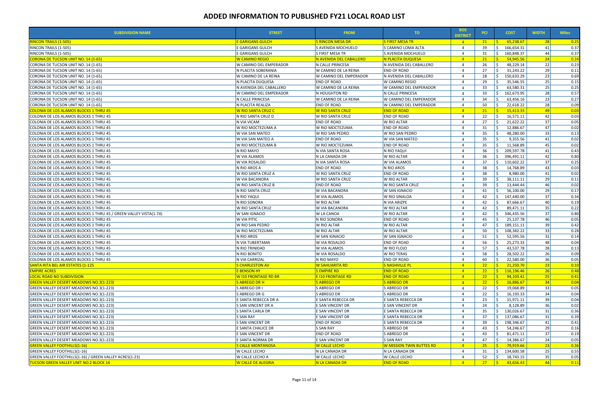| <b>SUBDIVISION NAME</b>                                           | <b>STREET</b>                                | <b>FROM</b>             | TO .                     | <b>BOS</b><br><b>DISTRICT</b> | <b>PCI</b>      | <b>COST</b>                 | <b>WIDTH</b> | <b>Miles</b> |
|-------------------------------------------------------------------|----------------------------------------------|-------------------------|--------------------------|-------------------------------|-----------------|-----------------------------|--------------|--------------|
| <u>RINCON TRAILS (1-505)</u>                                      | <b>E GARIGANS GULCH</b>                      | <b>S RINCON MESA DR</b> | <b>S FIRST MESA TR</b>   | $\overline{4}$                | 21              | 65,238.67                   | 28           | 0.25         |
| RINCON TRAILS (1-505)                                             | <b>E GARIGANS GULCH</b>                      | S AVENIDA MOCHUELO      | S CAMINO LOMA ALTA       | 4                             | 39              | Ŝ.<br>166,654.31            | 41           | 0.37         |
| RINCON TRAILS (1-505)                                             | <b>E GARIGANS GULCH</b>                      | S FIRST MESA TR         | S AVENIDA MOCHUELO       | $\overline{4}$                | 31              | Ŝ.<br>160,848.37            | 44           | 0.37         |
| <u> CORONA DE TUCSON UNIT NO. 14 (1-65)</u>                       | W CAMINO REGIO                               | N AVENIDA DEL CABALLERO | N PLACITA DUQUESA        | $\overline{a}$                | 21              | 54,945.56                   | 24           | 0.24         |
| CORONA DE TUCSON UNIT NO. 14 (1-65)                               | W CAMINO DEL EMPERADOR                       | N CALLE PRINCESA        | N AVENIDA DEL CABALLERO  | $\Delta$                      | 26              | 48,229.14                   | 22           | 0.23         |
| CORONA DE TUCSON UNIT NO. 14 (1-65)                               | N PLACITA SOBERANIA                          | W CAMINO DE LA REINA    | <b>END OF ROAD</b>       | Δ                             | 27              | 31,243.22                   | 29           | 0.11         |
| CORONA DE TUCSON UNIT NO. 14 (1-65)                               | <b>W CAMINO DE LA REINA</b>                  | W CAMINO DEL EMPERADOR  | N AVENIDA DEL CABALLERO  | 4                             | 28              | 150,633.29                  | 23           | 0.69         |
| CORONA DE TUCSON UNIT NO. 14 (1-65)                               | N PLACITA DUQUESA                            | <b>END OF ROAD</b>      | <b>W CAMINO REGIO</b>    |                               | 29              | 35,546.55                   | 25           | 0.15         |
| CORONA DE TUCSON UNIT NO. 14 (1-65)                               | N AVENIDA DEL CABALLERO                      | W CAMINO DE LA REINA    | W CAMINO DEL EMPERADOR   | 4                             | 33              | 63,580.31                   | 25           | 0.25         |
| CORONA DE TUCSON UNIT NO. 14 (1-65)                               | W CAMINO DEL EMPERADOR                       | N HOUGHTON RD           | N CALLE PRINCESA         |                               | 33              | 162,673.95                  | 28           | 0.57         |
| CORONA DE TUCSON UNIT NO. 14 (1-65)                               | N CALLE PRINCESA                             | W CAMINO DE LA REINA    | W CAMINO DEL EMPERADOR   | Δ                             | 34              | 63,456.16                   | 23           | 0.27         |
| CORONA DE TUCSON UNIT NO. 14 (1-65)                               | N PLACITA REALIZA                            | <b>END OF ROAD</b>      | W CAMINO DEL EMPERADOR   | 4                             | 50              | 22,618.22                   | 28           | 0.09         |
| <u>COLONIA DE LOS ALAMOS BLOCKS 1 THRU 45</u>                     | <b>W RIO SANTA CRUZ C</b>                    | W RIO SANTA CRUZ        | <b>END OF ROAD</b>       | $\overline{4}$                | 21              | 15,413.33                   | 49           | 0.03         |
|                                                                   | N RIO SANTA CRUZ D                           | W RIO SANTA CRUZ        | <b>END OF ROAD</b>       | 4                             |                 | 16,571.11                   | 42           | 0.03         |
| COLONIA DE LOS ALAMOS BLOCKS 1 THRU 45                            |                                              |                         |                          |                               | 22              |                             |              |              |
| COLONIA DE LOS ALAMOS BLOCKS 1 THRU 45                            | N VIA VICAM                                  | <b>END OF ROAD</b>      | W RIO ALTAR              |                               | 27              | 21,622.22                   | 37           | 0.05         |
| COLONIA DE LOS ALAMOS BLOCKS 1 THRU 45                            | W RIO MOCTEZUMA A                            | W RIO MOCTEZUMA         | <b>END OF ROAD</b>       |                               | 31              | 12,886.67                   | 47           | 0.02         |
| COLONIA DE LOS ALAMOS BLOCKS 1 THRU 45                            | W VIA SAN MATEO                              | W RIO SAN PEDRO         | W RIO SAN PEDRO          |                               | 35              | 48,280.00                   | 33           | 0.13         |
| COLONIA DE LOS ALAMOS BLOCKS 1 THRU 45                            | W VIA SAN MATEO A                            | <b>END OF ROAD</b>      | W VIA SAN MATEO          | Δ                             | 35              | 9,355.56                    | 41           | 0.02         |
| COLONIA DE LOS ALAMOS BLOCKS 1 THRU 45                            | W RIO MOCTEZUMA B                            | W RIO MOCTEZUMA         | <b>END OF ROAD</b>       |                               | 35              | 11,568.89                   | 45           | 0.02         |
| COLONIA DE LOS ALAMOS BLOCKS 1 THRU 45                            | N RIO MAYO                                   | N VIA SANTA ROSA        | N RIO YAQUI              |                               | 36              | 209,597.78<br>-S            | 41           | 0.43         |
| COLONIA DE LOS ALAMOS BLOCKS 1 THRU 45                            | <b>W VIA ALAMOS</b>                          | N LA CANADA DR          | W RIO ALTAR              | $\Delta$                      | 36              | 396,491.11<br><sup>\$</sup> | 42           | 0.80         |
| COLONIA DE LOS ALAMOS BLOCKS 1 THRU 45                            | W VIA ROSALDO                                | N VIA SANTA ROSA        | <b>W VIA ALAMOS</b>      | Δ                             | 37              | 110,602.22                  | 37           | 0.25         |
| COLONIA DE LOS ALAMOS BLOCKS 1 THRU 45                            | N RIO AROS A                                 | <b>END OF ROAD</b>      | N RIO AROS               |                               | 38              | 14,768.89                   | 43           | 0.03         |
| COLONIA DE LOS ALAMOS BLOCKS 1 THRU 45                            | W RIO SANTA CRUZ A                           | W RIO SANTA CRUZ        | <b>END OF ROAD</b>       |                               | 38              | 8,980.00                    | 41           | 0.02         |
| COLONIA DE LOS ALAMOS BLOCKS 1 THRU 45                            | <b>W VIA BACANORA</b>                        | W RIO SANTA CRUZ        | <b>W RIO ALTAR</b>       |                               | 39              | 38,111.11                   | 29           | 0.11         |
| COLONIA DE LOS ALAMOS BLOCKS 1 THRU 45                            | <b>W RIO SANTA CRUZ B</b>                    | <b>END OF ROAD</b>      | <b>W RIO SANTA CRUZ</b>  |                               | 39              | 13,444.44                   | 46           | 0.02         |
| COLONIA DE LOS ALAMOS BLOCKS 1 THRU 45                            | N RIO SANTA CRUZ                             | W VIA BACANORA          | W SAN IGNACIO            | Δ                             | 41              | 56,100.00                   | 29           | 0.17         |
| COLONIA DE LOS ALAMOS BLOCKS 1 THRU 45                            | N RIO YAQUI                                  | W VIA ALAMOS            | W RIO SINALOA            |                               | 42              | 147,440.00                  | 37           | 0.34         |
| COLONIA DE LOS ALAMOS BLOCKS 1 THRU 45                            | N RIO SONORA                                 | W RIO ALTAR             | N VIA ARIZPE             |                               | 42              | 87,666.67                   | 40           | 0.19         |
| COLONIA DE LOS ALAMOS BLOCKS 1 THRU 45                            | W RIO SANTA CRUZ                             | W VIA BACANORA          | W RIO ALTAR              |                               | 42              | 89,471.11                   | 35           | 0.22         |
| COLONIA DE LOS ALAMOS BLOCKS 1 THRU 45 / GREEN VALLEY VISTA(1-74) | W SAN IGNACIO                                | <b>W LA CANOA</b>       | W RIO ALTAR              |                               | 42              | 346,435.56<br>Ŝ.            | 37           | 0.80         |
| COLONIA DE LOS ALAMOS BLOCKS 1 THRU 45                            | <b>W VIA PITIC</b>                           | N RIO SONORA            | <b>END OF ROAD</b>       | Δ                             | 45              | 25,137.78                   | 46           | 0.05         |
| COLONIA DE LOS ALAMOS BLOCKS 1 THRU 45                            | W RIO SAN PEDRO                              | W RIO ALTAR             | W RIO ALTAR              |                               | 47              | 189,151.11                  | 39           | 0.42         |
| COLONIA DE LOS ALAMOS BLOCKS 1 THRU 45                            | W RIO MOCTEZUMA                              | <b>W RIO ALTAR</b>      | <b>W RIO ALTAR</b>       | 4                             | 50              | Ŝ.<br>108,382.22            | 33           | 0.28         |
| COLONIA DE LOS ALAMOS BLOCKS 1 THRU 45                            | N RIO AROS                                   | W SAN IGNACIO           | W SAN IGNACIO            |                               | 51              | 52,595.56                   | 31           | 0.14         |
| COLONIA DE LOS ALAMOS BLOCKS 1 THRU 45                            | N VIA TUBERTAMA                              | W VIA ROSALDO           | <b>END OF ROAD</b>       |                               | 56              | 25,273.33                   | 48           | 0.04         |
| COLONIA DE LOS ALAMOS BLOCKS 1 THRU 45                            | N RIO TRINIDAD                               | <b>W VIA ALAMOS</b>     | W RIO FLOJO              |                               | 57              | 43,537.78                   | 28           | 0.13         |
| COLONIA DE LOS ALAMOS BLOCKS 1 THRU 45                            | N RIO BONITO                                 | W VIA ROSALDO           | <b>W RIO TERAS</b>       | 4                             | 58              | 28,502.22                   | 26           | 0.09         |
|                                                                   |                                              |                         |                          |                               |                 |                             | 36           |              |
| COLONIA DE LOS ALAMOS BLOCKS 1 THRU 45                            | N VIA CARRIZAL                               | N RIO MAYO              | <b>END OF ROAD</b>       |                               | 60              | 22,580.00<br><b>R</b>       |              | 0.05         |
| SANTA RITA BEL AIR ESTATES (1-125                                 | <b>S CHARLESTON AV</b><br><b>E BENSON HY</b> | W SAHUARITA RD          | <b>S NASHVILLE PL</b>    | $\overline{4}$                | 22 <sub>2</sub> | 21,250.70                   | 23           | 0.10         |
| <b>EMPIRE ACRES</b>                                               |                                              | <b>SEMPIRE RD</b>       | <b>END OF ROAD</b>       | $\overline{4}$                | 22 <sub>2</sub> | S.<br>116,196.46            | 26           | 0.48         |
| LOCAL ROAD NO SUBDIVISION                                         | W 110 FRONTAGE RD BR                         | E I10 FRONTAGE RD       | <b>END OF ROAD</b>       | $\overline{4}$                | 22              | 94,103.41<br>S.             | 25           | 0.41         |
| <b>GREEN VALLEY DESERT MEADOWS NO.3(1-223)</b>                    | S ABREGO DR H                                | <b>S ABREGO DR</b>      | <b>S ABREGO DR</b>       | $\overline{4}$                | 22              | 16,886.67<br>S.             | 34           | 0.04         |
| GREEN VALLEY DESERT MEADOWS NO.3(1-223)                           | S ABREGO DR I                                | S ABREGO DR             | S ABREGO DR              | 4                             | 22              | 19,068.89<br>Ŝ.             | 33           | 0.05         |
| GREEN VALLEY DESERT MEADOWS NO.3(1-223)                           | S ABREGO DR G                                | S ABREGO DR             | S ABREGO DR              |                               | 22              | 16,193.33                   | 34           | 0.04         |
| GREEN VALLEY DESERT MEADOWS NO.3(1-223)                           | E SANTA REBECCA DR A                         | E SANTA REBECCA DR      | E SANTA REBECCA DR       | Δ                             | 23              | 15,971.11                   | 39           | 0.04         |
| <b>GREEN VALLEY DESERT MEADOWS NO.3(1-223)</b>                    | S SAN VINCENT DR A                           | E SAN VINCENT DR        | E SAN VINCENT DR         |                               | 24              | 8,128.89                    | 36           | 0.02         |
| GREEN VALLEY DESERT MEADOWS NO.3(1-223)                           | <b>S SANTA CARLA DR</b>                      | E SAN VINCENT DR        | E SANTA REBECCA DR       |                               | 35              | 130,026.67<br>$\zeta$       | 31           | 0.36         |
| GREEN VALLEY DESERT MEADOWS NO.3(1-223)                           | S SAN RAY                                    | E SAN VINCENT DR        | E SANTA REBECCA DR       |                               | 37              | 137,086.67<br><sup>\$</sup> | 31           | 0.39         |
| GREEN VALLEY DESERT MEADOWS NO.3(1-223)                           | S SAN VINCENT DR                             | END OF ROAD             | E SANTA REBECCA DR       |                               | 39              | 198,346.67<br>S.            | 41           | 0.41         |
| GREEN VALLEY DESERT MEADOWS NO.3(1-223)                           | E SANTA CHALICE DR                           | <b>S SAN RAY</b>        | S ABREGO DR              |                               | 43              | 54,246.67                   | 29           | 0.16         |
| GREEN VALLEY DESERT MEADOWS NO.3(1-223)                           | E SAN VINCENT DR                             | <b>END OF ROAD</b>      | S ABREGO DR              |                               | 43              | 81,471.11                   | 37           | 0.19         |
| GREEN VALLEY DESERT MEADOWS NO.3(1-223)                           | E SANTA NORMA DR                             | E SAN VINCENT DR        | S SAN RAY                |                               | 47              | 14,386.67                   | 24           | 0.05         |
| <u> GREEN VALLEY FOOTHILLS(1-16) </u>                             | <b>S CALLE MONTANOSA</b>                     | <b>W CALLE LECHO</b>    | W MISSION TWIN BUTTES RD | $\overline{a}$                | 25 <sub>2</sub> | 79,919.66                   | 23           | 0.36         |
| <b>GREEN VALLEY FOOTHILLS(1-16)</b>                               | W CALLE LECHO                                | N LA CANADA DR          | N LA CANADA DR           |                               | 31              | 134,600.58<br>Ŝ.            | 25           | 0.55         |
| GREEN VALLEY FOOTHILLS(1-16) / GREEN VALLEY ACRES(1-23)           | W CALLE LECHO A                              | W CALLE LECHO           | W CALLE LECHO            |                               | 52              | Ŝ.<br>18,743.15             | 35           | 0.05         |
| <b>TUCSON GREEN VALLEY UNIT NO.2 BLOCK 14</b>                     | <b>W CALLE DE ALEGRIA</b>                    | N LA CANADA DR          | <b>END OF ROAD</b>       | $\overline{4}$                | 27              | -\$<br>43,656.43            | 44           | 0.11         |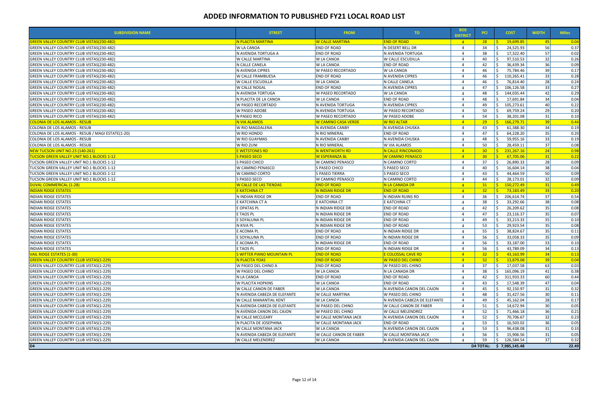| <b>SUBDIVISION NAME</b>                           | <b>STREET</b>                     | <b>FROM</b>                | TO.                                      | <b>BOS</b><br><b>DISTRICT</b> | <b>PCI</b>      | <b>COST</b>                                       | <b>WIDTH</b>    | <b>Miles</b> |
|---------------------------------------------------|-----------------------------------|----------------------------|------------------------------------------|-------------------------------|-----------------|---------------------------------------------------|-----------------|--------------|
| <b>GREEN VALLEY COUNTRY CLUB VISTAS(230-482)</b>  | N PLACITA MARTINA                 | <b>W CALLE MARTINA</b>     | <b>END OF ROAD</b>                       | $\overline{4}$                | 28              | 19,699.85                                         | $-45$           | 0.04         |
| GREEN VALLEY COUNTRY CLUB VISTAS(230-482)         | <b>W LA CANOA</b>                 | <b>END OF ROAD</b>         | N DESERT BELL DR                         | 4                             | 34              | -Ś<br>24,525.93                                   | 56              | 0.37         |
| GREEN VALLEY COUNTRY CLUB VISTAS (230-482)        | N AVENIDA TORTUGA A               | <b>END OF ROAD</b>         | N AVENIDA TORTUGA                        |                               | 38              | 17,322.40                                         | 57              | 0.02         |
| GREEN VALLEY COUNTRY CLUB VISTAS(230-482)         | <b>W CALLE MARTINA</b>            | W LA CANOA                 | <b>W CALLE ESCUDILLA</b>                 |                               | 40              | 97,510.53                                         | 32              | 0.26         |
| GREEN VALLEY COUNTRY CLUB VISTAS(230-482)         | N CALLE CANELA                    | W LA CANOA                 | <b>END OF ROAD</b>                       |                               | 42              | 36,439.34                                         | 36              | 0.09         |
| GREEN VALLEY COUNTRY CLUB VISTAS(230-482)         | N AVENIDA CIPRES                  | W PASEO RECORTADO          | <b>W LA CANOA</b>                        |                               | 46              | 75,784.46                                         | 39              | 0.17         |
| <b>GREEN VALLEY COUNTRY CLUB VISTAS(230-482)</b>  | <b>W CALLE FRAMBUESA</b>          | <b>END OF ROAD</b>         | N AVENIDA CIPRES                         |                               | 46              | 110,265.41                                        | 33              | 0.28         |
| GREEN VALLEY COUNTRY CLUB VISTAS(230-482)         | <b>W CALLE ESCUDILLA</b>          | <b>W LA CANOA</b>          | N CALLE CANELA                           |                               | 46              | 76,814.40                                         | 28              | 0.24         |
| GREEN VALLEY COUNTRY CLUB VISTAS(230-482)         | <b>W CALLE NOGAL</b>              | <b>END OF ROAD</b>         | N AVENIDA CIPRES                         |                               | 47              | Ŝ.<br>106,126.58                                  | 33              | 0.27         |
| GREEN VALLEY COUNTRY CLUB VISTAS(230-482)         | N AVENIDA TORTUGA                 | W PASEO RECORTADO          | <b>W LA CANOA</b>                        |                               | 48              | 144,035.44                                        | 42              | 0.29         |
| GREEN VALLEY COUNTRY CLUB VISTAS(230-482)         | N PLACITA DE LA CANOA             | W LA CANOA                 | <b>END OF ROAD</b>                       |                               | 48              | 17,691.84                                         | 34              | 0.04         |
| GREEN VALLEY COUNTRY CLUB VISTAS(230-482)         | <b>W PASEO RECORTADO</b>          | N AVENIDA TORTUGA          | N AVENIDA CIPRES                         |                               | 49              | 105,273.61                                        | 40              | 0.22         |
| GREEN VALLEY COUNTRY CLUB VISTAS (230-482)        | <b>W PASEO ADOBE</b>              | N AVENIDA TORTUGA          | <b>W PASEO RECORTADO</b>                 |                               | 50              | 69,759.24                                         | 29              | 0.20         |
| GREEN VALLEY COUNTRY CLUB VISTAS (230-482)        | N PASEO RICO                      | W PASEO RECORTADO          | <b>W PASEO ADOBE</b>                     |                               | 54              | 38,201.08                                         | 31              | 0.10         |
| <b>COLONIA DE LOS ALAMOS - RESUB</b>              | N VIA ALAMOS                      | <u>W CAMINO CASA VERDE</u> | <b>W RIO ALTAR</b>                       |                               | 29              | 166,279.71                                        | 39              | 0.44         |
| COLONIA DE LOS ALAMOS - RESUB                     | W RIO MAGDALENA                   | N AVENIDA CANBY            | N AVENIDA CHUSKA                         | $\Delta$                      | 43              | 61,388.30                                         | 34              | 0.19         |
| COLONIA DE LOS ALAMOS - RESUB / MAGI ESTATE(1-20) | W RIO HONDO                       | N RIO MINERAL              | <b>END OF ROAD</b>                       |                               | 47              | 64,228.20                                         | 35              | 0.20         |
| COLONIA DE LOS ALAMOS - RESUB                     | W RIO GUAYMAS                     | N AVENIDA CANBY            | N AVENIDA CHUSKA                         |                               | 48              | 59,955.16                                         | 33              | 0.19         |
| COLONIA DE LOS ALAMOS - RESUB                     | W RIO ZUNI                        | N RIO MINERAL              | <b>W VIA ALAMOS</b>                      |                               | 50              | 28,459.11                                         | 37              | 0.08         |
| NEW TUCSON UNIT NO.23 (140-261)                   | <b>E WETSTONES RD</b>             | N WENTWORTH RD             | N CALLE RINCONADO                        | $\overline{4}$                | 30 <sup>°</sup> | 231,267.16<br>S.                                  | 24              | 0.98         |
| UCSON GREEN VALLEY UNIT NO.1 BLOCKS 1-12          | S PASEO SECO                      | <b>W ESPERANZA BL</b>      | <b>W CAMINO PENASCO</b>                  | $\overline{4}$                | 30 <sub>2</sub> | 67,705.06                                         | 31              | 0.22         |
| TUCSON GREEN VALLEY UNIT NO.1 BLOCKS 1-12         | S PASEO CHICO                     | <b>W CAMINO PENASCO</b>    | N CAMINO CORTO                           | $\Delta$                      | 37              | 26,890.33                                         | 28              | 0.09         |
| TUCSON GREEN VALLEY UNIT NO.1 BLOCKS 1-12         | W CAMINO PENASCO                  | S PASEO CHICO              | S PASEO SECO                             |                               | 40              | 16,604.14                                         | 38              | 0.04         |
| TUCSON GREEN VALLEY UNIT NO.1 BLOCKS 1-12         | W CAMINO CORTO                    | S PASEO TIERRA             | S PASEO SECO                             |                               | 43              | 44,464.59                                         | 50              | 0.09         |
| TUCSON GREEN VALLEY UNIT NO.1 BLOCKS 1-12         | S PASEO SECO                      | W CAMINO PENASCO           | N CAMINO CORTO                           |                               | 44              | 28,173.01                                         | 32              | 0.09         |
| DUVAL COMMERICAL (1-28)                           | <b>W CALLE DE LAS TIENDAS</b>     | <b>END OF ROAD</b>         | N LA CANADA DR                           | $\overline{4}$                | 31              | 150,272.49<br>S.                                  | 31              | 0.49         |
| <b>INDIAN RIDGE ESTATES</b>                       | <b>E KATCHINA CT</b>              | <b>N INDIAN RIDGE DR</b>   | <b>END OF ROAD</b>                       | $\mathbf{A}$                  | 32 <sub>2</sub> | 73,183.49                                         | 33              | 0.20         |
| <b>INDIAN RIDGE ESTATES</b>                       | N INDIAN RIDGE DR                 | <b>END OF ROAD</b>         | N INDIAN RUINS RD                        |                               | 36              | 206,614.74<br>Ŝ.                                  | 37              | 0.54         |
| <b>INDIAN RIDGE ESTATES</b>                       | E KATCHINA CT A                   | E KATCHINA CT              | E KATCHINA CT                            |                               | 38              | 33,292.66                                         | 38              | 0.08         |
| <b>INDIAN RIDGE ESTATES</b>                       | E OPATAS PL                       | N INDIAN RIDGE DR          | <b>END OF ROAD</b>                       |                               | 42              | 26,209.62                                         | 35              | 0.08         |
| <b>INDIAN RIDGE ESTATES</b>                       | E TAOS PL                         | N INDIAN RIDGE DR          | <b>END OF ROAD</b>                       |                               | 47              | 23,116.37                                         | 35              | 0.07         |
| <b>INDIAN RIDGE ESTATES</b>                       | E SOYALUNA PL                     | N INDIAN RIDGE DR          | <b>END OF ROAD</b>                       |                               | 49              | 33,213.33                                         | 35              | 0.10         |
| <b>INDIAN RIDGE ESTATES</b>                       | N KIVA PL                         | N INDIAN RIDGE DR          | <b>END OF ROAD</b>                       |                               | 53              | 29,923.54                                         | 35              | 0.08         |
| <b>INDIAN RIDGE ESTATES</b>                       | E ACOMA PL                        | <b>END OF ROAD</b>         | N INDIAN RIDGE DR                        |                               | 55              | 38,824.67                                         | 35              | 0.11         |
| <b>INDIAN RIDGE ESTATES</b>                       | E SOYALUNA PL                     | <b>END OF ROAD</b>         | N INDIAN RIDGE DR                        |                               | 56              | 33,058.33                                         | 35              | 0.09         |
| <b>INDIAN RIDGE ESTATES</b>                       | E ACOMA PL                        | N INDIAN RIDGE DR          | <b>END OF ROAD</b>                       | 4                             | 56              | 33,187.00                                         | 33              | 0.10         |
| <b>INDIAN RIDGE ESTATES</b>                       | E TAOS PL                         |                            | N INDIAN RIDGE DR                        |                               | 56              | 43,789.09<br>Ċ                                    | 34              | 0.13         |
| <b>VAIL RIDGE ESTATES (1-30)</b>                  |                                   | <b>END OF ROAD</b>         | <b>E COLOSSAL CAVE RD</b>                | $\overline{4}$                |                 | 43,163.99<br>S.                                   | 34              |              |
| <b>GREEN VALLEY COUNTRY CLUB VISTAS(1-229)</b>    | <b>S WITTER PIANO MOUNTAIN PL</b> | <b>END OF ROAD</b>         |                                          |                               | $32 -$          |                                                   |                 | 0.13         |
|                                                   | N PLACITA YOAS                    | <b>END OF ROAD</b>         | <b>W PASEO DEL CHINO</b>                 | $\overline{4}$                |                 | $32 \quad   \text{ } \frac{1}{2} \quad 13,879.08$ | 39 <br>63       | 0.04         |
| <b>GREEN VALLEY COUNTRY CLUB VISTAS(1-229)</b>    | <b>W PASEO DEL CHINO A</b>        | <b>END OF ROAD</b>         | W PASEO DEL CHINO                        | $\Delta$                      | 37              | \$<br>17,037.58<br>Ŝ.                             |                 | 0.03         |
| <b>GREEN VALLEY COUNTRY CLUB VISTAS(1-229)</b>    | W PASEO DEL CHINO                 | <b>W LA CANOA</b>          | N LA CANADA DR                           |                               | 38              | 165,096.19                                        | 41              | 0.38         |
| <b>GREEN VALLEY COUNTRY CLUB VISTAS(1-229)</b>    | N LA CANOA                        | <b>END OF ROAD</b>         | <b>END OF ROAD</b><br><b>END OF ROAD</b> |                               | 42              | S.<br>311,933.33                                  | <b>60</b><br>47 | 0.44         |
| GREEN VALLEY COUNTRY CLUB VISTAS(1-229)           | <b>W PLACITA HOPKINS</b>          | W LA CANOA                 |                                          |                               | 43              | 17,548.39                                         |                 | 0.04         |
| <b>GREEN VALLEY COUNTRY CLUB VISTAS(1-229)</b>    | W CALLE CANON DE FABER            | W LA CANOA                 | N AVENIDA CANON DEL CAJON                |                               | 45              | 92,150.97                                         | 31              | 0.32         |
| <b>GREEN VALLEY COUNTRY CLUB VISTAS(1-229)</b>    | N AVENIDA CABEZA DE ELEFANTE      | <b>W CALLE MARTINA</b>     | W PASEO DEL CHINO                        |                               | 48              | 31,427.56                                         | 30              | 0.11         |
| <b>GREEN VALLEY COUNTRY CLUB VISTAS(1-229)</b>    | <b>W CALLE MANANTIAL KENT</b>     | W LA CANOA                 | N AVENIDA CABEZA DE ELEFANTE             |                               | 49              | 45,162.04                                         | 28              | 0.17         |
| GREEN VALLEY COUNTRY CLUB VISTAS(1-229)           | N AVENIDA CABEZA DE ELEFANTE      | W PASEO DEL CHINO          | W CALLE CANON DE FABER                   |                               | 51              | 14,672.94                                         | 30              | 0.05         |
| <b>GREEN VALLEY COUNTRY CLUB VISTAS(1-229)</b>    | N AVENIDA CANON DEL CAJON         | W PASEO DEL CHINO          | <b>W CALLE MELENDREZ</b>                 |                               | 52              | 71,466.18                                         | 36              | 0.21         |
| <b>GREEN VALLEY COUNTRY CLUB VISTAS(1-229)</b>    | <b>W CALLE MCCLEARY</b>           | W CALLE MONTANA JACK       | N AVENIDA CANON DEL CAJON                |                               | 52              | 70,706.67                                         | 32              | 0.23         |
| <b>GREEN VALLEY COUNTRY CLUB VISTAS(1-229)</b>    | N PLACITA DE JOSEPHINA            | W CALLE MONTANA JACK       | <b>END OF ROAD</b>                       |                               | 53              | 16,503.02                                         | 36              | 0.05         |
| <b>GREEN VALLEY COUNTRY CLUB VISTAS(1-229)</b>    | <b>W CALLE MONTANA JACK</b>       | <b>W LA CANOA</b>          | N AVENIDA CANON DEL CAJON                |                               | 53              | 96,438.08                                         | 31              | 0.33         |
| <b>GREEN VALLEY COUNTRY CLUB VISTAS(1-229)</b>    | N AVENIDA CABEZA DE ELEFANTE      | W CALLE CANON DE FABER     | <b>W CALLE MONTANA JACK</b>              |                               | 56              | 15,906.56                                         | 31              | 0.05         |
| <b>GREEN VALLEY COUNTRY CLUB VISTAS(1-229)</b>    | W CALLE MELENDREZ                 | <b>W LA CANOA</b>          | N AVENIDA CANON DEL CAJON                |                               | 59              | 126,584.54<br>-S                                  | 37              | 0.32         |
| D <sub>4</sub>                                    |                                   |                            |                                          |                               |                 | D4 TOTAL: \$7,985,145.48                          |                 | 22.49        |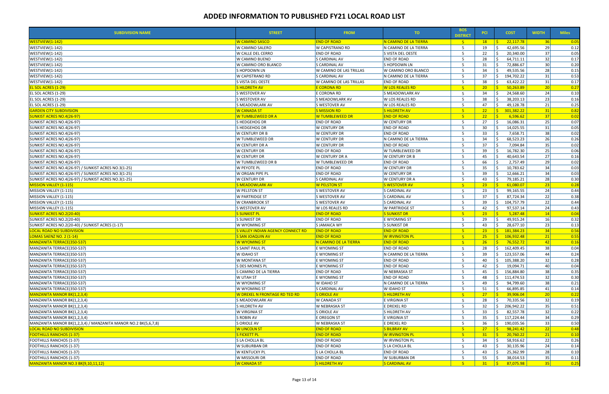| <b>SUBDIVISION NAME</b>                                        | <b>STREET</b>                        | <b>FROM</b>             | TO.                    | <b>BOS</b><br><b>DISTRICT</b> | <b>PCI</b>      | <b>COST</b>                 | <b>WIDTH</b>    | <b>Miles</b>      |
|----------------------------------------------------------------|--------------------------------------|-------------------------|------------------------|-------------------------------|-----------------|-----------------------------|-----------------|-------------------|
| WESTVIEW(1-142)                                                | <b>W CAMINO SASCO</b>                | <b>END OF ROAD</b>      | N CAMINO DE LA TIERRA  | $-5$                          | 18              | 22,117.78                   | 36              | $\overline{0.05}$ |
| <b>WESTVIEW(1-142)</b>                                         | W CAMINO SALERO                      | W CAPISTRANO RD         | N CAMINO DE LA TIERRA  | 5                             | 19              | 42,695.56                   | <b>29</b>       | 0.12              |
| WESTVIEW(1-142)                                                | W CALLE DEL CERRO                    | <b>END OF ROAD</b>      | S VISTA DEL OESTE      | 5                             | 22              | 20,340.00                   | 37              | 0.05              |
| WESTVIEW(1-142)                                                | W CAMINO BUENO                       | S CARDINAL AV           | <b>END OF ROAD</b>     | 5                             | 28              | 64,711.11                   | 32              | 0.17              |
| WESTVIEW(1-142)                                                | W CAMINO ORO BLANCO                  | S CARDINAL AV           | S HOPDOWN LN           | -5                            | 31              | 72,886.67                   | 30              | 0.20              |
| WESTVIEW(1-142)                                                | S HOPDOWN LN                         | W CAMINO DE LAS TRILLAS | W CAMINO ORO BLANCO    | 5                             | 34              | 49,535.56                   | 28              | 0.15              |
| WESTVIEW(1-142)                                                | W CAPISTRANO RD                      | S CARDINAL AV           | N CAMINO DE LA TIERRA  | 5                             | 37              | 194,702.22<br>Ŝ.            | 31              | 0.53              |
| WESTVIEW(1-142)                                                | S VISTA DEL OESTE                    | W CAMINO DE LAS TRILLAS | <b>END OF ROAD</b>     | 5                             | 38              | 63,422.22                   | 31              | 0.17              |
| <b>EL SOL ACRES (1-29)</b>                                     | <b>SHILDRETH AV</b>                  | <b>E CORONA RD</b>      | <b>W LOS REALES RD</b> | $-5$                          | 20 <sub>2</sub> | 50,263.89                   | 20              | 0.27              |
| EL SOL ACRES (1-29)                                            | S WESTOVER AV                        | E CORONA RD             | S MEADOWLARK AV        | 5                             | 34              | 24,568.60                   | 24              | 0.10              |
| EL SOL ACRES (1-29)                                            | S WESTOVER AV                        | S MEADOWLARK AV         | W LOS REALES RD        | 5                             | 38              | 38,203.13                   | 23              | 0.16              |
| EL SOL ACRES (1-29)                                            | S MEADOWLARK AV                      | <b>S WESTOVER AV</b>    | W LOS REALES RD        | 5                             | 47              | 49,128.78                   | 21              | 0.25              |
| <b>GARDEN CITY SUBDIVISION</b>                                 | <b>W CANADA ST</b>                   | <b>S MISSION RD</b>     | <b>SHILDRETH AV</b>    | $-5$                          | 22              | - Ś<br>301,382.22           | 31              | 0.82              |
| <b>SUNKIST ACRES NO.4(26-97)</b>                               | W TUMBLEWEED DR A                    | W TUMBLEWEED DR         | <b>END OF ROAD</b>     | $-5$                          | 22              | 6,596.62<br>$\leq$          | 37              | 0.02              |
| SUNKIST ACRES NO.4(26-97)                                      | S HEDGEHOG DR                        | <b>END OF ROAD</b>      | W CENTURY DR           | 5                             | 27              | 16,086.31                   | 25              | 0.07              |
| SUNKIST ACRES NO.4(26-97)                                      | S HEDGEHOG DR                        | W CENTURY DR            | <b>END OF ROAD</b>     | 5                             | 30              | 14,025.55                   | 31              | 0.05              |
| SUNKIST ACRES NO.4(26-97)                                      | W CENTURY DR B                       | W CENTURY DR            | <b>END OF ROAD</b>     | 5                             | 33              | 7,658.71                    | 38              | 0.02              |
| SUNKIST ACRES NO.4(26-97)                                      | W TUMBLEWEED DR                      | W CENTURY DR            | N CAMINO DE LA TIERRA  | 5                             | 34              | 68,523.23                   | 26              | 0.26              |
| SUNKIST ACRES NO.4(26-97)                                      | W CENTURY DR A                       | <b>W CENTURY DR</b>     | <b>END OF ROAD</b>     | -5                            | 37              | 7,094.84                    | 35              | 0.02              |
| SUNKIST ACRES NO.4(26-97)                                      | W CENTURY DR                         | <b>END OF ROAD</b>      | W TUMBLEWEED DR        | 5                             | 39              | 16,782.30                   | 25              | 0.06              |
| SUNKIST ACRES NO.4(26-97)                                      | W CENTURY DR                         | W CENTURY DR A          | <b>W CENTURY DR B</b>  | 5                             | 45              | 40,643.54                   | 27              | 0.16              |
| SUNKIST ACRES NO.4(26-97)                                      | W TUMBLEWEED DR B                    | W TUMBLEWEED DR         | <b>END OF ROAD</b>     | 5                             | 66              | 2,757.49                    | 29              | 0.02              |
| SUNKIST ACRES NO.4(26-97) / SUNKIST ACRES NO.3(1-25)           | <b>W PEYOTE PL</b>                   | <b>END OF ROAD</b>      | <b>W CENTURY DR</b>    | 5                             | 35              | 10,783.62                   | 34              | 0.03              |
| SUNKIST ACRES NO.4(26-97) / SUNKIST ACRES NO.3(1-25)           | W ORGAN PIPE PL                      | <b>END OF ROAD</b>      | W CENTURY DR           | 5                             | 39              | 12,666.21                   | 34              | 0.03              |
| SUNKIST ACRES NO.4(26-97) / SUNKIST ACRES NO.3(1-25)           | <b>W CENTURY DR</b>                  | S CARDINAL AV           | W CENTURY DR A         | 5                             | 43              | 79,185.21                   | 28              | 0.30              |
|                                                                |                                      |                         |                        |                               |                 | $\leq$                      |                 |                   |
| MISSION VALLEY (1-115)                                         | <b>S MEADOWLARK AV</b>               | <b>W PELSTON ST</b>     | <b>S WESTOVER AV</b>   | $-5$                          | $23 -$          | 61,080.07                   | 23              | 0.28              |
| MISSION VALLEY (1-115)                                         | <b>W PELSTON ST</b>                  | S WESTOVER AV           | S CARDINAL AV          | 5                             | 23              | 99,165.55                   | 24              | 0.44              |
| MISSION VALLEY (1-115)                                         | <b>W PARTRIDGE ST</b>                | S WESTOVER AV           | S CARDINAL AV          | 5                             | 37              | 87,724.34                   | 22              | 0.38              |
| MISSION VALLEY (1-115)                                         | W CRANBROOK ST                       | S WESTOVER AV           | S CARDINAL AV          | 5                             | 39              | 104,757.79                  | 22              | 0.44              |
| MISSION VALLEY (1-115)                                         | S WESTOVER AV                        | W LOS REALES RD         | W PARTRIDGE ST         | 5                             | 42              | 97,537.14                   | 24              | 0.43              |
| <u>SUNKIST ACRES NO.2(20-40)</u>                               | <b>S SUNKIST PL</b>                  | <b>END OF ROAD</b>      | <b>S SUNKIST DR</b>    | $-5$                          | 23              | 5,287.48<br><b>R</b>        | 14              | 0.04              |
| SUNKIST ACRES NO.2(20-40)                                      | S SUNKIST DR                         | <b>END OF ROAD</b>      | E WYOMING ST           | 5                             | 29              | 49,915.24                   | 16              | 0.32              |
| SUNKIST ACRES NO.2(20-40) / SUNKIST ACRES (1-17)               | W WYOMING ST                         | S JAMAICA WY            | S SUNKIST DR           | 5                             | 43              | 28,677.10                   | 23              | 0.13              |
| <b>LOCAL ROAD NO SUBDIVISION</b>                               | S VALLEY INDIAN AGENCY CONNECT RD    | <b>END OF ROAD</b>      | <b>END OF ROAD</b>     | 5 <sup>1</sup>                | 23 <sup>2</sup> | S.<br>181,384.23            | 34              | 0.56              |
| LOMAS SAENZ NO. 2 (1-14)                                       | <b>S SAN JOAQUIN AV</b>              | <b>END OF ROAD</b>      | <b>W IRVINGTON PL</b>  | $-5$                          | 25 <sub>2</sub> | $\frac{1}{5}$ 106,932.48    | 21              | 0.55              |
| MANZANITA TERRACE(350-537)                                     | W WYOMING ST                         | N CAMINO DE LA TIERRA   | <b>END OF ROAD</b>     | $-5$                          | 26              | S.<br>76,552.72             | 42              | 0.16              |
| MANZANITA TERRACE(350-537)                                     | <b>S SAINT PAUL PL</b>               | E WYOMING ST            | <b>END OF ROAD</b>     | 5                             |                 | 28   \$ 162,409.45          | 38              | 0.04              |
| MANZANITA TERRACE(350-537)                                     | W IDAHO ST                           | E WYOMING ST            | N CAMINO DE LA TIERRA  | 5                             | 39              | 123,557.06                  | 44              | 0.24              |
| MANZANITA TERRACE(350-537)                                     | W MONTANA ST                         | E WYOMING ST            | <b>END OF ROAD</b>     |                               | 40              | 105,388.20                  | 32              | 0.28              |
| MANZANITA TERRACE(350-537)                                     | S DES MOINES PL                      | E WYOMING ST            | <b>END OF ROAD</b>     | 5                             | 42              | 19,094.71                   | 40              | 0.04              |
| MANZANITA TERRACE(350-537)                                     | S CAMINO DE LA TIERRA                | <b>END OF ROAD</b>      | W NEBRASKA ST          | 5                             | 45              | 156,884.80<br>S.            | 38              | 0.35              |
| MANZANITA TERRACE(350-537)                                     | W UTAH ST                            | E WYOMING ST            | <b>END OF ROAD</b>     |                               | 48              | 111,474.53                  | 32              | 0.30              |
| MANZANITA TERRACE(350-537)                                     | W WYOMING ST                         | <b>W IDAHO ST</b>       | N CAMINO DE LA TIERRA  | 5                             | 49              | 94,799.60                   | 38              | 0.21              |
| MANZANITA TERRACE(350-537)                                     | W WYOMING ST                         | S CARDINAL AV           | W IDAHO ST             | 5                             | 51              | 66,895.85                   | 41              | 0.14              |
| <b>MANZANITA MANOR BK(1,2,3,4)</b>                             | <u>W DREXEL N FRONTAGE RD TED RD</u> | S ORIOLE AV             | S HILDRETH AV          | 5 <sup>1</sup>                | 27              | 39,906.04                   | 20 <sup>1</sup> | 0.22              |
| MANZANITA MANOR BK(1,2,3,4)                                    | S MEADOWLARK AV                      | W CANADA ST             | E VIRGINIA ST          | 5                             | 28              | 70,335.56                   | 32              | 0.19              |
| MANZANITA MANOR BK(1,2,3,4)                                    | S HILDRETH AV                        | W NEBRASKA ST           | E DREXEL RD            | -5                            | 32              | 206,942.22<br>Ŝ.            | 35              | 0.51              |
| MANZANITA MANOR BK(1,2,3,4)                                    | W VIRGINIA ST                        | S ORIOLE AV             | <b>SHILDRETH AV</b>    |                               | 33              | 82,557.78                   | 32              | 0.22              |
| MANZANITA MANOR BK(1,2,3,4)                                    | S ROBIN AV                           | E OREGON ST             | E VIRGINIA ST          | 5                             | 35              | 117,224.44<br><sup>\$</sup> | 34              | 0.29              |
| MANZANITA MANOR BK(1,2,3,4) / MANZANITA MANOR NO.2 BK(5,6,7,8) | S ORIOLE AV                          | W NEBRASKA ST           | E DREXEL RD            | 5                             | 36              | Ŝ.<br>190,035.56            | 33              | 0.50              |
| LOCAL ROAD NO SUBDIVISION                                      | <b>W LINCOLN ST</b>                  | <b>END OF ROAD</b>      | <b>S BILBRAY AV</b>    | 5 <sup>1</sup>                | 27 <sup>2</sup> | 98,241.42                   | 22              | 0.48              |
| <b>FOOTHILLS RANCHOS (1-37)</b>                                | <b>S FICKETT PL</b>                  | <b>END OF ROAD</b>      | W IRVINGTON PL         | $-5$                          | 31              | 20,760.22<br>$\leq$         | 21              | 0.10              |
| FOOTHILLS RANCHOS (1-37)                                       | S LA CHOLLA BL                       | <b>END OF ROAD</b>      | W IRVINGTON PL         | -5                            | 34              | 58,916.62                   | 22              | 0.26              |
| <b>FOOTHILLS RANCHOS (1-37)</b>                                | W SUBURBAN DR                        | END OF ROAD             | S LA CHOLLA BL         | 5                             | 43              | 30,135.96                   | 24              | 0.14              |
| FOOTHILLS RANCHOS (1-37)                                       | <b>W KENTUCKY PL</b>                 | S LA CHOLLA BL          | <b>END OF ROAD</b>     |                               | 43              | 25,362.99                   | 28              | 0.10              |
| <b>FOOTHILLS RANCHOS (1-37)</b>                                | W MISSOURI DR                        | <b>END OF ROAD</b>      | W SUBURBAN DR          | 5                             | 55              | 38,014.53                   | 35              | 0.11              |
| MANZANITA MANOR NO.3 BK(9,10,11,12)                            | <b>W CANADA ST</b>                   | <b>SHILDRETH AV</b>     | <b>S CARDINAL AV</b>   | 5 <sup>1</sup>                | 31              | S.<br>87,075.98             | 35              | 0.25              |
|                                                                |                                      |                         |                        |                               |                 |                             |                 |                   |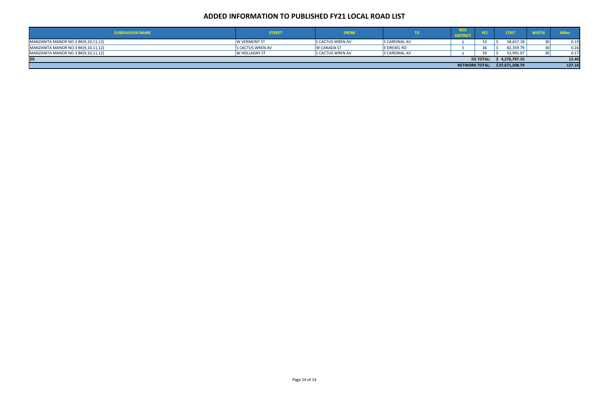| <b>SUBDIVISION NAME</b>             | <b>STREET</b>           | <b>FROM</b>             |                    | -808                  |                  | <b>COST</b>     |        |
|-------------------------------------|-------------------------|-------------------------|--------------------|-----------------------|------------------|-----------------|--------|
| MANZANITA MANOR NO.3 BK(9,10,11,12) | <b>W VERMONT ST</b>     | <b>S CACTUS WREN AV</b> | S CARDINAL AV      |                       |                  | 58,657.18       | 0.19   |
| MANZANITA MANOR NO.3 BK(9,10,11,12) | <b>S CACTUS WREN AV</b> | <b>W CANADA ST</b>      | <b>E DREXEL RD</b> |                       |                  | 82,359.79       | 0.26   |
| MANZANITA MANOR NO.3 BK(9,10,11,12) | <b>W HOLLADAY ST</b>    | <b>S CACTUS WREN AV</b> | lS CARDINAL AV     |                       |                  | 53,991.07       | 0.17   |
| D <sub>5</sub>                      |                         |                         |                    |                       | <b>D5 TOTAL:</b> | \$4,276,797.10  | 13.40  |
|                                     |                         |                         |                    | <b>NETWORK TOTAL:</b> |                  | \$37,671,208.79 | 127.10 |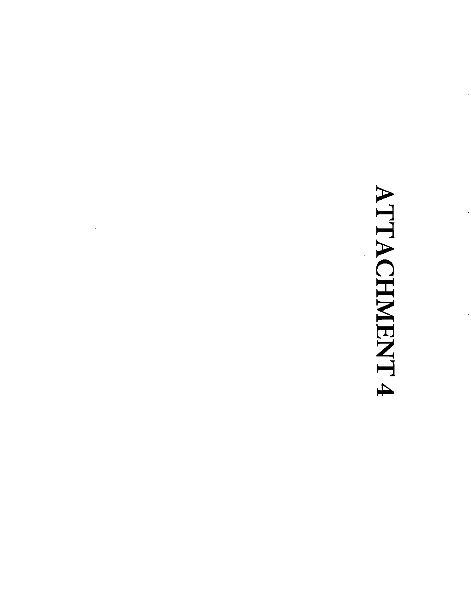# ATTACHMENT 4